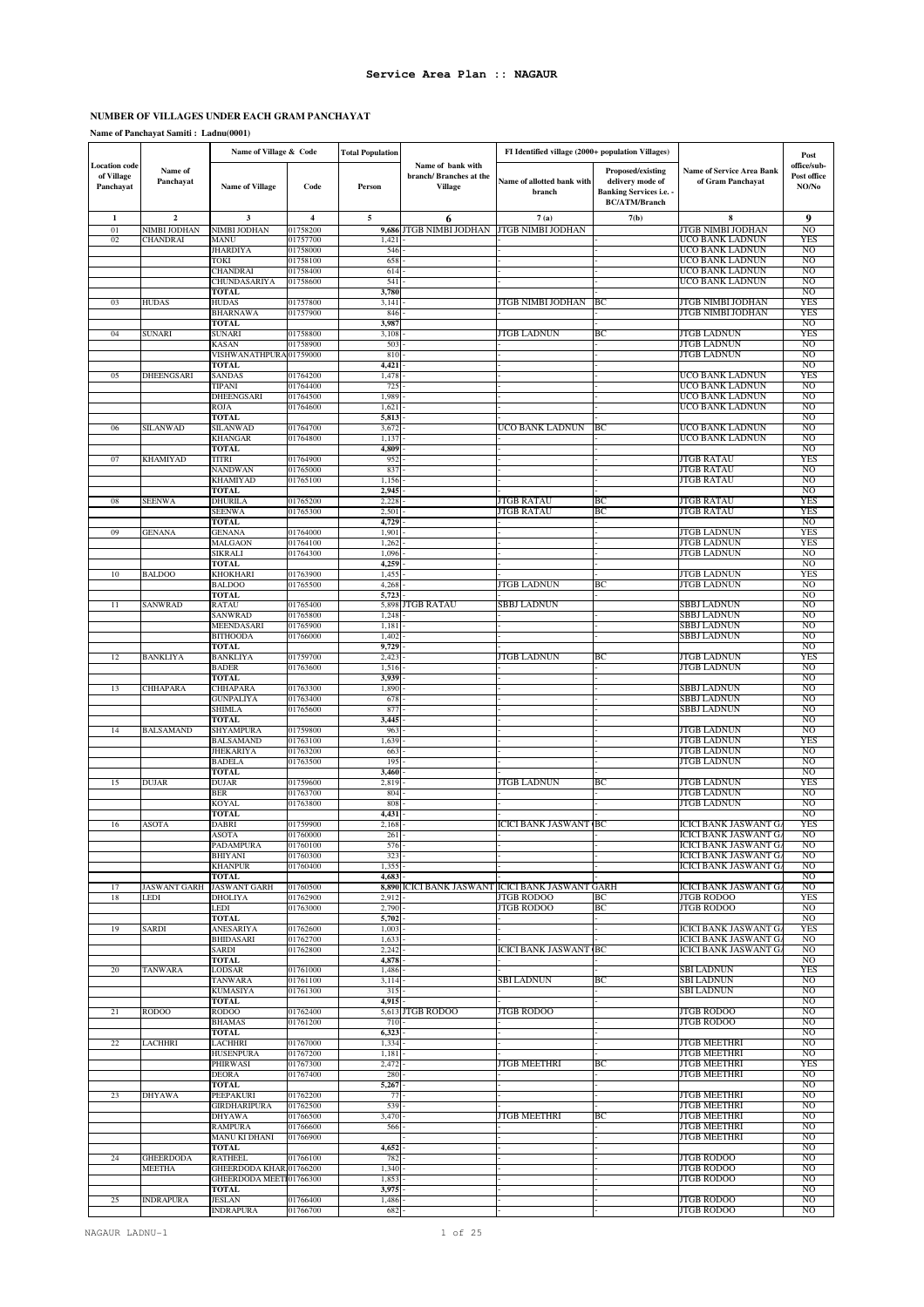# **NUMBER OF VILLAGES UNDER EACH GRAM PANCHAYAT**

**Name of Panchayat Samiti : Ladnu(0001)**

|                                                 |                      | Name of Village & Code                  |                         | <b>Total Population</b> |                                                                | FI Identified village (2000+ population Villages) |                                                                                                 |                                                       | Post                                |
|-------------------------------------------------|----------------------|-----------------------------------------|-------------------------|-------------------------|----------------------------------------------------------------|---------------------------------------------------|-------------------------------------------------------------------------------------------------|-------------------------------------------------------|-------------------------------------|
| <b>Location</b> code<br>of Village<br>Panchayat | Name of<br>Panchayat | <b>Name of Village</b>                  | Code                    | Person                  | Name of bank with<br>branch/ Branches at the<br><b>Village</b> | Name of allotted bank with<br>branch              | Proposed/existing<br>delivery mode of<br><b>Banking Services i.e. -</b><br><b>BC/ATM/Branch</b> | <b>Name of Service Area Bank</b><br>of Gram Panchayat | office/sub-<br>Post office<br>NO/No |
| 1                                               | $\mathbf 2$          | 3                                       | $\overline{\mathbf{4}}$ | 5                       | 6                                                              | 7(a)                                              | 7(b)                                                                                            | 8                                                     | 9                                   |
| 01                                              | NIMBI JODHAN         | NIMBI JODHAN                            | 01758200                | 9,686                   | JTGB NIMBI JODHAN                                              | JTGB NIMBI JODHAN                                 |                                                                                                 | JTGB NIMBI JODHAN                                     | NO                                  |
| 02                                              | CHANDRAI             | <b>MANU</b>                             | 01757700                | 1,421                   |                                                                |                                                   |                                                                                                 | UCO BANK LADNUN                                       | <b>YES</b>                          |
|                                                 |                      | <b>JHARDIYA</b><br><b>TOKI</b>          | 01758000<br>01758100    | 546<br>658              |                                                                |                                                   |                                                                                                 | UCO BANK LADNUN<br>UCO BANK LADNUN                    | NO<br>NO                            |
|                                                 |                      | <b>CHANDRAI</b>                         | 01758400                | 614                     |                                                                |                                                   |                                                                                                 | UCO BANK LADNUN                                       | NO                                  |
|                                                 |                      | CHUNDASARIYA                            | 01758600                | 541                     |                                                                |                                                   |                                                                                                 | UCO BANK LADNUN                                       | NO                                  |
| 03                                              | HUDAS                | TOTAL<br><b>HUDAS</b>                   | 01757800                | 3,780<br>3,141          |                                                                | JTGB NIMBI JODHAN                                 | BС                                                                                              | JTGB NIMBI JODHAN                                     | NO<br>YES                           |
|                                                 |                      | <b>BHARNAWA</b>                         | 01757900                | 846                     |                                                                |                                                   |                                                                                                 | JTGB NIMBI JODHAN                                     | <b>YES</b>                          |
|                                                 |                      | <b>TOTAL</b>                            |                         | 3,987                   |                                                                |                                                   |                                                                                                 |                                                       | NO                                  |
| 04                                              | SUNARI               | <b>SUNARI</b><br><b>KASAN</b>           | 01758800<br>01758900    | 3,108<br>503            |                                                                | JTGB LADNUN                                       | ВC                                                                                              | JTGB LADNUN<br><b>JTGB LADNUN</b>                     | <b>YES</b><br>NO                    |
|                                                 |                      | VISHWANATHPURA 01759000                 |                         | 810                     |                                                                |                                                   |                                                                                                 | <b>JTGB LADNUN</b>                                    | NO                                  |
|                                                 |                      | <b>TOTAL</b>                            |                         | 4,421                   |                                                                |                                                   |                                                                                                 |                                                       | NO                                  |
| 05                                              | DHEENGSARI           | SANDAS<br>TIPANI                        | 01764200<br>01764400    | 1,478<br>725            |                                                                |                                                   |                                                                                                 | UCO BANK LADNUN<br>UCO BANK LADNUN                    | <b>YES</b><br>NO                    |
|                                                 |                      | DHEENGSARI                              | 01764500                | 1,989                   |                                                                |                                                   |                                                                                                 | UCO BANK LADNUN                                       | NO                                  |
|                                                 |                      | <b>ROJA</b>                             | 01764600                | 1,621                   |                                                                |                                                   |                                                                                                 | UCO BANK LADNUN                                       | NO                                  |
| 06                                              | SILANWAD             | TOTAL<br><b>SILANWAD</b>                | 01764700                | 5,813<br>3,672          |                                                                | UCO BANK LADNUN                                   | ВC                                                                                              | UCO BANK LADNUN                                       | NO<br>NO                            |
|                                                 |                      | <b>KHANGAR</b>                          | 01764800                | 1,137                   |                                                                |                                                   |                                                                                                 | UCO BANK LADNUN                                       | NO                                  |
|                                                 |                      | <b>TOTAL</b>                            |                         | 4,809                   |                                                                |                                                   |                                                                                                 |                                                       | NO                                  |
| 07                                              | KHAMIYAD             | TITRI<br><b>NANDWAN</b>                 | 01764900<br>01765000    | 95<br>837               |                                                                |                                                   |                                                                                                 | JTGB RATAU<br>JTGB RATAU                              | YES<br>NO                           |
|                                                 |                      | <b>KHAMIYAD</b>                         | 01765100                | 1,156                   |                                                                |                                                   |                                                                                                 | JTGB RATAU                                            | NO                                  |
|                                                 |                      | <b>TOTAL</b>                            |                         | 2,945                   |                                                                |                                                   |                                                                                                 |                                                       | NO                                  |
| 08                                              | SEENWA               | <b>DHURILA</b><br><b>SEENWA</b>         | 01765200<br>01765300    | 2,228<br>2,501          |                                                                | JTGB RATAU<br><b>JTGB RATAU</b>                   | BС<br>ВC                                                                                        | JTGB RATAU<br><b>JTGB RATAU</b>                       | YES<br><b>YES</b>                   |
|                                                 |                      | <b>TOTAL</b>                            |                         | 4,729                   |                                                                |                                                   |                                                                                                 |                                                       | N <sub>O</sub>                      |
| 09                                              | <b>GENANA</b>        | <b>GENANA</b>                           | 01764000                | 1,901                   |                                                                |                                                   |                                                                                                 | JTGB LADNUN                                           | <b>YES</b>                          |
|                                                 |                      | MALGAON<br><b>SIKRALI</b>               | 01764100<br>01764300    | 1,262<br>1,096          |                                                                |                                                   |                                                                                                 | JTGB LADNUN<br>JTGB LADNUN                            | YES<br>NO                           |
|                                                 |                      | <b>TOTAL</b>                            |                         | 4,259                   |                                                                |                                                   |                                                                                                 |                                                       | NO                                  |
| 10                                              | <b>BALDOO</b>        | <b>KHOKHARI</b>                         | 01763900                | 1,45                    |                                                                |                                                   |                                                                                                 | JTGB LADNUN                                           | <b>YES</b>                          |
|                                                 |                      | <b>BALDOO</b><br><b>TOTAL</b>           | 01765500                | 4,268<br>5,723          |                                                                | JTGB LADNUN                                       | BС                                                                                              | JTGB LADNUN                                           | NO<br>NO                            |
| 11                                              | SANWRAD              | RATAU                                   | 01765400                | 5,898                   | JTGB RATAU                                                     | <b>SBBJ LADNUN</b>                                |                                                                                                 | SBBJ LADNUN                                           | NO                                  |
|                                                 |                      | SANWRAD                                 | 01765800                | 1,24                    |                                                                |                                                   |                                                                                                 | SBBJ LADNUN                                           | NO                                  |
|                                                 |                      | MEENDASARI<br><b>BITHOODA</b>           | 01765900<br>01766000    | 1,181<br>1,402          |                                                                |                                                   |                                                                                                 | SBBJ LADNUN<br>SBBJ LADNUN                            | NO<br>NO                            |
|                                                 |                      | TOTAL                                   |                         | 9,729                   |                                                                |                                                   |                                                                                                 |                                                       | NO                                  |
| 12                                              | <b>BANKLIYA</b>      | <b>BANKLIYA</b>                         | 01759700                | 2,423                   |                                                                | JTGB LADNUN                                       | BС                                                                                              | JTGB LADNUN                                           | <b>YES</b>                          |
|                                                 |                      | <b>BADER</b><br>TOTAL                   | 01763600                | 1,516<br>3,939          |                                                                |                                                   |                                                                                                 | <b>JTGB LADNUN</b>                                    | N <sub>O</sub><br>NO                |
| 13                                              | CHHAPARA             | <b>CHHAPARA</b>                         | 01763300                | 1,890                   |                                                                |                                                   |                                                                                                 | <b>SBBJ LADNUN</b>                                    | NO                                  |
|                                                 |                      | <b>GUNPALIYA</b>                        | 01763400                | 678                     |                                                                |                                                   |                                                                                                 | SBBJ LADNUN                                           | N <sub>O</sub>                      |
|                                                 |                      | SHIMLA<br><b>TOTAL</b>                  | 01765600                | 877<br>3,445            |                                                                |                                                   |                                                                                                 | SBBJ LADNUN                                           | N <sub>O</sub><br>NO                |
| 14                                              | BALSAMAND            | SHYAMPURA                               | 01759800                | 963                     |                                                                |                                                   |                                                                                                 | JTGB LADNUN                                           | NO.                                 |
|                                                 |                      | <b>BALSAMAND</b>                        | 01763100                | 1,639                   |                                                                |                                                   |                                                                                                 | JTGB LADNUN                                           | <b>YES</b>                          |
|                                                 |                      | <b>JHEKARIYA</b><br><b>BADELA</b>       | 01763200<br>01763500    | 663<br>195              |                                                                |                                                   |                                                                                                 | JTGB LADNUN<br>JTGB LADNUN                            | N <sub>O</sub><br>NO                |
|                                                 |                      | <b>TOTAL</b>                            |                         | 3,460                   |                                                                |                                                   |                                                                                                 |                                                       | NO                                  |
| 15                                              | DUJAR                | <b>DUJAR</b>                            | 01759600                | 2,819                   |                                                                | <b>JTGB LADNUN</b>                                | BС                                                                                              | JTGB LADNUN                                           | <b>YES</b>                          |
|                                                 |                      | <b>BER</b><br><b>KOYAL</b>              | 01763700<br>01763800    | 804<br>808              |                                                                |                                                   |                                                                                                 | <b>JTGB LADNUN</b><br><b>JTGB LADNUN</b>              | N <sub>O</sub><br>N <sub>O</sub>    |
|                                                 |                      | TOTAL                                   |                         | 4,431                   |                                                                |                                                   |                                                                                                 |                                                       | NO                                  |
| 16                                              | ASOTA                | <b>DABRI</b>                            | 01759900                | 2,168                   |                                                                | ICICI BANK JASWANT (BC                            |                                                                                                 | ICICI BANK JASWANT G                                  | <b>YES</b>                          |
|                                                 |                      | <b>ASOTA</b><br>PADAMPURA               | 01760000<br>01760100    | 261<br>576              |                                                                |                                                   |                                                                                                 | ICICI BANK JASWANT G.<br>ICICI BANK JASWANT G.        | NO<br>NO                            |
|                                                 |                      | <b>BHIYANI</b>                          | 01760300                | 323                     |                                                                |                                                   |                                                                                                 | ICICI BANK JASWANT G.                                 | N <sub>O</sub>                      |
|                                                 |                      | <b>KHANPUR</b>                          | 01760400                | 1,355                   |                                                                |                                                   |                                                                                                 | ICICI BANK JASWANT G.                                 | NO                                  |
| 17                                              | JASWANT GARH         | <b>TOTAL</b><br><b>JASWANT GARH</b>     | 01760500                | 4,683                   |                                                                | 8,890 ICICI BANK JASWANT ICICI BANK JASWANT GARH  |                                                                                                 | <b>ICICI BANK JASWANT G.</b>                          | NO<br>NO                            |
| 18                                              | LEDI                 | <b>DHOLIYA</b>                          | 01762900                | 2,912                   |                                                                | JTGB RODOO                                        | BС                                                                                              | JTGB RODOO                                            | <b>YES</b>                          |
|                                                 |                      | <b>LEDI</b>                             | 01763000                | 2,790                   |                                                                | JTGB RODOO                                        | ВC                                                                                              | <b>JTGB RODOO</b>                                     | NO                                  |
| 19                                              | SARDI                | <b>TOTAL</b><br>ANESARIYA               | 01762600                | 5,702<br>1,003          |                                                                |                                                   |                                                                                                 | ICICI BANK JASWANT G                                  | NO<br><b>YES</b>                    |
|                                                 |                      | <b>BHIDASARI</b>                        | 01762700                | 1,633                   |                                                                |                                                   |                                                                                                 | ICICI BANK JASWANT G.                                 | NO                                  |
|                                                 |                      | SARDI                                   | 01762800                | 2,242                   |                                                                | <b>ICICI BANK JASWANT BC</b>                      |                                                                                                 | ICICI BANK JASWANT G.                                 | N <sub>O</sub>                      |
| 20                                              | <b>TANWARA</b>       | TOTAL<br>LODSAR                         | 01761000                | 4,878<br>1,486          |                                                                |                                                   |                                                                                                 | SBI LADNUN                                            | NO<br><b>YES</b>                    |
|                                                 |                      | TANWARA                                 | 01761100                | 3,114                   |                                                                | SBI LADNUN                                        | ВC                                                                                              | SBI LADNUN                                            | N <sub>O</sub>                      |
|                                                 |                      | <b>KUMASIYA</b>                         | 01761300                | 315                     |                                                                |                                                   |                                                                                                 | SBI LADNUN                                            | N <sub>O</sub>                      |
| 21                                              | RODOO                | <b>TOTAL</b><br><b>RODOO</b>            | 01762400                | 4,915<br>5,613          | <b>JTGB RODOO</b>                                              | JTGB RODOO                                        |                                                                                                 | JTGB RODOO                                            | NO<br>NO                            |
|                                                 |                      | <b>BHAMAS</b>                           | 01761200                | 710                     |                                                                |                                                   |                                                                                                 | JTGB RODOO                                            | NO                                  |
|                                                 |                      | TOTAL                                   |                         | 6,323                   |                                                                |                                                   |                                                                                                 |                                                       | NO                                  |
| 22                                              | LACHHRI              | <b>LACHHRI</b><br>HUSENPURA             | 01767000<br>01767200    | 1,334<br>1,181          |                                                                |                                                   |                                                                                                 | <b>JTGB MEETHRI</b><br>JTGB MEETHRI                   | NO<br>NO                            |
|                                                 |                      | PHIRWASI                                | 01767300                | 2,472                   |                                                                | <b>JTGB MEETHRI</b>                               | BC                                                                                              | JTGB MEETHRI                                          | <b>YES</b>                          |
|                                                 |                      | <b>DEORA</b>                            | 01767400                | 280                     |                                                                |                                                   |                                                                                                 | <b>JTGB MEETHRI</b>                                   | N <sub>O</sub>                      |
| 23                                              |                      | <b>TOTAL</b>                            | 01762200                | 5,267                   |                                                                |                                                   |                                                                                                 |                                                       | N <sub>O</sub><br>N <sub>O</sub>    |
|                                                 | <b>DHYAWA</b>        | PEEPAKURI<br><b>GIRDHARIPURA</b>        | 01762500                | 77<br>539               |                                                                |                                                   |                                                                                                 | JTGB MEETHRI<br>JTGB MEETHRI                          | N <sub>O</sub>                      |
|                                                 |                      | <b>DHYAWA</b>                           | 01766500                | 3,470                   |                                                                | JTGB MEETHRI                                      | ВC                                                                                              | JTGB MEETHRI                                          | N <sub>O</sub>                      |
|                                                 |                      | <b>RAMPURA</b>                          | 01766600                | 566                     |                                                                |                                                   |                                                                                                 | <b>JTGB MEETHRI</b>                                   | NO<br>NO                            |
|                                                 |                      | MANU KI DHANI<br><b>TOTAL</b>           | 01766900                | 4,652                   |                                                                |                                                   |                                                                                                 | <b>JTGB MEETHRI</b>                                   | NO                                  |
| 24                                              | <b>GHEERDODA</b>     | <b>RATHEEL</b>                          | 01766100                | 782                     |                                                                |                                                   |                                                                                                 | JTGB RODOO                                            | NO                                  |
|                                                 | <b>MEETHA</b>        | GHEERDODA KHAR 01766200                 |                         | 1,340                   |                                                                |                                                   |                                                                                                 | <b>JTGB RODOO</b>                                     | NO                                  |
|                                                 |                      | GHEERDODA MEET101766300<br><b>TOTAL</b> |                         | 1,853<br>3,975          |                                                                |                                                   |                                                                                                 | JTGB RODOO                                            | NO<br>NO                            |
| 25                                              | <b>INDRAPURA</b>     | <b>JESLAN</b>                           | 01766400                | 1,486                   |                                                                |                                                   |                                                                                                 | JTGB RODOO                                            | NO                                  |
|                                                 |                      | <b>INDRAPURA</b>                        | 01766700                | 682                     |                                                                |                                                   |                                                                                                 | <b>JTGB RODOO</b>                                     | N <sub>O</sub>                      |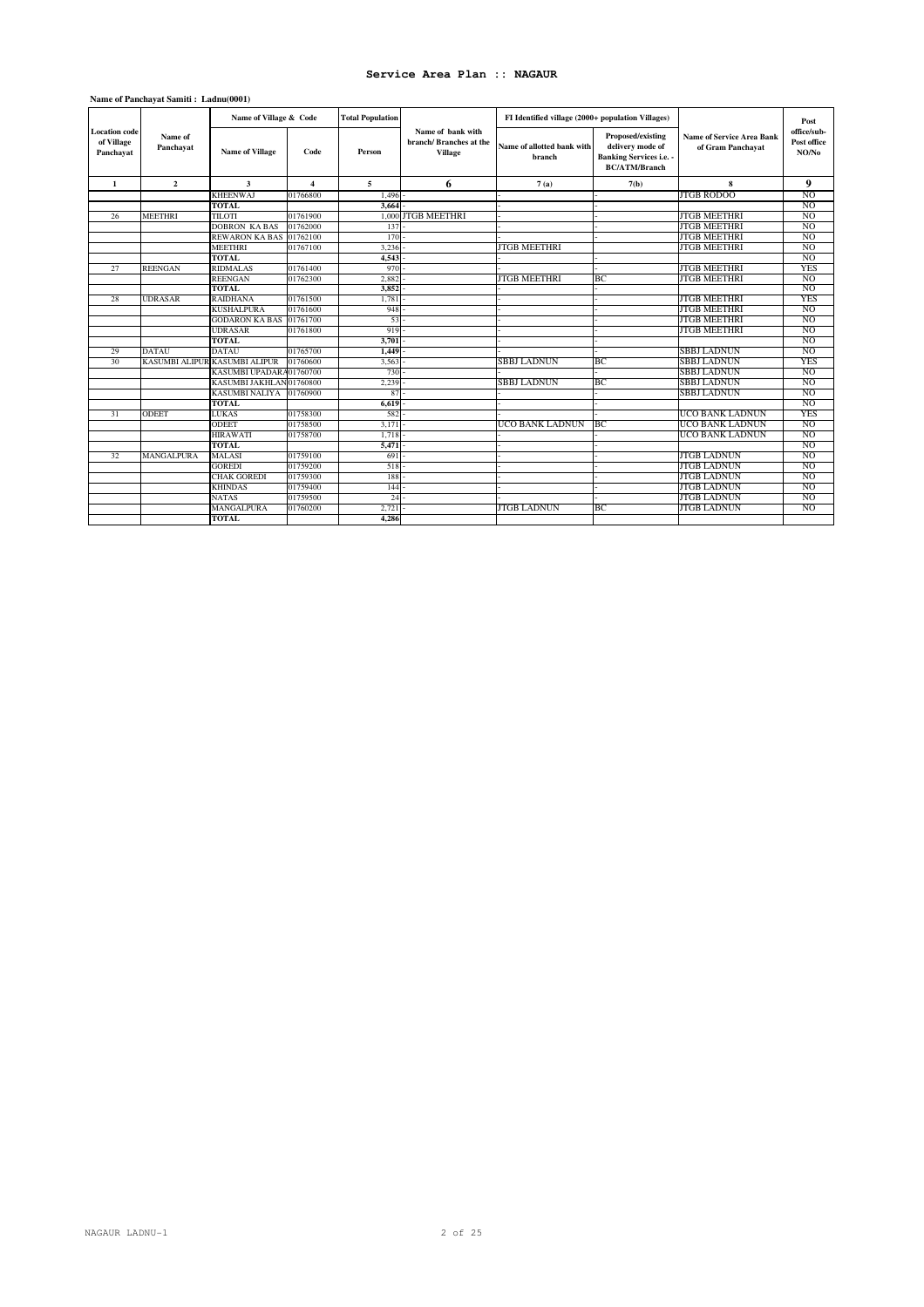|                                                 |                      | Name of Village & Code        |                         | <b>Total Population</b> |                                                               | FI Identified village (2000+ population Villages) |                                                                                                 |                                                       | Post                                |
|-------------------------------------------------|----------------------|-------------------------------|-------------------------|-------------------------|---------------------------------------------------------------|---------------------------------------------------|-------------------------------------------------------------------------------------------------|-------------------------------------------------------|-------------------------------------|
| <b>Location</b> code<br>of Village<br>Panchayat | Name of<br>Panchayat | <b>Name of Village</b>        | Code                    | Person                  | Name of bank with<br>branch/Branches at the<br><b>Village</b> | Name of allotted bank with<br>branch              | Proposed/existing<br>delivery mode of<br><b>Banking Services i.e. -</b><br><b>BC/ATM/Branch</b> | <b>Name of Service Area Bank</b><br>of Gram Panchayat | office/sub-<br>Post office<br>NO/No |
| $\mathbf{1}$                                    | $\overline{2}$       | $\mathbf{3}$                  | $\overline{\mathbf{4}}$ | 5                       | 6                                                             | 7(a)                                              | 7(b)                                                                                            | 8                                                     | 9                                   |
|                                                 |                      | <b>KHEENWAJ</b>               | 01766800                | 1,496                   |                                                               |                                                   |                                                                                                 | <b>JTGB RODOO</b>                                     | N <sub>O</sub>                      |
|                                                 |                      | <b>TOTAL</b>                  |                         | 3.664                   |                                                               |                                                   |                                                                                                 |                                                       | N <sub>O</sub>                      |
| 26                                              | MEETHRI              | TILOTI                        | 01761900                |                         | 1,000 JTGB MEETHRI                                            |                                                   |                                                                                                 | <b>JTGB MEETHRI</b>                                   | NO.                                 |
|                                                 |                      | <b>DOBRON KABAS</b>           | 01762000                | 137                     |                                                               |                                                   |                                                                                                 | <b>JTGB MEETHRI</b>                                   | N <sub>O</sub>                      |
|                                                 |                      | REWARON KA BAS 01762100       |                         | 170                     |                                                               |                                                   |                                                                                                 | <b>JTGB MEETHRI</b>                                   | N <sub>O</sub>                      |
|                                                 |                      | <b>MEETHRI</b>                | 01767100                | 3.236                   |                                                               | <b>JTGB MEETHRI</b>                               |                                                                                                 | <b>JTGB MEETHRI</b>                                   | NO.                                 |
|                                                 |                      | <b>TOTAL</b>                  |                         | 4.543                   |                                                               |                                                   |                                                                                                 |                                                       | N <sub>O</sub>                      |
| 27                                              | <b>REENGAN</b>       | <b>RIDMALAS</b>               | 01761400                | 970                     |                                                               |                                                   |                                                                                                 | <b>JTGB MEETHRI</b>                                   | <b>YES</b>                          |
|                                                 |                      | <b>REENGAN</b>                | 01762300                | 2,882                   |                                                               | <b>JTGB MEETHRI</b>                               | B <sub>C</sub>                                                                                  | <b>JTGB MEETHRI</b>                                   | N <sub>O</sub>                      |
|                                                 |                      | <b>TOTAL</b>                  |                         | 3.852                   |                                                               |                                                   |                                                                                                 |                                                       | N <sub>O</sub>                      |
| 28                                              | <b>UDRASAR</b>       | <b>RAIDHANA</b>               | 01761500                | 1.781                   |                                                               |                                                   |                                                                                                 | <b>JTGB MEETHRI</b>                                   | <b>YES</b>                          |
|                                                 |                      | <b>KUSHALPURA</b>             | 01761600                | 948                     |                                                               |                                                   |                                                                                                 | <b>JTGB MEETHRI</b>                                   | NO.                                 |
|                                                 |                      | <b>GODARON KA BAS</b>         | 01761700                | 53                      |                                                               |                                                   |                                                                                                 | <b>JTGB MEETHRI</b>                                   | NO.                                 |
|                                                 |                      | <b>UDRASAR</b>                | 01761800                | 919                     |                                                               |                                                   |                                                                                                 | <b>JTGB MEETHRI</b>                                   | NO.                                 |
|                                                 |                      | <b>TOTAL</b>                  |                         | 3,701                   |                                                               |                                                   |                                                                                                 |                                                       | N <sub>O</sub>                      |
| 29                                              | <b>DATAU</b>         | <b>DATAU</b>                  | 01765700                | 1.449                   |                                                               |                                                   |                                                                                                 | SBBJ LADNUN                                           | NO.                                 |
| 30                                              |                      | KASUMBI ALIPUR KASUMBI ALIPUR | 01760600                | 3.563                   |                                                               | SBBJ LADNUN                                       | ВC                                                                                              | SBBJ LADNUN                                           | <b>YES</b>                          |
|                                                 |                      | KASUMBI UPADARA01760700       |                         | 730                     |                                                               |                                                   |                                                                                                 | <b>SBBJ LADNUN</b>                                    | N <sub>O</sub>                      |
|                                                 |                      | KASUMBI JAKHLAN 01760800      |                         | 2,239                   |                                                               | <b>SBBJ LADNUN</b>                                | BС                                                                                              | <b>SBBJ LADNUN</b>                                    | N <sub>O</sub>                      |
|                                                 |                      | <b>KASUMBI NALIYA</b>         | 01760900                | 87                      |                                                               |                                                   |                                                                                                 | SBBJ LADNUN                                           | NO.                                 |
|                                                 |                      | <b>TOTAL</b>                  |                         | 6.619                   |                                                               |                                                   |                                                                                                 |                                                       | N <sub>O</sub>                      |
| 31                                              | <b>ODEET</b>         | <b>LUKAS</b>                  | 01758300                | 582                     |                                                               |                                                   |                                                                                                 | <b>UCO BANK LADNUN</b>                                | <b>YES</b>                          |
|                                                 |                      | ODEET                         | 01758500                | 3,171                   |                                                               | UCO BANK LADNUN                                   | <b>BC</b>                                                                                       | UCO BANK LADNUN                                       | N <sub>O</sub>                      |
|                                                 |                      | <b>HIRAWATI</b>               | 01758700                | 1.718                   |                                                               |                                                   |                                                                                                 | UCO BANK LADNUN                                       | N <sub>O</sub>                      |
|                                                 |                      | <b>TOTAL</b>                  |                         | 5,471                   |                                                               |                                                   |                                                                                                 |                                                       | NO.                                 |
| 32                                              | MANGALPURA           | MALASI                        | 01759100                | 691                     |                                                               |                                                   |                                                                                                 | JTGB LADNUN                                           | NO.                                 |
|                                                 |                      | <b>GOREDI</b>                 | 01759200                | 518                     |                                                               |                                                   |                                                                                                 | <b>JTGB LADNUN</b>                                    | N <sub>O</sub>                      |
|                                                 |                      | <b>CHAK GOREDI</b>            | 01759300                | 188                     |                                                               |                                                   |                                                                                                 | <b>JTGB LADNUN</b>                                    | N <sub>O</sub>                      |
|                                                 |                      | <b>KHINDAS</b>                | 01759400                | 144                     |                                                               |                                                   |                                                                                                 | JTGB LADNUN                                           | NO.                                 |
|                                                 |                      | <b>NATAS</b>                  | 01759500                | 24                      |                                                               |                                                   |                                                                                                 | JTGB LADNUN                                           | NO.                                 |
|                                                 |                      | MANGALPURA                    | 01760200                | 2,721                   |                                                               | JTGB LADNUN                                       | ВC                                                                                              | JTGB LADNUN                                           | NO.                                 |
|                                                 |                      | <b>TOTAL</b>                  |                         | 4.286                   |                                                               |                                                   |                                                                                                 |                                                       |                                     |

### **Name of Panchayat Samiti : Ladnu(0001)**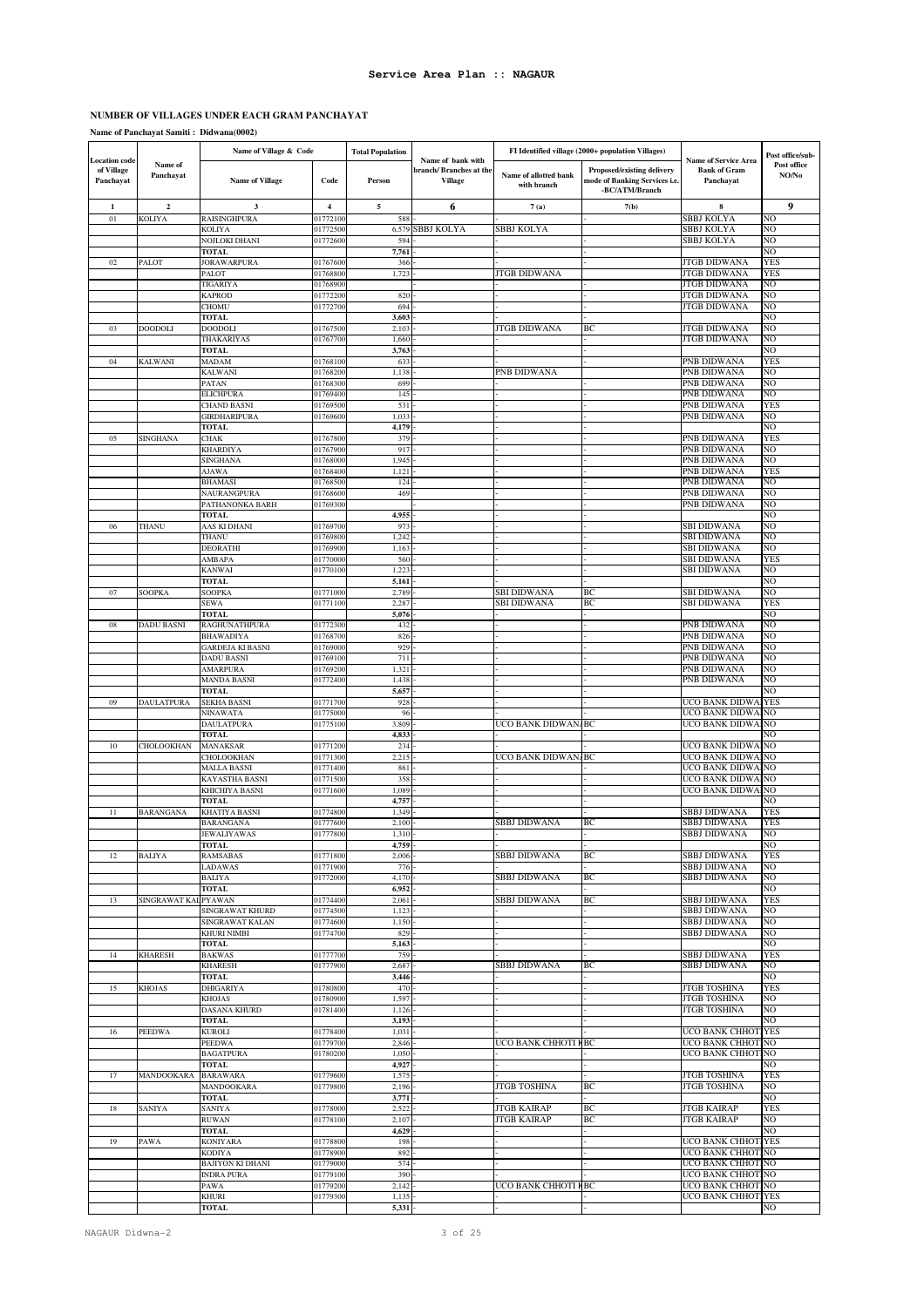### **NUMBER OF VILLAGES UNDER EACH GRAM PANCHAYAT**

**Name of Panchayat Samiti : Didwana(0002)**

|                                                 |                      | Name of Village & Code                    |                      | <b>Total Population</b> |                                                               |                                      | FI Identified village (2000+ population Villages)                             |                                                                 | Post office/sub-     |
|-------------------------------------------------|----------------------|-------------------------------------------|----------------------|-------------------------|---------------------------------------------------------------|--------------------------------------|-------------------------------------------------------------------------------|-----------------------------------------------------------------|----------------------|
| <b>Location</b> code<br>of Village<br>Panchayat | Name of<br>Panchayat | <b>Name of Village</b>                    | Code                 | Person                  | Name of bank with<br>branch/Branches at the<br><b>Village</b> | Name of allotted bank<br>with branch | Proposed/existing delivery<br>mode of Banking Services i.e.<br>-BC/ATM/Branch | <b>Name of Service Area</b><br><b>Bank of Gram</b><br>Panchayat | Post office<br>NO/No |
| 1                                               | $\mathbf{2}$         | 3                                         | $\overline{4}$       | $\sqrt{5}$              | 6                                                             | 7(a)                                 | 7(b)                                                                          | 8                                                               | 9                    |
| 01                                              | <b>KOLIYA</b>        | RAISINGHPURA                              | 01772100             | 588                     |                                                               |                                      |                                                                               | SBBJ KOLYA                                                      | NO                   |
|                                                 |                      | KOLIYA                                    | 01772500             | 6,579                   | SBBJ KOLYA                                                    | SBBJ KOLYA                           |                                                                               | SBBJ KOLYA                                                      | NO                   |
|                                                 |                      | NOJLOKI DHANI                             | 01772600             | 594                     |                                                               |                                      |                                                                               | SBBJ KOLYA                                                      | NO<br>NO             |
| 02                                              | PALOT                | <b>TOTAL</b><br><b>JORAWARPURA</b>        | 01767600             | 7,761<br>366            |                                                               |                                      |                                                                               | JTGB DIDWANA                                                    | YES                  |
|                                                 |                      | PALOT                                     | 01768800             | 1,723                   |                                                               | <b>ITGB DIDWANA</b>                  |                                                                               | <b>JTGB DIDWANA</b>                                             | YES                  |
|                                                 |                      | <b>TIGARIYA</b>                           | 01768900             |                         |                                                               |                                      |                                                                               | <b>JTGB DIDWANA</b>                                             | NO                   |
|                                                 |                      | <b>KAPROD</b><br>CHOMU                    | 01772200<br>01772700 | 820<br>694              |                                                               |                                      |                                                                               | JTGB DIDWANA<br><b>JTGB DIDWANA</b>                             | NO<br>NO             |
|                                                 |                      | TOTAL                                     |                      | 3,603                   |                                                               |                                      |                                                                               |                                                                 | NO                   |
| 03                                              | <b>DOODOLI</b>       | <b>DOODOLI</b>                            | 01767500             | 2,103                   |                                                               | JTGB DIDWANA                         | BС                                                                            | JTGB DIDWANA                                                    | NO                   |
|                                                 |                      | THAKARIYAS                                | 01767700             | 1,660                   |                                                               |                                      |                                                                               | JTGB DIDWANA                                                    | NO                   |
| 04                                              | <b>KALWANI</b>       | <b>TOTAL</b><br>MADAM                     | 01768100             | 3,763<br>633            |                                                               |                                      |                                                                               | PNB DIDWANA                                                     | NO<br>YES            |
|                                                 |                      | KALWANI                                   | 01768200             | 1,138                   |                                                               | PNB DIDWANA                          |                                                                               | PNB DIDWANA                                                     | NO                   |
|                                                 |                      | PATAN                                     | 01768300             | 699                     |                                                               |                                      |                                                                               | PNB DIDWANA                                                     | NO                   |
|                                                 |                      | <b>ELICHPURA</b>                          | 01769400             | 145                     |                                                               |                                      |                                                                               | PNB DIDWANA                                                     | NO                   |
|                                                 |                      | <b>CHAND BASNI</b><br><b>GIRDHARIPURA</b> | 01769500<br>01769600 | 531<br>1,033            |                                                               |                                      |                                                                               | PNB DIDWANA<br>PNB DIDWANA                                      | YES<br>NO            |
|                                                 |                      | <b>TOTAL</b>                              |                      | 4,179                   |                                                               |                                      |                                                                               |                                                                 | NO                   |
| 05                                              | SINGHANA             | CHAK                                      | 01767800             | 379                     |                                                               |                                      |                                                                               | PNB DIDWANA                                                     | YES                  |
|                                                 |                      | <b>KHARDIYA</b>                           | 01767900             | 917                     |                                                               |                                      |                                                                               | PNB DIDWANA                                                     | NO                   |
|                                                 |                      | SINGHANA                                  | 01768000             | 1,945                   |                                                               |                                      |                                                                               | PNB DIDWANA<br>PNB DIDWANA                                      | NO<br>YES            |
|                                                 |                      | <b>AJAWA</b><br><b>BHAMASI</b>            | 01768400<br>01768500 | 1,121<br>124            |                                                               |                                      |                                                                               | PNB DIDWANA                                                     | NO                   |
|                                                 |                      | NAURANGPURA                               | 01768600             | 469                     |                                                               |                                      |                                                                               | PNB DIDWANA                                                     | NO                   |
|                                                 |                      | PATHANONKA BARH                           | 01769300             |                         |                                                               |                                      |                                                                               | PNB DIDWANA                                                     | NO                   |
| 06                                              | THANU                | <b>TOTAL</b><br>AAS KI DHANI              | 01769700             | 4,955<br>973            |                                                               |                                      |                                                                               | SBI DIDWANA                                                     | NO<br>NO             |
|                                                 |                      | THANU                                     | 01769800             | 1,242                   |                                                               |                                      |                                                                               | <b>SBI DIDWANA</b>                                              | NO                   |
|                                                 |                      | <b>DEORATHI</b>                           | 01769900             | 1,163                   |                                                               |                                      |                                                                               | SBI DIDWANA                                                     | NO                   |
|                                                 |                      | AMBAPA                                    | 01770000             | 560                     |                                                               |                                      |                                                                               | <b>SBI DIDWANA</b>                                              | YES                  |
|                                                 |                      | <b>KANWAI</b>                             | 01770100             | 1,223                   |                                                               |                                      |                                                                               | <b>SBI DIDWANA</b>                                              | NO                   |
| 07                                              | <b>SOOPKA</b>        | <b>TOTAL</b><br>SOOPKA                    | 01771000             | 5,161<br>2,789          |                                                               | SBI DIDWANA                          | ВC                                                                            | <b>SBI DIDWANA</b>                                              | NO<br>NO             |
|                                                 |                      | SEWA                                      | 01771100             | 2,287                   |                                                               | <b>SBI DIDWANA</b>                   | BC                                                                            | SBI DIDWANA                                                     | YES                  |
|                                                 |                      | TOTAL                                     |                      | 5,076                   |                                                               |                                      |                                                                               |                                                                 | NO                   |
| 08                                              | <b>DADU BASNI</b>    | RAGHUNATHPURA                             | 01772300             | 432                     |                                                               |                                      |                                                                               | PNB DIDWANA                                                     | NO                   |
|                                                 |                      | <b>BHAWADIYA</b><br>GARDEJA KI BASNI      | 01768700<br>01769000 | 826<br>929              |                                                               |                                      |                                                                               | PNB DIDWANA<br>PNB DIDWANA                                      | NO<br>NO             |
|                                                 |                      | <b>DADU BASNI</b>                         | 01769100             | 711                     |                                                               |                                      |                                                                               | PNB DIDWANA                                                     | NO                   |
|                                                 |                      | <b>AMARPURA</b>                           | 01769200             | 1,321                   |                                                               |                                      |                                                                               | PNB DIDWANA                                                     | NO                   |
|                                                 |                      | <b>MANDA BASNI</b>                        | 01772400             | 1,438                   |                                                               |                                      |                                                                               | PNB DIDWANA                                                     | NO                   |
|                                                 |                      | <b>TOTAL</b>                              |                      | 5,657<br>928            |                                                               |                                      |                                                                               | UCO BANK DIDW.                                                  | NO<br><b>YES</b>     |
| 09                                              | <b>DAULATPURA</b>    | SEKHA BASNI<br>NINAWATA                   | 01771700<br>01775000 | 96                      |                                                               |                                      |                                                                               | UCO BANK DIDWA                                                  | NO                   |
|                                                 |                      | <b>DAULATPURA</b>                         | 01775100             | 3,809                   |                                                               | UCO BANK DIDWAN/BC                   |                                                                               | UCO BANK DIDWAINO                                               |                      |
|                                                 |                      | <b>TOTAL</b>                              |                      | 4,833                   |                                                               |                                      |                                                                               |                                                                 | NO                   |
| 10                                              | <b>CHOLOOKHAN</b>    | <b>MANAKSAR</b><br>CHOLOOKHAN             | 01771200<br>01771300 | 234                     |                                                               | UCO BANK DIDWAN                      | BC                                                                            | UCO BANK DIDWAI<br>UCO BANK DIDWAINO                            | NO                   |
|                                                 |                      | <b>MALLA BASNI</b>                        | 01771400             | 2,21<br>861             |                                                               |                                      |                                                                               | UCO BANK DIDWA                                                  | NO                   |
|                                                 |                      | KAYASTHA BASNI                            | 01771500             | 358                     |                                                               |                                      |                                                                               | UCO BANK DIDWA                                                  | NO                   |
|                                                 |                      | KHICHIYA BASNI                            | 01771600             | 1,089                   |                                                               |                                      |                                                                               | UCO BANK DIDWA                                                  | NO                   |
| 11                                              | <b>BARANGANA</b>     | <b>TOTAL</b><br>KHATIYA BASNI             | 01774800             | 4,757<br>1,349          |                                                               |                                      |                                                                               | SBBJ DIDWANA                                                    | VО<br>YES            |
|                                                 |                      | <b>BARANGANA</b>                          | 01777600             | 2,100                   |                                                               | SBBJ DIDWANA                         | BC                                                                            | SBBJ DIDWANA                                                    | YES                  |
|                                                 |                      | JEWALIYAWAS                               | 01777800             | 1,310                   |                                                               |                                      |                                                                               | SBBJ DIDWANA                                                    | NO                   |
|                                                 |                      | TOTAL                                     |                      | 4,759                   |                                                               |                                      |                                                                               |                                                                 | NO                   |
| 12                                              | <b>BALIYA</b>        | <b>RAMSABAS</b><br>LADAWAS                | 01771800<br>01771900 | 2,006<br>776            |                                                               | SBBJ DIDWANA                         | BC                                                                            | SBBJ DIDWANA<br>SBBJ DIDWANA                                    | YES<br>NO            |
|                                                 |                      | <b>BALIYA</b>                             | 01772000             | 4,170                   |                                                               | SBBJ DIDWANA                         | BC                                                                            | <b>SBBJ DIDWANA</b>                                             | NO                   |
|                                                 |                      | <b>TOTAL</b>                              |                      | 6,952                   |                                                               |                                      |                                                                               |                                                                 | NO                   |
| 13                                              | SINGRAWAT KAL PYAWAN |                                           | 01774400             | 2,061                   |                                                               | SBBJ DIDWANA                         | BС                                                                            | SBBJ DIDWANA                                                    | YES                  |
|                                                 |                      | SINGRAWAT KHURD<br>SINGRAWAT KALAN        | 01774500<br>01774600 | 1,123<br>1,150          |                                                               |                                      |                                                                               | SBBJ DIDWANA<br>SBBJ DIDWANA                                    | NO<br>NO             |
|                                                 |                      | KHURI NIMBI                               | 01774700             | 829                     |                                                               |                                      |                                                                               | SBBJ DIDWANA                                                    | NO                   |
|                                                 |                      | <b>TOTAL</b>                              |                      | 5,163                   |                                                               |                                      |                                                                               |                                                                 | NO                   |
| 14                                              | <b>KHARESH</b>       | <b>BAKWAS</b>                             | 01777700             | 759                     |                                                               |                                      |                                                                               | SBBJ DIDWANA                                                    | YES                  |
|                                                 |                      | <b>KHARESH</b><br><b>TOTAL</b>            | 01777900             | 2,687<br>3,446          |                                                               | SBBJ DIDWANA                         | BC                                                                            | SBBJ DIDWANA                                                    | NO<br>NO             |
| 15                                              | <b>KHOJAS</b>        | <b>DHIGARIYA</b>                          | 01780800             | 470                     |                                                               |                                      |                                                                               | <b>JTGB TOSHINA</b>                                             | YES                  |
|                                                 |                      | <b>KHOJAS</b>                             | 01780900             | 1,597                   |                                                               |                                      |                                                                               | <b>JTGB TOSHINA</b>                                             | NO                   |
|                                                 |                      | <b>DASANA KHURD</b>                       | 01781400             | 1,126                   |                                                               |                                      |                                                                               | <b>JTGB TOSHINA</b>                                             | NO                   |
| 16                                              | <b>PEEDWA</b>        | TOTAL<br><b>KUROLI</b>                    | 01778400             | 3,193<br>1,031          |                                                               |                                      |                                                                               | UCO BANK CHHOTIYES                                              | NO                   |
|                                                 |                      | <b>PEEDWA</b>                             | 01779700             | 2,846                   |                                                               | UCO BANK CHHOTI NBC                  |                                                                               | UCO BANK CHHOTINO                                               |                      |
|                                                 |                      | <b>BAGATPURA</b>                          | 01780200             | 1,050                   |                                                               |                                      |                                                                               | UCO BANK CHHOTINO                                               |                      |
|                                                 |                      | <b>TOTAL</b>                              |                      | 4,927                   |                                                               |                                      |                                                                               |                                                                 | NO                   |
| 17                                              | MANDOOKARA           | <b>BARAWARA</b><br>MANDOOKARA             | 01779600<br>01779800 | 1,575<br>2,196          |                                                               | <b>JTGB TOSHINA</b>                  | BС                                                                            | <b>JTGB TOSHINA</b><br><b>JTGB TOSHINA</b>                      | YES<br>NO            |
|                                                 |                      | <b>TOTAL</b>                              |                      | 3,771                   |                                                               |                                      |                                                                               |                                                                 | NO                   |
| 18                                              | <b>SANIYA</b>        | SANIYA                                    | 01778000             | 2,522                   |                                                               | <b>JTGB KAIRAP</b>                   | BC                                                                            | JTGB KAIRAP                                                     | YES                  |
|                                                 |                      | <b>RUWAN</b>                              | 01778100             | 2,107                   |                                                               | JTGB KAIRAP                          | BС                                                                            | JTGB KAIRAP                                                     | NO                   |
| 19                                              |                      | <b>TOTAL</b>                              |                      | 4,629<br>198            |                                                               |                                      |                                                                               | UCO BANK CHHOTIYES                                              | NO                   |
|                                                 | PAWA                 | <b>KONIYARA</b><br>KODIYA                 | 01778800<br>01778900 | 892                     |                                                               |                                      |                                                                               | UCO BANK CHHOTINO                                               |                      |
|                                                 |                      | <b>BAJIYON KI DHANI</b>                   | 01779000             | 574                     |                                                               |                                      |                                                                               | UCO BANK CHHOTINO                                               |                      |
|                                                 |                      | <b>INDRA PURA</b>                         | 01779100             | 390                     |                                                               |                                      |                                                                               | UCO BANK CHHOTINO                                               |                      |
|                                                 |                      | PAWA                                      | 01779200             | 2,142                   |                                                               | UCO BANK CHHOTI KBC                  |                                                                               | UCO BANK CHHOT                                                  | NO.                  |
|                                                 |                      | KHURI<br><b>TOTAL</b>                     | 01779300             | 1,135<br>5,331          |                                                               |                                      |                                                                               | UCO BANK CHHOTI YES                                             | NO                   |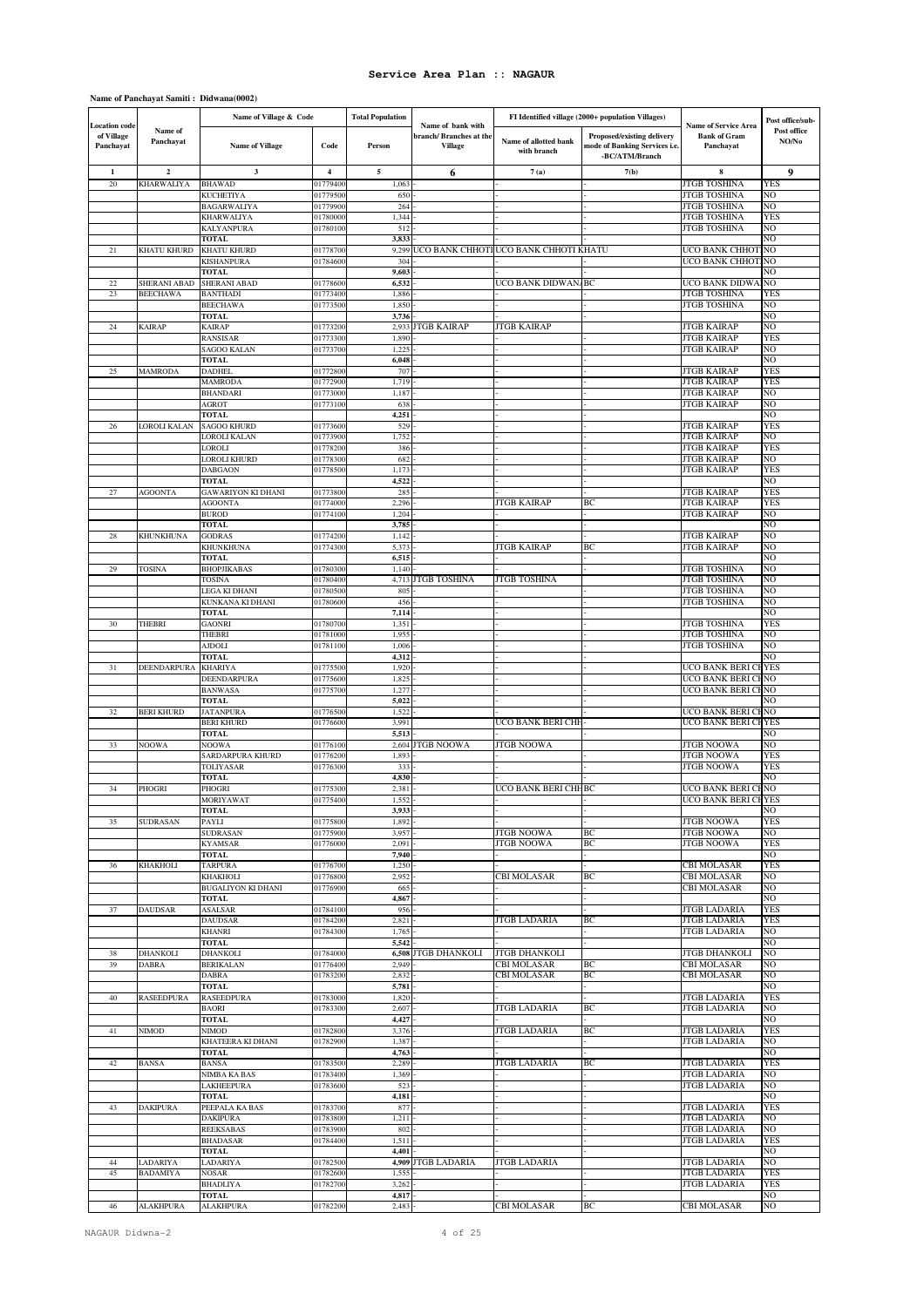# **Name of Panchayat Samiti : Didwana(0002)**

|                                                 |                                 | Name of Village & Code                 |                      | <b>Total Population</b> |                                                               |                                          | FI Identified village (2000+ population Villages)                             |                                                                 | Post office/sub-     |
|-------------------------------------------------|---------------------------------|----------------------------------------|----------------------|-------------------------|---------------------------------------------------------------|------------------------------------------|-------------------------------------------------------------------------------|-----------------------------------------------------------------|----------------------|
| <b>Location code</b><br>of Village<br>Panchayat | Name of<br>Panchayat            | <b>Name of Village</b>                 | Code                 | Person                  | Name of bank with<br>branch/Branches at the<br><b>Village</b> | Name of allotted bank<br>with branch     | Proposed/existing delivery<br>mode of Banking Services i.e.<br>-BC/ATM/Branch | <b>Name of Service Area</b><br><b>Bank of Gram</b><br>Panchayat | Post office<br>NO/No |
| 1                                               | $\mathbf 2$                     | $\overline{\mathbf{3}}$                | $\overline{4}$       | $\overline{5}$          | 6                                                             | 7(a)                                     | 7(b)                                                                          | 8                                                               | 9                    |
| 20                                              | <b>KHARWALIYA</b>               | <b>BHAWAD</b>                          | 01779400             | 1,063                   |                                                               |                                          |                                                                               | <b>JTGB TOSHINA</b>                                             | YES                  |
|                                                 |                                 | <b>KUCHETIYA</b>                       | 01779500             | 650                     |                                                               |                                          |                                                                               | <b>JTGB TOSHINA</b>                                             | NO                   |
|                                                 |                                 | <b>BAGARWALIYA</b>                     | 01779900             | 264                     |                                                               |                                          |                                                                               | JTGB TOSHINA<br>JTGB TOSHINA                                    | NO                   |
|                                                 |                                 | <b>KHARWALIYA</b><br>KALYANPURA        | 01780000<br>01780100 | 1,344<br>512            |                                                               |                                          |                                                                               | <b>JTGB TOSHINA</b>                                             | YES<br>NO            |
|                                                 |                                 | <b>TOTAL</b>                           |                      | 3,833                   |                                                               |                                          |                                                                               |                                                                 | NO                   |
| 21                                              | KHATU KHURD                     | KHATU KHURD                            | 01778700             | 9,299                   |                                                               | UCO BANK CHHOTI UCO BANK CHHOTI KHATU    |                                                                               | UCO BANK CHHOTINO                                               |                      |
|                                                 |                                 | <b>KISHANPURA</b>                      | 01784600             | 304                     |                                                               |                                          |                                                                               | UCO BANK CHHOTI                                                 | NO                   |
|                                                 |                                 | <b>TOTAL</b>                           |                      | 9,603                   |                                                               | UCO BANK DIDWAN/BC                       |                                                                               |                                                                 | NO                   |
| 22<br>23                                        | SHERANI ABAD<br><b>BEECHAWA</b> | <b>SHERANI ABAD</b><br><b>BANTHADI</b> | 01778600<br>01773400 | 6,532<br>1,886          |                                                               |                                          |                                                                               | UCO BANK DIDWAINO<br><b>JTGB TOSHINA</b>                        | YES                  |
|                                                 |                                 | <b>BEECHAWA</b>                        | 01773500             | 1,850                   |                                                               |                                          |                                                                               | <b>JTGB TOSHINA</b>                                             | NO                   |
|                                                 |                                 | <b>TOTAL</b>                           |                      | 3,736                   |                                                               |                                          |                                                                               |                                                                 | NO                   |
| 24                                              | <b>KAIRAP</b>                   | <b>KAIRAP</b>                          | 01773200             | 2.933                   | <b>JTGB KAIRAP</b>                                            | JTGB KAIRAP                              |                                                                               | <b>JTGB KAIRAP</b>                                              | NO                   |
|                                                 |                                 | <b>RANSISAR</b><br><b>SAGOO KALAN</b>  | 01773300<br>01773700 | 1,890<br>1,22           |                                                               |                                          |                                                                               | <b>JTGB KAIRAP</b><br><b>JTGB KAIRAP</b>                        | YES<br>NO            |
|                                                 |                                 | <b>TOTAL</b>                           |                      | 6,048                   |                                                               |                                          |                                                                               |                                                                 | NO                   |
| 25                                              | <b>MAMRODA</b>                  | <b>DADHEL</b>                          | 01772800             | 707                     |                                                               |                                          |                                                                               | <b>JTGB KAIRAP</b>                                              | YES                  |
|                                                 |                                 | <b>MAMRODA</b>                         | 01772900             | 1,719                   |                                                               |                                          |                                                                               | <b>JTGB KAIRAP</b>                                              | YES                  |
|                                                 |                                 | <b>BHANDARI</b>                        | 01773000             | 1,187                   |                                                               |                                          |                                                                               | <b>JTGB KAIRAP</b>                                              | NO                   |
|                                                 |                                 | AGROT<br><b>TOTAL</b>                  | 01773100             | 638<br>4,251            |                                                               |                                          |                                                                               | JTGB KAIRAP                                                     | NO<br>NO             |
| 26                                              | LOROLI KALAN                    | <b>SAGOO KHURD</b>                     | 01773600             | 529                     |                                                               |                                          |                                                                               | JTGB KAIRAP                                                     | YES                  |
|                                                 |                                 | LOROLI KALAN                           | 01773900             | 1,752                   |                                                               |                                          |                                                                               | JTGB KAIRAP                                                     | NO                   |
|                                                 |                                 | LOROLI                                 | 01778200             | 386                     |                                                               |                                          |                                                                               | JTGB KAIRAP                                                     | YES                  |
|                                                 |                                 | LOROLI KHURD                           | 01778300             | 682                     |                                                               |                                          |                                                                               | <b>JTGB KAIRAP</b>                                              | NO                   |
|                                                 |                                 | DABGAON<br><b>TOTAL</b>                | 01778500             | 1,173<br>4,522          |                                                               |                                          |                                                                               | <b>JTGB KAIRAP</b>                                              | YES<br>NO            |
| 27                                              | <b>AGOONTA</b>                  | <b>GAWARIYON KI DHANI</b>              | 01773800             | 285                     |                                                               |                                          |                                                                               | <b>JTGB KAIRAP</b>                                              | YES                  |
|                                                 |                                 | <b>AGOONTA</b>                         | 01774000             | 2,296                   |                                                               | <b>JTGB KAIRAP</b>                       | ВC                                                                            | JTGB KAIRAP                                                     | YES                  |
|                                                 |                                 | <b>BUROD</b>                           | 01774100             | 1,204                   |                                                               |                                          |                                                                               | <b>JTGB KAIRAP</b>                                              | NO                   |
|                                                 |                                 | <b>TOTAL</b><br><b>GODRAS</b>          |                      | 3,785                   |                                                               |                                          |                                                                               | <b>JTGB KAIRAP</b>                                              | NO<br>NO             |
| 28                                              | KHUNKHUNA                       | <b>KHUNKHUNA</b>                       | 01774200<br>01774300 | 1,142<br>5,373          |                                                               | <b>JTGB KAIRAP</b>                       | BC                                                                            | JTGB KAIRAP                                                     | NO                   |
|                                                 |                                 | <b>TOTAL</b>                           |                      | 6,515                   |                                                               |                                          |                                                                               |                                                                 | NO                   |
| 29                                              | <b>TOSINA</b>                   | <b>ВНОРЛКАВАS</b>                      | 01780300             | 1,140                   |                                                               |                                          |                                                                               | JTGB TOSHINA                                                    | NO                   |
|                                                 |                                 | TOSINA                                 | 01780400             | 4,713                   | <b>JTGB TOSHINA</b>                                           | <b>JTGB TOSHINA</b>                      |                                                                               | <b>JTGB TOSHINA</b>                                             | NO                   |
|                                                 |                                 | LEGA KI DHANI<br>KUNKANA KI DHANI      | 01780500<br>01780600 | 805<br>456              |                                                               |                                          |                                                                               | <b>JTGB TOSHINA</b><br>JTGB TOSHINA                             | NÓ<br>NO             |
|                                                 |                                 | TOTAL                                  |                      | 7,114                   |                                                               |                                          |                                                                               |                                                                 | NO                   |
| 30                                              | THEBRI                          | <b>GAONRI</b>                          | 01780700             | 1,351                   |                                                               |                                          |                                                                               | JTGB TOSHINA                                                    | YES                  |
|                                                 |                                 | THEBRI                                 | 01781000             | 1,95                    |                                                               |                                          |                                                                               | JTGB TOSHINA                                                    | NO                   |
|                                                 |                                 | <b>AJDOLI</b>                          | 01781100             | 1,006                   |                                                               |                                          |                                                                               | <b>JTGB TOSHINA</b>                                             | NO                   |
| 31                                              | DEENDARPURA                     | <b>TOTAL</b><br><b>KHARIYA</b>         | 01775500             | 4,312<br>1,920          |                                                               |                                          |                                                                               | UCO BANK BERI CHYES                                             | NO                   |
|                                                 |                                 | DEENDARPURA                            | 01775600             | 1,825                   |                                                               |                                          |                                                                               | UCO BANK BERI CHNO                                              |                      |
|                                                 |                                 | <b>BANWASA</b>                         | 01775700             | 1,277                   |                                                               |                                          |                                                                               | UCO BANK BERI CHNO                                              |                      |
|                                                 |                                 | <b>TOTAL</b>                           |                      | 5,022                   |                                                               |                                          |                                                                               |                                                                 | NO                   |
| 32                                              | <b>BERI KHURD</b>               | <b>JATANPURA</b>                       | 01776500             | 1,522                   |                                                               | UCO BANK BERI CHI                        |                                                                               | UCO BANK BERI CHNO                                              |                      |
|                                                 |                                 | <b>BERI KHURD</b><br><b>TOTAL</b>      | 01776600             | 3,991<br>5,513          |                                                               |                                          |                                                                               | UCO BANK BERI CHYES                                             | NO                   |
| 33                                              | <b>NOOWA</b>                    | <b>NOOWA</b>                           | 01776100             | 2,604                   | <b>JTGB NOOWA</b>                                             | <b>JTGB NOOWA</b>                        |                                                                               | <b>JTGB NOOWA</b>                                               | NO                   |
|                                                 |                                 | SARDARPURA KHURD                       | 01776200             | 1,893                   |                                                               |                                          |                                                                               | <b>JTGB NOOWA</b>                                               | YES                  |
|                                                 |                                 | TOLIYASAR                              | 01776300             | 333                     |                                                               |                                          |                                                                               | <b>JTGB NOOWA</b>                                               | YES                  |
| 34                                              | PHOGRI                          | TOTAL<br>PHOGRI                        | 01775300             | 4,830<br>2,381          |                                                               | UCO BANK BERI CHHBC                      |                                                                               | UCO BANK BERI CHNO                                              | NO                   |
|                                                 |                                 | <b>MORIYAWAT</b>                       | 01775400             | 1,552                   |                                                               |                                          |                                                                               | UCO BANK BERI CHYES                                             |                      |
|                                                 |                                 | TOTAL                                  |                      | 3,933                   |                                                               |                                          |                                                                               |                                                                 | NO                   |
| 35                                              | <b>SUDRASAN</b>                 | PAYLI                                  | 01775800             | 1,892                   |                                                               |                                          |                                                                               | <b>JTGB NOOWA</b>                                               | YES                  |
|                                                 |                                 | <b>SUDRASAN</b>                        | 01775900             | 3,95                    |                                                               | ITGB NOOWA                               | BC                                                                            | JTGB NOOWA                                                      | NO                   |
|                                                 |                                 | <b>KYAMSAR</b><br>TOTAL                | 01776000             | 2,091<br>7,940          |                                                               | JTGB NOOWA                               | BC                                                                            | <b>JTGB NOOWA</b>                                               | YES<br>NO            |
| 36                                              | KHAKHOLI                        | <b>TARPURA</b>                         | 01776700             | 1,250                   |                                                               |                                          |                                                                               | CBI MOLASAR                                                     | YES                  |
|                                                 |                                 | <b>KHAKHOLI</b>                        | 01776800             | 2,952                   |                                                               | CBI MOLASAR                              | BC                                                                            | <b>CBI MOLASAR</b>                                              | NO                   |
|                                                 |                                 | BUGALIYON KI DHANI                     | 01776900             | 665                     |                                                               |                                          |                                                                               | CBI MOLASAR                                                     | NO                   |
| 37                                              | <b>DAUDSAR</b>                  | TOTAL<br>ASALSAR                       | 01784100             | 4,867<br>956            |                                                               |                                          |                                                                               | <b>JTGB LADARIA</b>                                             | NO<br>YES            |
|                                                 |                                 | <b>DAUDSAR</b>                         | 01784200             | 2,821                   |                                                               | JTGB LADARIA                             | BC                                                                            | JTGB LADARIA                                                    | YES                  |
|                                                 |                                 | <b>KHANRI</b>                          | 01784300             | 1,765                   |                                                               |                                          |                                                                               | JTGB LADARIA                                                    | NO                   |
|                                                 |                                 | TOTAL                                  |                      | 5,542                   |                                                               |                                          |                                                                               |                                                                 | NO                   |
| 38                                              | <b>DHANKOLI</b>                 | <b>DHANKOLI</b>                        | 01784000             | 6,508                   | <b>JTGB DHANKOLI</b>                                          | <b>JTGB DHANKOLI</b>                     |                                                                               | <b>JTGB DHANKOLI</b>                                            | NO                   |
| 39                                              | <b>DABRA</b>                    | <b>BERIKALAN</b><br><b>DABRA</b>       | 01776400<br>01783200 | 2,949<br>2,832          |                                                               | <b>CBI MOLASAR</b><br><b>CBI MOLASAR</b> | BC<br>BC                                                                      | <b>CBI MOLASAR</b><br><b>CBI MOLASAR</b>                        | NO<br>NO             |
|                                                 |                                 | <b>TOTAL</b>                           |                      | 5,781                   |                                                               |                                          |                                                                               |                                                                 | NO                   |
| 40                                              | <b>RASEEDPURA</b>               | <b>RASEEDPURA</b>                      | 01783000             | 1,820                   |                                                               |                                          |                                                                               | JTGB LADARIA                                                    | YES                  |
|                                                 |                                 | <b>BAORI</b>                           | 01783300             | 2,607                   |                                                               | JTGB LADARIA                             | BC                                                                            | JTGB LADARIA                                                    | NO                   |
|                                                 |                                 | TOTAL                                  |                      | 4,427                   |                                                               |                                          | BC                                                                            | <b>JTGB LADARIA</b>                                             | NO<br>YES            |
| 41                                              | <b>NIMOD</b>                    | NIMOD<br>KHATEERA KI DHANI             | 01782800<br>01782900 | 3,376<br>1,387          |                                                               | JTGB LADARIA                             |                                                                               | JTGB LADARIA                                                    | NO                   |
|                                                 |                                 | TOTAL                                  |                      | 4,763                   |                                                               |                                          |                                                                               |                                                                 | NO                   |
| 42                                              | <b>BANSA</b>                    | <b>BANSA</b>                           | 01783500             | 2,289                   |                                                               | JTGB LADARIA                             | BC                                                                            | <b>JTGB LADARIA</b>                                             | YES                  |
|                                                 |                                 | NIMBA KA BAS                           | 01783400             | 1,369                   |                                                               |                                          |                                                                               | JTGB LADARIA                                                    | NO                   |
|                                                 |                                 | LAKHEEPURA<br><b>TOTAL</b>             | 01783600             | 523<br>4,181            |                                                               |                                          |                                                                               | JTGB LADARIA                                                    | NO<br>NO             |
| 43                                              | <b>DAKIPURA</b>                 | PEEPALA KA BAS                         | 01783700             | 877                     |                                                               |                                          |                                                                               | <b>JTGB LADARIA</b>                                             | YES                  |
|                                                 |                                 | <b>DAKIPURA</b>                        | 01783800             | 1,211                   |                                                               |                                          |                                                                               | JTGB LADARIA                                                    | NO                   |
|                                                 |                                 | <b>REEKSABAS</b>                       | 01783900             | 802                     |                                                               |                                          |                                                                               | <b>JTGB LADARIA</b>                                             | NO                   |
|                                                 |                                 | <b>BHADASAR</b>                        | 01784400             | 1,511                   |                                                               |                                          |                                                                               | <b>JTGB LADARIA</b>                                             | YES                  |
| 44                                              | LADARIYA                        | <b>TOTAL</b><br><b>LADARIYA</b>        | 01782500             | 4,401<br>4,909          | <b>JTGB LADARIA</b>                                           | JTGB LADARIA                             |                                                                               | JTGB LADARIA                                                    | NO<br>NO             |
| 45                                              | <b>BADAMIYA</b>                 | NOSAR                                  | 01782600             | 1,555                   |                                                               |                                          |                                                                               | JTGB LADARIA                                                    | YES                  |
|                                                 |                                 | <b>BHADLIYA</b>                        | 01782700             | 3,262                   |                                                               |                                          |                                                                               | <b>JTGB LADARIA</b>                                             | YES                  |
|                                                 |                                 | TOTAL                                  |                      | 4,817                   |                                                               |                                          |                                                                               |                                                                 | NO                   |
| 46                                              | <b>ALAKHPURA</b>                | ALAKHPURA                              | 01782200             | 2,483                   |                                                               | CBI MOLASAR                              | BC                                                                            | <b>CBI MOLASAR</b>                                              | NO                   |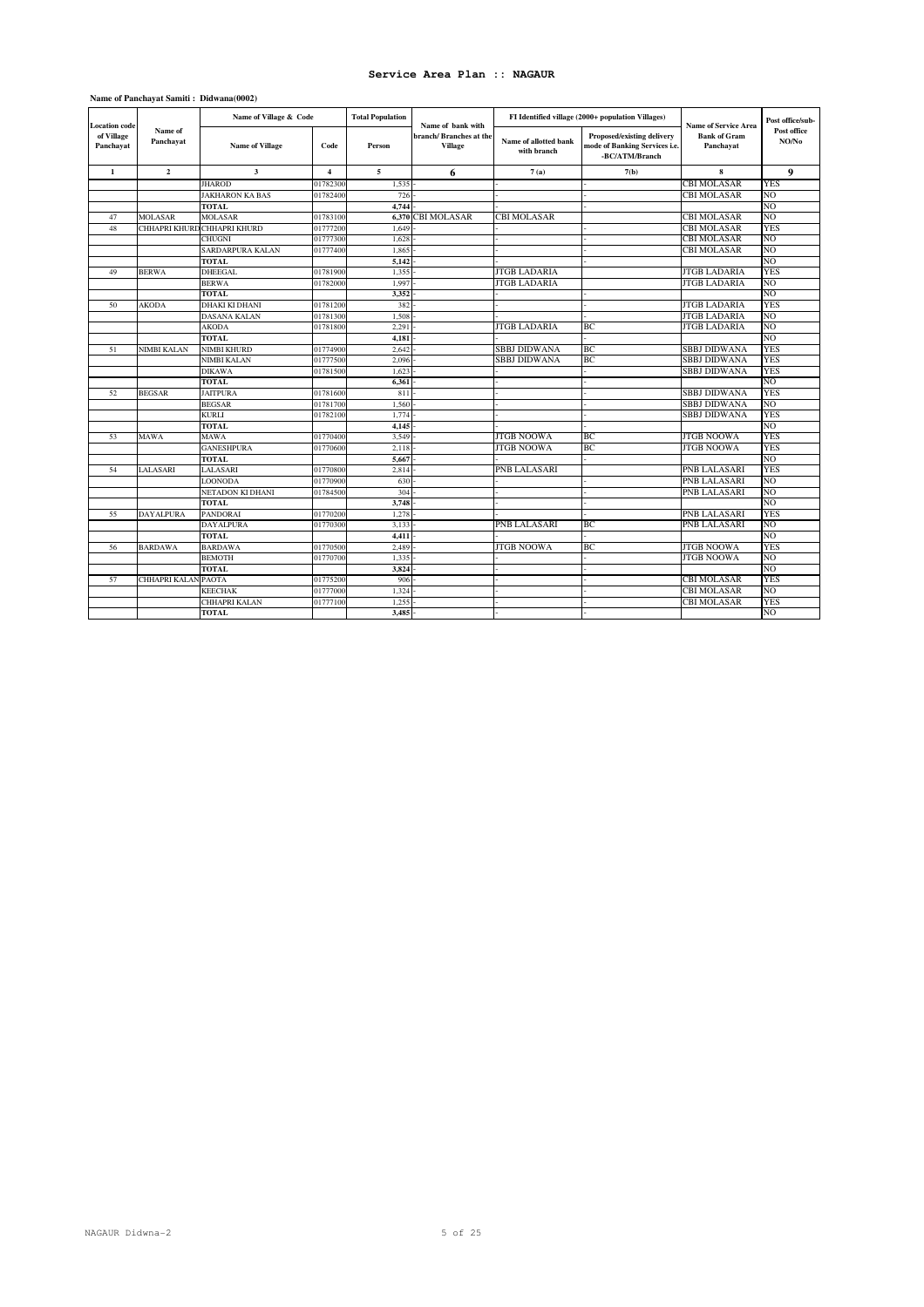| <b>Location</b> code    |                      | Name of Village & Code  |                | <b>Total Population</b> | Name of bank with                 |                                      | FI Identified village (2000+ population Villages)                             | <b>Name of Service Area</b>      | Post office/sub-     |
|-------------------------|----------------------|-------------------------|----------------|-------------------------|-----------------------------------|--------------------------------------|-------------------------------------------------------------------------------|----------------------------------|----------------------|
| of Village<br>Panchayat | Name of<br>Panchayat | <b>Name of Village</b>  | Code           | Person                  | branch/Branches at the<br>Village | Name of allotted bank<br>with branch | Proposed/existing delivery<br>mode of Banking Services i.e.<br>-BC/ATM/Branch | <b>Bank of Gram</b><br>Panchayat | Post office<br>NO/No |
| $\mathbf{1}$            | $\overline{2}$       | $\overline{\mathbf{3}}$ | $\overline{4}$ | 5                       | 6                                 | 7(a)                                 | 7(b)                                                                          | 8                                | 9                    |
|                         |                      | <b>JHAROD</b>           | 0178230        | 1,535                   |                                   |                                      |                                                                               | CBI MOLASAR                      | <b>YES</b>           |
|                         |                      | <b>JAKHARON KA BAS</b>  | 01782400       | 726                     |                                   |                                      |                                                                               | CBI MOLASAR                      | NO.                  |
|                         |                      | TOTAL                   |                | 4.744                   |                                   |                                      |                                                                               |                                  | NO                   |
| 47                      | <b>MOLASAR</b>       | <b>MOLASAR</b>          | 01783100       | 6.370                   | <b>CBI MOLASAR</b>                | CBI MOLASAR                          |                                                                               | CBI MOLASAR                      | N <sub>O</sub>       |
| 48                      | CHHAPRI KHURD        | <b>CHHAPRI KHURD</b>    | 01777200       | 1,649                   |                                   |                                      |                                                                               | CBI MOLASAR                      | YES                  |
|                         |                      | <b>CHUGNI</b>           | 01777300       | 1.628                   |                                   |                                      |                                                                               | CBI MOLASAR                      | NO                   |
|                         |                      | SARDARPURA KALAN        | 01777400       | 1,865                   |                                   |                                      |                                                                               | CBI MOLASAR                      | N <sub>O</sub>       |
|                         |                      | TOTAL                   |                | 5,142                   |                                   |                                      |                                                                               |                                  | NO.                  |
| 49                      | <b>BERWA</b>         | DHEEGAL                 | 01781900       | 1.355                   |                                   | <b>JTGB LADARIA</b>                  |                                                                               | <b>JTGB LADARIA</b>              | <b>YES</b>           |
|                         |                      | <b>BERWA</b>            | 01782000       | 1.997                   |                                   | <b>JTGB LADARIA</b>                  |                                                                               | <b>JTGB LADARIA</b>              | N <sub>O</sub>       |
|                         |                      | TOTAL                   |                | 3.352                   |                                   |                                      |                                                                               |                                  | N <sub>O</sub>       |
| 50                      | AKODA                | <b>DHAKI KI DHANI</b>   | 01781200       | 382                     |                                   |                                      |                                                                               | <b>JTGB LADARIA</b>              | <b>YES</b>           |
|                         |                      | DASANA KALAN            | 01781300       | 1.508                   |                                   |                                      |                                                                               | <b>JTGB LADARIA</b>              | NO                   |
|                         |                      | <b>AKODA</b>            | 01781800       | 2.291                   |                                   | <b>JTGB LADARIA</b>                  | ВC                                                                            | <b>JTGB LADARIA</b>              | N <sub>O</sub>       |
|                         |                      | <b>TOTAL</b>            |                | 4.181                   |                                   |                                      |                                                                               |                                  | N <sub>O</sub>       |
| 51                      | NIMBI KALAN          | <b>NIMBI KHURD</b>      | 01774900       | 2,642                   |                                   | <b>SBBJ DIDWANA</b>                  | ВC                                                                            | <b>SBBJ DIDWANA</b>              | <b>YES</b>           |
|                         |                      | NIMBI KALAN             | 01777500       | 2.096                   |                                   | <b>SBBJ DIDWANA</b>                  | ВC                                                                            | <b>SBBJ DIDWANA</b>              | <b>YES</b>           |
|                         |                      | DIKAWA                  | 01781500       | 1,623                   |                                   |                                      |                                                                               | SBBJ DIDWANA                     | <b>YES</b>           |
|                         |                      | TOTAL                   |                | 6.361                   |                                   |                                      |                                                                               |                                  | N <sub>O</sub>       |
| 52                      | <b>BEGSAR</b>        | <b>JAITPURA</b>         | 01781600       | 811                     |                                   |                                      |                                                                               | <b>SBBJ DIDWANA</b>              | <b>YES</b>           |
|                         |                      | <b>BEGSAR</b>           | 01781700       | 1,560                   |                                   |                                      |                                                                               | <b>SBBJ DIDWANA</b>              | NO                   |
|                         |                      | KURLI                   | 01782100       | 1,774                   |                                   |                                      |                                                                               | <b>SBBJ DIDWANA</b>              | <b>YES</b>           |
|                         |                      | <b>TOTAL</b>            |                | 4,145                   |                                   |                                      |                                                                               |                                  | NO                   |
| 53                      | <b>MAWA</b>          | MAWA                    | 01770400       | 3.549                   |                                   | <b>JTGB NOOWA</b>                    | ВC.                                                                           | <b>JTGB NOOWA</b>                | <b>YES</b>           |
|                         |                      | <b>GANESHPURA</b>       | 01770600       | 2.118                   |                                   | <b>JTGB NOOWA</b>                    | ВC                                                                            | <b>JTGB NOOWA</b>                | <b>YES</b>           |
|                         |                      | TOTAL                   |                | 5.667                   |                                   |                                      |                                                                               |                                  | N <sub>O</sub>       |
| 54                      | LALASARI             | LALASARI                | 0177080        | 2,814                   |                                   | PNB LALASARI                         |                                                                               | PNB LALASARI                     | <b>YES</b>           |
|                         |                      | LOONODA                 | 01770900       | 630                     |                                   |                                      |                                                                               | PNB LALASARI                     | NO                   |
|                         |                      | NETADON KI DHANI        | 01784500       | 304                     |                                   |                                      |                                                                               | PNB LALASARI                     | N <sub>O</sub>       |
|                         |                      | <b>TOTAL</b>            |                | 3.748                   |                                   |                                      |                                                                               |                                  | N <sub>O</sub>       |
| 55                      | <b>DAYALPURA</b>     | <b>PANDORAI</b>         | 0177020        | 1,278                   |                                   |                                      |                                                                               | PNB LALASARI                     | <b>YES</b>           |
|                         |                      | <b>DAYALPURA</b>        | 0177030        | 3,133                   |                                   | PNB LALASARI                         | ВC.                                                                           | PNB LALASARI                     | NO                   |
|                         |                      | <b>TOTAL</b>            |                | 4,411                   |                                   |                                      |                                                                               |                                  | N <sub>O</sub>       |
| 56                      | <b>BARDAWA</b>       | <b>BARDAWA</b>          | 01770500       | 2.489                   |                                   | <b>JTGB NOOWA</b>                    | BC.                                                                           | <b>JTGB NOOWA</b>                | <b>YES</b>           |
|                         |                      | <b>BEMOTH</b>           | 01770700       | 1,335                   |                                   |                                      |                                                                               | <b>JTGB NOOWA</b>                | NO.                  |
|                         |                      | TOTAL                   |                | 3.824                   |                                   |                                      |                                                                               |                                  | NO                   |
| 57                      | CHHAPRI KALAN        | <b>PAOTA</b>            | 01775200       | 906                     |                                   |                                      |                                                                               | CBI MOLASAR                      | <b>YES</b>           |
|                         |                      | <b>KEECHAK</b>          | 01777000       | 1.324                   |                                   |                                      |                                                                               | CBI MOLASAR                      | N <sub>O</sub>       |
|                         |                      | CHHAPRI KALAN           | 01777100       | 1.255                   |                                   |                                      |                                                                               | <b>CBI MOLASAR</b>               | <b>YES</b>           |
|                         |                      | <b>TOTAL</b>            |                | 3.485                   |                                   |                                      |                                                                               |                                  | NO.                  |

### **Name of Panchayat Samiti : Didwana(0002)**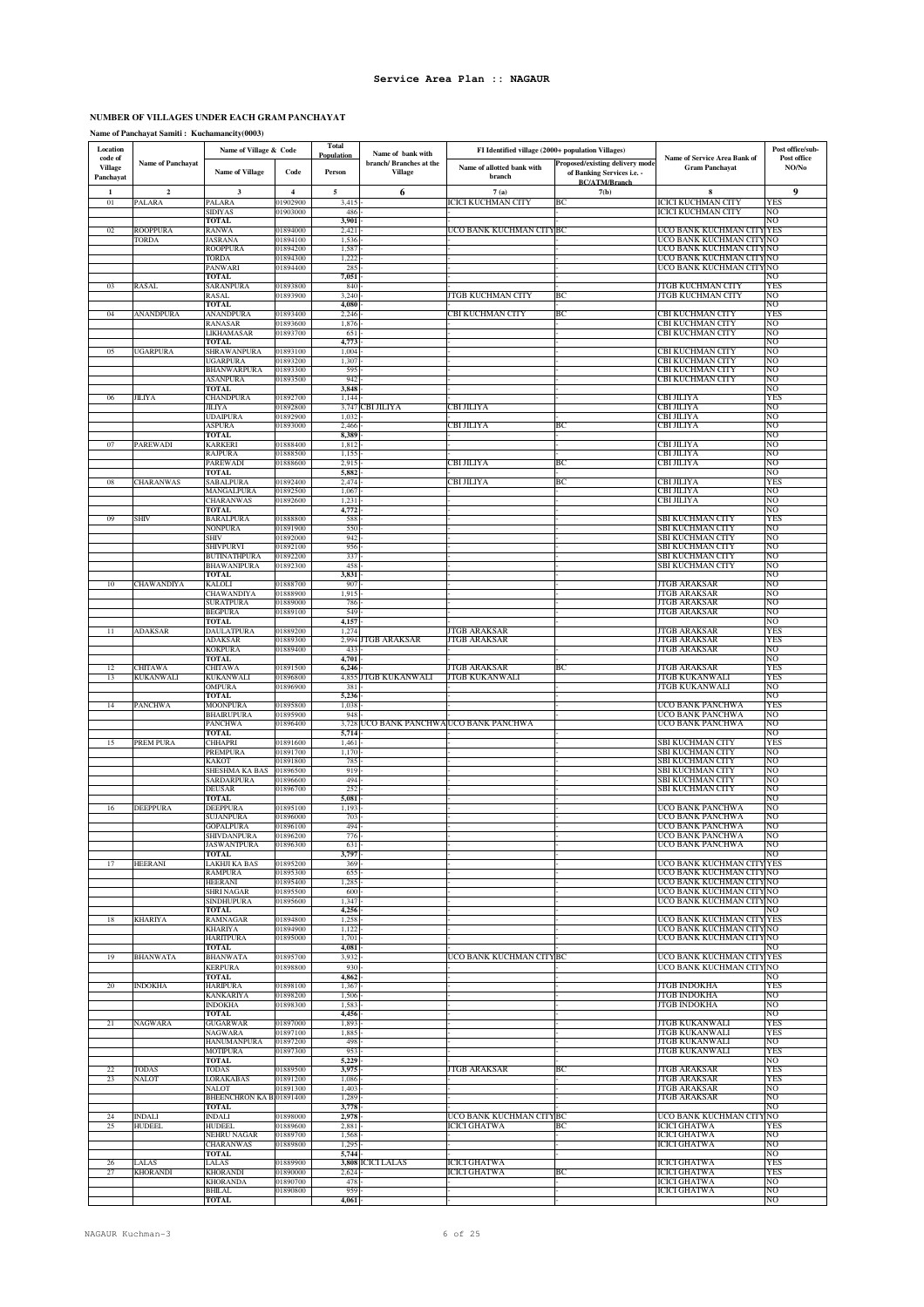# **NUMBER OF VILLAGES UNDER EACH GRAM PANCHAYAT**

**Name of Panchayat Samiti : Kuchamancity(0003)**

| Location                               |                            | Name of Village & Code                |                           | <b>Total</b><br>Population | Name of bank with                         | FI Identified village (2000+ population Villages) |                                                                                       |                                                       | Post office/sub-     |
|----------------------------------------|----------------------------|---------------------------------------|---------------------------|----------------------------|-------------------------------------------|---------------------------------------------------|---------------------------------------------------------------------------------------|-------------------------------------------------------|----------------------|
| code of<br><b>Village</b><br>Panchayat | Name of Panchayat          | <b>Name of Village</b>                | Code                      | Person                     | branch/ Branches at the<br><b>Village</b> | Name of allotted bank with<br>branch              | Proposed/existing delivery mode<br>of Banking Services i.e. -<br><b>BC/ATM/Branch</b> | Name of Service Area Bank of<br><b>Gram Panchayat</b> | Post office<br>NO/No |
| 1                                      | $\mathbf 2$                | $\mathbf 3$                           | $\overline{4}$<br>1902900 | $\sqrt{5}$                 | 6                                         | 7(a)                                              | 7(b)                                                                                  | 8                                                     | 9                    |
| $_{01}$                                | <b>PALARA</b>              | PALARA<br>SIDIYAS                     | )1903000                  | 3,415<br>486               |                                           | CICI KUCHMAN CITY                                 | ВC                                                                                    | ICICI KUCHMAN CITY<br>ICICI KUCHMAN CITY              | YES<br>NO            |
| 02                                     | ROOPPURA                   | TOTAL<br>RANWA                        | 01894000                  | 3,901<br>2,421             |                                           | JCO BANK KUCHMAN CITYBC                           |                                                                                       | UCO BANK KUCHMAN CITY YES                             | NO                   |
|                                        | TORDA                      | JASRANA                               | 01894100                  | 1,536                      |                                           |                                                   |                                                                                       | UCO BANK KUCHMAN CITY NO                              |                      |
|                                        |                            | ROOPPURA<br>TORDA                     | 01894200<br>01894300      | 1,587<br>1,222             |                                           |                                                   |                                                                                       | UCO BANK KUCHMAN CITY NO<br>UCO BANK KUCHMAN CITY NO  |                      |
|                                        |                            | PANWARI<br>TOTAL                      | 01894400                  | 285<br>7,051               |                                           |                                                   |                                                                                       | UCO BANK KUCHMAN CITY NO                              | NO                   |
| 03                                     | RASAL                      | SARANPURA                             | 01893800                  | 840                        |                                           |                                                   |                                                                                       | JTGB KUCHMAN CITY                                     | YES                  |
|                                        |                            | RASAL<br><b>TOTAL</b>                 | 1893900                   | 3,240<br>4,080             |                                           | ITGB KUCHMAN CITY                                 | BС                                                                                    | JTGB KUCHMAN CITY                                     | NΟ<br>NΟ             |
| 04                                     | ANANDPURA                  | ANANDPURA                             | 01893400<br>1893600       | 2,246<br>1,876             |                                           | CBI KUCHMAN CITY                                  | ВC                                                                                    | CBI KUCHMAN CITY                                      | YES<br>NΟ            |
|                                        |                            | RANASAR<br>LIKHAMASAR                 | 01893700                  | 651                        |                                           |                                                   |                                                                                       | CBI KUCHMAN CITY<br>CBI KUCHMAN CITY                  | NΟ                   |
| 05                                     | UGARPURA                   | <b>TOTAL</b><br>SHRAWANPURA           | 01893100                  | 4,773<br>1,004             |                                           |                                                   |                                                                                       | CBI KUCHMAN CITY                                      | NO<br>NO             |
|                                        |                            | <b>UGARPURA</b>                       | 01893200                  | 1,307                      |                                           |                                                   |                                                                                       | CBI KUCHMAN CITY                                      | NΟ                   |
|                                        |                            | <b>BHANWARPURA</b><br><b>ASANPURA</b> | 01893300<br>01893500      | 595<br>942                 |                                           |                                                   |                                                                                       | CBI KUCHMAN CITY<br>CBI KUCHMAN CITY                  | NO<br>NO             |
|                                        | <b>JILIYA</b>              | TOTAL<br><b>CHANDPURA</b>             | 01892700                  | 3,848<br>1,144             |                                           |                                                   |                                                                                       | CBI JILIYA                                            | NO<br>YES            |
| 06                                     |                            | <b>JILIYA</b>                         | 01892800                  | 3,747                      | CBI JILIYA                                | СВІ ЛІЛҮА                                         |                                                                                       | CBI JILIYA                                            | NO                   |
|                                        |                            | <b>UDAIPURA</b><br><b>ASPURA</b>      | 01892900<br>01893000      | 1,032<br>2,466             |                                           | CBI JILIYA                                        | ВC                                                                                    | CBI JILIYA<br>CBI JILIYA                              | NO<br>NΟ             |
|                                        |                            | <b>TOTAL</b>                          |                           | 8,389                      |                                           |                                                   |                                                                                       |                                                       | NΟ                   |
| 07                                     | PAREWADI                   | KARKERI<br>RAJPURA                    | 01888400<br>01888500      | 1,812<br>1,155             |                                           |                                                   |                                                                                       | СВІ ЛІЛҮА<br>СВІ ЛІЛҮА                                | NΟ<br>NO             |
|                                        |                            | PAREWADI<br><b>TOTAL</b>              | 01888600                  | 2,915<br>5,882             |                                           | CBI JILIYA                                        | BC                                                                                    | CBI JILIYA                                            | NO<br>NΟ             |
| ${\bf 08}$                             | CHARANWAS                  | SABALPURA                             | 01892400                  | 2,474                      |                                           | СВІ ЛІЛҮА                                         | BC                                                                                    | CBI JILIYA                                            | YES                  |
|                                        |                            | MANGALPURA<br>CHARANWAS               | 01892500<br>01892600      | 1,067<br>1,231             |                                           |                                                   |                                                                                       | СВІ ЛІЛҮА<br>СВІ ЛІЛҮА                                | NO<br>NO             |
|                                        |                            | <b>TOTAL</b>                          |                           | 4,772                      |                                           |                                                   |                                                                                       |                                                       | NΟ                   |
| 09                                     | SHIV                       | BARALPURA<br><b>NONPURA</b>           | 01888800<br>01891900      | 588<br>550                 |                                           |                                                   |                                                                                       | SBI KUCHMAN CITY<br>SBI KUCHMAN CITY                  | YES<br>NO            |
|                                        |                            | SHIV<br>SHIVPURVI                     | 01892000<br>01892100      | 942<br>956                 |                                           |                                                   |                                                                                       | SBI KUCHMAN CITY<br>SBI KUCHMAN CITY                  | NO<br>NO             |
|                                        |                            | <b>BUTINATHPURA</b>                   | 01892200                  | 337                        |                                           |                                                   |                                                                                       | SBI KUCHMAN CITY                                      | NO                   |
|                                        |                            | <b>BHAWANIPURA</b><br><b>TOTAL</b>    | 01892300                  | 458<br>3,831               |                                           |                                                   |                                                                                       | SBI KUCHMAN CITY                                      | NO<br>NΟ             |
| 10                                     | CHAWANDIYA                 | KALOLI                                | 01888700                  | 907                        |                                           |                                                   |                                                                                       | JTGB ARAKSAR                                          | NΟ                   |
|                                        |                            | CHAWANDIYA<br><b>SURATPURA</b>        | 01888900<br>01889000      | 1,915<br>786               |                                           |                                                   |                                                                                       | JTGB ARAKSAR<br>JTGB ARAKSAR                          | NΟ<br>NΟ             |
|                                        |                            | <b>BEGPURA</b><br><b>TOTAL</b>        | 01889100                  | 549<br>4,157               |                                           |                                                   |                                                                                       | <b>JTGB ARAKSAR</b>                                   | NΟ<br>NO             |
| 11                                     | <b>ADAKSAR</b>             | DAULATPURA                            | 01889200                  | 1,274                      |                                           | <b>TGB ARAKSAR</b>                                |                                                                                       | JTGB ARAKSAR                                          | YES                  |
|                                        |                            | ADAKSAR<br><b>KOKPURA</b>             | 01889300<br>01889400      | 433                        | 2,994 JTGB ARAKSAR                        | <b>TGB ARAKSAR</b>                                |                                                                                       | JTGB ARAKSAR<br><b>JTGB ARAKSAR</b>                   | YES<br>NO            |
|                                        |                            | <b>TOTAL</b>                          |                           | 4,701                      |                                           |                                                   |                                                                                       |                                                       | NΟ                   |
| 12<br>13                               | <b>HITAWA</b><br>KUKANWALI | CHITAWA<br>KUKANWALI                  | 01891500<br>01896800      | 6,246                      | 4,855 JTGB KUKANWALI                      | <b>TGB ARAKSAR</b><br><b>ITGB KUKANWALI</b>       | BC                                                                                    | JTGB ARAKSAR<br>JTGB KUKANWALI                        | YES<br>YES           |
|                                        |                            | <b>OMPURA</b><br><b>TOTAL</b>         | 01896900                  | 381<br>5,236               |                                           |                                                   |                                                                                       | JTGB KUKANWALI                                        | NO<br>NΟ             |
| 14                                     | PANCHWA                    | <b>MOONPURA</b>                       | 01895800                  | 1,038                      |                                           |                                                   |                                                                                       | UCO BANK PANCHWA                                      | YES                  |
|                                        |                            | <b>BHAIRUPURA</b><br>PANCHWA          | 01895900<br>01896400      | 948<br>3,728               |                                           | UCO BANK PANCHWA UCO BANK PANCHWA                 |                                                                                       | UCO BANK PANCHWA<br>UCO BANK PANCHWA                  | NO<br>NO             |
|                                        | PREM PURA                  | <b>TOTAL</b>                          | 01891600                  | 5,714                      |                                           |                                                   |                                                                                       | SBI KUCHMAN CITY                                      | NΟ<br>YES            |
| 15                                     |                            | CHHAPRI<br>PREMPURA                   | 01891700                  | 1,461<br>1,170             |                                           |                                                   |                                                                                       | SBI KUCHMAN CITY                                      | NO                   |
|                                        |                            | KAKOT<br>SHESHMA KA BAS               | 01891800<br>01896500      | 785<br>919                 |                                           |                                                   |                                                                                       | SBI KUCHMAN CITY<br>SBI KUCHMAN CITY                  | NO<br>NO             |
|                                        |                            | SARDARPURA                            | 01896600                  | 494                        |                                           |                                                   |                                                                                       | SBI KUCHMAN CITY                                      | NO                   |
|                                        |                            | <b>DEUSAR</b><br><b>TOTAL</b>         | 01896700                  | 252<br>5,081               |                                           |                                                   |                                                                                       | SBI KUCHMAN CITY                                      | NO<br>NO             |
| 16                                     | DEEPPURA                   | <b>DEEPPURA</b><br>SUJANPURA          | 01895100<br>01896000      | 1,193<br>703               |                                           |                                                   |                                                                                       | UCO BANK PANCHWA<br>UCO BANK PANCHWA                  | NO<br>NO             |
|                                        |                            | <b>GOPALPURA</b>                      | 01896100                  | 494                        |                                           |                                                   |                                                                                       | UCO BANK PANCHWA                                      | NO                   |
|                                        |                            | SHIVDANPURA<br><b>JASWANTPURA</b>     | 01896200<br>01896300      | 776<br>631                 |                                           |                                                   |                                                                                       | UCO BANK PANCHWA<br>UCO BANK PANCHWA                  | NO<br>NO             |
|                                        | <b>HEERANI</b>             | TOTAL<br>LAKHJI KA BAS                |                           | 3,797<br>369               |                                           |                                                   |                                                                                       | UCO BANK KUCHMAN CITY YES                             | NO                   |
| 17                                     |                            | <b>RAMPURA</b>                        | 01895200<br>01895300      | 655                        |                                           |                                                   |                                                                                       | UCO BANK KUCHMAN CITY NO                              |                      |
|                                        |                            | <b>HEERANI</b><br><b>SHRI NAGAR</b>   | 01895400<br>01895500      | 1,285<br>600               |                                           |                                                   |                                                                                       | UCO BANK KUCHMAN CITY NO<br>UCO BANK KUCHMAN CITY NO  |                      |
|                                        |                            | <b>SINDHUPURA</b>                     | 01895600                  | 1,347                      |                                           |                                                   |                                                                                       | UCO BANK KUCHMAN CITY NO                              |                      |
| 18                                     | <b>KHARIYA</b>             | TOTAL<br>RAMNAGAR                     | 01894800                  | 4,256<br>1,258             |                                           |                                                   |                                                                                       | UCO BANK KUCHMAN CITY YES                             | NO                   |
|                                        |                            | <b>KHARIYA</b><br><b>HARITPURA</b>    | 01894900<br>01895000      | 1,122<br>1,701             |                                           |                                                   |                                                                                       | UCO BANK KUCHMAN CITY NO<br>UCO BANK KUCHMAN CITY NO  |                      |
|                                        |                            | TOTAL                                 |                           | 4,081                      |                                           |                                                   |                                                                                       |                                                       | NO                   |
| 19                                     | <b>BHANWATA</b>            | <b>BHANWATA</b><br><b>KERPURA</b>     | 01895700<br>01898800      | 3,932<br>930               |                                           | UCO BANK KUCHMAN CITYBC                           |                                                                                       | UCO BANK KUCHMAN CITY YES<br>UCO BANK KUCHMAN CITY NO |                      |
|                                        |                            | <b>TOTAL</b>                          |                           | 4,862                      |                                           |                                                   |                                                                                       |                                                       | NO                   |
| 20                                     | <b>INDOKHA</b>             | <b>HARIPURA</b><br><b>KANKARIYA</b>   | 01898100<br>01898200      | 1,367<br>1,506             |                                           |                                                   |                                                                                       | JTGB INDOKHA<br>JTGB INDOKHA                          | YES<br>NO            |
|                                        |                            | <b>INDOKHA</b><br><b>TOTAL</b>        | 01898300                  | 1,583<br>4,456             |                                           |                                                   |                                                                                       | JTGB INDOKHA                                          | NO<br>NO             |
| 21                                     | NAGWARA                    | <b>GUGARWAR</b>                       | 01897000                  | 1,893                      |                                           |                                                   |                                                                                       | JTGB KUKANWALI                                        | YES                  |
|                                        |                            | <b>NAGWARA</b><br>HANUMANPURA         | 01897100<br>01897200      | 1,885<br>498               |                                           |                                                   |                                                                                       | <b>JTGB KUKANWALI</b><br><b>JTGB KUKANWALI</b>        | <b>YES</b><br>NO     |
|                                        |                            | <b>MOTIPURA</b><br><b>TOTAL</b>       | 01897300                  | 953<br>5,229               |                                           |                                                   |                                                                                       | <b>JTGB KUKANWALI</b>                                 | YES<br>NO            |
| 22                                     | TODAS                      | <b>TODAS</b>                          | 01889500                  | 3,975                      |                                           | JTGB ARAKSAR                                      | BC                                                                                    | JTGB ARAKSAR                                          | YES                  |
| 23                                     | NALOT                      | <b>LORAKABAS</b><br><b>NALOT</b>      | 01891200<br>01891300      | 1,086<br>1,403             |                                           |                                                   |                                                                                       | JTGB ARAKSAR<br>JTGB ARAKSAR                          | YES<br>NO            |
|                                        |                            | BHEENCHRON KA B 01891400              |                           | 1,289                      |                                           |                                                   |                                                                                       | <b>JTGB ARAKSAR</b>                                   | NO                   |
| 24                                     | <b>INDALI</b>              | <b>TOTAL</b><br><b>INDALI</b>         | 01898000                  | 3,778<br>2,978             |                                           | UCO BANK KUCHMAN CITYBC                           |                                                                                       | UCO BANK KUCHMAN CITY                                 | NO<br>'NO            |
| 25                                     | <b>HUDEEL</b>              | <b>HUDEEL</b><br><b>NEHRU NAGAR</b>   | 01889600<br>01889700      | 2,881<br>1,568             |                                           | <b>ICICI GHATWA</b>                               | BС                                                                                    | <b>ICICI GHATWA</b><br><b>ICICI GHATWA</b>            | YES<br>NO            |
|                                        |                            | <b>CHARANWAS</b>                      | 01889800                  | 1,295                      |                                           |                                                   |                                                                                       | <b>ICICI GHATWA</b>                                   | NO                   |
| 26                                     | LALAS                      | <b>TOTAL</b><br>LALAS                 | 01889900                  | 5,744                      | 3,808 ICICI LALAS                         | ICICI GHATWA                                      |                                                                                       | <b>ICICI GHATWA</b>                                   | NO<br>YES            |
| 27                                     | <b>KHORANDI</b>            | <b>KHORANDI</b><br><b>KHORANDA</b>    | 01890000<br>01890700      | 2,624<br>478               |                                           | ICICI GHATWA                                      | ВC                                                                                    | <b>ICICI GHATWA</b><br><b>ICICI GHATWA</b>            | YES<br>NO            |
|                                        |                            | <b>BHILAL</b>                         | 01890800                  | 959                        |                                           |                                                   |                                                                                       | <b>ICICI GHATWA</b>                                   | NO                   |
|                                        |                            | <b>TOTAL</b>                          |                           | 4,061                      |                                           |                                                   |                                                                                       |                                                       | NO                   |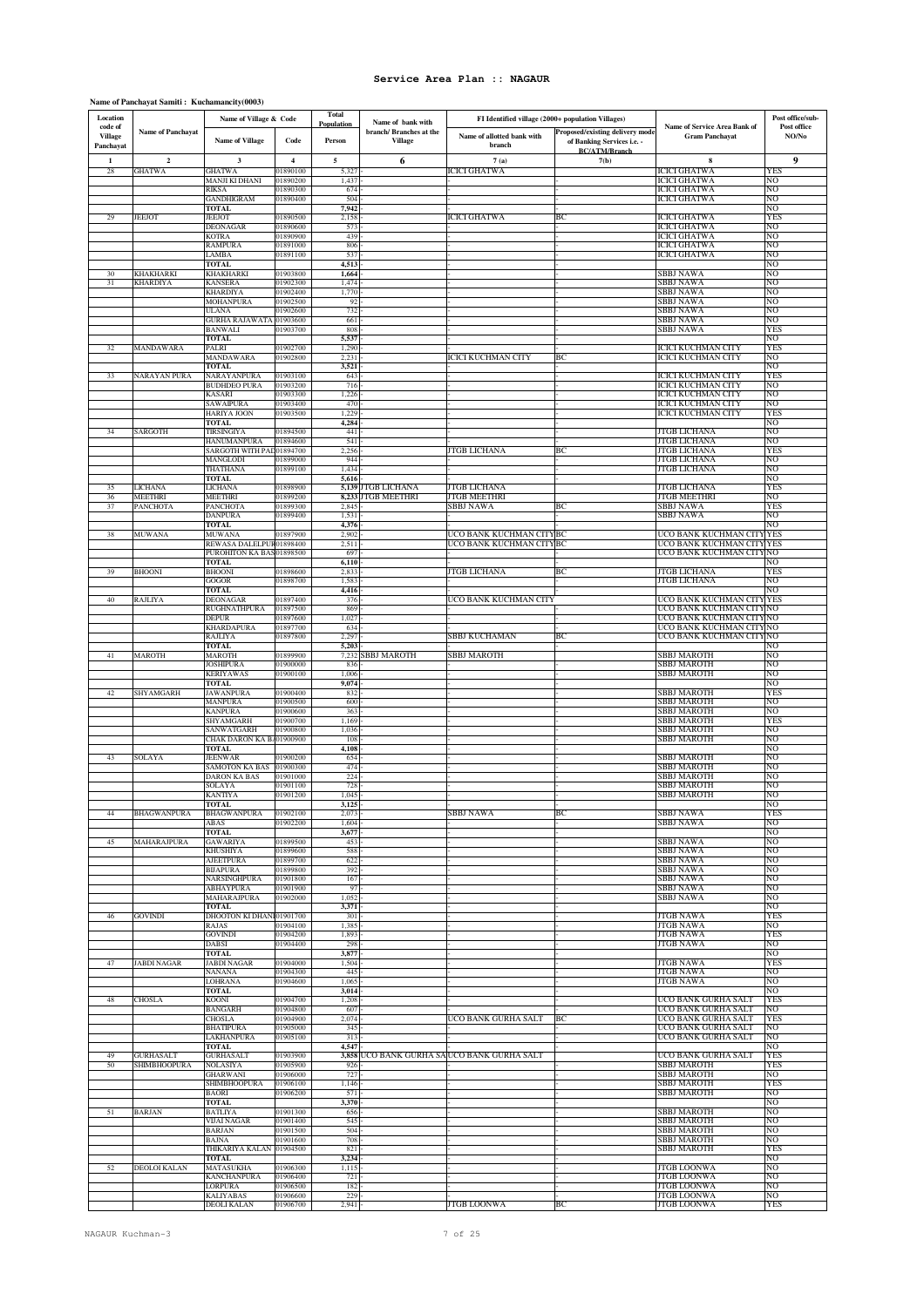### **Name of Panchayat Samiti : Kuchamancity(0003)**

| Location                               |                                     | Name of Village & Code                  |                      | <b>Total</b>         | Name of bank with                         | FI Identified village (2000+ population Villages) |                                                                                       |                                                       | Post office/sub-     |
|----------------------------------------|-------------------------------------|-----------------------------------------|----------------------|----------------------|-------------------------------------------|---------------------------------------------------|---------------------------------------------------------------------------------------|-------------------------------------------------------|----------------------|
| code of<br><b>Village</b><br>Panchayat | <b>Name of Panchayat</b>            | <b>Name of Village</b>                  | Code                 | Population<br>Person | branch/ Branches at the<br><b>Village</b> | Name of allotted bank with<br>branch              | Proposed/existing delivery mode<br>of Banking Services i.e. -<br><b>BC/ATM/Branch</b> | Name of Service Area Bank of<br><b>Gram Panchayat</b> | Post office<br>NO/No |
| 1                                      | $\mathbf{2}$                        | 3                                       | $\overline{4}$       | $\overline{5}$       | 6                                         | 7(a)                                              | 7(b)                                                                                  | 8                                                     | 9                    |
| $\sqrt{28}$                            | <b>GHATWA</b>                       | <b>GHATWA</b><br>MANJI KI DHANI         | 01890100<br>01890200 | 5,32<br>1,437        |                                           | ICICI GHATWA                                      |                                                                                       | CICI GHATWA<br><b>CICI GHATWA</b>                     | YES<br>NO            |
|                                        |                                     | RIKSA                                   | 01890300<br>01890400 | 674                  |                                           |                                                   |                                                                                       | ICICI GHATWA                                          | NO                   |
|                                        |                                     | GANDHIGRAM<br>TOTAL                     |                      | 504<br>7,942         |                                           |                                                   |                                                                                       | ICICI GHATWA                                          | NO<br>NO             |
| 29                                     | <b>JEEJOT</b>                       | <b>JEEJOT</b><br><b>DEONAGAR</b>        | 01890500<br>01890600 | 2,158<br>573         |                                           | ICICI GHATWA                                      | ВC                                                                                    | <b>CICI GHATWA</b><br><b>CICI GHATWA</b>              | YES<br>NO            |
|                                        |                                     | <b>KOTRA</b>                            | 01890900             | 439                  |                                           |                                                   |                                                                                       | <b>ICICI GHATWA</b>                                   | NO                   |
|                                        |                                     | <b>RAMPURA</b><br>LAMBA                 | 01891000<br>01891100 | 806<br>537           |                                           |                                                   |                                                                                       | ICICI GHATWA<br>ICICI GHATWA                          | NO<br>NO             |
|                                        |                                     | TOTAL                                   |                      | 4,513                |                                           |                                                   |                                                                                       |                                                       | NO                   |
| 30<br>31                               | <b>CHAKHARKI</b><br><b>KHARDIYA</b> | <b>KHAKHARKI</b><br><b>KANSERA</b>      | 01903800<br>01902300 | 1,664<br>1,474       |                                           |                                                   |                                                                                       | SBBJ NAWA<br>SBBJ NAWA                                | NO<br>NO             |
|                                        |                                     | <b>KHARDIYA</b>                         | 01902400             | 1,770                |                                           |                                                   |                                                                                       | SBBJ NAWA                                             | NO                   |
|                                        |                                     | MOHANPURA<br><b>ULANA</b>               | 01902500<br>01902600 | 92<br>732            |                                           |                                                   |                                                                                       | SBBJ NAWA<br>SBBJ NAWA                                | NO<br>NO             |
|                                        |                                     | <b>GURHA RAJAWATA</b><br><b>BANWALI</b> | 01903600<br>01903700 | 661<br>808           |                                           |                                                   |                                                                                       | SBBJ NAWA<br>SBBJ NAWA                                | NO<br>YES            |
|                                        |                                     | <b>TOTAL</b>                            |                      | 5,537                |                                           |                                                   |                                                                                       |                                                       | NO                   |
| 32                                     | MANDAWARA                           | PALRI<br>MANDAWARA                      | 01902700<br>01902800 | 1,290<br>2,231       |                                           | ICICI KUCHMAN CITY                                | ВC                                                                                    | ICICI KUCHMAN CITY<br>ICICI KUCHMAN CITY              | YES<br>NO            |
|                                        |                                     | <b>TOTAL</b>                            |                      | 3,521                |                                           |                                                   |                                                                                       |                                                       | NO                   |
| 33                                     | NARAYAN PURA                        | NARAYANPURA<br><b>BUDHDEO PURA</b>      | 01903100<br>01903200 | 643<br>716           |                                           |                                                   |                                                                                       | ICICI KUCHMAN CITY<br>ICICI KUCHMAN CITY              | YES<br>NO            |
|                                        |                                     | <b>KASARI</b>                           | 01903300             | 1,226                |                                           |                                                   |                                                                                       | ICICI KUCHMAN CITY                                    | NO                   |
|                                        |                                     | SAWAIPURA<br><b>HARIYA JOON</b>         | 01903400<br>01903500 | 470<br>1,229         |                                           |                                                   |                                                                                       | ICICI KUCHMAN CITY<br>ICICI KUCHMAN CITY              | NO<br><b>YES</b>     |
| 34                                     | SARGOTH                             | <b>TOTAL</b><br>TIRSINGIYA              | 01894500             | 4,284<br>441         |                                           |                                                   |                                                                                       | JTGB LICHANA                                          | NO<br>NO             |
|                                        |                                     | <b>HANUMANPURA</b>                      | 01894600             | 541                  |                                           |                                                   |                                                                                       | JTGB LICHANA                                          | NO                   |
|                                        |                                     | SARGOTH WITH PAI<br>MANGLODI            | 01894700<br>01899000 | 2,256<br>944         |                                           | JTGB LICHANA                                      | ВC                                                                                    | JTGB LICHANA<br>JTGB LICHANA                          | YES<br>NO            |
|                                        |                                     | THATHANA                                | 01899100             | 1,434                |                                           |                                                   |                                                                                       | JTGB LICHANA                                          | NO                   |
| 35                                     | LICHANA                             | <b>TOTAL</b><br>LICHANA                 | 01898900             | 5,616                | 5,139 JTGB LICHANA                        | JTGB LICHANA                                      |                                                                                       | JTGB LICHANA                                          | NO<br>YES            |
| 36                                     | MEETHRI                             | <b>MEETHRI</b>                          | 01899200             | 8,233                | <b>JTGB MEETHRI</b>                       | JTGB MEETHRI                                      |                                                                                       | JTGB MEETHRI                                          | NO                   |
| 37                                     | PANCHOTA                            | PANCHOTA<br><b>DANPURA</b>              | 01899300<br>01899400 | 2,845<br>1,531       |                                           | SBBJ NAWA                                         | ВC                                                                                    | SBBJ NAWA<br>SBBJ NAWA                                | YES<br>NO            |
| 38                                     | MUWANA                              | <b>TOTAL</b><br><b>MUWANA</b>           | 01897900             | 4,376<br>2,902       |                                           | UCO BANK KUCHMAN CITYBC                           |                                                                                       | UCO BANK KUCHMAN CITY YES                             | NO                   |
|                                        |                                     | REWASA DALELPU                          | 01898400             | 2,511                |                                           | UCO BANK KUCHMAN CITYBC                           |                                                                                       | UCO BANK KUCHMAN CITY[YES                             |                      |
|                                        |                                     | PUROHITON KA BAS<br><b>TOTAL</b>        | 01898500             | 697<br>6,110         |                                           |                                                   |                                                                                       | UCO BANK KUCHMAN CITY                                 | NO<br>NΟ             |
| 39                                     | <b>BHOONI</b>                       | <b>BHOONI</b>                           | 01898600             | 2,833                |                                           | JTGB LICHANA                                      | BC                                                                                    | JTGB LICHANA                                          | YES                  |
|                                        |                                     | GOGOR<br><b>TOTAL</b>                   | 01898700             | 1,583<br>4,416       |                                           |                                                   |                                                                                       | JTGB LICHANA                                          | NO<br>NO             |
| 40                                     | RAJLIYA                             | <b>DEONAGAR</b>                         | 01897400             | 376                  |                                           | UCO BANK KUCHMAN CITY                             |                                                                                       | UCO BANK KUCHMAN CITY YES                             |                      |
|                                        |                                     | RUGHNATHPURA<br><b>DEPUR</b>            | 01897500<br>01897600 | 869<br>1,027         |                                           |                                                   |                                                                                       | UCO BANK KUCHMAN CITY NO<br>UCO BANK KUCHMAN CITY NO  |                      |
|                                        |                                     | <b>KHARDAPURA</b>                       | 01897700             | 634                  |                                           | SBBJ KUCHAMAN                                     | BC                                                                                    | UCO BANK KUCHMAN CITY NO<br>UCO BANK KUCHMAN CITY NO  |                      |
|                                        |                                     | RAJLIYA<br><b>TOTAL</b>                 | 01897800             | 2,297<br>5,203       |                                           |                                                   |                                                                                       |                                                       | NΟ                   |
| 41                                     | MAROTH                              | <b>MAROTH</b><br><b>JOSHIPURA</b>       | 01899900<br>01900000 | 7,232<br>836         | SBBJ MAROTH                               | SBBJ MAROTH                                       |                                                                                       | SBBJ MAROTH<br>SBBJ MAROTH                            | NO<br>NO             |
|                                        |                                     | <b>KERIYAWAS</b>                        | 01900100             | 1,006                |                                           |                                                   |                                                                                       | SBBJ MAROTH                                           | NO                   |
| 42                                     | SHYAMGARH                           | <b>TOTAL</b><br>JAWANPURA               | 01900400             | 9,074<br>832         |                                           |                                                   |                                                                                       | SBBJ MAROTH                                           | NO<br>YES            |
|                                        |                                     | <b>MANPURA</b>                          | 01900500             | 600                  |                                           |                                                   |                                                                                       | SBBJ MAROTH<br>SBBJ MAROTH                            | NO                   |
|                                        |                                     | <b>KANPURA</b><br>SHYAMGARH             | 01900600<br>01900700 | 363<br>1,169         |                                           |                                                   |                                                                                       | SBBJ MAROTH                                           | NO<br>YES            |
|                                        |                                     | SANWATGARH<br>CHAK DARON KA B           | 01900800<br>01900900 | 1,036<br>108         |                                           |                                                   |                                                                                       | SBBJ MAROTH<br>SBBJ MAROTH                            | NO<br>NO             |
|                                        |                                     | <b>TOTAL</b>                            |                      | 4,108                |                                           |                                                   |                                                                                       |                                                       | NO                   |
| 43                                     | SOLAYA                              | <b>JEENWAR</b><br>SAMOTON KA BAS        | 01900200<br>01900300 | 654<br>474           |                                           |                                                   |                                                                                       | SBBJ MAROTH<br>SBBJ MAROTH                            | NO<br>NO             |
|                                        |                                     | DARON KA BAS                            | 01901000             | 224                  |                                           |                                                   |                                                                                       | SBBJ MAROTH                                           | NO                   |
|                                        |                                     | SOLAYA<br><b>KANTIYA</b>                | 01901100<br>01901200 | 728<br>1,045         |                                           |                                                   |                                                                                       | SBBJ MAROTH<br>SBBJ MAROTH                            | NO<br>NO             |
|                                        |                                     | TOTAL                                   |                      | 3,12.                |                                           |                                                   |                                                                                       | SBBJ NAWA                                             | NU                   |
| 44                                     | <b>BHAGWANPURA</b>                  | <b>BHAGWANPURA</b><br>ABAS              | 01902100<br>01902200 | 2,073<br>1,604       |                                           | SBBJ NAWA                                         | ВC                                                                                    | SBBJ NAWA                                             | YES<br>NO            |
| 45                                     | MAHARAJPURA                         | <b>TOTAL</b><br>GAWARIYA                | 01899500             | 3,677<br>453         |                                           |                                                   |                                                                                       | SBBJ NAWA                                             | NO<br>NO             |
|                                        |                                     | <b>KHUSHIYA</b>                         | 01899600             | 588                  |                                           |                                                   |                                                                                       | SBBJ NAWA                                             | NO                   |
|                                        |                                     | <b>AJEETPURA</b><br><b>BUAPURA</b>      | 01899700<br>01899800 | 622<br>392           |                                           |                                                   |                                                                                       | SBBJ NAWA<br>SBBJ NAWA                                | NO<br>NO             |
|                                        |                                     | NARSINGHPURA<br>ABHAYPURA               | 01901800<br>01901900 | 167<br>97            |                                           |                                                   |                                                                                       | SBBJ NAWA<br>SBBJ NAWA                                | NO<br>NO             |
|                                        |                                     | MAHARAJPURA                             | 01902000             | 1,052                |                                           |                                                   |                                                                                       | SBBJ NAWA                                             | NO                   |
| 46                                     | <b>GOVINDI</b>                      | <b>TOTAL</b><br>DHOOTON KI DHAN         | 01901700             | 3,371<br>301         |                                           |                                                   |                                                                                       | JTGB NAWA                                             | NO<br>YES            |
|                                        |                                     | RAJAS                                   | 01904100             | 1,385                |                                           |                                                   |                                                                                       | JTGB NAWA                                             | NO                   |
|                                        |                                     | <b>GOVINDI</b><br><b>DABSI</b>          | 01904200<br>01904400 | 1,893<br>298         |                                           |                                                   |                                                                                       | JTGB NAWA<br>JTGB NAWA                                | YES<br>NO            |
|                                        |                                     | <b>TOTAL</b><br><b>JABDI NAGAR</b>      |                      | 3,877                |                                           |                                                   |                                                                                       | JTGB NAWA                                             | NO                   |
| 47                                     | <b>JABDI NAGAR</b>                  | NANANA                                  | 01904000<br>01904300 | 1,504<br>445         |                                           |                                                   |                                                                                       | JTGB NAWA                                             | YES<br>NO            |
|                                        |                                     | <b>LOHRANA</b><br><b>TOTAL</b>          | 01904600             | 1,065<br>3,014       |                                           |                                                   |                                                                                       | JTGB NAWA                                             | NO<br>NO             |
| 48                                     | CHOSLA                              | KOONI                                   | 01904700             | 1,208                |                                           |                                                   |                                                                                       | UCO BANK GURHA SALT                                   | YES                  |
|                                        |                                     | <b>BANGARH</b><br><b>CHOSLA</b>         | 01904800<br>01904900 | 607<br>2,074         |                                           | UCO BANK GURHA SALT                               | IВC                                                                                   | UCO BANK GURHA SALT<br>UCO BANK GURHA SALT            | NO<br>YES            |
|                                        |                                     | <b>BHATIPURA</b>                        | 01905000             | 345                  |                                           |                                                   |                                                                                       | UCO BANK GURHA SALT                                   | NO                   |
|                                        |                                     | LAKHANPURA<br><b>TOTAL</b>              | 01905100             | 313<br>4,547         |                                           |                                                   |                                                                                       | UCO BANK GURHA SALT                                   | NO<br>NO             |
| 49<br>50                               | GURHASALT<br>SHIMBHOOPURA           | <b>GURHASALT</b><br>NOLASIYA            | 01903900<br>01905900 | 926                  |                                           | 3,858 UCO BANK GURHA SA UCO BANK GURHA SALT       |                                                                                       | UCO BANK GURHA SALT<br>SBBJ MAROTH                    | <b>YES</b><br>YES    |
|                                        |                                     | <b>GHARWANI</b>                         | 01906000             | 727                  |                                           |                                                   |                                                                                       | SBBJ MAROTH                                           | NO                   |
|                                        |                                     | SHIMBHOOPURA<br><b>BAORI</b>            | 01906100<br>01906200 | 1,146<br>571         |                                           |                                                   |                                                                                       | SBBJ MAROTH<br>SBBJ MAROTH                            | YES<br>NO            |
|                                        |                                     | <b>TOTAL</b>                            |                      | 3,370                |                                           |                                                   |                                                                                       |                                                       | NO                   |
| 51                                     | <b>BARJAN</b>                       | <b>BATLIYA</b><br><b>VIJAI NAGAR</b>    | 01901300<br>01901400 | 656<br>545           |                                           |                                                   |                                                                                       | SBBJ MAROTH<br>SBBJ MAROTH                            | NO<br>NO             |
|                                        |                                     | BARJAN                                  | 01901500             | 504                  |                                           |                                                   |                                                                                       | SBBJ MAROTH                                           | NO                   |
|                                        |                                     | BAJNA<br>THIKARIYA KALAN                | 01901600<br>01904500 | 708<br>821           |                                           |                                                   |                                                                                       | SBBJ MAROTH<br>SBBJ MAROTH                            | NO<br>YES            |
| 52                                     | DEOLOI KALAN                        | <b>TOTAL</b><br>MATASUKHA               | 01906300             | 3,234<br>1,115       |                                           |                                                   |                                                                                       | JTGB LOONWA                                           | NO<br>NO             |
|                                        |                                     | KANCHANPURA                             | 01906400             | 721                  |                                           |                                                   |                                                                                       | JTGB LOONWA                                           | NO                   |
|                                        |                                     | LORPURA<br><b>KALIYABAS</b>             | 01906500<br>01906600 | 182<br>229           |                                           |                                                   |                                                                                       | JTGB LOONWA<br>JTGB LOONWA                            | NO<br>NO             |
|                                        |                                     | <b>DEOLI KALAN</b>                      | 01906700             | 2,941                |                                           | JTGB LOONWA                                       | ВC                                                                                    | <b>JTGB LOONWA</b>                                    | YES                  |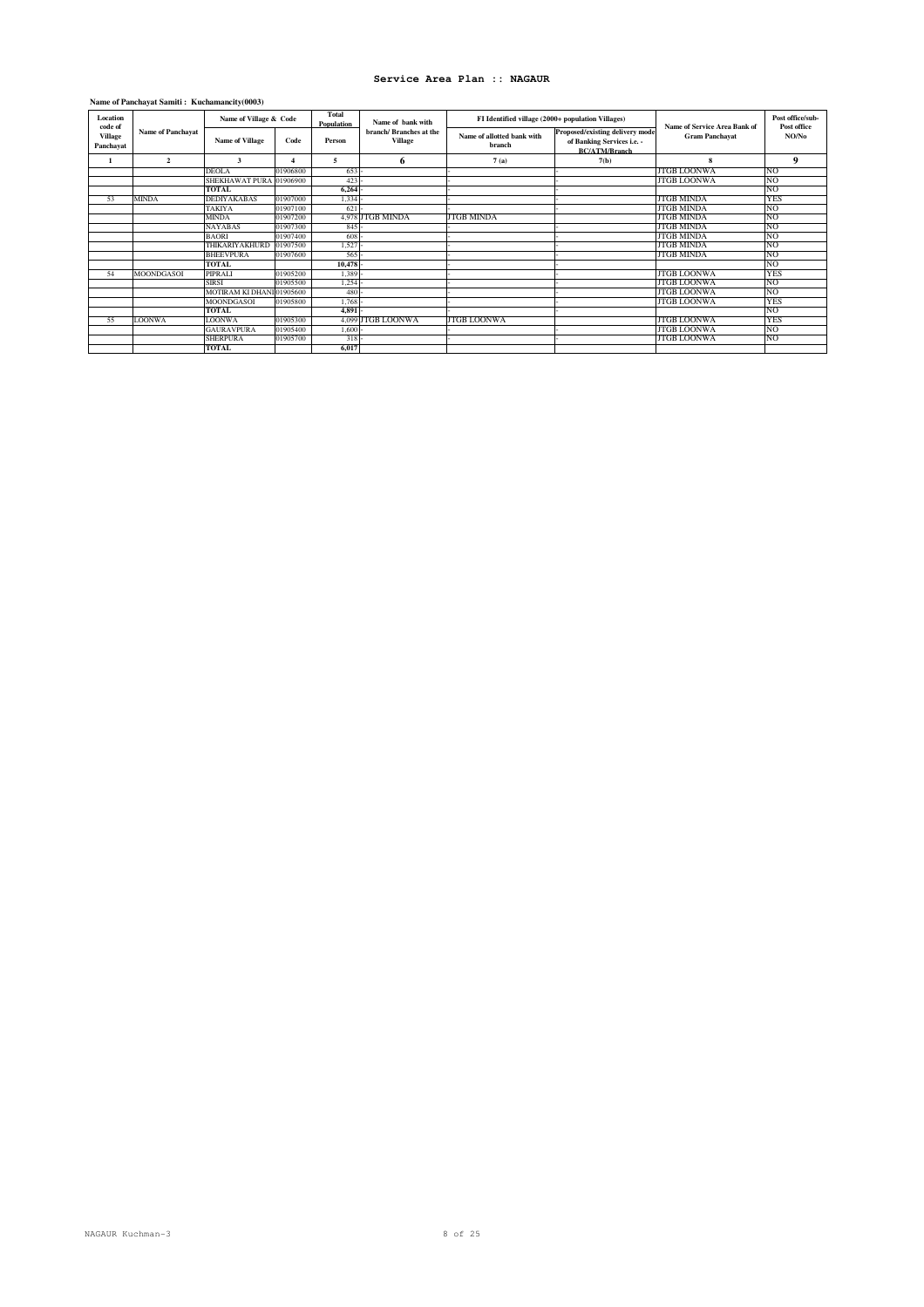### **Name of Panchayat Samiti : Kuchamancity(0003)**

| Location<br>code of         |                          | Name of Village & Code    |          | Total<br>Population | Name of bank with                         | FI Identified village (2000+ population Villages) |                                                                                       | <b>Name of Service Area Bank of</b> | Post office/sub-<br>Post office |
|-----------------------------|--------------------------|---------------------------|----------|---------------------|-------------------------------------------|---------------------------------------------------|---------------------------------------------------------------------------------------|-------------------------------------|---------------------------------|
| <b>Village</b><br>Panchayat | <b>Name of Panchayat</b> | <b>Name of Village</b>    | Code     | Person              | branch/ Branches at the<br><b>Village</b> | Name of allotted bank with<br>branch              | Proposed/existing delivery mode<br>of Banking Services i.e. -<br><b>BC/ATM/Branch</b> | <b>Gram Panchayat</b>               | NO/No                           |
|                             | $\overline{2}$           | 3                         |          | 5                   | 6                                         | 7(a)                                              | 7(b)                                                                                  | 8                                   | 9                               |
|                             |                          | <b>DEOLA</b>              | 01906800 | $653 -$             |                                           |                                                   |                                                                                       | <b>JTGB LOONWA</b>                  | <b>NO</b>                       |
|                             |                          | SHEKHAWAT PURA 01906900   |          | 423                 |                                           |                                                   |                                                                                       | <b>JTGB LOONWA</b>                  | <b>NO</b>                       |
|                             |                          | <b>TOTAL</b>              |          | 6,264               |                                           |                                                   |                                                                                       |                                     | <b>NO</b>                       |
| 53                          | <b>MINDA</b>             | <b>DEDIYAKABAS</b>        | 01907000 | 1,334               |                                           |                                                   |                                                                                       | <b>JTGB MINDA</b>                   | <b>YES</b>                      |
|                             |                          | <b>TAKIYA</b>             | 01907100 | 621                 |                                           |                                                   |                                                                                       | <b>JTGB MINDA</b>                   | <b>NO</b>                       |
|                             |                          | <b>MINDA</b>              | 01907200 |                     | 4,978 JTGB MINDA                          | <b>JTGB MINDA</b>                                 |                                                                                       | <b>JTGB MINDA</b>                   | <b>NO</b>                       |
|                             |                          | <b>NAYABAS</b>            | 01907300 | 845                 |                                           |                                                   |                                                                                       | <b>JTGB MINDA</b>                   | <b>NO</b>                       |
|                             |                          | <b>BAORI</b>              | 01907400 | 608                 |                                           |                                                   |                                                                                       | <b>JTGB MINDA</b>                   | <b>NO</b>                       |
|                             |                          | THIKARIYAKHURD            | 01907500 | 1,527               |                                           |                                                   |                                                                                       | <b>JTGB MINDA</b>                   | <b>NO</b>                       |
|                             |                          | <b>BHEEVPURA</b>          | 01907600 | 565                 |                                           |                                                   |                                                                                       | <b>JTGB MINDA</b>                   | <b>NO</b>                       |
|                             |                          | <b>TOTAL</b>              |          | 10,478              |                                           |                                                   |                                                                                       |                                     | <b>NO</b>                       |
| 54                          | MOONDGASOI               | PIPRALI                   | 01905200 | $1.389 -$           |                                           |                                                   |                                                                                       | <b>JTGB LOONWA</b>                  | <b>YES</b>                      |
|                             |                          | <b>SIRSI</b>              | 01905500 | $1,254 -$           |                                           |                                                   |                                                                                       | <b>JTGB LOONWA</b>                  | NO.                             |
|                             |                          | MOTIRAM KI DHANI 01905600 |          | 480                 |                                           |                                                   |                                                                                       | JTGB LOONWA                         | 'NO                             |
|                             |                          | MOONDGASOI                | 01905800 | 1.768               |                                           |                                                   |                                                                                       | JTGB LOONWA                         | YES                             |
|                             |                          | <b>TOTAL</b>              |          | $4.891 -$           |                                           |                                                   |                                                                                       |                                     | 'NO                             |
| 55                          | <b>LOONWA</b>            | <b>LOONWA</b>             | 01905300 |                     | 4,099 JTGB LOONWA                         | JTGB LOONWA                                       |                                                                                       | JTGB LOONWA                         | YES                             |
|                             |                          | <b>GAURAVPURA</b>         | 01905400 | $1.600 -$           |                                           |                                                   |                                                                                       | JTGB LOONWA                         | 'NO                             |
|                             |                          | <b>SHERPURA</b>           | 01905700 | $318 -$             |                                           |                                                   |                                                                                       | JTGB LOONWA                         | <b>NO</b>                       |
|                             |                          | <b>TOTAL</b>              |          | 6.017               |                                           |                                                   |                                                                                       |                                     |                                 |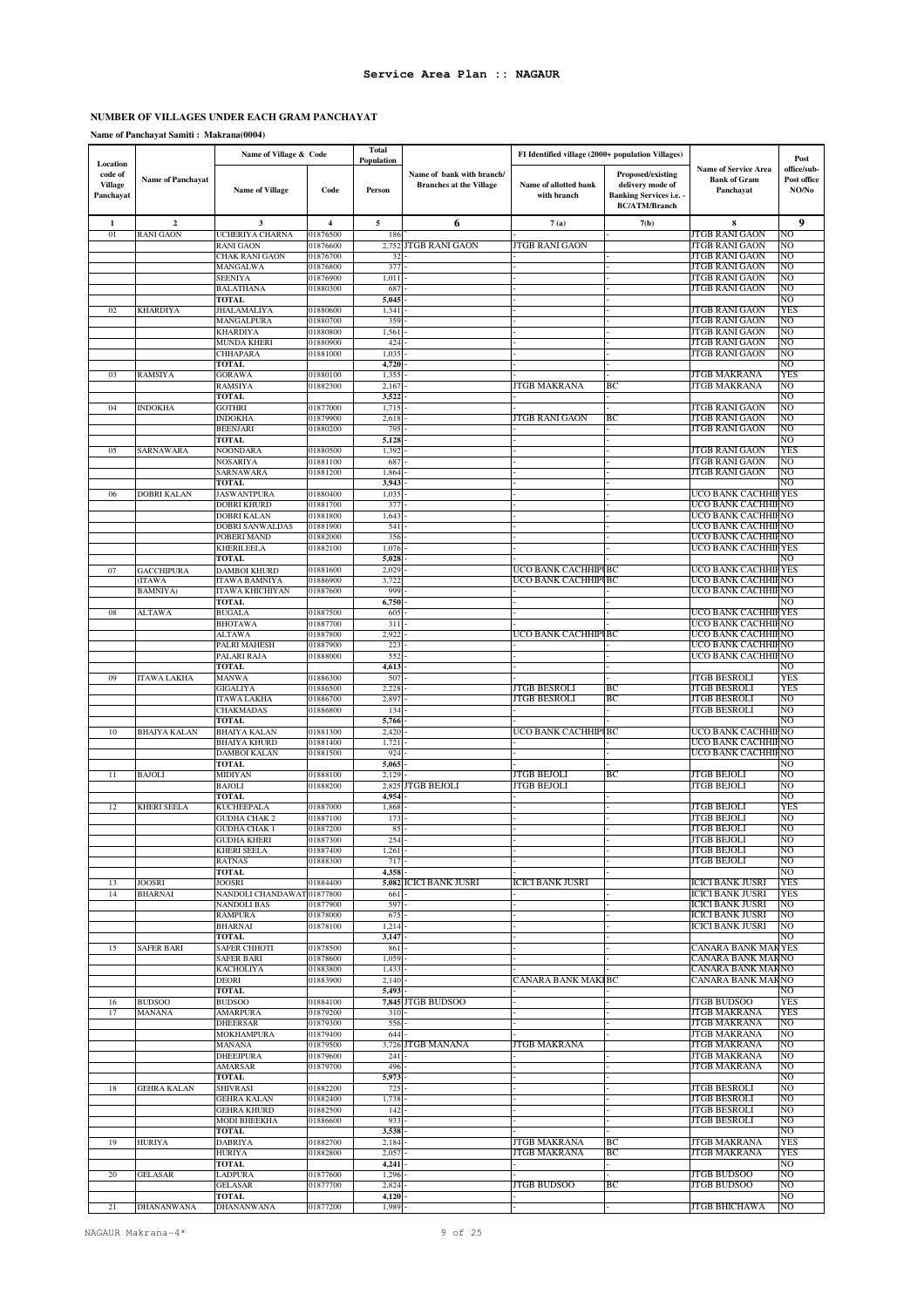### **NUMBER OF VILLAGES UNDER EACH GRAM PANCHAYAT**

**Name of Panchayat Samiti : Makrana(0004)**

|                                                    |                          | Name of Village & Code                     |                      | <b>Total</b><br>Population |                                                             | FI Identified village (2000+ population Villages) |                                                                                                 |                                                                 | Post                                |
|----------------------------------------------------|--------------------------|--------------------------------------------|----------------------|----------------------------|-------------------------------------------------------------|---------------------------------------------------|-------------------------------------------------------------------------------------------------|-----------------------------------------------------------------|-------------------------------------|
| Location<br>code of<br><b>Village</b><br>Panchayat | <b>Name of Panchayat</b> | <b>Name of Village</b>                     | Code                 | Person                     | Name of bank with branch/<br><b>Branches at the Village</b> | Name of allotted bank<br>with branch              | Proposed/existing<br>delivery mode of<br><b>Banking Services i.e. -</b><br><b>BC/ATM/Branch</b> | <b>Name of Service Area</b><br><b>Bank of Gram</b><br>Panchayat | office/sub-<br>Post office<br>NO/No |
| 1                                                  | $\overline{2}$           | 3                                          | 4                    | 5                          | 6                                                           | 7(a)                                              | 7(b)                                                                                            | 8                                                               | 9                                   |
| 01                                                 | <b>RANI GAON</b>         | UCHERIYA CHARNA                            | 01876500             | 186                        |                                                             |                                                   |                                                                                                 | JTGB RANI GAON                                                  | NO                                  |
|                                                    |                          | <b>RANI GAON</b><br>CHAK RANI GAON         | 01876600<br>01876700 | 32                         | 2,752 JTGB RANI GAON                                        | <b>JTGB RANI GAON</b>                             |                                                                                                 | <b>JTGB RANI GAON</b><br><b>JTGB RANI GAON</b>                  | N <sub>O</sub><br>N <sub>O</sub>    |
|                                                    |                          | MANGALWA                                   | 01876800             | 377                        |                                                             |                                                   |                                                                                                 | <b>JTGB RANI GAON</b>                                           | N <sub>O</sub>                      |
|                                                    |                          | SEENIYA                                    | 01876900             | 1,011                      |                                                             |                                                   |                                                                                                 | <b>JTGB RANI GAON</b>                                           | NO                                  |
|                                                    |                          | BALATHANA                                  | 01880300             | 687                        |                                                             |                                                   |                                                                                                 | JTGB RANI GAON                                                  | NO                                  |
|                                                    |                          | <b>TOTAL</b>                               |                      | 5,045                      |                                                             |                                                   |                                                                                                 |                                                                 | N <sub>O</sub>                      |
| 02                                                 | <b>KHARDIYA</b>          | JHALAMALIYA<br>MANGALPURA                  | 01880600<br>01880700 | 1,341<br>359               |                                                             |                                                   |                                                                                                 | JTGB RANI GAON<br><b>JTGB RANI GAON</b>                         | YES<br>NO                           |
|                                                    |                          | KHARDIYA                                   | 01880800             | 1,561                      |                                                             |                                                   |                                                                                                 | <b>JTGB RANI GAON</b>                                           | N <sub>O</sub>                      |
|                                                    |                          | <b>MUNDA KHERI</b>                         | 01880900             | 424                        |                                                             |                                                   |                                                                                                 | <b>JTGB RANI GAON</b>                                           | NO                                  |
|                                                    |                          | CHHAPARA                                   | 01881000             | 1,035                      |                                                             |                                                   |                                                                                                 | <b>JTGB RANI GAON</b>                                           | NO                                  |
|                                                    |                          | <b>TOTAL</b>                               |                      | 4,720                      |                                                             |                                                   |                                                                                                 |                                                                 | NO                                  |
| 03                                                 | <b>RAMSIYA</b>           | <b>GORAWA</b><br>RAMSIYA                   | 01880100<br>01882300 | 1,355<br>2,167             |                                                             | JTGB MAKRANA                                      | BС                                                                                              | JTGB MAKRANA<br>JTGB MAKRANA                                    | YES<br>NO                           |
|                                                    |                          | <b>TOTAL</b>                               |                      | 3,522                      |                                                             |                                                   |                                                                                                 |                                                                 | NO                                  |
| 04                                                 | <b>INDOKHA</b>           | <b>GOTHRI</b>                              | 01877000             | 1,715                      |                                                             |                                                   |                                                                                                 | JTGB RANI GAON                                                  | NO                                  |
|                                                    |                          | <b>INDOKHA</b>                             | 01879900             | 2,618                      |                                                             | <b>JTGB RANI GAON</b>                             | BC                                                                                              | <b>JTGB RANI GAON</b>                                           | NO                                  |
|                                                    |                          | <b>BEENJARI</b>                            | 01880200             | 795                        |                                                             |                                                   |                                                                                                 | <b>JTGB RANI GAON</b>                                           | NO                                  |
| 05                                                 | <b>SARNAWARA</b>         | <b>TOTAL</b><br>NOONDARA                   | 01880500             | 5,128<br>1,392             |                                                             |                                                   |                                                                                                 | <b>JTGB RANI GAON</b>                                           | NO<br><b>YES</b>                    |
|                                                    |                          | <b>NOSARIYA</b>                            | 01881100             | 687                        |                                                             |                                                   |                                                                                                 | JTGB RANI GAON                                                  | NO                                  |
|                                                    |                          | <b>SARNAWARA</b>                           | 01881200             | 1,864                      |                                                             |                                                   |                                                                                                 | <b>JTGB RANI GAON</b>                                           | NO                                  |
|                                                    |                          | TOTAL                                      |                      | 3,943                      |                                                             |                                                   |                                                                                                 |                                                                 | NO                                  |
| 06                                                 | DOBRI KALAN              | <b>JASWANTPURA</b><br>DOBRI KHURD          | 01880400<br>01881700 | 1,035<br>377               |                                                             |                                                   |                                                                                                 | UCO BANK CACHHIFYES<br>UCO BANK CACHHIFNO                       |                                     |
|                                                    |                          | DOBRI KALAN                                | 01881800             | 1,643                      |                                                             |                                                   |                                                                                                 | UCO BANK CACHHIF NO                                             |                                     |
|                                                    |                          | DOBRI SANWALDAS                            | 01881900             | 541                        |                                                             |                                                   |                                                                                                 | UCO BANK CACHHIFNO                                              |                                     |
|                                                    |                          | POBERI MAND                                | 01882000             | 356                        |                                                             |                                                   |                                                                                                 | UCO BANK CACHHIFNO                                              |                                     |
|                                                    |                          | KHERILEELA                                 | 01882100             | 1,076                      |                                                             |                                                   |                                                                                                 | UCO BANK CACHHIF YES                                            |                                     |
| 07                                                 | <b>GACCHIPURA</b>        | <b>TOTAL</b><br>DAMBOI KHURD               | 01881600             | 5,028<br>2,029             |                                                             | UCO BANK CACHHIPI BC                              |                                                                                                 | UCO BANK CACHHIF                                                | NO<br>YES                           |
|                                                    | (ITAWA                   | <b>ITAWA BAMNIYA</b>                       | 01886900             | 3,722                      |                                                             | UCO BANK CACHHIPI BC                              |                                                                                                 | UCO BANK CACHHIFNO                                              |                                     |
|                                                    | <b>BAMNIYA</b> )         | ITAWA KHICHIYAN                            | 01887600             | 999                        |                                                             |                                                   |                                                                                                 | UCO BANK CACHHIFNO                                              |                                     |
|                                                    |                          | TOTAL                                      |                      | 6,750                      |                                                             |                                                   |                                                                                                 |                                                                 | NO                                  |
| 08                                                 | <b>ALTAWA</b>            | <b>BUGALA</b>                              | 01887500             | 605                        |                                                             |                                                   |                                                                                                 | UCO BANK CACHHII YES                                            |                                     |
|                                                    |                          | <b>BHOTAWA</b><br>ALTAWA                   | 01887700<br>01887800 | 311<br>2,922               |                                                             | UCO BANK CACHHIPI BC                              |                                                                                                 | UCO BANK CACHHIFNO<br>UCO BANK CACHHIFNO                        |                                     |
|                                                    |                          | PALRI MAHESH                               | 01887900             | 223                        |                                                             |                                                   |                                                                                                 | UCO BANK CACHHIFNO                                              |                                     |
|                                                    |                          | PALARI RAJA                                | 01888000             | 552                        |                                                             |                                                   |                                                                                                 | UCO BANK CACHHIFNO                                              |                                     |
|                                                    |                          | TOTAL                                      |                      | 4,613                      |                                                             |                                                   |                                                                                                 |                                                                 | NO                                  |
| 09                                                 | <b>ITAWA LAKHA</b>       | <b>MANWA</b>                               | 01886300             | 507<br>2,228               |                                                             | JTGB BESROLI                                      | ВC                                                                                              | <b>JTGB BESROLI</b>                                             | YES                                 |
|                                                    |                          | GIGALIYA<br>ITAWA LAKHA                    | 01886500<br>01886700 | 2,897                      |                                                             | <b>JTGB BESROLI</b>                               | BC                                                                                              | JTGB BESROLI<br><b>JTGB BESROLI</b>                             | YES<br>NO                           |
|                                                    |                          | <b>CHAKMADAS</b>                           | 01886800             | 134                        |                                                             |                                                   |                                                                                                 | <b>JTGB BESROLI</b>                                             | NO                                  |
|                                                    |                          | <b>TOTAL</b>                               |                      | 5,766                      |                                                             |                                                   |                                                                                                 |                                                                 | NO                                  |
| 10                                                 | <b>BHAIYA KALAN</b>      | <b>BHAIYA KALAN</b>                        | 01881300             | 2,420                      |                                                             | UCO BANK CACHHIPI BC                              |                                                                                                 | UCO BANK CACHHIFNO                                              |                                     |
|                                                    |                          | <b>BHAIYA KHURD</b><br><b>DAMBOI KALAN</b> | 01881400<br>01881500 | 1,721<br>924               |                                                             |                                                   |                                                                                                 | UCO BANK CACHHIFNO<br>UCO BANK CACHHIF NO                       |                                     |
|                                                    |                          | <b>TOTAL</b>                               |                      | 5,065                      |                                                             |                                                   |                                                                                                 |                                                                 | NO                                  |
| 11                                                 | <b>BAJOLI</b>            | <b>MIDIYAN</b>                             | 01888100             | 2,129                      |                                                             | <b>JTGB BEJOLI</b>                                | BС                                                                                              | <b>JTGB BEJOLI</b>                                              | NO                                  |
|                                                    |                          | <b>BAJOLI</b>                              | 01888200             |                            | 2,825 JTGB BEJOLI                                           | JTGB BEJOLI                                       |                                                                                                 | <b>JTGB BEJOLI</b>                                              | NO                                  |
|                                                    |                          | <b>TOTAL</b>                               |                      | 4,954                      |                                                             |                                                   |                                                                                                 |                                                                 | NO                                  |
| 12                                                 | <b>KHERI SEELA</b>       | KUCHEEPALA<br><b>GUDHA CHAK 2</b>          | 01887000<br>01887100 | 1,868<br>173               |                                                             |                                                   |                                                                                                 | <b>JTGB BEJOLI</b><br><b>JTGB BEJOLI</b>                        | YES<br>NO                           |
|                                                    |                          | <b>GUDHA CHAK 1</b>                        | 01887200             | 85                         |                                                             |                                                   |                                                                                                 | <b>JTGB BEJOLI</b>                                              | NO                                  |
|                                                    |                          | <b>GUDHA KHERI</b>                         | 01887300             | 254                        |                                                             |                                                   |                                                                                                 | <b>JTGB BEJOLI</b>                                              | NO                                  |
|                                                    |                          | KHERI SEELA                                | 01887400             | 1,261                      |                                                             |                                                   |                                                                                                 | <b>JTGB BEJOLI</b>                                              | N <sub>O</sub>                      |
|                                                    |                          | <b>RATNAS</b><br><b>TOTAL</b>              | 01888300             | 717<br>4,358               |                                                             |                                                   |                                                                                                 | JTGB BEJOLI                                                     | NO<br>N <sub>O</sub>                |
| 13                                                 | JOOSRI                   | JOOSRI                                     | 01884400             |                            | 5,082 ICICI BANK JUSRI                                      | ICICI BANK JUSRI                                  |                                                                                                 | <b>ICICI BANK JUSRI</b>                                         | YES                                 |
| 14                                                 | <b>BHARNAI</b>           | NANDOLI CHANDAWAT 01877800                 |                      | 661                        |                                                             |                                                   |                                                                                                 | <b>ICICI BANK JUSRI</b>                                         | YES                                 |
|                                                    |                          | NANDOLI BAS                                | 01877900             | 597                        |                                                             |                                                   |                                                                                                 | <b>ICICI BANK JUSRI</b>                                         | NO                                  |
|                                                    |                          | <b>RAMPURA</b>                             | 01878000             | 675                        |                                                             |                                                   |                                                                                                 | <b>ICICI BANK JUSRI</b>                                         | N <sub>O</sub>                      |
|                                                    |                          | BHARNAI<br><b>TOTAL</b>                    | 01878100             | 1,214<br>3,147             |                                                             |                                                   |                                                                                                 | <b>ICICI BANK JUSRI</b>                                         | NO<br>NO                            |
| 15                                                 | <b>SAFER BARI</b>        | <b>SAFER CHHOTI</b>                        | 01878500             | 861                        |                                                             |                                                   |                                                                                                 | <b>CANARA BANK MAKYES</b>                                       |                                     |
|                                                    |                          | <b>SAFER BARI</b>                          | 01878600             | 1,059                      |                                                             |                                                   |                                                                                                 | CANARA BANK MAKNO                                               |                                     |
|                                                    |                          | KACHOLIYA                                  | 01883800             | 1,433                      |                                                             |                                                   |                                                                                                 | CANARA BANK MAK NO                                              |                                     |
|                                                    |                          | <b>DEORI</b><br><b>TOTAL</b>               | 01883900             | 2,140<br>5,493             |                                                             | CANARA BANK MAKI BC                               |                                                                                                 | CANARA BANK MAKNO                                               | NO                                  |
| 16                                                 | <b>BUDSOO</b>            | <b>BUDSOO</b>                              | 01884100             |                            | 7,845 JTGB BUDSOO                                           |                                                   |                                                                                                 | <b>JTGB BUDSOO</b>                                              | YES                                 |
| 17                                                 | <b>MANANA</b>            | AMARPURA                                   | 01879200             | 310                        |                                                             |                                                   |                                                                                                 | <b>JTGB MAKRANA</b>                                             | YES                                 |
|                                                    |                          | <b>DHEERSAR</b>                            | 01879300             | 556                        |                                                             |                                                   |                                                                                                 | <b>JTGB MAKRANA</b>                                             | NO                                  |
|                                                    |                          | MOKHAMPURA<br><b>MANANA</b>                | 01879400<br>01879500 | 644                        | 3,726 JTGB MANANA                                           | <b>JTGB MAKRANA</b>                               |                                                                                                 | <b>JTGB MAKRANA</b><br><b>JTGB MAKRANA</b>                      | NO<br>NO                            |
|                                                    |                          | DHEEJPURA                                  | 01879600             | 241                        |                                                             |                                                   |                                                                                                 | <b>JTGB MAKRANA</b>                                             | NO                                  |
|                                                    |                          | AMARSAR                                    | 01879700             | 496                        |                                                             |                                                   |                                                                                                 | <b>JTGB MAKRANA</b>                                             | NO                                  |
|                                                    |                          | <b>TOTAL</b>                               |                      | 5,973                      |                                                             |                                                   |                                                                                                 |                                                                 | NO                                  |
| 18                                                 | <b>GEHRA KALAN</b>       | <b>SHIVRASI</b>                            | 01882200             | 725                        |                                                             |                                                   |                                                                                                 | <b>JTGB BESROLI</b>                                             | NO                                  |
|                                                    |                          | <b>GEHRA KALAN</b>                         | 01882400             | 1,738                      |                                                             |                                                   |                                                                                                 | <b>JTGB BESROLI</b><br><b>JTGB BESROLI</b>                      | NO<br>NO                            |
|                                                    |                          | GEHRA KHURD<br><b>MODI BHEEKHA</b>         | 01882500<br>01886600 | 142<br>933                 |                                                             |                                                   |                                                                                                 | <b>JTGB BESROLI</b>                                             | N <sub>O</sub>                      |
|                                                    |                          | <b>TOTAL</b>                               |                      | 3,538                      |                                                             |                                                   |                                                                                                 |                                                                 | NO                                  |
| 19                                                 | <b>HURIYA</b>            | DABRIYA                                    | 01882700             | 2,184                      |                                                             | <b>JTGB MAKRANA</b>                               | BC                                                                                              | <b>JTGB MAKRANA</b>                                             | YES                                 |
|                                                    |                          | <b>HURIYA</b>                              | 01882800             | 2,057                      |                                                             | <b>JTGB MAKRANA</b>                               | BC                                                                                              | JTGB MAKRANA                                                    | <b>YES</b>                          |
| 20                                                 | <b>GELASAR</b>           | TOTAL<br>LADPURA                           | 01877600             | 4,241<br>1,296             |                                                             |                                                   |                                                                                                 | <b>JTGB BUDSOO</b>                                              | NO<br>N <sub>O</sub>                |
|                                                    |                          | GELASAR                                    | 01877700             | 2,824                      |                                                             | <b>JTGB BUDSOO</b>                                | ВC                                                                                              | <b>JTGB BUDSOO</b>                                              | NO                                  |
|                                                    |                          | TOTAL                                      |                      | 4,120                      |                                                             |                                                   |                                                                                                 |                                                                 | NO                                  |
| 21                                                 | DHANANWANA               | DHANANWANA                                 | 01877200             | 1,989                      |                                                             |                                                   |                                                                                                 | <b>JTGB BHICHAWA</b>                                            | NO                                  |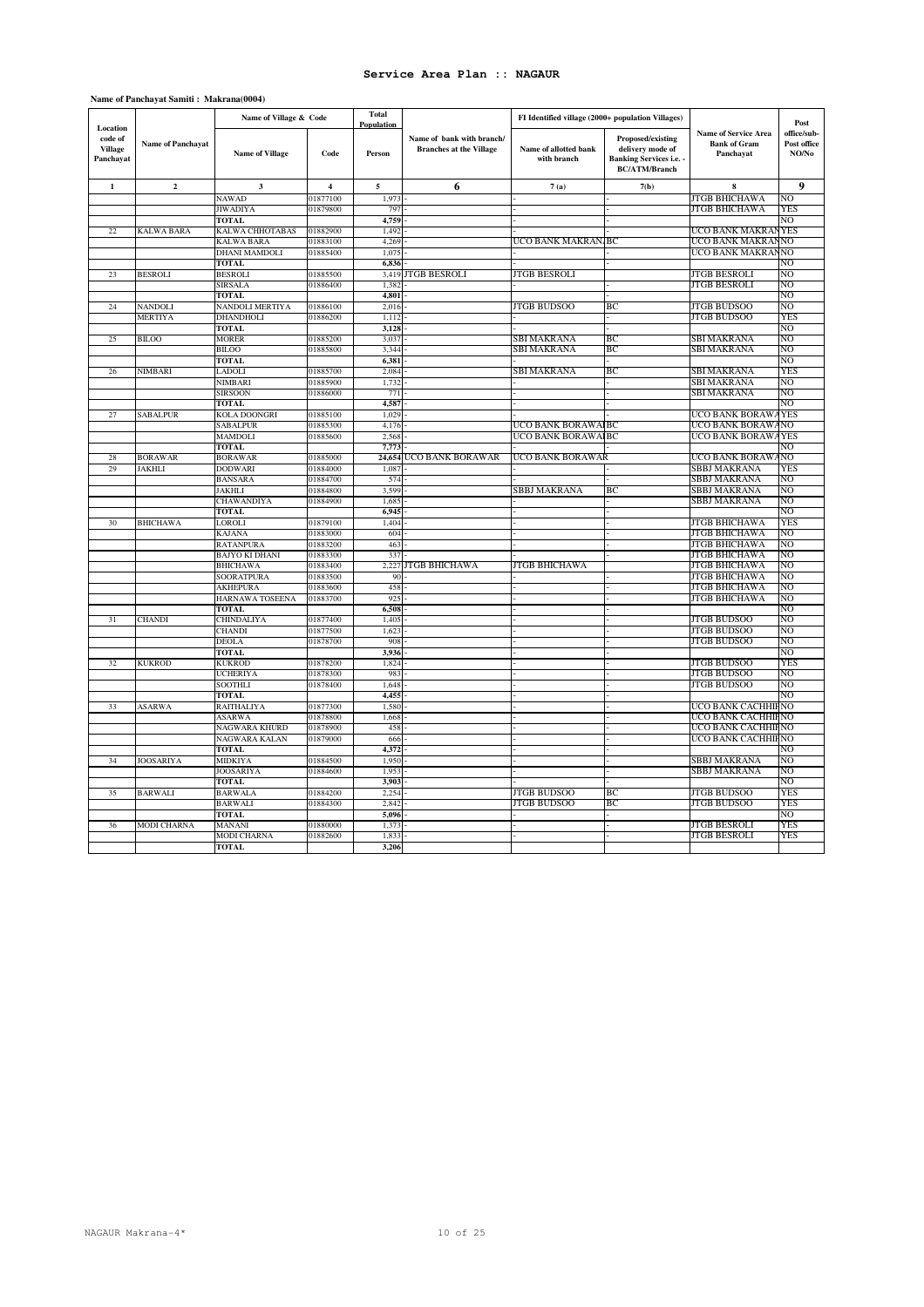| Location                               |                          | Name of Village & Code          |                         | <b>Total</b><br><b>Population</b> |                                                             | FI Identified village (2000+ population Villages) |                                                                                                 |                                                                 | Post                                |
|----------------------------------------|--------------------------|---------------------------------|-------------------------|-----------------------------------|-------------------------------------------------------------|---------------------------------------------------|-------------------------------------------------------------------------------------------------|-----------------------------------------------------------------|-------------------------------------|
| code of<br><b>Village</b><br>Panchayat | <b>Name of Panchayat</b> | <b>Name of Village</b>          | Code                    | Person                            | Name of bank with branch/<br><b>Branches at the Village</b> | Name of allotted bank<br>with branch              | Proposed/existing<br>delivery mode of<br><b>Banking Services i.e.</b> -<br><b>BC/ATM/Branch</b> | <b>Name of Service Area</b><br><b>Bank of Gram</b><br>Panchayat | office/sub-<br>Post office<br>NO/No |
| $\mathbf{1}$                           | $\overline{2}$           | $\mathbf{3}$                    | $\overline{\mathbf{4}}$ | 5                                 | 6                                                           | 7(a)                                              | 7(b)                                                                                            | 8                                                               | 9                                   |
|                                        |                          | NAWAD                           | 01877100                | 1,973                             |                                                             |                                                   |                                                                                                 | JTGB BHICHAWA                                                   | NO                                  |
|                                        |                          | <b>JIWADIYA</b>                 | 01879800                | 797                               |                                                             |                                                   |                                                                                                 | JTGB BHICHAWA                                                   | YES                                 |
|                                        |                          | TOTAL                           |                         | 4.759                             |                                                             |                                                   |                                                                                                 |                                                                 | NО                                  |
| 22                                     | <b>KALWA BARA</b>        | KALWA CHHOTABAS                 | 01882900                | 1,492                             |                                                             |                                                   |                                                                                                 | UCO BANK MAKRAN                                                 | <b>YES</b>                          |
|                                        |                          | <b>KALWA BARA</b>               | 01883100                | 4,269                             |                                                             | UCO BANK MAKRAN. BC                               |                                                                                                 | UCO BANK MAKRAN                                                 | N <sub>O</sub>                      |
|                                        |                          | DHANI MAMDOLI                   | 01885400                | 1,075                             |                                                             |                                                   |                                                                                                 | UCO BANK MAKRAN                                                 | N <sub>O</sub><br>NO                |
| 23                                     | <b>BESROLI</b>           | <b>TOTAL</b><br><b>BESROLI</b>  | 01885500                | 6,836<br>3.419                    | JTGB BESROLI                                                | JTGB BESROLI                                      |                                                                                                 | JTGB BESROLI                                                    | NO                                  |
|                                        |                          | <b>SIRSALA</b>                  | 01886400                | 1,382                             |                                                             |                                                   |                                                                                                 | JTGB BESROLI                                                    | NO                                  |
|                                        |                          | TOTAL                           |                         | 4,801                             |                                                             |                                                   |                                                                                                 |                                                                 | NO                                  |
| 24                                     | <b>NANDOLI</b>           | NANDOLI MERTIYA                 | 01886100                | 2,016                             |                                                             | <b>JTGB BUDSOO</b>                                | BC                                                                                              | <b>JTGB BUDSOO</b>                                              | N <sub>O</sub>                      |
|                                        | <b>MERTIYA</b>           | DHANDHOLI                       | 01886200                | 1,112                             |                                                             |                                                   |                                                                                                 | <b>JTGB BUDSOO</b>                                              | <b>YES</b>                          |
|                                        |                          | <b>TOTAL</b>                    |                         | 3,128                             |                                                             |                                                   |                                                                                                 |                                                                 | N <sub>O</sub>                      |
| 25                                     | <b>BILOO</b>             | <b>MORER</b>                    | 01885200                | 3,037                             |                                                             | SBI MAKRANA                                       | BC                                                                                              | SBI MAKRANA                                                     | N <sub>O</sub>                      |
|                                        |                          | BILOO                           | 01885800                | 3,344                             |                                                             | SBI MAKRANA                                       | ВC                                                                                              | SBI MAKRANA                                                     | NO                                  |
|                                        |                          | <b>TOTAL</b>                    |                         | 6,381                             |                                                             |                                                   |                                                                                                 |                                                                 | N <sub>O</sub>                      |
| 26                                     | NIMBARI                  | LADOLI                          | 01885700                | 2,084                             |                                                             | SBI MAKRANA                                       | ВC                                                                                              | SBI MAKRANA                                                     | YES                                 |
|                                        |                          | NIMBARI                         | 01885900                | 1,732                             |                                                             |                                                   |                                                                                                 | <b>SBI MAKRANA</b>                                              | NO                                  |
|                                        |                          | SIRSOON                         | 01886000                | 771                               |                                                             |                                                   |                                                                                                 | SBI MAKRANA                                                     | NO                                  |
|                                        |                          | <b>TOTAL</b>                    |                         | 4,587                             |                                                             |                                                   |                                                                                                 |                                                                 | NΟ                                  |
| 27                                     | <b>SABALPUR</b>          | KOLA DOONGRI                    | 01885100                | 1,029                             |                                                             |                                                   |                                                                                                 | UCO BANK BORAW.                                                 | YES                                 |
|                                        |                          | <b>SABALPUR</b><br>MAMDOLI      | 01885300                | 4,176                             |                                                             | UCO BANK BORAWAI BC                               |                                                                                                 | UCO BANK BORAW.                                                 | NO.<br><b>YES</b>                   |
|                                        |                          | TOTAL                           | 01885600                | 2.568<br>7,773                    |                                                             | <b>UCO BANK BORAWA BC</b>                         |                                                                                                 | <b>UCO BANK BORAWA</b>                                          | NO                                  |
| 28                                     | <b>BORAWAR</b>           | <b>BORAWAR</b>                  | 01885000                | 24,654                            | UCO BANK BORAWAR                                            | UCO BANK BORAWAR                                  |                                                                                                 | UCO BANK BORAW.                                                 | NO                                  |
| 29                                     | JAKHLI                   | DODWARI                         | 01884000                | 1,087                             |                                                             |                                                   |                                                                                                 | SBBJ MAKRANA                                                    | YES                                 |
|                                        |                          | <b>BANSARA</b>                  | 01884700                | 574                               |                                                             |                                                   |                                                                                                 | <b>SBBJ MAKRANA</b>                                             | NΟ                                  |
|                                        |                          | <b>JAKHLI</b>                   | 01884800                | 3,599                             |                                                             | <b>SBBJ MAKRANA</b>                               | BC                                                                                              | <b>SBBJ MAKRANA</b>                                             | N <sub>O</sub>                      |
|                                        |                          | <b>CHAWANDIYA</b>               | 01884900                | 1,685                             |                                                             |                                                   |                                                                                                 | SBBJ MAKRANA                                                    | NO                                  |
|                                        |                          | TOTAL                           |                         | 6,945                             |                                                             |                                                   |                                                                                                 |                                                                 | NO                                  |
| 30                                     | <b>BHICHAWA</b>          | LOROLI                          | 01879100                | 1,404                             |                                                             |                                                   |                                                                                                 | <b>JTGB BHICHAWA</b>                                            | YES                                 |
|                                        |                          | KAJANA                          | 01883000                | 604                               |                                                             |                                                   |                                                                                                 | JTGB BHICHAWA                                                   | NO                                  |
|                                        |                          | RATANPURA                       | 01883200                | 463                               |                                                             |                                                   |                                                                                                 | JTGB BHICHAWA                                                   | NO                                  |
|                                        |                          | BAJYO KI DHANI                  | 01883300                | 337                               |                                                             |                                                   |                                                                                                 | JTGB BHICHAWA                                                   | NO                                  |
|                                        |                          | <b>BHICHAWA</b>                 | 01883400                | 2.227                             | <b>TGB BHICHAWA</b>                                         | JTGB BHICHAWA                                     |                                                                                                 | JTGB BHICHAWA                                                   | NO                                  |
|                                        |                          | SOORATPURA                      | 01883500                | 90                                |                                                             |                                                   |                                                                                                 | <b>JTGB BHICHAWA</b>                                            | N <sub>O</sub>                      |
|                                        |                          | <b>AKHEPURA</b>                 | 01883600<br>01883700    | 458<br>925                        |                                                             |                                                   |                                                                                                 | <b>JTGB BHICHAWA</b><br>JTGB BHICHAWA                           | NO<br>NO                            |
|                                        |                          | HARNAWA TOSEENA<br><b>TOTAL</b> |                         | 6,508                             |                                                             |                                                   |                                                                                                 |                                                                 | NO                                  |
| 31                                     | <b>CHANDI</b>            | <b>CHINDALIYA</b>               | 01877400                | 1,405                             |                                                             |                                                   |                                                                                                 | <b>JTGB BUDSOO</b>                                              | NO                                  |
|                                        |                          | CHANDI                          | 01877500                | 1,623                             |                                                             |                                                   |                                                                                                 | <b>JTGB BUDSOO</b>                                              | N <sub>O</sub>                      |
|                                        |                          | DEOLA                           | 01878700                | 908                               |                                                             |                                                   |                                                                                                 | <b>JTGB BUDSOO</b>                                              | NO                                  |
|                                        |                          | <b>TOTAL</b>                    |                         | 3,936                             |                                                             |                                                   |                                                                                                 |                                                                 | NΟ                                  |
| 32                                     | <b>KUKROD</b>            | <b>KUKROD</b>                   | 01878200                | 1,824                             |                                                             |                                                   |                                                                                                 | JTGB BUDSOO                                                     | YES                                 |
|                                        |                          | UCHERIYA                        | 01878300                | 983                               |                                                             |                                                   |                                                                                                 | JTGB BUDSOO                                                     | NO.                                 |
|                                        |                          | SOOTHLI                         | 01878400                | 1,648                             |                                                             |                                                   |                                                                                                 | <b>JTGB BUDSOO</b>                                              | N <sub>O</sub>                      |
|                                        |                          | TOTAL                           |                         | 4,455                             |                                                             |                                                   |                                                                                                 |                                                                 | N <sub>O</sub>                      |
| 33                                     | <b>ASARWA</b>            | RAITHALIYA                      | 01877300                | 1,580                             |                                                             |                                                   |                                                                                                 | UCO BANK CACHHIF NO                                             |                                     |
|                                        |                          | ASARWA                          | 01878800                | 1,668                             |                                                             |                                                   |                                                                                                 | UCO BANK CACHHIFNO                                              |                                     |
|                                        |                          | NAGWARA KHURD                   | 01878900                | 458                               |                                                             |                                                   |                                                                                                 | UCO BANK CACHHIF NO                                             |                                     |
|                                        |                          | NAGWARA KALAN                   | 01879000                | 666<br>4,372                      |                                                             |                                                   |                                                                                                 | UCO BANK CACHHIFNO                                              | NO                                  |
| 34                                     |                          | <b>TOTAL</b>                    | 01884500                | 1,950                             |                                                             |                                                   |                                                                                                 | <b>SBBJ MAKRANA</b>                                             | NO                                  |
|                                        | <b>JOOSARIYA</b>         | MIDKIYA<br><b>JOOSARIYA</b>     | 01884600                | 1,953                             |                                                             |                                                   |                                                                                                 | SBBJ MAKRANA                                                    | NO                                  |
|                                        |                          | <b>TOTAL</b>                    |                         | 3.903                             |                                                             |                                                   |                                                                                                 |                                                                 | NΟ                                  |
| 35                                     | <b>BARWALI</b>           | <b>BARWALA</b>                  | 01884200                | 2,254                             |                                                             | <b>JTGB BUDSOO</b>                                | ВC                                                                                              | JTGB BUDSOO                                                     | YES                                 |
|                                        |                          | <b>BARWALI</b>                  | 01884300                | 2,842                             |                                                             | <b>JTGB BUDSOO</b>                                | ВC                                                                                              | <b>JTGB BUDSOO</b>                                              | YES                                 |
|                                        |                          | <b>TOTAL</b>                    |                         | 5.096                             |                                                             |                                                   |                                                                                                 |                                                                 | NΟ                                  |
| 36                                     | <b>MODI CHARNA</b>       | MANANI                          | 01880000                | 1,373                             |                                                             |                                                   |                                                                                                 | <b>JTGB BESROLI</b>                                             | YES                                 |
|                                        |                          | <b>MODI CHARNA</b>              | 01882600                | 1,833                             |                                                             |                                                   |                                                                                                 | JTGB BESROLI                                                    | YES                                 |
|                                        |                          | <b>TOTAL</b>                    |                         | 3.206                             |                                                             |                                                   |                                                                                                 |                                                                 |                                     |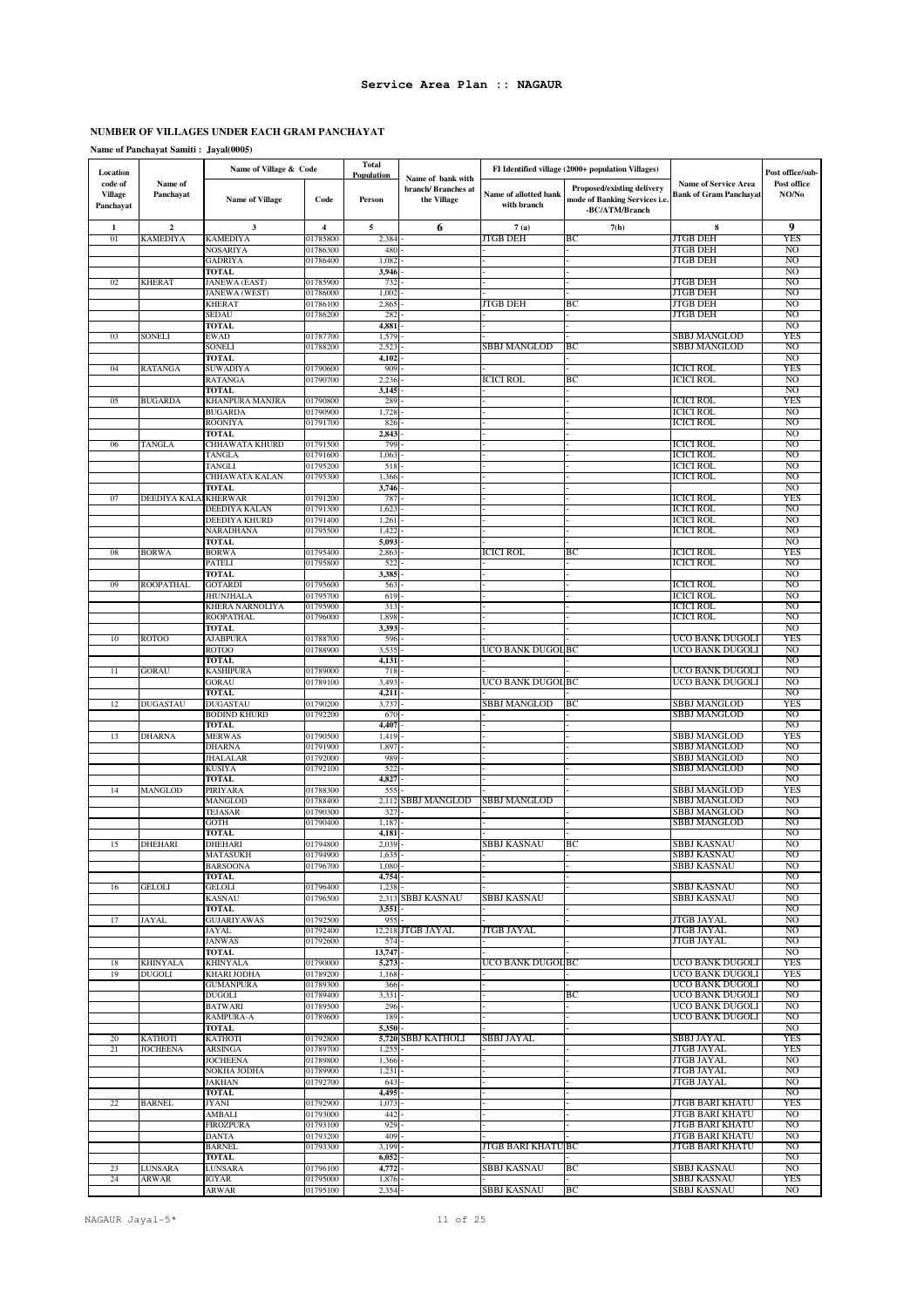### **NUMBER OF VILLAGES UNDER EACH GRAM PANCHAYAT**

**Name of Panchayat Samiti : Jayal(0005)**

| Location                               |                       | Name of Village & Code                 |                      | <b>Total</b>                 |                                                        |                                      | FI Identified village (2000+ population Villages)                             |                                                | Post office/sub-      |
|----------------------------------------|-----------------------|----------------------------------------|----------------------|------------------------------|--------------------------------------------------------|--------------------------------------|-------------------------------------------------------------------------------|------------------------------------------------|-----------------------|
| code of<br><b>Village</b><br>Panchayat | Name of<br>Panchayat  | <b>Name of Village</b>                 | Code                 | Population<br>Person         | Name of bank with<br>branch/Branches at<br>the Village | Name of allotted bank<br>with branch | Proposed/existing delivery<br>mode of Banking Services i.e.<br>-BC/ATM/Branch | Name of Service Area<br>Bank of Gram Panchayat | Post office<br>NO/No  |
| 1                                      | $\boldsymbol{2}$      | 3                                      | 4                    | 5                            | 6                                                      | 7(a)                                 | 7(b)                                                                          | 8                                              | 9                     |
| 01                                     | KAMEDIYA              | <b>KAMEDIYA</b>                        | 01785800             | 2,384                        |                                                        | JTGB DEH                             | BС                                                                            | <b>JTGB DEH</b>                                | <b>YES</b>            |
|                                        |                       | NOSARIYA<br><b>GADRIYA</b>             | 01786300<br>01786400 | 480<br>1,082                 |                                                        |                                      |                                                                               | <b>JTGB DEH</b><br><b>JTGB DEH</b>             | N <sub>O</sub><br>NO  |
|                                        |                       | <b>TOTAL</b>                           |                      | 3,946                        |                                                        |                                      |                                                                               |                                                | NO                    |
| 02                                     | <b>KHERAT</b>         | <b>JANEWA</b> (EAST)                   | 01785900             | 732                          |                                                        |                                      |                                                                               | <b>JTGB DEH</b>                                | NO                    |
|                                        |                       | <b>JANEWA</b> (WEST)                   | 01786000             | 1,002                        |                                                        |                                      |                                                                               | <b>JTGB DEH</b>                                | N <sub>O</sub>        |
|                                        |                       | <b>KHERAT</b><br>SEDAU                 | 01786100<br>01786200 | 2,865<br>282                 |                                                        | JTGB DEH                             | BС                                                                            | <b>JTGB DEH</b><br><b>JTGB DEH</b>             | NO<br>NO              |
|                                        |                       | <b>TOTAL</b>                           |                      | 4,881                        |                                                        |                                      |                                                                               |                                                | N <sub>O</sub>        |
| 03                                     | SONELI                | EWAD                                   | 01787700             | 1,579                        |                                                        |                                      |                                                                               | SBBJ MANGLOD                                   | YES                   |
|                                        |                       | <b>SONELI</b>                          | 01788200             | 2,523                        |                                                        | <b>SBBJ MANGLOD</b>                  | ВC                                                                            | <b>SBBJ MANGLOD</b>                            | N <sub>O</sub>        |
| 04                                     | RATANGA               | <b>TOTAL</b><br>SUWADIYA               | 01790600             | 4,102<br>909                 |                                                        |                                      |                                                                               | <b>ICICI ROL</b>                               | NO<br><b>YES</b>      |
|                                        |                       | RATANGA                                | 01790700             | 2,236                        |                                                        | ICICI ROL                            | BС                                                                            | ICICI ROL                                      | NO                    |
|                                        |                       | <b>TOTAL</b>                           |                      | 3,145                        |                                                        |                                      |                                                                               |                                                | N <sub>O</sub>        |
| 05                                     | <b>BUGARDA</b>        | KHANPURA MANJRA<br><b>BUGARDA</b>      | 01790800<br>01790900 | 289<br>1,72                  |                                                        |                                      |                                                                               | <b>ICICI ROL</b><br><b>ICICI ROL</b>           | <b>YES</b><br>NO      |
|                                        |                       | <b>ROONIYA</b>                         | 01791700             | 826                          |                                                        |                                      |                                                                               | <b>ICICI ROL</b>                               | N <sub>O</sub>        |
|                                        |                       | <b>TOTAL</b>                           |                      | 2,843                        |                                                        |                                      |                                                                               |                                                | NO                    |
| 06                                     | TANGLA                | CHHAWATA KHURD                         | 01791500             | 799                          |                                                        |                                      |                                                                               | <b>ICICI ROL</b>                               | N <sub>O</sub>        |
|                                        |                       | TANGLA<br>TANGLI                       | 01791600<br>01795200 | 1,063<br>518                 |                                                        |                                      |                                                                               | <b>ICICI ROL</b><br><b>ICICI ROL</b>           | NO<br>N <sub>O</sub>  |
|                                        |                       | <b>CHHAWATA KALAN</b>                  | 01795300             | 1,366                        |                                                        |                                      |                                                                               | <b>ICICI ROL</b>                               | N <sub>O</sub>        |
|                                        |                       | <b>TOTAL</b>                           |                      | 3,746                        |                                                        |                                      |                                                                               |                                                | N <sub>O</sub>        |
| 07                                     | DEEDIYA KALAI KHERWAR |                                        | 01791200<br>01791300 | 787                          |                                                        |                                      |                                                                               | <b>ICICI ROL</b>                               | <b>YES</b>            |
|                                        |                       | DEEDIYA KALAN<br><b>DEEDIYA KHURD</b>  | 01791400             | 1,62.<br>1,261               |                                                        |                                      |                                                                               | <b>ICICI ROL</b><br><b>ICICI ROL</b>           | NO<br>N <sub>O</sub>  |
|                                        |                       | NARADHANA                              | 01795500             | 1,422                        |                                                        |                                      |                                                                               | ICICI ROL                                      | NO                    |
|                                        |                       | TOTAL                                  |                      | 5,093                        |                                                        |                                      |                                                                               |                                                | NO                    |
| ${\bf 08}$                             | <b>BORWA</b>          | <b>BORWA</b><br><b>PATELI</b>          | 01795400<br>01795800 | 2,86<br>522                  |                                                        | <b>ICICI ROL</b>                     | ВC                                                                            | <b>ICICI ROL</b><br><b>ICICI ROL</b>           | YES<br>N <sub>O</sub> |
|                                        |                       | TOTAL                                  |                      | 3,385                        |                                                        |                                      |                                                                               |                                                | NO                    |
| 09                                     | <b>ROOPATHAL</b>      | <b>GOTARDI</b>                         | 01795600             | 563                          |                                                        |                                      |                                                                               | <b>ICICI ROL</b>                               | NO                    |
|                                        |                       | <b>JHUNJHALA</b>                       | 01795700             | 619                          |                                                        |                                      |                                                                               | <b>ICICI ROL</b>                               | N <sub>O</sub>        |
|                                        |                       | KHERA NARNOLIYA<br><b>ROOPATHAL</b>    | 01795900<br>01796000 | 313<br>1,898                 |                                                        |                                      |                                                                               | <b>ICICI ROL</b><br><b>ICICI ROL</b>           | NO<br>N <sub>O</sub>  |
|                                        |                       | <b>TOTAL</b>                           |                      | 3,393                        |                                                        |                                      |                                                                               |                                                | NO                    |
| 10                                     | <b>ROTOO</b>          | <b>AJABPURA</b>                        | 01788700             | 596                          |                                                        |                                      |                                                                               | UCO BANK DUGOLI                                | <b>YES</b>            |
|                                        |                       | <b>ROTOO</b>                           | 01788900             | 3,535                        |                                                        | UCO BANK DUGOL BC                    |                                                                               | UCO BANK DUGOLI                                | N <sub>O</sub>        |
| 11                                     | GORAU                 | <b>TOTAL</b><br>KASHIPURA              | 01789000             | 4,131<br>718                 |                                                        |                                      |                                                                               | UCO BANK DUGOLI                                | NO<br>N <sub>O</sub>  |
|                                        |                       | <b>GORAU</b>                           | 01789100             | 3,493                        |                                                        | UCO BANK DUGOL BC                    |                                                                               | UCO BANK DUGOLI                                | NO                    |
|                                        |                       | <b>TOTAL</b>                           |                      | 4,211                        |                                                        |                                      |                                                                               |                                                | N <sub>O</sub>        |
| 12                                     | DUGASTAU              | <b>DUGASTAU</b><br><b>BODIND KHURD</b> | 01790200<br>01792200 | 3,737<br>670                 |                                                        | <b>SBBJ MANGLOD</b>                  | BС                                                                            | SBBJ MANGLOD<br>SBBJ MANGLOD                   | YES<br>N <sub>O</sub> |
|                                        |                       | TOTAL                                  |                      | 4,407                        |                                                        |                                      |                                                                               |                                                | N <sub>O</sub>        |
| 13                                     | DHARNA                | <b>MERWAS</b>                          | 01790500             | 1,419                        |                                                        |                                      |                                                                               | SBBJ MANGLOD                                   | <b>YES</b>            |
|                                        |                       | DHARNA                                 | 01791900             | 1,89                         |                                                        |                                      |                                                                               | <b>SBBJ MANGLOD</b>                            | N <sub>O</sub>        |
|                                        |                       | <b>JHALALAR</b><br><b>KUSIYA</b>       | 01792000<br>01792100 | 989<br>522                   |                                                        |                                      |                                                                               | SBBJ MANGLOD<br><b>SBBJ MANGLOD</b>            | NO<br>N <sub>O</sub>  |
|                                        |                       | <b>TOTAL</b>                           |                      | 4,827                        |                                                        |                                      |                                                                               |                                                | NO                    |
| 14                                     | MANGLOD               | <b>PIRIYARA</b>                        | 01788300             | 555                          |                                                        |                                      |                                                                               | SBBJ MANGLOD                                   | <b>YES</b>            |
|                                        |                       | MANGLOD                                | 01788400             |                              | 2,112 SBBJ MANGLOD                                     | <b>SBBJ MANGLOD</b>                  |                                                                               | <b>SBBJ MANGLOD</b>                            | N <sub>O</sub>        |
|                                        |                       | <b>TEJASAR</b><br><b>GOTH</b>          | 01790300<br>01790400 | 327<br>1,187                 |                                                        |                                      |                                                                               | SBBJ MANGLOD<br>SBBJ MANGLOD                   | NO<br>N <sub>O</sub>  |
|                                        |                       | <b>TOTAL</b>                           |                      | 4,181                        |                                                        |                                      |                                                                               |                                                | NO                    |
| 15                                     | <b>DHEHARI</b>        | <b>DHEHARI</b>                         | 01794800             | 2,039                        |                                                        | SBBJ KASNAU                          | BС                                                                            | <b>SBBJ KASNAU</b>                             | N <sub>O</sub>        |
|                                        |                       | MATASUKH<br><b>BARSOONA</b>            | 01794900<br>01796700 | 1,635<br>1,080               |                                                        |                                      |                                                                               | SBBJ KASNAU<br><b>SBBJ KASNAU</b>              | N <sub>O</sub>        |
|                                        |                       | <b>TOTAL</b>                           |                      | 4,754                        |                                                        |                                      |                                                                               |                                                | NO                    |
| 16                                     | <b>GELOLI</b>         | <b>GELOLI</b>                          | 01796400             | 1,238                        |                                                        |                                      |                                                                               | <b>SBBJ KASNAU</b>                             | N <sub>O</sub>        |
|                                        |                       | <b>KASNAU</b><br>TOTAL                 | 01796500             | 3,551                        | 2,313 SBBJ KASNAU                                      | SBBJ KASNAU                          |                                                                               | SBBJ KASNAU                                    | N <sub>O</sub><br>NO  |
| 17                                     | <b>JAYAL</b>          | <b>GUJARIYAWAS</b>                     | 01792500             | 955                          |                                                        |                                      |                                                                               | <b>JTGB JAYAL</b>                              | N <sub>O</sub>        |
|                                        |                       | JAYAL                                  | 01792400             |                              | 12,218 JTGB JAYAL                                      | JTGB JAYAL                           |                                                                               | JTGB JAYAL                                     | NO                    |
|                                        |                       | <b>JANWAS</b>                          | 01792600             | 574                          |                                                        |                                      |                                                                               | <b>JTGB JAYAL</b>                              | N <sub>O</sub>        |
| 18                                     | KHINYALA              | <b>TOTAL</b><br><b>KHINYALA</b>        | 01790000             | 13,747<br>5,273              |                                                        | UCO BANK DUGOL BC                    |                                                                               | UCO BANK DUGOLI                                | NO<br><b>YES</b>      |
| 19                                     | <b>DUGOLI</b>         | <b>KHARI JODHA</b>                     | 01789200             | 1,168                        |                                                        |                                      |                                                                               | <b>UCO BANK DUGOLI</b>                         | <b>YES</b>            |
|                                        |                       | <b>GUMANPURA</b>                       | 01789300             | 366                          |                                                        |                                      |                                                                               | UCO BANK DUGOLI                                | N <sub>O</sub>        |
|                                        |                       | <b>DUGOLI</b><br><b>BATWARI</b>        | 01789400<br>01789500 | 3,331<br>296                 |                                                        |                                      | BС                                                                            | <b>UCO BANK DUGOLI</b><br>UCO BANK DUGOLI      | N <sub>O</sub><br>NO  |
|                                        |                       | RAMPURA-A                              | 01789600             | 189                          |                                                        |                                      |                                                                               | UCO BANK DUGOLI                                | N <sub>O</sub>        |
|                                        |                       | <b>TOTAL</b>                           |                      | 5,350                        |                                                        |                                      |                                                                               |                                                | NO                    |
| 20                                     | <b>KATHOTI</b>        | <b>KATHOTI</b>                         | 01792800             |                              | 5,720 SBBJ KATHOLI                                     | SBBJ JAYAL                           |                                                                               | <b>SBBJ JAYAL</b>                              | <b>YES</b>            |
| 21                                     | <b>JOCHEENA</b>       | <b>ARSINGA</b><br><b>JOCHEENA</b>      | 01789700<br>01789800 | $1,25$ <sup>*</sup><br>1,366 |                                                        |                                      |                                                                               | <b>JTGB JAYAL</b><br><b>JTGB JAYAL</b>         | <b>YES</b><br>NO      |
|                                        |                       | NOKHA JODHA                            | 01789900             | 1,231                        |                                                        |                                      |                                                                               | <b>JTGB JAYAL</b>                              | <sub>NO</sub>         |
|                                        |                       | <b>JAKHAN</b>                          | 01792700             | 643                          |                                                        |                                      |                                                                               | JTGB JAYAL                                     | NO                    |
|                                        |                       | <b>TOTAL</b>                           |                      | 4,495                        |                                                        |                                      |                                                                               |                                                | N <sub>O</sub>        |
| 22                                     | BARNEL                | JYANI<br><b>AMBALI</b>                 | 01792900<br>01793000 | 1,073<br>442                 |                                                        |                                      |                                                                               | JTGB BARI KHATU<br><b>JTGB BARI KHATU</b>      | YES<br>NO             |
|                                        |                       | <b>FIROZPURA</b>                       | 01793100             | 929                          |                                                        |                                      |                                                                               | JTGB BARI KHATU                                | NO                    |
|                                        |                       | <b>DANTA</b>                           | 01793200             | 409                          |                                                        |                                      |                                                                               | <b>JTGB BARI KHATU</b>                         | N <sub>O</sub>        |
|                                        |                       | <b>BARNEL</b>                          | 01793300             | 3,199                        |                                                        | <b>JTGB BARI KHATU BC</b>            |                                                                               | <b>JTGB BARI KHATU</b>                         | NO                    |
| 23                                     | LUNSARA               | <b>TOTAL</b><br>LUNSARA                | 01796100             | 6,052<br>4,772               |                                                        | <b>SBBJ KASNAU</b>                   | ВC                                                                            | SBBJ KASNAU                                    | NO<br>N <sub>O</sub>  |
| 24                                     | ARWAR                 | IGYAR                                  | 01795000             | 1,876                        |                                                        |                                      |                                                                               | SBBJ KASNAU                                    | <b>YES</b>            |
|                                        |                       | <b>ARWAR</b>                           | 01795100             | 2,354                        |                                                        | <b>SBBJ KASNAU</b>                   | BC                                                                            | <b>SBBJ KASNAU</b>                             | NO                    |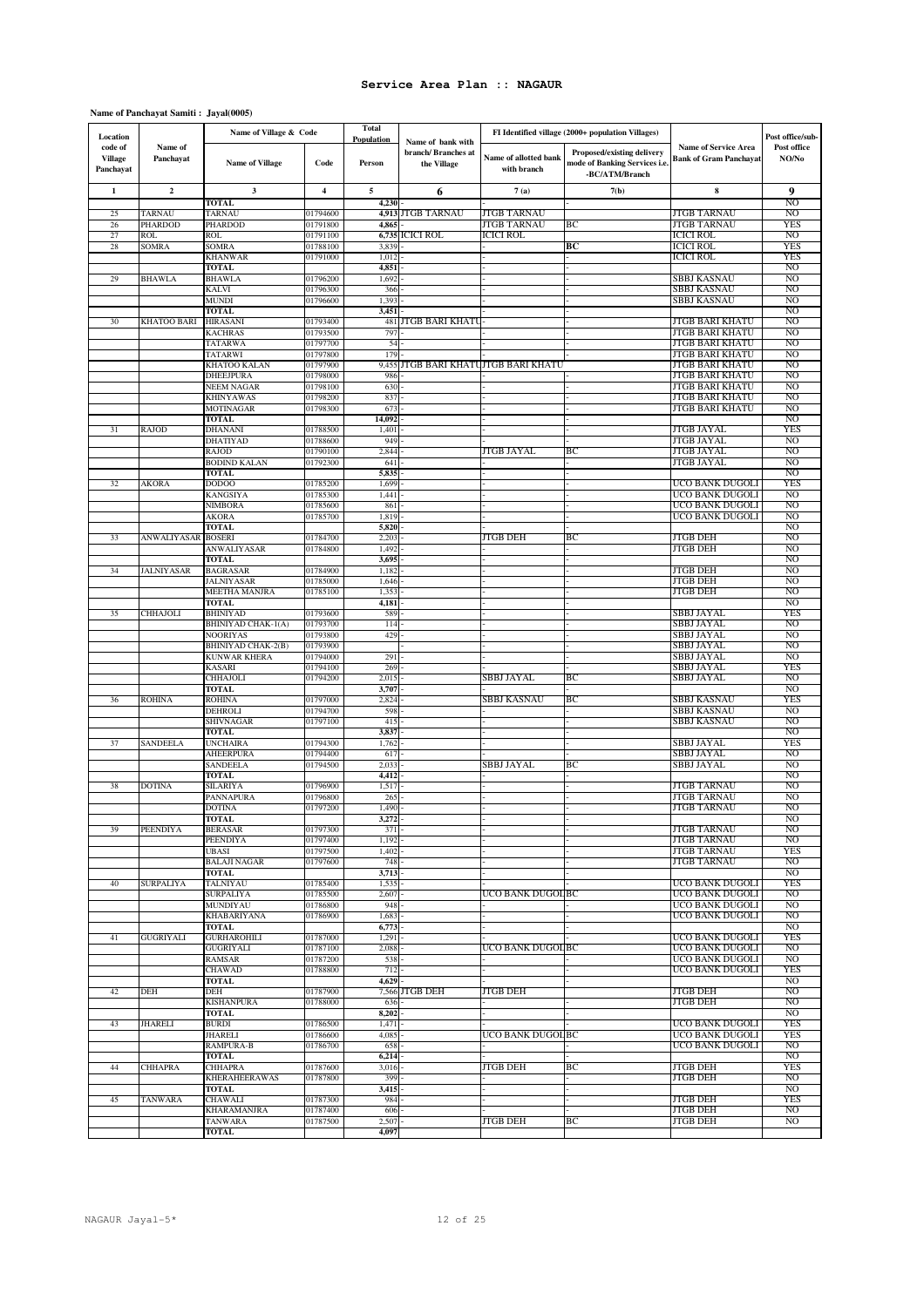### **Name of Panchayat Samiti : Jayal(0005)**

| Location                               |                           | Name of Village & Code                       |                         | <b>Total</b><br><b>Population</b> |                                                        |                                      | FI Identified village (2000+ population Villages)                             |                                                              | Post office/sub-                 |
|----------------------------------------|---------------------------|----------------------------------------------|-------------------------|-----------------------------------|--------------------------------------------------------|--------------------------------------|-------------------------------------------------------------------------------|--------------------------------------------------------------|----------------------------------|
| code of<br><b>Village</b><br>Panchayat | Name of<br>Panchayat      | <b>Name of Village</b>                       | Code                    | Person                            | Name of bank with<br>branch/Branches at<br>the Village | Name of allotted bank<br>with branch | Proposed/existing delivery<br>mode of Banking Services i.e.<br>-BC/ATM/Branch | <b>Name of Service Area</b><br><b>Bank of Gram Panchayat</b> | Post office<br>NO/No             |
| 1                                      | $\mathbf{2}$              | 3                                            | $\overline{\mathbf{4}}$ | 5                                 | 6                                                      | 7(a)                                 | 7(b)                                                                          | 8                                                            | 9                                |
| 25                                     | <b>TARNAU</b>             | TOTAL<br>TARNAU                              | 01794600                | 4,230<br>4,913                    | <b>JTGB TARNAU</b>                                     | <b>JTGB TARNAU</b>                   |                                                                               | <b>JTGB TARNAU</b>                                           | N <sub>O</sub><br>N <sub>O</sub> |
| 26                                     | PHARDOD                   | <b>PHARDOD</b>                               | 01791800                | 4,865                             |                                                        | JTGB TARNAU                          | BС                                                                            | JTGB TARNAU                                                  | YES                              |
| 27                                     | ROL                       | <b>ROL</b>                                   | 01791100                | 6,735                             | <b>ICICI ROL</b>                                       | <b>ICICI ROL</b>                     |                                                                               | <b>ICICI ROL</b>                                             | N <sub>O</sub>                   |
| 28                                     | SOMRA                     | <b>SOMRA</b>                                 | 01788100                | 3,839                             |                                                        |                                      | BС                                                                            | <b>ICICI ROL</b><br><b>ICICI ROL</b>                         | YES<br><b>YES</b>                |
|                                        |                           | <b>KHANWAR</b><br><b>TOTAL</b>               | 01791000                | 1,012<br>4,85                     |                                                        |                                      |                                                                               |                                                              | NO                               |
| 29                                     | BHAWLA                    | <b>BHAWLA</b>                                | 01796200                | 1,692                             |                                                        |                                      |                                                                               | SBBJ KASNAU                                                  | NO                               |
|                                        |                           | <b>KALVI</b>                                 | 01796300                | 366                               |                                                        |                                      |                                                                               | SBBJ KASNAU                                                  | N <sub>O</sub>                   |
|                                        |                           | <b>MUNDI</b><br>TOTAL                        | 01796600                | 1,393<br>3,451                    |                                                        |                                      |                                                                               | SBBJ KASNAU                                                  | N <sub>O</sub><br>NO             |
| 30                                     | <b>KHATOO BARI</b>        | <b>HIRASANI</b>                              | 01793400                | 481                               | <b>JTGB BARI KHATU</b>                                 |                                      |                                                                               | <b>JTGB BARI KHATU</b>                                       | NO                               |
|                                        |                           | <b>KACHRAS</b>                               | 01793500                | 797                               |                                                        |                                      |                                                                               | <b>JTGB BARI KHATU</b>                                       | N <sub>O</sub>                   |
|                                        |                           | TATARWA<br><b>TATARWI</b>                    | 01797700<br>01797800    | 54<br>179                         |                                                        |                                      |                                                                               | JTGB BARI KHATU<br><b>JTGB BARI KHATU</b>                    | NO<br>N <sub>O</sub>             |
|                                        |                           | KHATOO KALAN                                 | 01797900                | 9,455                             |                                                        | JTGB BARI KHATUJTGB BARI KHATU       |                                                                               | <b>JTGB BARI KHATU</b>                                       | N <sub>O</sub>                   |
|                                        |                           | DHEEJPURA                                    | 01798000                | 986                               |                                                        |                                      |                                                                               | JTGB BARI KHATU                                              | N <sub>O</sub>                   |
|                                        |                           | <b>NEEM NAGAR</b>                            | 01798100                | 630                               |                                                        |                                      |                                                                               | <b>JTGB BARI KHATU</b>                                       | N <sub>O</sub>                   |
|                                        |                           | KHINYAWAS<br>MOTINAGAR                       | 01798200<br>01798300    | 837<br>673                        |                                                        |                                      |                                                                               | JTGB BARI KHATU<br><b>JTGB BARI KHATU</b>                    | NO<br>N <sub>O</sub>             |
|                                        |                           | <b>TOTAL</b>                                 |                         | 14,092                            |                                                        |                                      |                                                                               |                                                              | NO                               |
| 31                                     | RAJOD                     | <b>DHANANI</b>                               | 01788500                | 1,401                             |                                                        |                                      |                                                                               | <b>JTGB JAYAL</b>                                            | <b>YES</b>                       |
|                                        |                           | <b>DHATIYAD</b><br><b>RAJOD</b>              | 01788600<br>01790100    | 949<br>2,844                      |                                                        | <b>JTGB JAYAL</b>                    | BС                                                                            | JTGB JAYAL<br><b>JTGB JAYAL</b>                              | NO<br>N <sub>O</sub>             |
|                                        |                           | <b>BODIND KALAN</b>                          | 01792300                | 641                               |                                                        |                                      |                                                                               | <b>JTGB JAYAL</b>                                            | N <sub>O</sub>                   |
|                                        |                           | <b>TOTAL</b>                                 |                         | 5,835                             |                                                        |                                      |                                                                               |                                                              | NO                               |
| 32                                     | AKORA                     | DODOO                                        | 01785200                | 1,699                             |                                                        |                                      |                                                                               | UCO BANK DUGOLI                                              | <b>YES</b>                       |
|                                        |                           | <b>KANGSIYA</b><br><b>NIMBORA</b>            | 01785300<br>01785600    | 1,441<br>861                      |                                                        |                                      |                                                                               | UCO BANK DUGOLI<br>UCO BANK DUGOLI                           | NO<br>N <sub>O</sub>             |
|                                        |                           | <b>AKORA</b>                                 | 01785700                | 1,819                             |                                                        |                                      |                                                                               | UCO BANK DUGOLI                                              | NO                               |
|                                        |                           | <b>TOTAL</b>                                 |                         | 5,820                             |                                                        |                                      |                                                                               |                                                              | N <sub>O</sub>                   |
| 33                                     | <b>ANWALIYASAR BOSERI</b> | ANWALIYASAR                                  | 01784700<br>01784800    | 2,203<br>1,492                    |                                                        | JTGB DEH                             | BС                                                                            | <b>JTGB DEH</b><br><b>JTGB DEH</b>                           | N <sub>O</sub><br>NO             |
|                                        |                           | <b>TOTAL</b>                                 |                         | 3,695                             |                                                        |                                      |                                                                               |                                                              | N <sub>O</sub>                   |
| 34                                     | <b>ALNIYASAR</b>          | <b>BAGRASAR</b>                              | 01784900                | 1,182                             |                                                        |                                      |                                                                               | <b>JTGB DEH</b>                                              | NO                               |
|                                        |                           | <b>JALNIYASAR</b>                            | 01785000                | 1,646                             |                                                        |                                      |                                                                               | <b>JTGB DEH</b>                                              | NO<br>NO                         |
|                                        |                           | <b>MEETHA MANJRA</b><br><b>TOTAL</b>         | 01785100                | 1,35<br>4,181                     |                                                        |                                      |                                                                               | <b>JTGB DEH</b>                                              | N <sub>O</sub>                   |
| 35                                     | CHHAJOLI                  | <b>BHINIYAD</b>                              | 01793600                | 589                               |                                                        |                                      |                                                                               | SBBJ JAYAL                                                   | YES                              |
|                                        |                           | <b>BHINIYAD CHAK-1(A)</b>                    | 01793700                | 114                               |                                                        |                                      |                                                                               | <b>SBBJ JAYAL</b>                                            | N <sub>O</sub>                   |
|                                        |                           | <b>NOORIYAS</b><br><b>BHINIYAD CHAK-2(B)</b> | 01793800<br>01793900    | 429                               |                                                        |                                      |                                                                               | SBBJ JAYAL<br>SBBJ JAYAL                                     | N <sub>O</sub><br>NO             |
|                                        |                           | <b>KUNWAR KHERA</b>                          | 01794000                | 291                               |                                                        |                                      |                                                                               | <b>SBBJ JAYAL</b>                                            | N <sub>O</sub>                   |
|                                        |                           | <b>KASARI</b>                                | 01794100                | 269                               |                                                        |                                      |                                                                               | SBBJ JAYAL                                                   | YES                              |
|                                        |                           | CHHAJOLI                                     | 01794200                | 2,01:                             |                                                        | <b>SBBJ JAYAL</b>                    | BС                                                                            | SBBJ JAYAL                                                   | N <sub>O</sub><br>NO             |
| 36                                     | ROHINA                    | <b>TOTAL</b><br><b>ROHINA</b>                | 01797000                | 3,707<br>2,824                    |                                                        | SBBJ KASNAU                          | BС                                                                            | SBBJ KASNAU                                                  | <b>YES</b>                       |
|                                        |                           | <b>DEHROLI</b>                               | 01794700                | 598                               |                                                        |                                      |                                                                               | SBBJ KASNAU                                                  | N <sub>O</sub>                   |
|                                        |                           | <b>SHIVNAGAR</b>                             | 01797100                | 415                               |                                                        |                                      |                                                                               | SBBJ KASNAU                                                  | NO                               |
| 37                                     | SANDEELA                  | TOTAL<br><b>UNCHAIRA</b>                     | 01794300                | 3,837<br>1,762                    |                                                        |                                      |                                                                               | SBBJ JAYAL                                                   | NO<br>YES                        |
|                                        |                           | AHEERPURA                                    | 01794400                | 61                                |                                                        |                                      |                                                                               | SBBJ JAYAL                                                   | N <sub>O</sub>                   |
|                                        |                           | SANDEELA                                     | 01794500                | 2,03                              |                                                        | SBBJ JAYAL                           | BС                                                                            | SBBJ JAYAL                                                   | NO                               |
|                                        |                           | <b>TOTAL</b>                                 |                         | 4,412                             |                                                        |                                      |                                                                               |                                                              | N <sub>O</sub><br>N <sub>O</sub> |
| 38                                     | <b>DOTINA</b>             | SILARIYA<br>PANNAPURA                        | 01796900<br>01796800    | $1.51^{\circ}$<br>26:             |                                                        |                                      |                                                                               | <b>JTGB TARNAU</b><br><b>JTGB TARNAU</b>                     | N <sub>O</sub>                   |
|                                        |                           | <b>DOTINA</b>                                | 01797200                | 1,490                             |                                                        |                                      |                                                                               | <b>JTGB TARNAU</b>                                           | N <sub>O</sub>                   |
|                                        |                           | TOTAL                                        |                         | 3,272                             |                                                        |                                      |                                                                               |                                                              | NO                               |
| 39                                     | <b>PEENDIYA</b>           | <b>BERASAR</b><br><b>PEENDIYA</b>            | 01797300<br>01797400    | 371<br>1,192                      |                                                        |                                      |                                                                               | <b>JTGB TARNAU</b><br>JTGB TARNAU                            | N <sub>O</sub><br>NO             |
|                                        |                           | <b>UBASI</b>                                 | 01797500                | 1,402                             |                                                        |                                      |                                                                               | <b>JTGB TARNAU</b>                                           | <b>YES</b>                       |
|                                        |                           | <b>BALAJI NAGAR</b>                          | 01797600                | 748                               |                                                        |                                      |                                                                               | <b>JTGB TARNAU</b>                                           | N <sub>O</sub>                   |
| 40                                     |                           | <b>TOTAL</b><br><b>TALNIYAU</b>              | 01785400                | 3,713<br>1,535                    |                                                        |                                      |                                                                               | UCO BANK DUGOLI                                              | N <sub>O</sub><br><b>YES</b>     |
|                                        | <b>SURPALIYA</b>          | <b>SURPALIYA</b>                             | 01785500                | 2,607                             |                                                        | UCO BANK DUGOL BC                    |                                                                               | UCO BANK DUGOLI                                              | NO                               |
|                                        |                           | MUNDIYAU                                     | 01786800                | 948                               |                                                        |                                      |                                                                               | UCO BANK DUGOLI                                              | N <sub>O</sub>                   |
|                                        |                           | KHABARIYANA                                  | 01786900                | 1,683                             |                                                        |                                      |                                                                               | UCO BANK DUGOLI                                              | NO                               |
| 41                                     | GUGRIYALI                 | <b>TOTAL</b><br><b>GURHAROHILI</b>           | 01787000                | 6,773<br>1,291                    |                                                        |                                      |                                                                               | UCO BANK DUGOLI                                              | NO<br>YES                        |
|                                        |                           | <b>GUGRIYALI</b>                             | 01787100                | 2,088                             |                                                        | UCO BANK DUGOL BC                    |                                                                               | UCO BANK DUGOLI                                              | N <sub>O</sub>                   |
|                                        |                           | <b>RAMSAR</b>                                | 01787200                | 538                               |                                                        |                                      |                                                                               | UCO BANK DUGOLI                                              | NO                               |
|                                        |                           | <b>CHAWAD</b>                                | 01788800                | 712<br>4,629                      |                                                        |                                      |                                                                               | UCO BANK DUGOLI                                              | YES<br>N <sub>O</sub>            |
| 42                                     | DEH                       | TOTAL<br><b>DEH</b>                          | 01787900                |                                   | 7,566 JTGB DEH                                         | JTGB DEH                             |                                                                               | JTGB DEH                                                     | NO                               |
|                                        |                           | <b>KISHANPURA</b>                            | 01788000                | 636                               |                                                        |                                      |                                                                               | <b>JTGB DEH</b>                                              | N <sub>O</sub>                   |
|                                        |                           | <b>TOTAL</b>                                 |                         | 8,202                             |                                                        |                                      |                                                                               |                                                              | NO                               |
| 43                                     | <b>JHARELI</b>            | <b>BURDI</b><br><b>JHARELI</b>               | 01786500<br>01786600    | 1,471<br>4,08:                    |                                                        | UCO BANK DUGOL BC                    |                                                                               | UCO BANK DUGOLI<br>UCO BANK DUGOLI                           | <b>YES</b><br><b>YES</b>         |
|                                        |                           | RAMPURA-B                                    | 01786700                | 658                               |                                                        |                                      |                                                                               | UCO BANK DUGOLI                                              | N <sub>O</sub>                   |
|                                        |                           | <b>TOTAL</b>                                 |                         | 6,214                             |                                                        |                                      |                                                                               |                                                              | N <sub>O</sub>                   |
| 44                                     | <b>CHHAPRA</b>            | <b>CHHAPRA</b><br><b>KHERAHEERAWAS</b>       | 01787600<br>01787800    | 3,016<br>399                      |                                                        | JTGB DEH                             | BС                                                                            | <b>JTGB DEH</b><br><b>JTGB DEH</b>                           | YES<br>N <sub>O</sub>            |
|                                        |                           | <b>TOTAL</b>                                 |                         | 3,415                             |                                                        |                                      |                                                                               |                                                              | NO                               |
| 45                                     | <b>TANWARA</b>            | <b>CHAWALI</b>                               | 01787300                | 984                               |                                                        |                                      |                                                                               | <b>JTGB DEH</b>                                              | <b>YES</b>                       |
|                                        |                           | KHARAMANJRA                                  | 01787400                | 606                               |                                                        |                                      |                                                                               | <b>JTGB DEH</b>                                              | N <sub>O</sub>                   |
|                                        |                           | <b>TANWARA</b><br><b>TOTAL</b>               | 01787500                | 2,507<br>4,097                    |                                                        | JTGB DEH                             | BС                                                                            | <b>JTGB DEH</b>                                              | NO                               |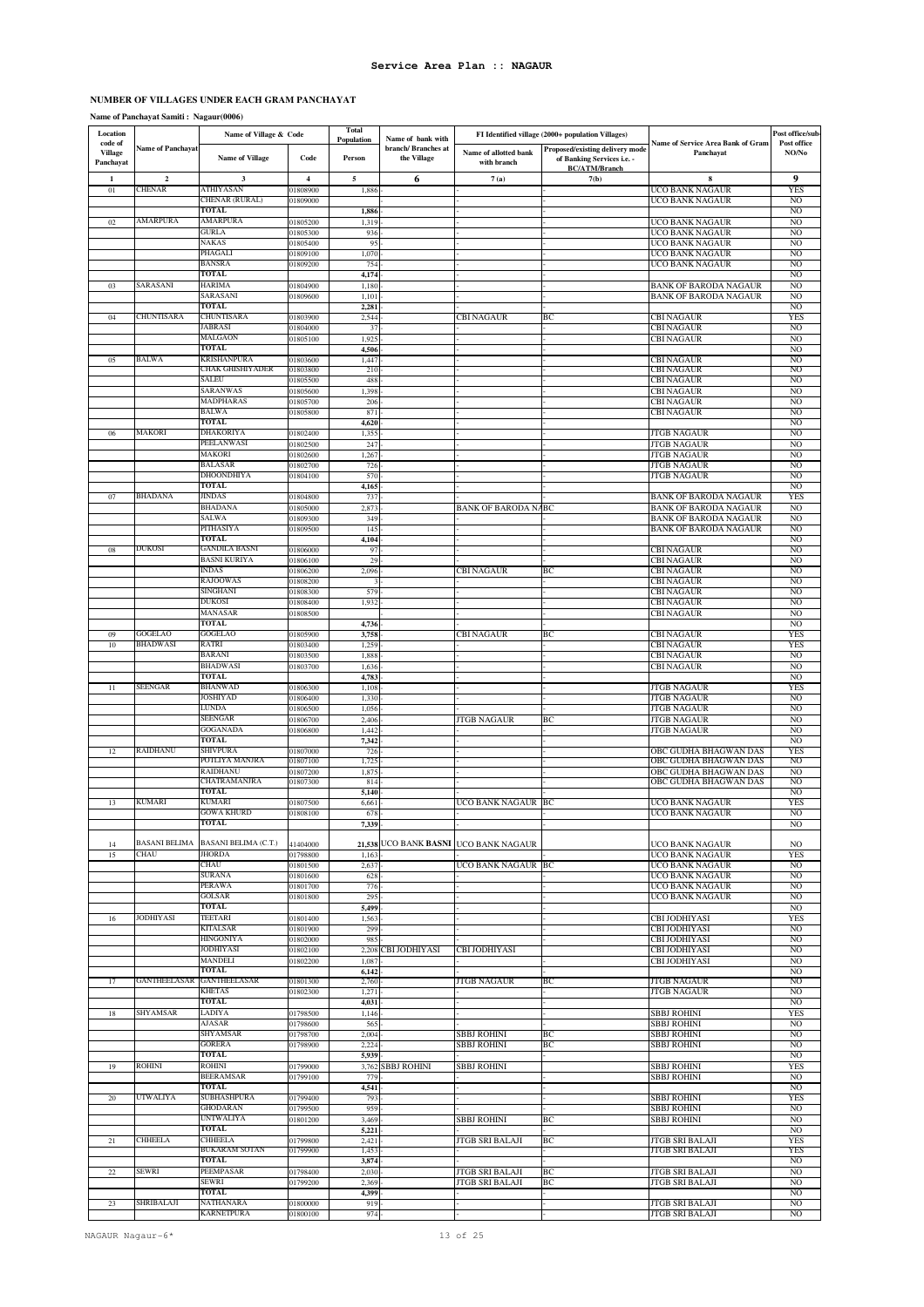### **NUMBER OF VILLAGES UNDER EACH GRAM PANCHAYAT**

### **Name of Panchayat Samiti : Nagaur(0006)**

| Location                               |                          | Name of Village & Code         |                         | <b>Total</b><br>Population | Name of bank with                  |                                       | FI Identified village (2000+ population Villages)                                     |                                                              | Post office/sub                  |
|----------------------------------------|--------------------------|--------------------------------|-------------------------|----------------------------|------------------------------------|---------------------------------------|---------------------------------------------------------------------------------------|--------------------------------------------------------------|----------------------------------|
| code of<br><b>Village</b><br>Panchayat | <b>Name of Panchayat</b> | <b>Name of Village</b>         | Code                    | Person                     | branch/ Branches at<br>the Village | Name of allotted bank<br>with branch  | Proposed/existing delivery mode<br>of Banking Services i.e. -<br><b>BC/ATM/Branch</b> | Name of Service Area Bank of Gram<br>Panchayat               | Post office<br>NO/No             |
| 1                                      | $\mathbf 2$              | 3                              | $\overline{\mathbf{4}}$ | 5                          | 6                                  | 7(a)                                  | 7(b)                                                                                  | 8                                                            | 9                                |
| 01                                     | CHENAR                   | ATHIYASAN<br>CHENAR (RURAL)    | 01808900<br>01809000    | 1,886                      |                                    |                                       |                                                                                       | UCO BANK NAGAUR<br>UCO BANK NAGAUR                           | YES<br>NO                        |
|                                        |                          | TOTAL                          |                         | 1,886                      |                                    |                                       |                                                                                       |                                                              | N <sub>O</sub>                   |
| 02                                     | AMARPURA                 | AMARPURA                       | 01805200                | 1,319                      |                                    |                                       |                                                                                       | UCO BANK NAGAUR                                              | NO                               |
|                                        |                          | GURLA<br>NAKAS                 | 01805300<br>01805400    | 936<br>95                  |                                    |                                       |                                                                                       | UCO BANK NAGAUR<br><b>UCO BANK NAGAUR</b>                    | N <sub>O</sub><br>NO             |
|                                        |                          | PHAGALI                        | 01809100                | 1,070                      |                                    |                                       |                                                                                       | <b>UCO BANK NAGAUR</b>                                       | N <sub>O</sub>                   |
|                                        |                          | BANSRA                         | 01809200                | 754                        |                                    |                                       |                                                                                       | UCO BANK NAGAUR                                              | N <sub>O</sub>                   |
| 03                                     | SARASANI                 | <b>TOTAL</b><br><b>HARIMA</b>  | 01804900                | 4,174<br>1,180             |                                    |                                       |                                                                                       | <b>BANK OF BARODA NAGAUR</b>                                 | NO<br>NO                         |
|                                        |                          | SARASANI                       | 01809600                | 1,101                      |                                    |                                       |                                                                                       | <b>BANK OF BARODA NAGAUR</b>                                 | NO                               |
|                                        | CHUNTISARA               | TOTAL<br>CHUNTISARA            |                         | 2,281                      |                                    |                                       |                                                                                       |                                                              | N <sub>O</sub>                   |
| 04                                     |                          | <b>JABRASI</b>                 | 01803900<br>01804000    | 2,544<br>37                |                                    | <b>CBI NAGAUR</b>                     | BC                                                                                    | <b>CBI NAGAUR</b><br><b>CBI NAGAUR</b>                       | <b>YES</b><br>NO                 |
|                                        |                          | MALGAON                        | 01805100                | 1,92                       |                                    |                                       |                                                                                       | <b>CBI NAGAUR</b>                                            | N <sub>O</sub>                   |
|                                        | BALWA                    | TOTAL<br>KRISHANPURA           |                         | 4,506                      |                                    |                                       |                                                                                       |                                                              | N <sub>O</sub>                   |
| 05                                     |                          | CHAK GHISHIYADER               | 01803600<br>01803800    | 1,447<br>210               |                                    |                                       |                                                                                       | CBI NAGAUR<br><b>CBI NAGAUR</b>                              | NO<br>NO                         |
|                                        |                          | SALEU                          | 01805500                | 488                        |                                    |                                       |                                                                                       | CBI NAGAUR                                                   | N <sub>O</sub>                   |
|                                        |                          | SARANWAS<br>MADPHARAS          | 01805600<br>01805700    | 1,398<br>206               |                                    |                                       |                                                                                       | <b>CBI NAGAUR</b><br><b>CBI NAGAUR</b>                       | N <sub>O</sub><br>N <sub>O</sub> |
|                                        |                          | <b>BALWA</b>                   | 01805800                | 871                        |                                    |                                       |                                                                                       | <b>CBI NAGAUR</b>                                            | NO                               |
|                                        |                          | TOTAL                          |                         | 4,620                      |                                    |                                       |                                                                                       |                                                              | N <sub>O</sub>                   |
| 06                                     | <b>MAKORI</b>            | DHAKORIYA<br>PEELANWASI        | 01802400<br>01802500    | 1,35:<br>247               |                                    |                                       |                                                                                       | <b>JTGB NAGAUR</b><br><b>JTGB NAGAUR</b>                     | NO<br>NO                         |
|                                        |                          | MAKORI                         | 01802600                | 1,26                       |                                    |                                       |                                                                                       | <b>JTGB NAGAUR</b>                                           | NO                               |
|                                        |                          | BALASAR                        | 01802700                | 726                        |                                    |                                       |                                                                                       | <b>JTGB NAGAUR</b>                                           | N <sub>O</sub>                   |
|                                        |                          | <b>DHOONDHIYA</b><br>TOTAL     | 01804100                | 570<br>4,165               |                                    |                                       |                                                                                       | <b>JTGB NAGAUR</b>                                           | N <sub>O</sub><br>NO             |
| 07                                     | <b>BHADANA</b>           | JINDAS                         | 01804800                | 73'                        |                                    |                                       |                                                                                       | <b>BANK OF BARODA NAGAUR</b>                                 | <b>YES</b>                       |
|                                        |                          | <b>BHADANA</b>                 | 01805000                | 2,873                      |                                    | <b>BANK OF BARODA NABC</b>            |                                                                                       | <b>BANK OF BARODA NAGAUR</b>                                 | NO                               |
|                                        |                          | SALWA<br>PITHASIYA             | 01809300<br>01809500    | 349<br>145                 |                                    |                                       |                                                                                       | <b>BANK OF BARODA NAGAUR</b><br><b>BANK OF BARODA NAGAUR</b> | NO<br>NO                         |
|                                        |                          | <b>TOTAL</b>                   |                         | 4,104                      |                                    |                                       |                                                                                       |                                                              | N <sub>O</sub>                   |
| 08                                     | DUKOSI                   | GANDILA BASNI<br>BASNI KURIYA  | 01806000<br>01806100    | 97<br>29                   |                                    |                                       |                                                                                       | <b>CBI NAGAUR</b><br><b>CBI NAGAUR</b>                       | NO<br>NO                         |
|                                        |                          | INDAS                          | 01806200                | 2,096                      |                                    | <b>CBI NAGAUR</b>                     | BC                                                                                    | <b>CBI NAGAUR</b>                                            | NO                               |
|                                        |                          | <b>RAJOOWAS</b>                | 01808200                |                            |                                    |                                       |                                                                                       | <b>CBI NAGAUR</b>                                            | NO <sub>1</sub>                  |
|                                        |                          | SINGHANI<br><b>DUKOSI</b>      | 01808300<br>01808400    | 579<br>1,932               |                                    |                                       |                                                                                       | <b>CBI NAGAUR</b><br><b>CBI NAGAUR</b>                       | NO<br>NO                         |
|                                        |                          | MANASAR                        | 01808500                |                            |                                    |                                       |                                                                                       | <b>CBI NAGAUR</b>                                            | NO                               |
|                                        | <b>GOGELAO</b>           | TOTAL                          |                         | 4,736                      |                                    |                                       |                                                                                       |                                                              | N <sub>O</sub>                   |
| 09<br>10                               | <b>BHADWASI</b>          | <b>GOGELAO</b><br>RATRI        | 01805900<br>01803400    | 3,758<br>1,259             |                                    | <b>CBI NAGAUR</b>                     | BC                                                                                    | <b>CBI NAGAUR</b><br><b>CBI NAGAUR</b>                       | <b>YES</b><br><b>YES</b>         |
|                                        |                          | BARANI                         | 01803500                | 1,888                      |                                    |                                       |                                                                                       | <b>CBI NAGAUR</b>                                            | NO                               |
|                                        |                          | <b>BHADWASI</b><br>TOTAL       | 01803700                | 1,636                      |                                    |                                       |                                                                                       | <b>CBI NAGAUR</b>                                            | NO<br>N <sub>O</sub>             |
| $11\,$                                 | SEENGAR                  | <b>BHANWAD</b>                 | 01806300                | 4,783<br>1,108             |                                    |                                       |                                                                                       | <b>JTGB NAGAUR</b>                                           | <b>YES</b>                       |
|                                        |                          | JOSHIYAD                       | 01806400                | 1,330                      |                                    |                                       |                                                                                       | <b>JTGB NAGAUR</b>                                           | N <sub>O</sub>                   |
|                                        |                          | LUNDA<br><b>SEENGAR</b>        | 01806500<br>01806700    | 1,056<br>2,400             |                                    | <b>JTGB NAGAUR</b>                    | BС                                                                                    | <b>JTGB NAGAUR</b><br><b>JTGB NAGAUR</b>                     | N <sub>O</sub><br>NO             |
|                                        |                          | GOGANADA                       | 01806800                | 1,442                      |                                    |                                       |                                                                                       | <b>JTGB NAGAUR</b>                                           | N <sub>O</sub>                   |
|                                        |                          | TOTAL                          |                         | 7,342                      |                                    |                                       |                                                                                       |                                                              | NO                               |
| 12                                     | RAIDHANU                 | SHIVPURA<br>POTLIYA MANJRA     | 01807000<br>01807100    | 726<br>1,72:               |                                    |                                       |                                                                                       | OBC GUDHA BHAGWAN DAS<br>OBC GUDHA BHAGWAN DAS               | <b>YES</b><br>NO                 |
|                                        |                          | RAIDHANU                       | 01807200                | 1,875                      |                                    |                                       |                                                                                       | OBC GUDHA BHAGWAN DAS                                        | N <sub>O</sub>                   |
|                                        |                          | CHATRAMANJRA<br><b>TOTAL</b>   | 01807300                | 814<br>5,140               |                                    |                                       |                                                                                       | OBC GUDHA BHAGWAN DAS                                        | NO<br>N <sub>O</sub>             |
| 13                                     | KUMARI                   | KUMARI                         | 01807500                | 6,661                      |                                    | <b>UCO BANK NAGAUR BC</b>             |                                                                                       | UCO BANK NAGAUR                                              | <b>YES</b>                       |
|                                        |                          | GOWA KHURD                     | 01808100                | 678                        |                                    |                                       |                                                                                       | UCO BANK NAGAUR                                              | NO                               |
|                                        |                          | TOTAL                          |                         | 7,339                      |                                    |                                       |                                                                                       |                                                              | NO                               |
| 14                                     | <b>BASANI BELIMA</b>     | <b>BASANI BELIMA (C.T.)</b>    | 41404000                |                            |                                    | 21,538 UCO BANK BASNI UCO BANK NAGAUR |                                                                                       | UCO BANK NAGAUR                                              | NO.                              |
| 15                                     | CHAU                     | <b>JHORDA</b><br>CHAU          | 01798800                | 1,163                      |                                    |                                       |                                                                                       | UCO BANK NAGAUR                                              | <b>YES</b>                       |
|                                        |                          | SURANA                         | 01801500<br>01801600    | 2,637<br>628               |                                    | UCO BANK NAGAUR BC                    |                                                                                       | UCO BANK NAGAUR<br><b>UCO BANK NAGAUR</b>                    | NO<br>N <sub>O</sub>             |
|                                        |                          | PERAWA                         | 01801700                | 776                        |                                    |                                       |                                                                                       | UCO BANK NAGAUR                                              | N <sub>O</sub>                   |
|                                        |                          | GOLSAR<br>TOTAL                | 01801800                | 295<br>5,499               |                                    |                                       |                                                                                       | <b>UCO BANK NAGAUR</b>                                       | N <sub>O</sub><br>NO.            |
| 16                                     | JODHIYASI                | <b>TEETARI</b>                 | 01801400                | 1,563                      |                                    |                                       |                                                                                       | CBI JODHIYASI                                                | <b>YES</b>                       |
|                                        |                          | <b>KITALSAR</b>                | 01801900                | 299                        |                                    |                                       |                                                                                       | <b>CBI JODHIYASI</b>                                         | NO                               |
|                                        |                          | HINGONIYA<br>JODHIYASI         | 01802000<br>01802100    | 985                        | 2,208 CBI JODHIYASI                | <b>CBI JODHIYASI</b>                  |                                                                                       | CBI JODHIYASI<br><b>CBI JODHIYASI</b>                        | NO<br>NO.                        |
|                                        |                          | MANDELI                        | 01802200                | 1,087                      |                                    |                                       |                                                                                       | <b>CBI JODHIYASI</b>                                         | N <sub>O</sub>                   |
|                                        |                          | <b>TOTAL</b>                   |                         | 6,142                      |                                    |                                       |                                                                                       |                                                              | NO                               |
| 17                                     | GANTHEELASAR             | <b>GANTHEELASAR</b><br>KHETAS  | 01801300<br>01802300    | 2,760<br>1,271             |                                    | JTGB NAGAUR                           | BС                                                                                    | JTGB NAGAUR<br><b>JTGB NAGAUR</b>                            | NO<br>NO <sub>1</sub>            |
|                                        |                          | TOTAL                          |                         | 4,031                      |                                    |                                       |                                                                                       |                                                              | NO                               |
| 18                                     | SHYAMSAR                 | LADIYA<br>AJASAR               | 01798500                | 1,146                      |                                    |                                       |                                                                                       | <b>SBBJ ROHINI</b><br><b>SBBJ ROHINI</b>                     | <b>YES</b><br>NO                 |
|                                        |                          | SHYAMSAR                       | 01798600<br>01798700    | 565<br>2,004               |                                    | <b>SBBJ ROHINI</b>                    | BC                                                                                    | <b>SBBJ ROHINI</b>                                           | NO                               |
|                                        |                          | <b>GORERA</b>                  | 01798900                | 2,224                      |                                    | SBBJ ROHINI                           | BC                                                                                    | <b>SBBJ ROHINI</b>                                           | NO                               |
| 19                                     | ROHINI                   | <b>TOTAL</b><br><b>ROHINI</b>  | 01799000                | 5,939                      | 3,762 SBBJ ROHINI                  | SBBJ ROHINI                           |                                                                                       | SBBJ ROHINI                                                  | NO.<br><b>YES</b>                |
|                                        |                          | <b>BEERAMSAR</b>               | 01799100                | 779                        |                                    |                                       |                                                                                       | <b>SBBJ ROHINI</b>                                           | NO                               |
|                                        |                          | <b>TOTAL</b>                   |                         | 4,541                      |                                    |                                       |                                                                                       |                                                              | NO                               |
| 20                                     | UTWALIYA                 | SUBHASHPURA<br><b>GHODARAN</b> | 01799400<br>01799500    | 793<br>959                 |                                    |                                       |                                                                                       | <b>SBBJ ROHINI</b><br><b>SBBJ ROHINI</b>                     | <b>YES</b><br>N <sub>O</sub>     |
|                                        |                          | <b>UNTWALIYA</b>               | 01801200                | 3,469                      |                                    | SBBJ ROHINI                           | BC                                                                                    | <b>SBBJ ROHINI</b>                                           | N <sub>O</sub>                   |
|                                        | <b>CHHEELA</b>           | <b>TOTAL</b><br><b>CHHEELA</b> |                         | 5,221                      |                                    |                                       |                                                                                       |                                                              | NO                               |
| 21                                     |                          | BUKARAM SOTAN                  | 01799800<br>01799900    | 2,421<br>1,453             |                                    | JTGB SRI BALAJI                       | BC                                                                                    | <b>JTGB SRI BALAJI</b><br>JTGB SRI BALAJI                    | <b>YES</b><br>YES                |
|                                        |                          | TOTAL                          |                         | 3,874                      |                                    |                                       |                                                                                       |                                                              | NO                               |
| $22\,$                                 | SEWRI                    | PEEMPASAR<br>SEWRI             | 01798400<br>01799200    | 2,030<br>2,369             |                                    | JTGB SRI BALAJI<br>JTGB SRI BALAJI    | BC<br>BC                                                                              | <b>JTGB SRI BALAJI</b><br>JTGB SRI BALAJI                    | NO<br>NO.                        |
|                                        |                          | <b>TOTAL</b>                   |                         | 4,399                      |                                    |                                       |                                                                                       |                                                              | NO                               |
| 23                                     | SHRIBALAJI               | NATHANARA                      | 01800000                | 919                        |                                    |                                       |                                                                                       | <b>JTGB SRI BALAJI</b>                                       | NO                               |
|                                        |                          | KARNETPURA                     | 01800100                | 974                        |                                    |                                       |                                                                                       | <b>JTGB SRI BALAJI</b>                                       | <sub>NO</sub>                    |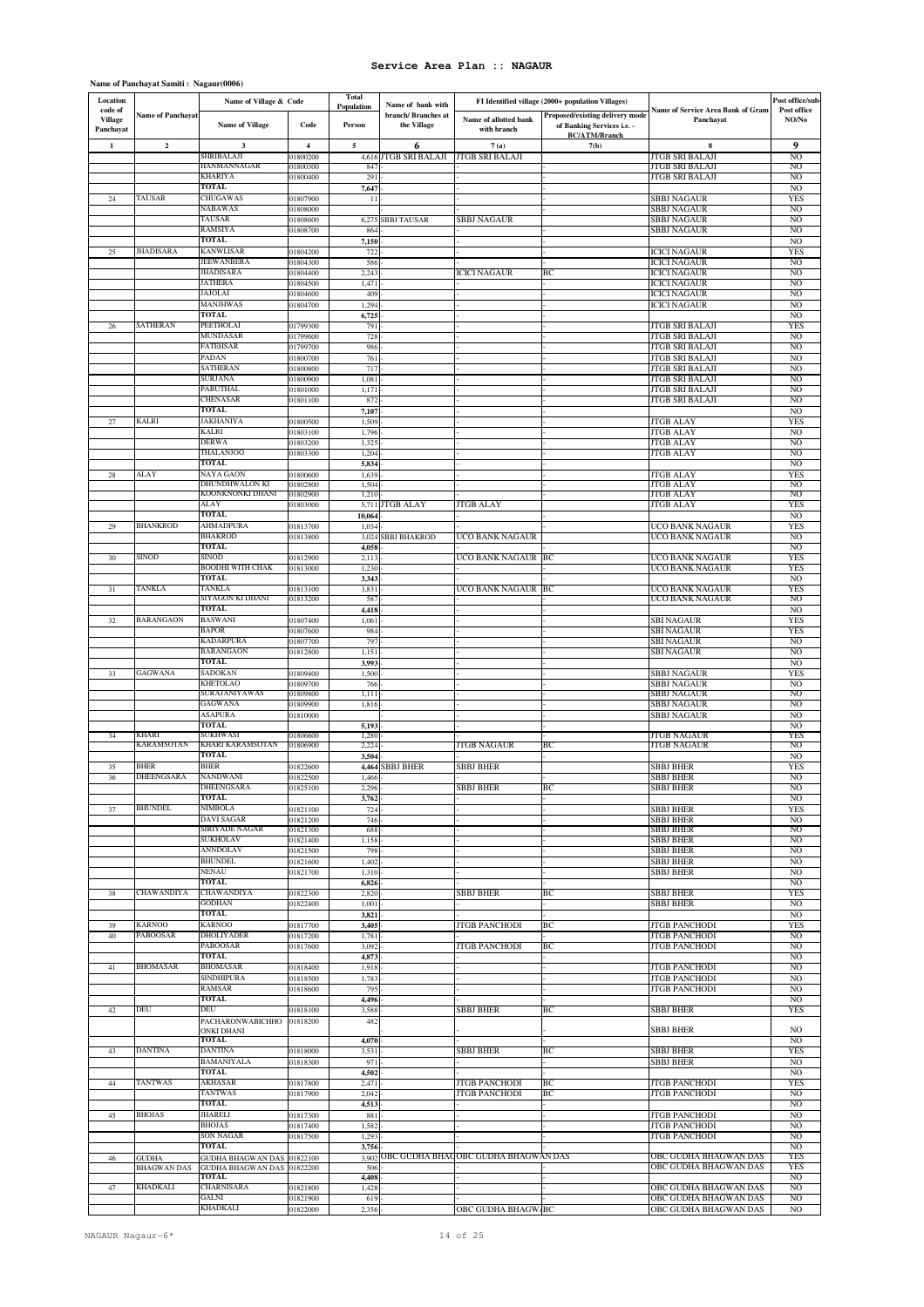| Name of Panchayat Samiti : Nagaur(0006) |  |
|-----------------------------------------|--|
|-----------------------------------------|--|

| Location                               |                           | Name of Village & Code               |                         | Total<br>Population | Name of bank with                  |                                           | FI Identified village (2000+ population Villages)                                            |                                                       | Post office/sub-                  |
|----------------------------------------|---------------------------|--------------------------------------|-------------------------|---------------------|------------------------------------|-------------------------------------------|----------------------------------------------------------------------------------------------|-------------------------------------------------------|-----------------------------------|
| code of<br><b>Village</b><br>Panchayat | <b>Name of Panchayat</b>  | Name of Village                      | Code                    | Person              | branch/ Branches at<br>the Village | Name of allotted bank<br>with branch      | <b>Proposed/existing delivery mode</b><br>of Banking Services i.e. -<br><b>BC/ATM/Branch</b> | <b>Name of Service Area Bank of Gram</b><br>Panchayat | Post office<br>NO/No              |
| $\mathbf 1$                            | $\overline{\mathbf{c}}$   | 3<br>SHRIBALAJI                      | $\overline{\mathbf{4}}$ | 5                   | 6                                  | 7(a)                                      | 7(b)                                                                                         | 8                                                     | 9                                 |
|                                        |                           | HANMANNAGAR                          | 01800200<br>01800300    | 847                 | 4,616 JTGB SRI BALAJI              | <b>JTGB SRI BALAJI</b>                    |                                                                                              | <b>JTGB SRI BALAJI</b><br>JTGB SRI BALAJI             | N <sub>O</sub><br>N <sub>O</sub>  |
|                                        |                           | <b>KHARIYA</b><br><b>TOTAL</b>       | 01800400                | 291<br>7,647        |                                    |                                           |                                                                                              | JTGB SRI BALAJI                                       | N <sub>O</sub><br>NO              |
| 24                                     | TAUSAR                    | CHUGAWAS                             | 01807900                | 11                  |                                    |                                           |                                                                                              | SBBJ NAGAUR                                           | <b>YES</b>                        |
|                                        |                           | NABAWAS<br><b>TAUSAR</b>             | 01808000<br>01808600    | 6,27                | SBBJ TAUSAR                        | SBBJ NAGAUR                               |                                                                                              | SBBJ NAGAUR<br><b>SBBJ NAGAUR</b>                     | NO.<br>N <sub>O</sub>             |
|                                        |                           | RAMSIYA                              | 01808700                | 86                  |                                    |                                           |                                                                                              | SBBJ NAGAUR                                           | N <sub>O</sub>                    |
| $25\,$                                 | <b>JHADISARA</b>          | <b>TOTAL</b><br><b>KANWLISAR</b>     | 01804200                | 7,15<br>722         |                                    |                                           |                                                                                              | <b>ICICI NAGAUR</b>                                   | N <sub>O</sub><br><b>YES</b>      |
|                                        |                           | JEEWANBERA                           | 01804300                | 586                 |                                    |                                           |                                                                                              | <b>ICICI NAGAUR</b>                                   | NO.                               |
|                                        |                           | JHADISARA<br><b>JATHERA</b>          | 01804400<br>01804500    | 2,24<br>1,47        |                                    | <b>ICICI NAGAUR</b>                       | ВC                                                                                           | <b>ICICI NAGAUR</b><br><b>ICICI NAGAUR</b>            | NO <sub>1</sub><br>N <sub>O</sub> |
|                                        |                           | JAJOLAI                              | 01804600                | 409                 |                                    |                                           |                                                                                              | <b>ICICI NAGAUR</b>                                   | N <sub>O</sub>                    |
|                                        |                           | MANJHWAS<br>TOTAL                    | 01804700                | 1,294<br>6,72       |                                    |                                           |                                                                                              | <b>ICICI NAGAUR</b>                                   | NO<br>N <sub>O</sub>              |
| 26                                     | SATHERAN                  | PEETHOLAI                            | 01799300                | 791                 |                                    |                                           |                                                                                              | ITGB SRI BALAJI                                       | <b>YES</b>                        |
|                                        |                           | MUNDASAR<br>FATEHSAR                 | 01799600<br>01799700    | 728<br>986          |                                    |                                           |                                                                                              | <b>JTGB SRI BALAJI</b><br>JTGB SRI BALAJI             | NO<br>NO                          |
|                                        |                           | PADAN<br>SATHERAN                    | 01800700                | 761                 |                                    |                                           |                                                                                              | <b>JTGB SRI BALAJI</b>                                | N <sub>O</sub>                    |
|                                        |                           | SURJANA                              | 01800800<br>01800900    | 717<br>1,081        |                                    |                                           |                                                                                              | JTGB SRI BALAJI<br>JTGB SRI BALAJI                    | NO<br>NO                          |
|                                        |                           | PABUTHAL<br>CHENASAR                 | 01801000                | 1,171               |                                    |                                           |                                                                                              | JTGB SRI BALAJI                                       | NO                                |
|                                        |                           | TOTAL                                | 01801100                | 87<br>7,10          |                                    |                                           |                                                                                              | ITGB SRI BALAJI                                       | NO<br>NO                          |
| 27                                     | KALRI                     | JAKHANIYA<br>KALRI                   | 01800500                | 1,509               |                                    |                                           |                                                                                              | <b>TGB ALAY</b>                                       | <b>YES</b><br>N <sub>O</sub>      |
|                                        |                           | DERWA                                | 01803100<br>01803200    | 1,796<br>1,325      |                                    |                                           |                                                                                              | JTGB ALAY<br><b>JTGB ALAY</b>                         | NO                                |
|                                        |                           | THALANJOO<br><b>TOTAL</b>            | 01803300                | 1,20<br>5,834       |                                    |                                           |                                                                                              | <b>JTGB ALAY</b>                                      | N <sub>O</sub><br>N <sub>O</sub>  |
| $\sqrt{28}$                            | ALAY                      | NAYA GAON                            | 01800600                | 1,639               |                                    |                                           |                                                                                              | <b>ITGB ALAY</b>                                      | <b>YES</b>                        |
|                                        |                           | DHUNDHWALON KI<br>KOONKNONKI DHANI   | 01802800<br>01802900    | 1,504<br>1,210      |                                    |                                           |                                                                                              | <b>JTGB ALAY</b><br><b>JTGB ALAY</b>                  | NO<br>N <sub>O</sub>              |
|                                        |                           | ALAY<br>TOTAL                        | 01803000                |                     | 5,711 JTGB ALAY                    | <b>TGB ALAY</b>                           |                                                                                              | <b>TGB ALAY</b>                                       | <b>YES</b>                        |
| 29                                     | <b>BHANKROD</b>           | AHMADPURA                            | 01813700                | 10,064<br>1,03      |                                    |                                           |                                                                                              | UCO BANK NAGAUR                                       | N <sub>O</sub><br><b>YES</b>      |
|                                        |                           | <b>BHAKROD</b><br>TOTAL              | 01813800                | 3,02                | <b>SBBJ BHAKROD</b>                | UCO BANK NAGAUR                           |                                                                                              | UCO BANK NAGAUR                                       | NO.                               |
| 30                                     | SINOD                     | <b>SINOD</b>                         | 01812900                | 4,05<br>2,11        |                                    | UCO BANK NAGAUR BC                        |                                                                                              | UCO BANK NAGAUR                                       | NO<br><b>YES</b>                  |
|                                        |                           | BOODHI WITH CHAK<br>TOTAL            | 01813000                | 1,23<br>3,343       |                                    |                                           |                                                                                              | UCO BANK NAGAUR                                       | YES<br>N <sub>O</sub>             |
| 31                                     | TANKLA                    | TANKLA                               | 01813100                | 3,831               |                                    | UCO BANK NAGAUR BC                        |                                                                                              | UCO BANK NAGAUR                                       | <b>YES</b>                        |
|                                        |                           | SIYAGON KI DHANI<br><b>TOTAL</b>     | 01813200                | 587<br>4,418        |                                    |                                           |                                                                                              | UCO BANK NAGAUR                                       | NO<br>N <sub>O</sub>              |
| 32                                     | <b>BARANGAON</b>          | <b>BASWANI</b>                       | 01807400                | 1,06                |                                    |                                           |                                                                                              | <b>SBI NAGAUR</b>                                     | <b>YES</b>                        |
|                                        |                           | BAPOR<br>KADARPURA                   | 01807600<br>01807700    | 98<br>797           |                                    |                                           |                                                                                              | SBI NAGAUR<br><b>SBI NAGAUR</b>                       | <b>YES</b><br>NO                  |
|                                        |                           | <b>BARANGAON</b><br>TOTAL            | 01812800                | 1,151               |                                    |                                           |                                                                                              | SBI NAGAUR                                            | NO                                |
| 33                                     | <b>GAGWANA</b>            | SADOKAN                              | 01809400                | 3,993<br>1,500      |                                    |                                           |                                                                                              | SBBJ NAGAUR                                           | NO<br><b>YES</b>                  |
|                                        |                           | KHETOLAO<br>SURAJANIYAWAS            | 01809700<br>01809800    | 766<br>1,111        |                                    |                                           |                                                                                              | <b>SBBJ NAGAUR</b><br>SBBJ NAGAUR                     | N <sub>O</sub><br>NO              |
|                                        |                           | GAGWANA                              | 01809900                | 1,816               |                                    |                                           |                                                                                              | SBBJ NAGAUR                                           | NO                                |
|                                        |                           | ASAPURA<br>TOTAL                     | 01810000                | 5,193               |                                    |                                           |                                                                                              | SBBJ NAGAUR                                           | N <sub>O</sub><br>N <sub>O</sub>  |
| 34                                     | KHARI<br>KARAMSOTAN       | SUKHWASI<br>KHARI KARAMSOTAN         | 01806600                | 1,280<br>2,224      |                                    | JTGB NAGAUR                               | BС                                                                                           | JTGB NAGAUR<br>JTGB NAGAUR                            | YES<br>NO                         |
|                                        |                           | TOTAL                                | 01806900                | 3,504               |                                    |                                           |                                                                                              |                                                       | N <sub>O</sub>                    |
| 35<br>36                               | <b>BHER</b><br>DHEENGSARA | <b>BHER</b><br>NANDWANI              | 01822600<br>01822500    | 1,466               | 4,464 SBBJ BHER                    | SBBJ BHER                                 |                                                                                              | SBBJ BHER<br><b>SBBJ BHER</b>                         | <b>YES</b><br>NO.                 |
|                                        |                           | DHEENGSARA                           | 01825100                | 2,29                |                                    | <b>SBBJ BHER</b>                          | ВC                                                                                           | SBBJ BHER                                             | NO                                |
| 37                                     | <b>BHUNDEL</b>            | TOTAL<br>NIMBOLA                     | 01821100                | 3,762<br>724        |                                    |                                           |                                                                                              | SBBJ BHER                                             | N <sub>O</sub><br><b>YES</b>      |
|                                        |                           | DAVI SAGAR<br>SIRIYADE NAGAR         | 01821200                | 746                 |                                    |                                           |                                                                                              | <b>SBBJ BHER</b>                                      | NO                                |
|                                        |                           | SUKHOLAV                             | 01821300<br>01821400    | 688<br>1,158        |                                    |                                           |                                                                                              | <b>SBBJ BHER</b><br><b>SBBJ BHER</b>                  | N <sub>O</sub><br>NO.             |
|                                        |                           | ANNDOLAV<br><b>BHUNDEL</b>           | 01821500<br>01821600    | 798<br>1,402        |                                    |                                           |                                                                                              | SBBJ BHER<br><b>SBBJ BHER</b>                         | N <sub>O</sub><br>N <sub>O</sub>  |
|                                        |                           | NENAU                                | 01821700                | 1,310               |                                    |                                           |                                                                                              | SBBJ BHER                                             | NO.                               |
| 38                                     | CHAWANDIYA                | TOTAL<br>CHAWANDIYA                  | 01822300                | 6,826<br>2,820      |                                    | SBBJ BHER                                 | BC                                                                                           | SBBJ BHER                                             | N <sub>O</sub><br><b>YES</b>      |
|                                        |                           | <b>GODHAN</b>                        | 01822400                | 1,001               |                                    |                                           |                                                                                              | <b>SBBJ BHER</b>                                      | NO.                               |
| 39                                     | <b>KARNOO</b>             | <b>TOTAL</b><br>KARNOO               | 01817700                | 3,821<br>3,405      |                                    | <b>JTGB PANCHODI</b>                      | BC                                                                                           | <b>JTGB PANCHODI</b>                                  | NO.<br><b>YES</b>                 |
| 40                                     | <b>PABOOSAR</b>           | DHOLIYADER                           | 01817200                | 1,781               |                                    |                                           |                                                                                              | <b>JTGB PANCHODI</b>                                  | N <sub>O</sub>                    |
|                                        |                           | PABOOSAR<br>TOTAL                    | 01817600                | 3,092<br>4,873      |                                    | <b>JTGB PANCHODI</b>                      | BC                                                                                           | <b>JTGB PANCHODI</b>                                  | NO.<br>NO.                        |
| 41                                     | BHOMASAR                  | <b>BHOMASAR</b><br><b>SINDHIPURA</b> | 01818400                | 1,918               |                                    |                                           |                                                                                              | <b>JTGB PANCHODI</b>                                  | NO.                               |
|                                        |                           | RAMSAR                               | 01818500<br>01818600    | 1,783<br>795        |                                    |                                           |                                                                                              | <b>JTGB PANCHODI</b><br><b>JTGB PANCHODI</b>          | NO<br>NO.                         |
| $42\,$                                 | DEU                       | TOTAL<br>DEU                         | 01818100                | 4,496<br>3,588      |                                    | <b>SBBJ BHER</b>                          | BC                                                                                           | <b>SBBJ BHER</b>                                      | NO<br><b>YES</b>                  |
|                                        |                           | PACHARONWABICHHO                     | 01818200                | 482                 |                                    |                                           |                                                                                              |                                                       |                                   |
|                                        |                           | ONKI DHANI<br><b>TOTAL</b>           |                         | 4,070               |                                    |                                           |                                                                                              | <b>SBBJ BHER</b>                                      | NO.<br>N <sub>O</sub>             |
| 43                                     | <b>DANTINA</b>            | <b>DANTINA</b>                       | 01818000                | 3,531               |                                    | <b>SBBJ BHER</b>                          | BС                                                                                           | SBBJ BHER                                             | <b>YES</b>                        |
|                                        |                           | <b>BAMANIYALA</b><br>TOTAL           | 01818300                | 971<br>4,502        |                                    |                                           |                                                                                              | SBBJ BHER                                             | NO<br>N <sub>O</sub>              |
| 44                                     | TANTWAS                   | AKHASAR                              | 01817800                | 2,471               |                                    | <b>JTGB PANCHODI</b>                      | BC                                                                                           | <b>JTGB PANCHODI</b>                                  | <b>YES</b>                        |
|                                        |                           | <b>TANTWAS</b><br>TOTAL              | 01817900                | 2,042<br>4,513      |                                    | <b>JTGB PANCHODI</b>                      | BC                                                                                           | <b>JTGB PANCHODI</b>                                  | NO.<br>N <sub>O</sub>             |
| 45                                     | <b>BHOJAS</b>             | <b>JHARELI</b><br><b>BHOJAS</b>      | 01817300<br>01817400    | 881<br>1,582        |                                    |                                           |                                                                                              | <b>JTGB PANCHODI</b><br>JTGB PANCHODI                 | N <sub>O</sub><br>N <sub>O</sub>  |
|                                        |                           | SON NAGAR                            | 01817500                | 1,293               |                                    |                                           |                                                                                              | <b>JTGB PANCHODI</b>                                  | N <sub>O</sub>                    |
| 46                                     | <b>GUDHA</b>              | <b>TOTAL</b><br>GUDHA BHAGWAN DAS    | 01822100                | 3,756               |                                    | 3,902 OBC GUDHA BHAQOBC GUDHA BHAGWAN DAS |                                                                                              | OBC GUDHA BHAGWAN DAS                                 | NO.<br>YES                        |
|                                        | <b>BHAGWAN DAS</b>        | <b>GUDHA BHAGWAN DAS</b>             | 01822200                | 506                 |                                    |                                           |                                                                                              | OBC GUDHA BHAGWAN DAS                                 | YES                               |
| 47                                     | KHADKALI                  | TOTAL<br>CHARNISARA                  | 01821800                | 4,408<br>1,428      |                                    |                                           |                                                                                              | OBC GUDHA BHAGWAN DAS                                 | NO.<br>N <sub>O</sub>             |
|                                        |                           | GALNI<br>KHADKALI                    | 01821900<br>01822000    | 619<br>2,356        |                                    | OBC GUDHA BHAGW.BC                        |                                                                                              | OBC GUDHA BHAGWAN DAS<br>OBC GUDHA BHAGWAN DAS        | N <sub>O</sub><br>NO.             |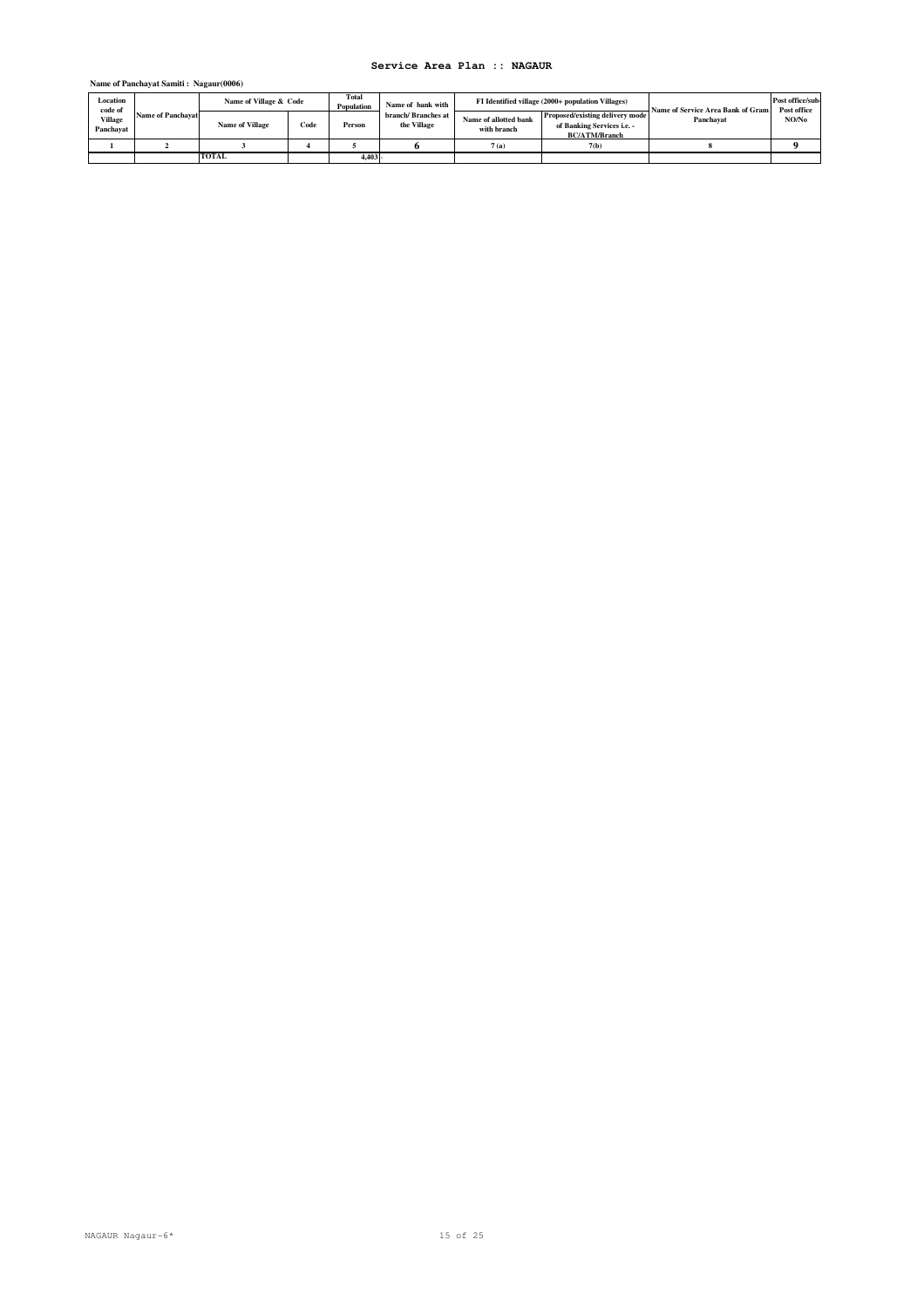### **Name of Panchayat Samiti : Nagaur(0006)**

| Location<br>code of<br>Village<br>Panchavat | <b>Name of Panchavat</b> | Name of Village & Code |      | Total<br>Population | Name of bank with                  |                                      | FI Identified village (2000+ population Villages)                                     | Name of Service Area Bank of Gram | Post office/sub-<br>Post office |
|---------------------------------------------|--------------------------|------------------------|------|---------------------|------------------------------------|--------------------------------------|---------------------------------------------------------------------------------------|-----------------------------------|---------------------------------|
|                                             |                          | <b>Name of Village</b> | Code | Person              | branch/ Branches at<br>the Village | Name of allotted bank<br>with branch | Proposed/existing delivery mode<br>of Banking Services i.e. -<br><b>BC/ATM/Branch</b> | Panchavat                         | NO/No                           |
|                                             |                          |                        |      |                     |                                    | 7(a)<br>7(b)                         |                                                                                       |                                   |                                 |
|                                             |                          | <b>TOTAL</b>           |      | 4.403               |                                    |                                      |                                                                                       |                                   |                                 |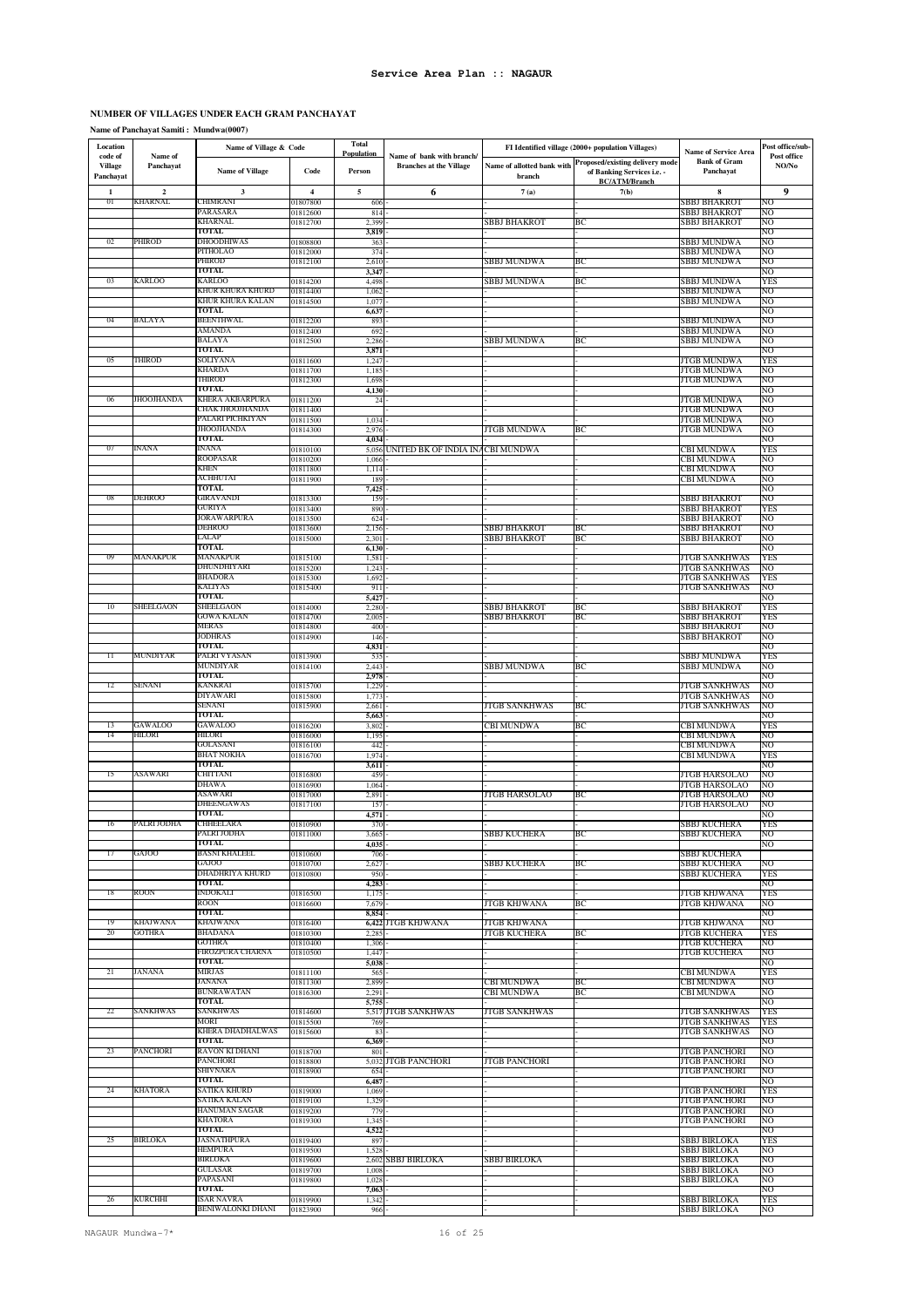### **NUMBER OF VILLAGES UNDER EACH GRAM PANCHAYAT**

**Name of Panchayat Samiti : Mundwa(0007)**

| Location<br>code of         | Name of     | Name of Village & Code           |                      | <b>Total</b><br>Population   | Name of bank with branch/              |                                      | FI Identified village (2000+ population Villages)                                            | Name of Service Area                         | Post office/sub-<br>Post office |
|-----------------------------|-------------|----------------------------------|----------------------|------------------------------|----------------------------------------|--------------------------------------|----------------------------------------------------------------------------------------------|----------------------------------------------|---------------------------------|
| <b>Village</b><br>Panchayat | Panchayat   | <b>Name of Village</b>           | Code                 | Person                       | <b>Branches at the Village</b>         | Name of allotted bank with<br>branch | <b>Proposed/existing delivery mode</b><br>of Banking Services i.e. -<br><b>BC/ATM/Branch</b> | <b>Bank of Gram</b><br>Panchayat             | NO/No                           |
| 1                           | $\mathbf 2$ | $\mathbf{3}$                     | $\overline{4}$       | 5                            | 6                                      | 7(a)                                 | 7(b)                                                                                         | 8                                            | 9                               |
| $_{01}$                     | KHARNAL     | CHIMRANI<br>PARASARA             | 01807800<br>01812600 | 606<br>814                   |                                        |                                      |                                                                                              | SBBJ BHAKROT<br>SBBJ BHAKROT                 | NO<br>NO                        |
|                             |             | KHARNAL                          | 01812700             | 2.399                        |                                        | SBBJ BHAKROT                         | BС                                                                                           | SBBJ BHAKROT                                 | NO                              |
|                             |             | TOTAL                            |                      | 3,819                        |                                        |                                      |                                                                                              |                                              | NO                              |
| 02                          | PHIROD      | DHOODHIWAS<br>PITHOLAO           | 01808800<br>)1812000 | 36.<br>374                   |                                        |                                      |                                                                                              | SBBJ MUNDWA<br>SBBJ MUNDWA                   | NO<br>NО                        |
|                             |             | PHIROD                           | 01812100             | 2,610                        |                                        | SBBJ MUNDWA                          | ВC                                                                                           | SBBJ MUNDWA                                  | NO                              |
| 03                          | KARLOO      | TOTAL<br>KARLOO                  |                      | 3,347                        |                                        |                                      |                                                                                              |                                              | NO                              |
|                             |             | KHUR KHURA KHURD                 | 01814200<br>01814400 | 4,498<br>1,062               |                                        | SBBJ MUNDWA                          | BС                                                                                           | SBBJ MUNDWA<br>SBBJ MUNDWA                   | YES<br>NO                       |
|                             |             | KHUR KHURA KALAN                 | 01814500             | 1,077                        |                                        |                                      |                                                                                              | SBBJ MUNDWA                                  | NO                              |
| 04                          | BALAYA      | <b>TOTAL</b><br><b>BEENTHWAL</b> |                      | 6,637                        |                                        |                                      |                                                                                              | SBBJ MUNDWA                                  | NO                              |
|                             |             | AMANDA                           | 01812200<br>01812400 | 893<br>692                   |                                        |                                      |                                                                                              | SBBJ MUNDWA                                  | NO<br>NO                        |
|                             |             | BALAYA                           | 01812500             | 2,286                        |                                        | SBBJ MUNDWA                          | BС                                                                                           | SBBJ MUNDWA                                  | NO                              |
| 05                          | THIROD      | TOTAL<br>SOLIYANA                |                      | 3,871                        |                                        |                                      |                                                                                              |                                              | NO                              |
|                             |             | KHARDA                           | 01811600<br>01811700 | 1,247<br>1,185               |                                        |                                      |                                                                                              | <b>JTGB MUNDWA</b><br>JTGB MUNDWA            | YES<br>NO                       |
|                             |             | THIROD                           | 01812300             | 1,698                        |                                        |                                      |                                                                                              | JTGB MUNDWA                                  | NO                              |
| 06                          | JHOOJHANDA  | TOTAL<br>KHERA AKBARPURA         | 01811200             | 4,130<br>24                  |                                        |                                      |                                                                                              | JTGB MUNDWA                                  | NO<br>NO                        |
|                             |             | CHAK JHOOJHANDA                  | 01811400             |                              |                                        |                                      |                                                                                              | JTGB MUNDWA                                  | NO                              |
|                             |             | PALARI PICHKIYAN                 | 01811500             | 1,034                        |                                        |                                      |                                                                                              | JTGB MUNDWA                                  | NO                              |
|                             |             | JHOOJHANDA<br>TOTAL              | 01814300             | 2,97<br>4,034                |                                        | JTGB MUNDWA                          | ВC                                                                                           | JTGB MUNDWA                                  | NO<br>NO                        |
| 07                          | INANA       | INANA                            | 01810100             |                              | 5,056 UNITED BK OF INDIA INACBI MUNDWA |                                      |                                                                                              | CBI MUNDWA                                   | YES                             |
|                             |             | ROOPASAR<br><b>KHEN</b>          | 01810200             | 1,066                        |                                        |                                      |                                                                                              | CBI MUNDWA                                   | NO<br>NO                        |
|                             |             | <b>ACHHUTAI</b>                  | 01811800<br>01811900 | 1,114<br>189                 |                                        |                                      |                                                                                              | CBI MUNDWA<br>CBI MUNDWA                     | NO                              |
|                             |             | TOTAL                            |                      | 7,42.                        |                                        |                                      |                                                                                              |                                              | NO                              |
| 08                          | DEHROO      | GIRAVANDI<br>GURIYA              | 01813300<br>01813400 | 159<br>890                   |                                        |                                      |                                                                                              | SBBJ BHAKROT<br>SBBJ BHAKROT                 | NO<br>YES                       |
|                             |             | JORAWARPURA                      | 01813500             | 624                          |                                        |                                      |                                                                                              | SBBJ BHAKROT                                 | NO                              |
|                             |             | DEHROO                           | 01813600             | 2,156                        |                                        | SBBJ BHAKROT                         | ВC                                                                                           | SBBJ BHAKROT                                 | NO                              |
|                             |             | LALAP<br><b>TOTAL</b>            | 01815000             | 2,301<br>6,130               |                                        | SBBJ BHAKROT                         | BС                                                                                           | SBBJ BHAKROT                                 | NO<br>NO                        |
| 09                          | MANAKPUR    | MANAKPUR                         | 01815100             | 1,581                        |                                        |                                      |                                                                                              | <b>JTGB SANKHWAS</b>                         | YES                             |
|                             |             | DHUNDHIYARI<br>BHADORA           | 01815200             | 1,243                        |                                        |                                      |                                                                                              | <b>JTGB SANKHWAS</b>                         | NO                              |
|                             |             | KALIYAS                          | 01815300<br>01815400 | 1,692<br>911                 |                                        |                                      |                                                                                              | JTGB SANKHWAS<br><b>JTGB SANKHWAS</b>        | YES<br>NO                       |
|                             |             | TOTAL                            |                      | 5,427                        |                                        |                                      |                                                                                              |                                              | NO                              |
| 10                          | SHEELGAON   | SHEELGAON<br>GOWA KALAN          | 01814000<br>01814700 | 2,280<br>$2,00$ <sup>2</sup> |                                        | SBBJ BHAKROT<br>SBBJ BHAKROT         | ВC<br>ВC                                                                                     | SBBJ BHAKROT                                 | YES<br>YES                      |
|                             |             | MERAS                            | 01814800             | 400                          |                                        |                                      |                                                                                              | SBBJ BHAKROT<br><b>SBBJ BHAKROT</b>          | NO                              |
|                             |             | <b>JODHRAS</b>                   | 01814900             | 146                          |                                        |                                      |                                                                                              | SBBJ BHAKROT                                 | NO                              |
| 11                          | MUNDIYAR    | <b>TOTAL</b><br>PALRI VYASAN     | 01813900             | 4,831<br>535                 |                                        |                                      |                                                                                              | SBBJ MUNDWA                                  | NO<br>YES                       |
|                             |             | MUNDIYAR                         | 01814100             | 2,443                        |                                        | SBBJ MUNDWA                          | BС                                                                                           | SBBJ MUNDWA                                  | NO                              |
|                             |             | TOTAL                            |                      | 2,978                        |                                        |                                      |                                                                                              |                                              | NO                              |
| 12                          | SENANI      | KANKRAI<br>DIYAWARI              | 01815700<br>01815800 | 1,229<br>1,773               |                                        |                                      |                                                                                              | <b>JTGB SANKHWAS</b><br><b>JTGB SANKHWAS</b> | NO<br>NO                        |
|                             |             | SENANI                           | 01815900             | 2,661                        |                                        | JTGB SANKHWAS                        | BС                                                                                           | <b>JTGB SANKHWAS</b>                         | NO                              |
| 13                          | GAWALOO     | TOTAL<br><b>GAWALOO</b>          |                      | 5,663                        |                                        | CBI MUNDWA                           | ВC                                                                                           | CBI MUNDWA                                   | NO<br>YES                       |
| 14                          | HILORI      | HILORI                           | 01816200<br>01816000 | 3,802<br>1,195               |                                        |                                      |                                                                                              | CBI MUNDWA                                   | NO                              |
|                             |             | GOLASANI                         | 01816100             | 442                          |                                        |                                      |                                                                                              | CBI MUNDWA                                   | NO                              |
|                             |             | BHAT NOKHA<br>TOTAL              | 01816700             | 1,974<br>3,611               |                                        |                                      |                                                                                              | CBI MUNDWA                                   | YES<br>NO                       |
| 15                          | ASAWARI     | CHITTANI                         | 01816800             | 459                          |                                        |                                      |                                                                                              | <b>JTGB HARSOLAO</b>                         | NO                              |
|                             |             | DHAWA<br>ASAWARI                 | 01816900             | 1,064                        |                                        | <b>JTGB HARSOLAO</b>                 |                                                                                              | <b>JTGB HARSOLAO</b>                         | NO<br>NO                        |
|                             |             | DHEENGAWAS                       | 01817000<br>01817100 | 2,891<br>157                 |                                        |                                      | BС                                                                                           | <b>JTGB HARSOLAO</b><br><b>JTGB HARSOLAO</b> | NO                              |
|                             |             | TOTAL                            |                      | 4,571                        |                                        |                                      |                                                                                              |                                              | NO                              |
| 16                          | PALRI JODHA | CHHEELARA<br>PALRI JODHA         | 01810900<br>01811000 | 370<br>3,665                 |                                        | <b>SBBJ KUCHERA</b>                  | ВC                                                                                           | SBBJ KUCHERA<br>SBBJ KUCHERA                 | YES<br>NO                       |
|                             |             | <b>TOTAL</b>                     |                      | 4,035                        |                                        |                                      |                                                                                              |                                              | NO                              |
| 17                          | GAJOO       | BASNI KHALEEL                    | 01810600             | 706                          |                                        |                                      |                                                                                              | SBBJ KUCHERA                                 |                                 |
|                             |             | GAJOO<br>DHADHRIYA KHURD         | 01810700<br>01810800 | 2,627<br>950                 |                                        | <b>SBBJ KUCHERA</b>                  | BС                                                                                           | SBBJ KUCHERA<br><b>SBBJ KUCHERA</b>          | NO<br><b>YES</b>                |
|                             |             | TOTAL                            |                      | 4,283                        |                                        |                                      |                                                                                              |                                              | NO                              |
| 18                          | ROON        | INDOKALI                         | 01816500             | 1,175                        |                                        |                                      |                                                                                              | <b>JTGB KHJWANA</b><br>JTGB KHJWANA          | YES                             |
|                             |             | ROON<br>TOTAL                    | 01816600             | 7,67<br>8,854                |                                        | JTGB KHJWANA                         | ВC                                                                                           |                                              | NO<br>NO                        |
| 19                          | KHAJWANA    | KHAJWANA                         | 01816400             |                              | 6,422 JTGB KHJWANA                     | <b>JTGB KHJWANA</b>                  |                                                                                              | <b>JTGB KHJWANA</b>                          | NO                              |
| 20                          | GOTHRA      | <b>BHADANA</b><br>GOTHRA         | 01810300<br>01810400 | 2.285<br>1,306               |                                        | JTGB KUCHERA                         | BС                                                                                           | <b>JTGB KUCHERA</b><br><b>JTGB KUCHERA</b>   | YES<br>NO                       |
|                             |             | FIROZPURA CHARNA                 | 01810500             | 1,447                        |                                        |                                      |                                                                                              | <b>JTGB KUCHERA</b>                          | NO                              |
|                             |             | TOTAL                            |                      | 5,038                        |                                        |                                      |                                                                                              |                                              | NO                              |
| 21                          | JANANA      | <b>MIRJAS</b><br>JANANA          | 01811100<br>01811300 | 565<br>2,899                 |                                        | CBI MUNDWA                           | BС                                                                                           | CBI MUNDWA<br>CBI MUNDWA                     | YES<br>NO                       |
|                             |             | <b>BUNRAWATAN</b>                | 01816300             | 2,291                        |                                        | CBI MUNDWA                           | BС                                                                                           | CBI MUNDWA                                   | NO                              |
| 22                          | SANKHWAS    | TOTAL<br>SANKHWAS                |                      | 5,755                        |                                        |                                      |                                                                                              |                                              | NΟ                              |
|                             |             | MORI                             | 01814600<br>01815500 | 769                          | 5,517 JTGB SANKHWAS                    | <b>JTGB SANKHWAS</b>                 |                                                                                              | <b>JTGB SANKHWAS</b><br><b>JTGB SANKHWAS</b> | YES<br>YES                      |
|                             |             | KHERA DHADHALWAS                 | 01815600             | 83                           |                                        |                                      |                                                                                              | <b>JTGB SANKHWAS</b>                         | NO                              |
| 23                          | PANCHORI    | TOTAL<br>RAVON KI DHANI          | 01818700             | 6,369<br>801                 |                                        |                                      |                                                                                              | <b>JTGB PANCHORI</b>                         | NO<br>NO                        |
|                             |             | PANCHORI                         | 01818800             | 5,032                        | JTGB PANCHORI                          | <b>JTGB PANCHORI</b>                 |                                                                                              | JTGB PANCHORI                                | NO                              |
|                             |             | SHIVNARA<br>TOTAL                | 01818900             | 654                          |                                        |                                      |                                                                                              | JTGB PANCHORI                                | NO                              |
| 24                          | KHATORA     | SATIKA KHURD                     | 01819000             | 6,487<br>1,069               |                                        |                                      |                                                                                              | <b>JTGB PANCHORI</b>                         | NΟ<br>YES                       |
|                             |             | SATIKA KALAN                     | 01819100             | 1,329                        |                                        |                                      |                                                                                              | <b>JTGB PANCHORI</b>                         | NO                              |
|                             |             | HANUMAN SAGAR<br>KHATORA         | 01819200             | 779                          |                                        |                                      |                                                                                              | <b>JTGB PANCHORI</b>                         | NO                              |
|                             |             | TOTAL                            | 01819300             | 1,345<br>4,522               |                                        |                                      |                                                                                              | <b>JTGB PANCHORI</b>                         | NO<br>NO                        |
| 25                          | BIRLOKA     | JASNATHPURA                      | 01819400             | 897                          |                                        |                                      |                                                                                              | SBBJ BIRLOKA                                 | YES                             |
|                             |             | HEMPURA<br>BIRLOKA               | 01819500<br>01819600 | 1,528<br>2,602               | <b>SBBJ BIRLOKA</b>                    | SBBJ BIRLOKA                         |                                                                                              | SBBJ BIRLOKA<br>SBBJ BIRLOKA                 | NO<br>NO                        |
|                             |             | GULASAR                          | 01819700             | 1,008                        |                                        |                                      |                                                                                              | SBBJ BIRLOKA                                 | NO                              |
|                             |             | PAPASANI                         | 01819800             | 1,028                        |                                        |                                      |                                                                                              | <b>SBBJ BIRLOKA</b>                          | NO                              |
| 26                          | KURCHHI     | <b>TOTAL</b><br>ISAR NAVRA       | 01819900             | 7,063<br>1,342               |                                        |                                      |                                                                                              | <b>SBBJ BIRLOKA</b>                          | NO<br>YES                       |
|                             |             | BENIWALONKI DHANI                | 01823900             | 966                          |                                        |                                      |                                                                                              | <b>SBBJ BIRLOKA</b>                          | NO                              |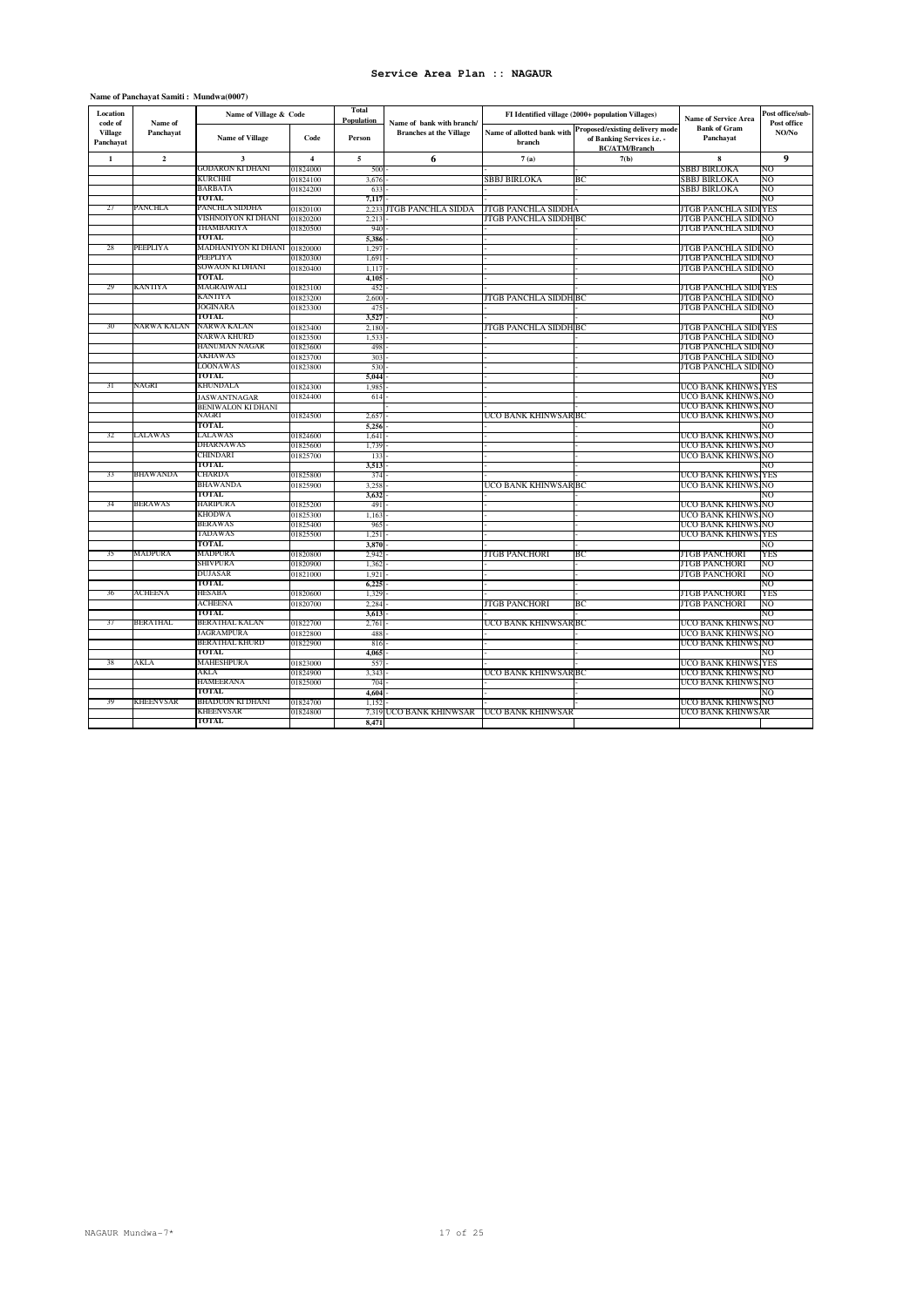| Name of Panchayat Samiti: Mundwa(0007) |  |
|----------------------------------------|--|
|----------------------------------------|--|

| Location                               |                      | Name of Village & Code |                         | <b>Total</b><br>Population |                                                             |                       | FI Identified village (2000+ population Villages)                                                                | <b>Name of Service Area</b>      | Post office/sub-<br>Post office |
|----------------------------------------|----------------------|------------------------|-------------------------|----------------------------|-------------------------------------------------------------|-----------------------|------------------------------------------------------------------------------------------------------------------|----------------------------------|---------------------------------|
| code of<br><b>Village</b><br>Panchayat | Name of<br>Panchayat | <b>Name of Village</b> | Code                    | Person                     | Name of bank with branch/<br><b>Branches at the Village</b> | branch                | Name of allotted bank with Proposed/existing delivery mode<br>of Banking Services i.e. -<br><b>BC/ATM/Branch</b> | <b>Bank of Gram</b><br>Panchayat | NO/No                           |
| $\mathbf{1}$                           | $\overline{2}$       | $\mathbf{3}$           | $\overline{\mathbf{4}}$ | 5                          | 6                                                           | 7(a)                  | 7(b)                                                                                                             | 8                                | 9                               |
|                                        |                      | GODARON KI DHANI       | 01824000                | 500                        |                                                             |                       |                                                                                                                  | SBBJ BIRLOKA                     | NO                              |
|                                        |                      | KURCHHI                | 01824100                | 3,676                      |                                                             | SBBJ BIRLOKA          | ВC                                                                                                               | SBBJ BIRLOKA                     | NO                              |
|                                        |                      | BARBATA                | 01824200                | 633                        |                                                             |                       |                                                                                                                  | SBBJ BIRLOKA                     | NO                              |
|                                        |                      | TOTAL                  |                         | 7,117                      |                                                             |                       |                                                                                                                  |                                  | NO                              |
| 27                                     | PANCHLA              | PANCHLA SIDDHA         | 01820100                | 2.233                      | JTGB PANCHLA SIDDA                                          | JTGB PANCHLA SIDDHA   |                                                                                                                  | <b>JTGB PANCHLA SIDI</b>         | YES                             |
|                                        |                      | VISHNOIYON KI DHANI    | 01820200                | 2.213                      |                                                             | JTGB PANCHLA SIDDH BC |                                                                                                                  | JTGB PANCHLA SIDI NO             |                                 |
|                                        |                      | THAMBARIYA             | 01820500                | 940                        |                                                             |                       |                                                                                                                  | JTGB PANCHLA SIDI NO             |                                 |
|                                        |                      | TOTAL                  |                         | 5.386                      |                                                             |                       |                                                                                                                  |                                  | NΟ                              |
| 28                                     | PEEPLIYA             | MADHANIYON KI DHANI    | 01820000                | 1,297                      |                                                             |                       |                                                                                                                  | JTGB PANCHLA SIDI NO             |                                 |
|                                        |                      | PEEPLIYA               | 01820300                | 1,691                      |                                                             |                       |                                                                                                                  | JTGB PANCHLA SIDI NO             |                                 |
|                                        |                      | SOWAON KI DHANI        | 01820400                | 1,117                      |                                                             |                       |                                                                                                                  | JTGB PANCHLA SIDI NO             |                                 |
|                                        |                      | TOTAL                  |                         | 4.105                      |                                                             |                       |                                                                                                                  |                                  | NO                              |
| 29                                     | KANTIYA              | MAGRAIWALI             | 01823100                | 452                        |                                                             |                       |                                                                                                                  | <b>JTGB PANCHLA SIDI</b>         | <b>YES</b>                      |
|                                        |                      | KANTIYA                | 01823200                | 2,600                      |                                                             | ITGB PANCHLA SIDDH BC |                                                                                                                  | JTGB PANCHLA SIDI NO             |                                 |
|                                        |                      | JOGINARA               | 01823300                | 475                        |                                                             |                       |                                                                                                                  | JTGB PANCHLA SIDI NO             |                                 |
|                                        |                      | TOTAL                  |                         | 3,527                      |                                                             |                       |                                                                                                                  |                                  | NO                              |
| 30                                     | NARWA KALAN          | NARWA KALAN            | 01823400                | 2,180                      |                                                             | JTGB PANCHLA SIDDH BC |                                                                                                                  | <b>JTGB PANCHLA SIDI</b>         | <b>YES</b>                      |
|                                        |                      | NARWA KHURD            | 01823500                | 1.533                      |                                                             |                       |                                                                                                                  | <b>JTGB PANCHLA SIDINO</b>       |                                 |
|                                        |                      | HANUMAN NAGAR          | 01823600                | 498                        |                                                             |                       |                                                                                                                  | JTGB PANCHLA SIDI NO             |                                 |
|                                        |                      | AKHAWAS                | 01823700                | 303                        |                                                             |                       |                                                                                                                  | <b>JTGB PANCHLA SIDINO</b>       |                                 |
|                                        |                      | LOONAWAS               | 01823800                | 530                        |                                                             |                       |                                                                                                                  | JTGB PANCHLA SIDI NO             |                                 |
|                                        |                      | TOTAL                  |                         | 5,044                      |                                                             |                       |                                                                                                                  |                                  | NO                              |
| 31                                     | NAGRI                | KHUNDALA               | 01824300                | 1,985                      |                                                             |                       |                                                                                                                  | UCO BANK KHINWS.                 | <b>YES</b>                      |
|                                        |                      | <b>JASWANTNAGAR</b>    | 01824400                | 614                        |                                                             |                       |                                                                                                                  | UCO BANK KHINWS                  | NO                              |
|                                        |                      | BENIWALON KI DHANI     |                         |                            |                                                             |                       |                                                                                                                  | UCO BANK KHINWS                  | NO                              |
|                                        |                      | NAGRI                  | 01824500                | 2,657                      |                                                             | UCO BANK KHINWSAR BC  |                                                                                                                  | UCO BANK KHINWS NO               |                                 |
|                                        |                      | TOTAL                  |                         | 5,256                      |                                                             |                       |                                                                                                                  |                                  | NO                              |
| 32                                     | LALAWAS              | LALAWAS                | 01824600                | 1.641                      |                                                             |                       |                                                                                                                  | UCO BANK KHINWS.                 | .NO                             |
|                                        |                      | DHARNAWAS              | 01825600                | 1,739                      |                                                             |                       |                                                                                                                  | UCO BANK KHINWS                  | NO                              |
|                                        |                      | CHINDARI               | 01825700                | 133                        |                                                             |                       |                                                                                                                  | UCO BANK KHINWS NO               |                                 |
|                                        |                      | TOTAL                  |                         | 3.513                      |                                                             |                       |                                                                                                                  |                                  | NΟ                              |
| 33                                     | BHAWANDA             | CHARDA                 | 01825800                | 374                        |                                                             |                       |                                                                                                                  | UCO BANK KHINWS YES              |                                 |
|                                        |                      | BHAWANDA               | 01825900                | 3,258                      |                                                             | UCO BANK KHINWSAR BC  |                                                                                                                  | UCO BANK KHINWS NO               |                                 |
|                                        |                      | TOTAL                  |                         | 3,632                      |                                                             |                       |                                                                                                                  |                                  | NΟ                              |
| 34                                     | BERAWAS              | HARIPURA               | 01825200                | 491                        |                                                             |                       |                                                                                                                  | UCO BANK KHINWS.                 | .NO                             |
|                                        |                      | KHODWA                 | 01825300                | 1,163                      |                                                             |                       |                                                                                                                  | UCO BANK KHINWS                  | NO                              |
|                                        |                      | <b>BERAWAS</b>         | 01825400                | 965                        |                                                             |                       |                                                                                                                  | UCO BANK KHINWS NO               |                                 |
|                                        |                      | TADAWAS                | 01825500                | 1.251                      |                                                             |                       |                                                                                                                  | UCO BANK KHINWS YES              |                                 |
|                                        |                      | TOTAL                  |                         | 3,870                      |                                                             |                       |                                                                                                                  |                                  | NO                              |
| 35                                     | MADPURA              | MADPURA                | 01820800                | 2,942                      |                                                             | <b>JTGB PANCHORI</b>  | BC                                                                                                               | <b>JTGB PANCHORI</b>             | YES                             |
|                                        |                      | SHIVPURA               | 01820900                | 1,362                      |                                                             |                       |                                                                                                                  | <b>JTGB PANCHORI</b>             | NO                              |
|                                        |                      | DUJASAR                | 01821000                | 1.921                      |                                                             |                       |                                                                                                                  | <b>JTGB PANCHORI</b>             | NO                              |
|                                        |                      | TOTAL                  |                         | 6,225                      |                                                             |                       |                                                                                                                  |                                  | NO                              |
| 36                                     | ACHEENA              | <b>HESABA</b>          | 01820600                | 1.329                      |                                                             |                       |                                                                                                                  | <b>JTGB PANCHORI</b>             | YES                             |
|                                        |                      | <b>ACHEENA</b>         | 01820700                | 2,284                      |                                                             | <b>JTGB PANCHORI</b>  | BC                                                                                                               | <b>JTGB PANCHORI</b>             | NO                              |
|                                        |                      | <b>TOTAL</b>           |                         | 3,613                      |                                                             |                       |                                                                                                                  |                                  | NO                              |
| 37                                     | BERATHAL             | BERATHAL KALAN         | 01822700                | 2,761                      |                                                             | UCO BANK KHINWSAR BC  |                                                                                                                  | UCO BANK KHINWS.                 | ΙNΟ                             |
|                                        |                      | JAGRAMPURA             | 01822800                | 488                        |                                                             |                       |                                                                                                                  | UCO BANK KHINWSJNO               |                                 |
|                                        |                      | <b>BERATHAL KHURD</b>  | 01822900                | 816                        |                                                             |                       |                                                                                                                  | UCO BANK KHINWS NO               |                                 |
|                                        |                      | TOTAL                  |                         | 4,065                      |                                                             |                       |                                                                                                                  |                                  | NO                              |
| 38                                     | AKLA                 | MAHESHPURA             | 01823000                | 557                        |                                                             |                       |                                                                                                                  | UCO BANK KHINWS                  | YES                             |
|                                        |                      | AKLA                   | 01824900                | 3,343                      |                                                             | UCO BANK KHINWSAR BC  |                                                                                                                  | UCO BANK KHINWS                  | NO                              |
|                                        |                      | HAMEERANA              | 01825000                | 704                        |                                                             |                       |                                                                                                                  | UCO BANK KHINWS.                 | NO                              |
|                                        |                      | TOTAL                  |                         | 4.604                      |                                                             |                       |                                                                                                                  |                                  | NΟ                              |
| 39                                     | KHEENVSAR            | BHADUON KI DHANI       | 01824700                | 1.152                      |                                                             |                       |                                                                                                                  | UCO BANK KHINWSJNO               |                                 |
|                                        |                      | KHEENVSAR              | 01824800                | 7,319                      | UCO BANK KHINWSAR                                           | UCO BANK KHINWSAR     |                                                                                                                  | UCO BANK KHINWSAR                |                                 |
|                                        |                      | TOTAL                  |                         | 8,471                      |                                                             |                       |                                                                                                                  |                                  |                                 |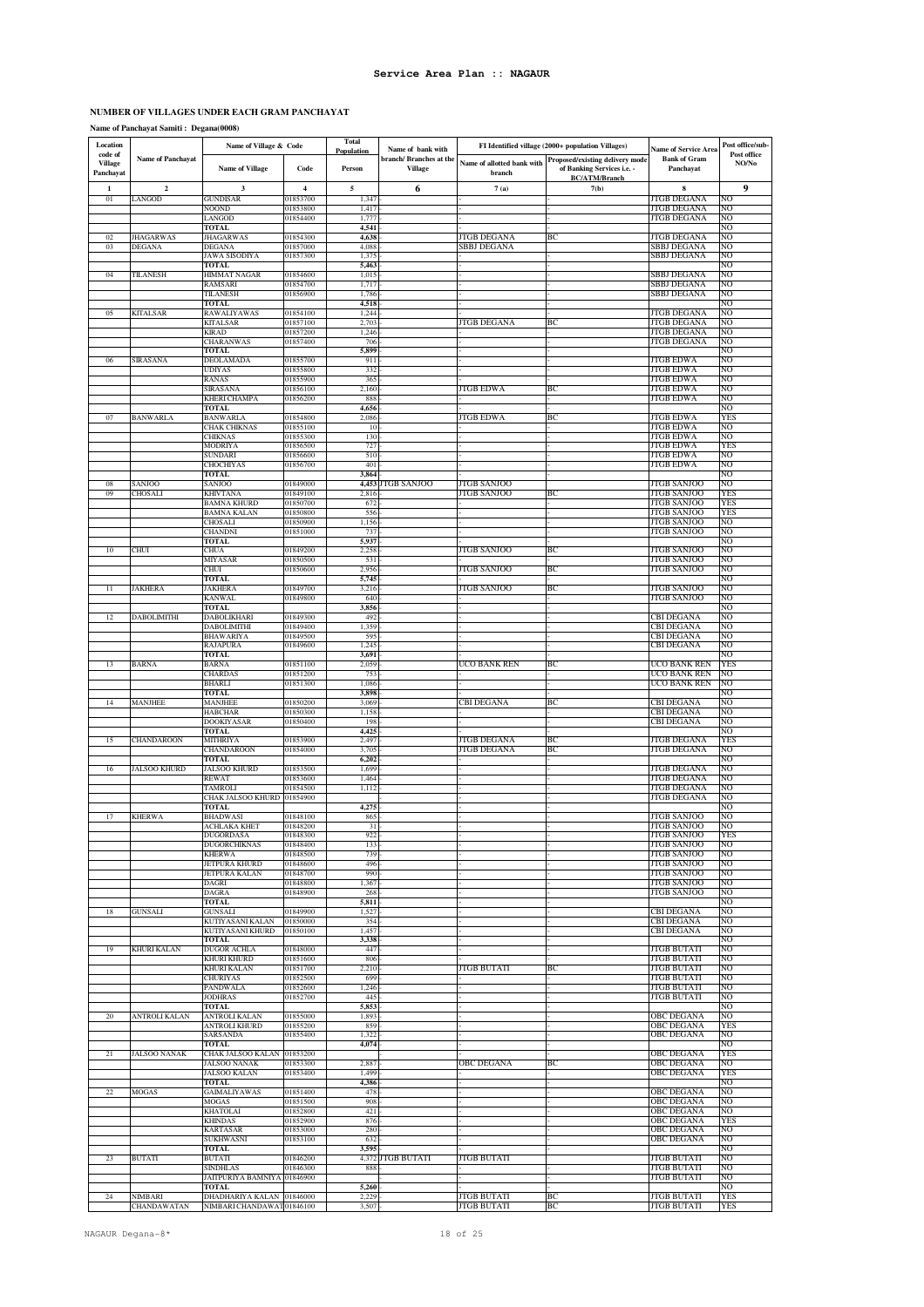### **NUMBER OF VILLAGES UNDER EACH GRAM PANCHAYAT**

**Name of Panchayat Samiti : Degana(0008)**

| Location                               |                          | Name of Village & Code                         |                      | <b>Total</b><br><b>Population</b> | Name of bank with                         |                                      | FI Identified village (2000+ population Villages)                                     | <b>Name of Service Area</b>              | Post office/sub-     |
|----------------------------------------|--------------------------|------------------------------------------------|----------------------|-----------------------------------|-------------------------------------------|--------------------------------------|---------------------------------------------------------------------------------------|------------------------------------------|----------------------|
| code of<br><b>Village</b><br>Panchayat | <b>Name of Panchayat</b> | <b>Name of Village</b>                         | Code                 | Person                            | branch/ Branches at the<br><b>Village</b> | Name of allotted bank with<br>branch | Proposed/existing delivery mode<br>of Banking Services i.e. -<br><b>BC/ATM/Branch</b> | <b>Bank of Gram</b><br>Panchayat         | Post office<br>NO/No |
| 1                                      | $\mathbf{2}$             | 3                                              | $\overline{4}$       | $\sqrt{5}$                        | 6                                         | 7(a)                                 | 7(b)                                                                                  | 8                                        | 9                    |
| 01                                     | ANGOD                    | <b>GUNDISAR</b><br><b>NOOND</b>                | 01853700<br>01853800 | 1,347<br>1,417                    |                                           |                                      |                                                                                       | <b>JTGB DEGANA</b><br>JTGB DEGANA        | NО<br>NO             |
|                                        |                          | LANGOD                                         | 01854400             | 1,777                             |                                           |                                      |                                                                                       | JTGB DEGANA                              | NO                   |
| 02                                     | <b>JHAGARWAS</b>         | <b>TOTAL</b><br><b>JHAGARWAS</b>               | 01854300             | 4,541<br>4,638                    |                                           | <b>JTGB DEGANA</b>                   | ВC                                                                                    | <b>JTGB DEGANA</b>                       | NO<br>NO             |
| 03                                     | <b>DEGANA</b>            | DEGANA                                         | 01857000             | 4,088                             |                                           | <b>SBBJ DEGANA</b>                   |                                                                                       | SBBJ DEGANA                              | NO                   |
|                                        |                          | <b>JAWA SISODIYA</b><br>TOTAL                  | 01857300             | 1,375<br>5,463                    |                                           |                                      |                                                                                       | <b>SBBJ DEGANA</b>                       | NO<br>NО             |
| 04                                     | TILANESH                 | HIMMAT NAGAR                                   | 01854600             | 1,015                             |                                           |                                      |                                                                                       | SBBJ DEGANA                              | NO                   |
|                                        |                          | RAMSARI<br>TILANESH                            | 01854700<br>01856900 | 1,717<br>1,786                    |                                           |                                      |                                                                                       | SBBJ DEGANA<br>SBBJ DEGANA               | NO<br>NO             |
|                                        |                          | <b>TOTAL</b>                                   |                      | 4,518                             |                                           |                                      |                                                                                       |                                          | NO                   |
| 05                                     | KITALSAR                 | RAWALIYAWAS<br>KITALSAR                        | 01854100<br>01857100 | 1,244<br>2,703                    |                                           | ITGB DEGANA                          | ВC                                                                                    | <b>JTGB DEGANA</b><br>JTGB DEGANA        | ŃО<br>NО             |
|                                        |                          | <b>KIRAD</b>                                   | 01857200             | 1,246                             |                                           |                                      |                                                                                       | JTGB DEGANA                              | NО                   |
|                                        |                          | CHARANWAS<br><b>TOTAL</b>                      | 01857400             | 706<br>5,899                      |                                           |                                      |                                                                                       | <b>JTGB DEGANA</b>                       | NO<br>NO             |
| 06                                     | SIRASANA                 | DEOLAMADA                                      | 01855700             | 911                               |                                           |                                      |                                                                                       | JTGB EDWA                                | NO                   |
|                                        |                          | <b>UDIYAS</b>                                  | 01855800             | 332                               |                                           |                                      |                                                                                       | <b>JTGB EDWA</b>                         | NO                   |
|                                        |                          | RANAS<br><b>SIRASANA</b>                       | 01855900<br>01856100 | 365<br>2,160                      |                                           | JTGB EDWA                            | ВC                                                                                    | JTGB EDWA<br>JTGB EDWA                   | NO<br>NO             |
|                                        |                          | <b>KHERI CHAMPA</b>                            | 01856200             | 888                               |                                           |                                      |                                                                                       | JTGB EDWA                                | NO                   |
| 07                                     | <b>BANWARLA</b>          | <b>TOTAL</b><br><b>BANWARLA</b>                | 01854800             | 4,656<br>2,086                    |                                           | JTGB EDWA                            | BC                                                                                    | JTGB EDWA                                | NO<br>YES            |
|                                        |                          | <b>CHAK CHIKNAS</b>                            | 01855100             | 10                                |                                           |                                      |                                                                                       | JTGB EDWA                                | NO                   |
|                                        |                          | <b>CHIKNAS</b><br>MODRIYA                      | 01855300<br>01856500 | 130<br>727                        |                                           |                                      |                                                                                       | JTGB EDWA<br>JTGB EDWA                   | NO<br>YES            |
|                                        |                          | <b>SUNDARI</b>                                 | 01856600             | 510                               |                                           |                                      |                                                                                       | JTGB EDWA                                | NO                   |
|                                        |                          | CHOCHIYAS<br><b>TOTAL</b>                      | 01856700             | 401<br>3,864                      |                                           |                                      |                                                                                       | <b>JTGB EDWA</b>                         | NO<br>NO             |
| 08                                     | SANJOO                   | SANJOO                                         | 01849000             |                                   | 4,453 JTGB SANJOO                         | <b>JTGB SANJOO</b>                   |                                                                                       | JTGB SANJOO                              | NO                   |
| 09                                     | CHOSALI                  | KHIVTANA                                       | 01849100             | 2,816                             |                                           | JTGB SANJOO                          | ВC                                                                                    | JTGB SANJOO<br>JTGB SANJOO               | YES<br>YES           |
|                                        |                          | <b>BAMNA KHURD</b><br><b>BAMNA KALAN</b>       | 01850700<br>01850800 | 672<br>556                        |                                           |                                      |                                                                                       | JTGB SANJOO                              | YES                  |
|                                        |                          | CHOSALI                                        | 01850900             | 1,156                             |                                           |                                      |                                                                                       | JTGB SANJOO                              | NO                   |
|                                        |                          | CHANDNI<br><b>TOTAL</b>                        | 01851000             | 737<br>5,937                      |                                           |                                      |                                                                                       | JTGB SANJOO                              | NO<br>NO             |
| $10\,$                                 | CHUI                     | CHUA                                           | 01849200             | 2,258                             |                                           | <b>TGB SANJOO</b>                    | ВC                                                                                    | <b>JTGB SANJOO</b>                       | NO                   |
|                                        |                          | MIYASAR<br>CHUI                                | 01850500<br>01850600 | 531<br>2,956                      |                                           | TGB SANJOO                           | ВC                                                                                    | JTGB SANJOO<br>JTGB SANJOO               | NО<br>NО             |
|                                        |                          | <b>TOTAL</b>                                   |                      | 5,745                             |                                           |                                      |                                                                                       |                                          | NO                   |
| 11                                     | <b>JAKHERA</b>           | <b>JAKHERA</b><br><b>KANWAL</b>                | 01849700<br>01849800 | 3,216<br>640                      |                                           | JTGB SANJOO                          | ВC                                                                                    | <b>JTGB SANJOO</b><br><b>JTGB SANJOO</b> | NO<br>NO             |
|                                        |                          | TOTAL                                          |                      | 3,856                             |                                           |                                      |                                                                                       |                                          | NO                   |
| 12                                     | DABOLIMITHI              | DABOLIKHARI                                    | 01849300             | 492                               |                                           |                                      |                                                                                       | CBI DEGANA                               | NO<br>NO             |
|                                        |                          | DABOLIMITHI<br><b>BHAWARIYA</b>                | 01849400<br>01849500 | 1,359<br>595                      |                                           |                                      |                                                                                       | CBI DEGANA<br><b>CBI DEGANA</b>          | NO                   |
|                                        |                          | <b>RAJAPURA</b>                                | 01849600             | 1,245                             |                                           |                                      |                                                                                       | CBI DEGANA                               | NO                   |
| 13                                     | <b>BARNA</b>             | <b>TOTAL</b><br><b>BARNA</b>                   | 01851100             | 3,691<br>2,059                    |                                           | UCO BANK REN                         | BC                                                                                    | UCO BANK REN                             | NO<br>YES            |
|                                        |                          | <b>CHARDAS</b>                                 | 01851200             | 753                               |                                           |                                      |                                                                                       | UCO BANK REN                             | NO                   |
|                                        |                          | BHARLI<br><b>TOTAL</b>                         | 01851300             | 1,086<br>3,898                    |                                           |                                      |                                                                                       | UCO BANK REN                             | NО<br>NO             |
| 14                                     | <b>MANJHEE</b>           | <b>MANJHEE</b>                                 | 01850200             | 3,069                             |                                           | <b>CBI DEGANA</b>                    | ВC                                                                                    | <b>CBI DEGANA</b>                        | NO                   |
|                                        |                          | <b>HABCHAR</b><br><b>DOOKIYASAR</b>            | 01850300<br>01850400 | 1,158<br>198                      |                                           |                                      |                                                                                       | CBI DEGANA<br><b>CBI DEGANA</b>          | NO<br>NO             |
|                                        |                          | TOTAL                                          |                      | 4,425                             |                                           |                                      |                                                                                       |                                          | NО                   |
| 15                                     | CHANDAROON               | MITHRIYA<br><b>CHANDAROON</b>                  | 01853900<br>01854000 | 2,497<br>3,705                    |                                           | JTGB DEGANA<br><b>JTGB DEGANA</b>    | ВC<br>ВC                                                                              | JTGB DEGANA<br>JTGB DEGANA               | YES<br>NO            |
|                                        |                          | <b>TOTAL</b>                                   |                      | 6,202                             |                                           |                                      |                                                                                       |                                          | NО                   |
| 16                                     | <b>JALSOO KHURD</b>      | JALSOO KHURD<br>REWAT                          | 01853500<br>01853600 | 1,699<br>1,464                    |                                           |                                      |                                                                                       | JTGB DEGANA<br>JTGB DEGANA               | NO<br>NО             |
|                                        |                          | <b>TAMROL</b>                                  | 01854500             | 1,112                             |                                           |                                      |                                                                                       | JTGB DEGANA                              | NО                   |
|                                        |                          | CHAK JALSOO KHURD                              | 01854900             |                                   |                                           |                                      |                                                                                       | JTGB DEGANA                              | NО<br>NO             |
| 17                                     | <b>KHERWA</b>            | <b>TOTAL</b><br><b>BHADWASI</b>                | 01848100             | 4,275<br>865                      |                                           |                                      |                                                                                       | <b>JTGB SANJOO</b>                       | NΟ                   |
|                                        |                          | <b>ACHLAKA KHET</b>                            | 01848200             | 31                                |                                           |                                      |                                                                                       | <b>JTGB SANJOO</b>                       | NO                   |
|                                        |                          | <b>DUGORDASA</b><br><b>DUGORCHIKNAS</b>        | 01848300<br>01848400 | 922<br>133                        |                                           |                                      |                                                                                       | JTGB SANJOO<br><b>JTGB SANJOO</b>        | YES<br>NO            |
|                                        |                          | <b>KHERWA</b>                                  | 01848500             | 739                               |                                           |                                      |                                                                                       | JTGB SANJOO                              | NO                   |
|                                        |                          | <b>JETPURA KHURD</b><br><b>JETPURA KALAN</b>   | 01848600<br>01848700 | 496<br>990                        |                                           |                                      |                                                                                       | <b>JTGB SANJOO</b><br><b>JTGB SANJOO</b> | NO<br>NO             |
|                                        |                          | DAGRI                                          | 01848800             | 1,367                             |                                           |                                      |                                                                                       | <b>JTGB SANJOO</b>                       | NO                   |
|                                        |                          | <b>DAGRA</b><br>TOTAL                          | 01848900             | 268<br>5,811                      |                                           |                                      |                                                                                       | <b>JTGB SANJOO</b>                       | NO<br>NO             |
| 18                                     | <b>GUNSALI</b>           | <b>GUNSALI</b>                                 | 01849900             | 1,527                             |                                           |                                      |                                                                                       | <b>CBI DEGANA</b>                        | NO                   |
|                                        |                          | <b>KUTIYASANI KALAN</b><br>KUTIYASANI KHURD    | 01850000<br>01850100 | 354<br>1,457                      |                                           |                                      |                                                                                       | <b>CBI DEGANA</b><br><b>CBI DEGANA</b>   | NO<br>NO             |
|                                        |                          | <b>TOTAL</b>                                   |                      | 3,338                             |                                           |                                      |                                                                                       |                                          | NO                   |
| 19                                     | <b>KHURI KALAN</b>       | <b>DUGOR ACHLA</b>                             | 01848000             | 447                               |                                           |                                      |                                                                                       | <b>JTGB BUTATI</b>                       | NO                   |
|                                        |                          | KHURI KHURD<br>KHURI KALAN                     | 01851600<br>01851700 | 806<br>2,210                      |                                           | JTGB BUTATI                          | ВC                                                                                    | <b>JTGB BUTATI</b><br>JTGB BUTATI        | NO<br>NO             |
|                                        |                          | CHURIYAS                                       | 01852500             | 699                               |                                           |                                      |                                                                                       | JTGB BUTATI                              | NO                   |
|                                        |                          | <b>PANDWALA</b><br><b>JODHRAS</b>              | 01852600<br>01852700 | 1,246<br>445                      |                                           |                                      |                                                                                       | JTGB BUTATI<br>JTGB BUTATI               | NO<br>NO             |
|                                        |                          | <b>TOTAL</b>                                   |                      | 5,853                             |                                           |                                      |                                                                                       |                                          | NO                   |
| $20\,$                                 | ANTROLI KALAN            | <b>ANTROLI KALAN</b><br>ANTROLI KHURD          | 01855000<br>01855200 | 1,893<br>859                      |                                           |                                      |                                                                                       | <b>OBC DEGANA</b><br>OBC DEGANA          | NO<br>YES            |
|                                        |                          | SARSANDA                                       | 01855400             | 1,322                             |                                           |                                      |                                                                                       | OBC DEGANA                               | NO                   |
| 21                                     | <b>JALSOO NANAK</b>      | <b>TOTAL</b><br>CHAK JALSOO KALAN 01853200     |                      | 4,074                             |                                           |                                      |                                                                                       | OBC DEGANA                               | NO<br>YES            |
|                                        |                          | <b>JALSOO NANAK</b>                            | 01853300             | 2,887                             |                                           | OBC DEGANA                           | BС                                                                                    | <b>OBC DEGANA</b>                        | NO                   |
|                                        |                          | <b>JALSOO KALAN</b>                            | 01853400             | 1,499                             |                                           |                                      |                                                                                       | OBC DEGANA                               | YES                  |
| 22                                     | MOGAS                    | TOTAL<br>GAIMALIYAWAS                          | 01851400             | 4,386<br>478                      |                                           |                                      |                                                                                       | OBC DEGANA                               | NO<br>NO             |
|                                        |                          | <b>MOGAS</b>                                   | 01851500             | 908                               |                                           |                                      |                                                                                       | OBC DEGANA                               | NO                   |
|                                        |                          | <b>KHATOLAI</b><br><b>KHINDAS</b>              | 01852800<br>01852900 | 421<br>876                        |                                           |                                      |                                                                                       | <b>OBC DEGANA</b><br>OBC DEGANA          | NO<br>YES            |
|                                        |                          | <b>KARTASAR</b>                                | 01853000             | 280                               |                                           |                                      |                                                                                       | OBC DEGANA                               | NO                   |
|                                        |                          | <b>SUKHWASNI</b><br><b>TOTAL</b>               | 01853100             | 632<br>3,595                      |                                           |                                      |                                                                                       | <b>OBC DEGANA</b>                        | NO<br>NO             |
| 23                                     | <b>BUTATI</b>            | <b>BUTATI</b>                                  | 01846200             |                                   | 4,372 JTGB BUTATI                         | JTGB BUTATI                          |                                                                                       | JTGB BUTATI                              | NO                   |
|                                        |                          | <b>SINDHLAS</b><br>JAITPURIYA BAMNIYA 01846900 | 01846300             | 888                               |                                           |                                      |                                                                                       | <b>JTGB BUTATI</b><br><b>JTGB BUTATI</b> | NO<br>NO             |
|                                        |                          | TOTAL                                          |                      | 5,260                             |                                           |                                      |                                                                                       |                                          | NO                   |
| 24                                     | VIMBARI                  | DHADHARIYA KALAN 01846000                      |                      | 2.229                             |                                           | <b>JTGB BUTATI</b>                   | ВC                                                                                    | <b>JTGB BUTATI</b>                       | YES                  |
|                                        | CHANDAWATAN              | NIMBARI CHANDAWAT01846100                      |                      | 3,507                             |                                           | JTGB BUTATI                          | BС                                                                                    | JTGB BUTATI                              | YES                  |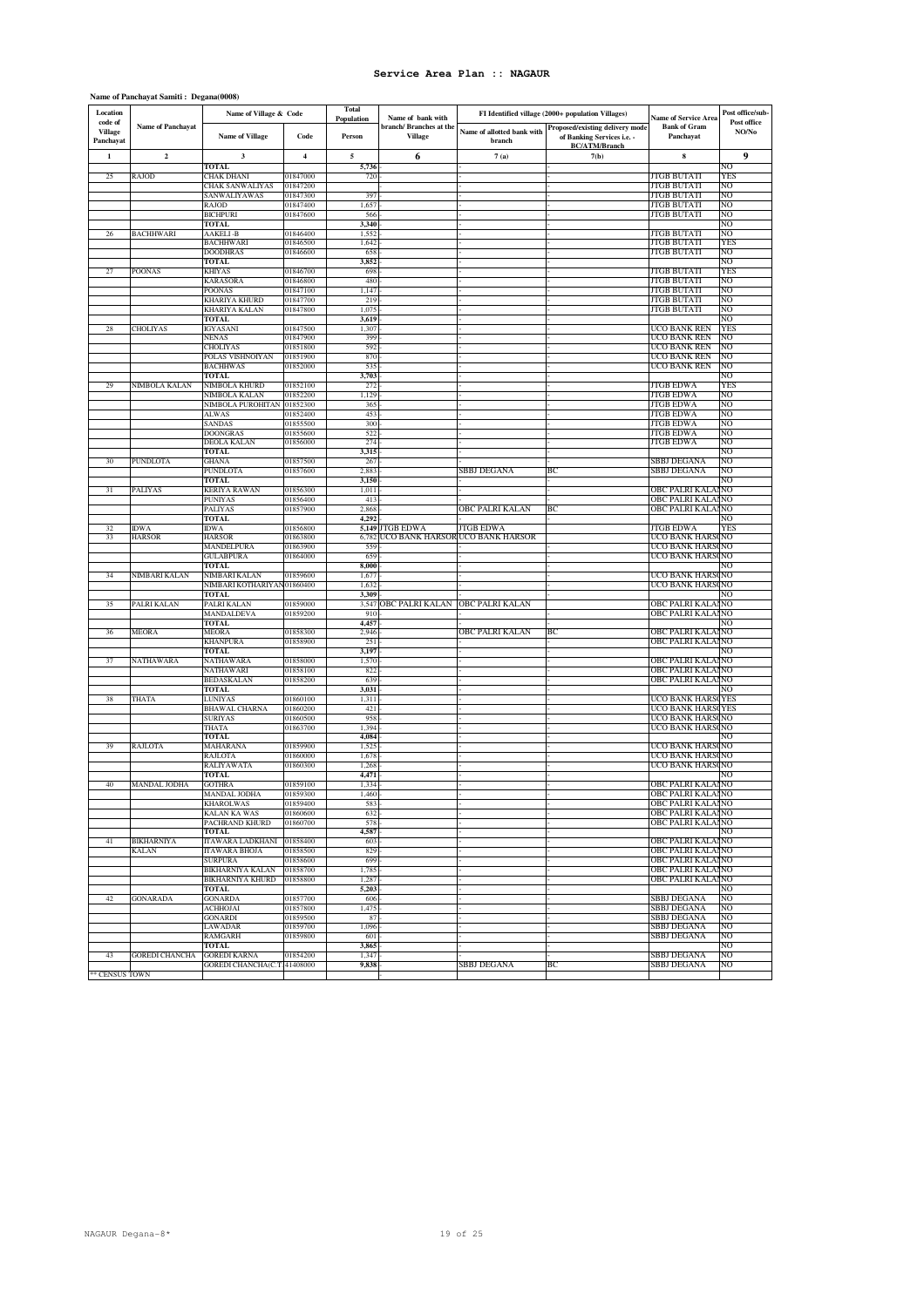### **Name of Panchayat Samiti : Degana(0008)**

| Location<br>code of         |                          | Name of Village & Code                              |                         | <b>Total</b><br>Population | Name of bank with                         |                                      | FI Identified village (2000+ population Villages)                                     | <b>Name of Service Area</b>              | Post office/sub-<br>Post office |
|-----------------------------|--------------------------|-----------------------------------------------------|-------------------------|----------------------------|-------------------------------------------|--------------------------------------|---------------------------------------------------------------------------------------|------------------------------------------|---------------------------------|
| <b>Village</b><br>Panchayat | <b>Name of Panchayat</b> | <b>Name of Village</b>                              | Code                    | Person                     | branch/ Branches at the<br><b>Village</b> | Name of allotted bank with<br>branch | Proposed/existing delivery mode<br>of Banking Services i.e. -<br><b>BC/ATM/Branch</b> | <b>Bank of Gram</b><br>Panchayat         | NO/No                           |
| 1                           | $\mathbf{2}$             | 3                                                   | $\overline{\mathbf{4}}$ | 5                          | 6                                         | 7(a)                                 | 7(b)                                                                                  | 8                                        | 9                               |
|                             |                          | TOTAL                                               |                         | 5,736                      |                                           |                                      |                                                                                       |                                          | NO                              |
| 25                          | RAJOD                    | CHAK DHANI                                          | 01847000                | 720                        |                                           |                                      |                                                                                       | JTGB BUTATI                              | YES                             |
|                             |                          | CHAK SANWALIYAS<br>SANWALIYAWAS                     | 01847200<br>01847300    | 397                        |                                           |                                      |                                                                                       | <b>JTGB BUTATI</b><br><b>JTGB BUTATI</b> | NO<br>NO                        |
|                             |                          | RAJOD                                               | 01847400                | 1,657                      |                                           |                                      |                                                                                       | <b>JTGB BUTATI</b>                       | NO                              |
|                             |                          | <b>BICHPURI</b>                                     | 01847600                | 566                        |                                           |                                      |                                                                                       | <b>JTGB BUTATI</b>                       | NO                              |
|                             |                          | TOTAL<br><b>AAKELI-B</b>                            | 01846400                | 3,340                      |                                           |                                      |                                                                                       | JTGB BUTATI                              | NO<br>NO                        |
| 26                          | BACHHWARI                | <b>BACHHWARI</b>                                    | 01846500                | 1,552<br>1,642             |                                           |                                      |                                                                                       | JTGB BUTATI                              | YES                             |
|                             |                          | <b>DOODHRAS</b>                                     | 01846600                | 658                        |                                           |                                      |                                                                                       | <b>JTGB BUTATI</b>                       | NO                              |
|                             |                          | <b>TOTAL</b>                                        |                         | 3,852                      |                                           |                                      |                                                                                       |                                          | NO                              |
| 27                          | POONAS                   | <b>KHIYAS</b><br><b>KARASORA</b>                    | 01846700<br>01846800    | 698<br>480                 |                                           |                                      |                                                                                       | <b>JTGB BUTATI</b><br><b>JTGB BUTATI</b> | YES<br>NO                       |
|                             |                          | <b>POONAS</b>                                       | 01847100                | 1,147                      |                                           |                                      |                                                                                       | JTGB BUTATI                              | NO                              |
|                             |                          | <b>KHARIYA KHURD</b>                                | 01847700                | 219                        |                                           |                                      |                                                                                       | <b>JTGB BUTATI</b>                       | NO                              |
|                             |                          | KHARIYA KALAN                                       | 01847800                | 1,075                      |                                           |                                      |                                                                                       | <b>JTGB BUTATI</b>                       | NO                              |
| 28                          | CHOLIYAS                 | <b>TOTAL</b><br><b>IGYASANI</b>                     | 01847500                | 3,619<br>1,307             |                                           |                                      |                                                                                       | UCO BANK REN                             | NO<br>YES                       |
|                             |                          | <b>NENAS</b>                                        | 01847900                | 399                        |                                           |                                      |                                                                                       | UCO BANK REN                             | NO                              |
|                             |                          | CHOLIYAS                                            | 01851800                | 592                        |                                           |                                      |                                                                                       | UCO BANK REN                             | NO                              |
|                             |                          | POLAS VISHNOIYAN                                    | 01851900                | 870<br>535                 |                                           |                                      |                                                                                       | UCO BANK REN                             | NO<br>NO                        |
|                             |                          | <b>BACHHWAS</b><br><b>TOTAL</b>                     | 01852000                | 3,703                      |                                           |                                      |                                                                                       | UCO BANK REN                             | NO                              |
| 29                          | NIMBOLA KALAN            | NIMBOLA KHURD                                       | 01852100                | 272                        |                                           |                                      |                                                                                       | <b>JTGB EDWA</b>                         | <b>YES</b>                      |
|                             |                          | NIMBOLA KALAN                                       | 01852200                | 1,129                      |                                           |                                      |                                                                                       | JTGB EDWA                                | NO                              |
|                             |                          | NIMBOLA PUROHITAN 01852300                          | 01852400                | 365                        |                                           |                                      |                                                                                       | JTGB EDWA                                | NO<br>NO                        |
|                             |                          | ALWAS<br>SANDAS                                     | 01855500                | 453<br>300                 |                                           |                                      |                                                                                       | JTGB EDWA<br>JTGB EDWA                   | NO                              |
|                             |                          | <b>DOONGRAS</b>                                     | 01855600                | 522                        |                                           |                                      |                                                                                       | <b>JTGB EDWA</b>                         | NO                              |
|                             |                          | DEOLA KALAN                                         | 01856000                | 274                        |                                           |                                      |                                                                                       | <b>JTGB EDWA</b>                         | NO                              |
|                             | PUNDLOTA                 | <b>TOTAL</b>                                        | 01857500                | 3,315<br>267               |                                           |                                      |                                                                                       | SBBJ DEGANA                              | NO<br>NO                        |
| 30                          |                          | GHANA<br>PUNDLOTA                                   | 01857600                | 2,883                      |                                           | SBBJ DEGANA                          | ВC                                                                                    | SBBJ DEGANA                              | NO                              |
|                             |                          | <b>TOTAL</b>                                        |                         | 3,150                      |                                           |                                      |                                                                                       |                                          | NO                              |
| 31                          | PALIYAS                  | KERIYA RAWAN                                        | 01856300                | 1,011                      |                                           |                                      |                                                                                       | OBC PALRI KALAINO                        |                                 |
|                             |                          | <b>PUNIYAS</b><br>PALIYAS                           | 01856400<br>01857900    | 413<br>2,868               |                                           | OBC PALRI KALAN                      | ВC                                                                                    | OBC PALRI KALAINO<br>OBC PALRI KALAINO   |                                 |
|                             |                          | TOTAL                                               |                         | 4,292                      |                                           |                                      |                                                                                       |                                          | NO                              |
| 32                          | <b>IDWA</b>              | IDWA                                                | 01856800                |                            | 5,149 JTGB EDWA                           | JTGB EDWA                            |                                                                                       | JTGB EDWA                                | YES                             |
| 33                          | HARSOR                   | <b>HARSOR</b>                                       | 01863800                | 6,782                      |                                           | UCO BANK HARSOR UCO BANK HARSOR      |                                                                                       | UCO BANK HARS                            | NO                              |
|                             |                          | MANDELPURA<br><b>GULABPURA</b>                      | 01863900<br>01864000    | 559<br>659                 |                                           |                                      |                                                                                       | UCO BANK HARS<br>UCO BANK HARS           | NO<br>NO                        |
|                             |                          | <b>TOTAL</b>                                        |                         | 8,000                      |                                           |                                      |                                                                                       |                                          | NO                              |
| 34                          | <b>NIMBARI KALAN</b>     | NIMBARI KALAN                                       | 01859600                | 1,67                       |                                           |                                      |                                                                                       | UCO BANK HAR!                            | NO                              |
|                             |                          | NIMBARI KOTHARIYA                                   | 01860400                | 1,632                      |                                           |                                      |                                                                                       | UCO BANK HAR!                            | NO                              |
| 35                          | PALRI KALAN              | <b>TOTAL</b><br>PALRI KALAN                         | 01859000                | 3,309<br>3,547             | OBC PALRI KALAN                           | <b>OBC PALRI KALAN</b>               |                                                                                       | OBC PALRI KALAINO                        | NO                              |
|                             |                          | MANDALDEVA                                          | 01859200                | 910                        |                                           |                                      |                                                                                       | OBC PALRI KALAI NO                       |                                 |
|                             |                          | TOTAL                                               |                         | 4,457                      |                                           |                                      |                                                                                       |                                          | NΩ                              |
| 36                          | MEORA                    | MEORA                                               | 01858300                | 2,946                      |                                           | OBC PALRI KALAN                      | BC                                                                                    | OBC PALRI KALA                           | NO                              |
|                             |                          | KHANPURA<br>TOTAL                                   | 01858900                | 251<br>3,197               |                                           |                                      |                                                                                       | OBC PALRI KALA                           | NO<br>NO                        |
| 37                          | NATHAWARA                | NATHAWARA                                           | 01858000                | 1,570                      |                                           |                                      |                                                                                       | OBC PALRI KALA                           | NO                              |
|                             |                          | NATHAWARI                                           | 01858100                | 822                        |                                           |                                      |                                                                                       | OBC PALRI KALA                           | NO                              |
|                             |                          | BEDASKALAN                                          | 01858200                | 639                        |                                           |                                      |                                                                                       | OBC PALRI KALA                           | NO                              |
| 38                          | THATA                    | <b>TOTAL</b><br>LUNIYAS                             | 01860100                | 3,031<br>1,311             |                                           |                                      |                                                                                       | UCO BANK HARS                            | NO<br>YES                       |
|                             |                          | BHAWAL CHARNA                                       | 01860200                | 421                        |                                           |                                      |                                                                                       | UCO BANK HAR!                            | YES                             |
|                             |                          | <b>SURIYAS</b>                                      | 01860500                | 958                        |                                           |                                      |                                                                                       | UCO BANK HARS                            | NO                              |
|                             |                          | THATA<br><b>TOTAL</b>                               | 01863700                | 1,394<br>4,084             |                                           |                                      |                                                                                       | UCO BANK HARSONO                         | NO                              |
| 39                          | RAJLOTA                  | MAHARANA                                            | 01859900                | 1,525                      |                                           |                                      |                                                                                       | UCO BANK HARS                            | NO                              |
|                             |                          | RAJLOTA                                             | 01860000                | 1,678                      |                                           |                                      |                                                                                       | UCO BANK HARS                            | NO                              |
|                             |                          | RALIYAWATA                                          | 01860300                | 1,268                      |                                           |                                      |                                                                                       | UCO BANK HARS                            | NO                              |
| 40                          | MANDAL JODHA             | TOTAL<br><b>GOTHRA</b>                              | 01859100                | 4,471<br>1,334             |                                           |                                      |                                                                                       | OBC PALRI KALA                           | NO<br>NO                        |
|                             |                          | MANDAL JODHA                                        | 01859300                | 1,460                      |                                           |                                      |                                                                                       | OBC PALRI KALAINO                        |                                 |
|                             |                          | KHAROLWAS                                           | 01859400                | 583                        |                                           |                                      |                                                                                       | OBC PALRI KALAINO                        |                                 |
|                             |                          | <b>KALAN KA WAS</b><br>PACHRAND KHURD               | 01860600                | 632                        |                                           |                                      |                                                                                       | OBC PALRI KALAINO                        |                                 |
|                             |                          | <b>TOTAL</b>                                        | 01860700                | 578<br>4,587               |                                           |                                      |                                                                                       | OBC PALRI KALAINO                        | NO                              |
| 41                          | <b>BIKHARNIYA</b>        | ITAWARA LADKHANI                                    | 01858400                | 603                        |                                           |                                      |                                                                                       | OBC PALRI KALAINO                        |                                 |
|                             | KALAN                    | <b>ITAWARA BHOJA</b>                                | 01858500                | 829                        |                                           |                                      |                                                                                       | <b>OBC PALRI KALAINO</b>                 |                                 |
|                             |                          | <b>SURPURA</b>                                      | 01858600                | 699                        |                                           |                                      |                                                                                       | OBC PALRI KALAI NO                       |                                 |
|                             |                          | <b>BIKHARNIYA KALAN</b><br>BIKHARNIYA KHURD         | 01858700<br>01858800    | 1,785<br>1,287             |                                           |                                      |                                                                                       | OBC PALRI KALAINO<br>OBC PALRI KALAINO   |                                 |
|                             |                          | TOTAL                                               |                         | 5,203                      |                                           |                                      |                                                                                       |                                          | NO                              |
| 42                          | <b>GONARADA</b>          | <b>GONARDA</b>                                      | 01857700                | 606                        |                                           |                                      |                                                                                       | SBBJ DEGANA                              | NO                              |
|                             |                          | ACHHOJAI                                            | 01857800                | 1,475                      |                                           |                                      |                                                                                       | SBBJ DEGANA                              | NO<br>NO                        |
|                             |                          | <b>GONARDI</b><br>LAWADAR                           | 01859500<br>01859700    | 87<br>1,096                |                                           |                                      |                                                                                       | SBBJ DEGANA<br><b>SBBJ DEGANA</b>        | NO                              |
|                             |                          | RAMGARH                                             | 01859800                | 601                        |                                           |                                      |                                                                                       | SBBJ DEGANA                              | NO                              |
|                             |                          | <b>TOTAL</b>                                        |                         | 3,865                      |                                           |                                      |                                                                                       |                                          | NO                              |
| 43                          | <b>GOREDI CHANCHA</b>    | <b>GOREDI KARNA</b><br>GOREDI CHANCHA(C.T. 41408000 | 01854200                | 1,347<br>9,838             |                                           | SBBJ DEGANA                          | ВC                                                                                    | <b>SBBJ DEGANA</b><br>SBBJ DEGANA        | N <sub>O</sub><br>NO            |
| ** CENSUS TOWN              |                          |                                                     |                         |                            |                                           |                                      |                                                                                       |                                          |                                 |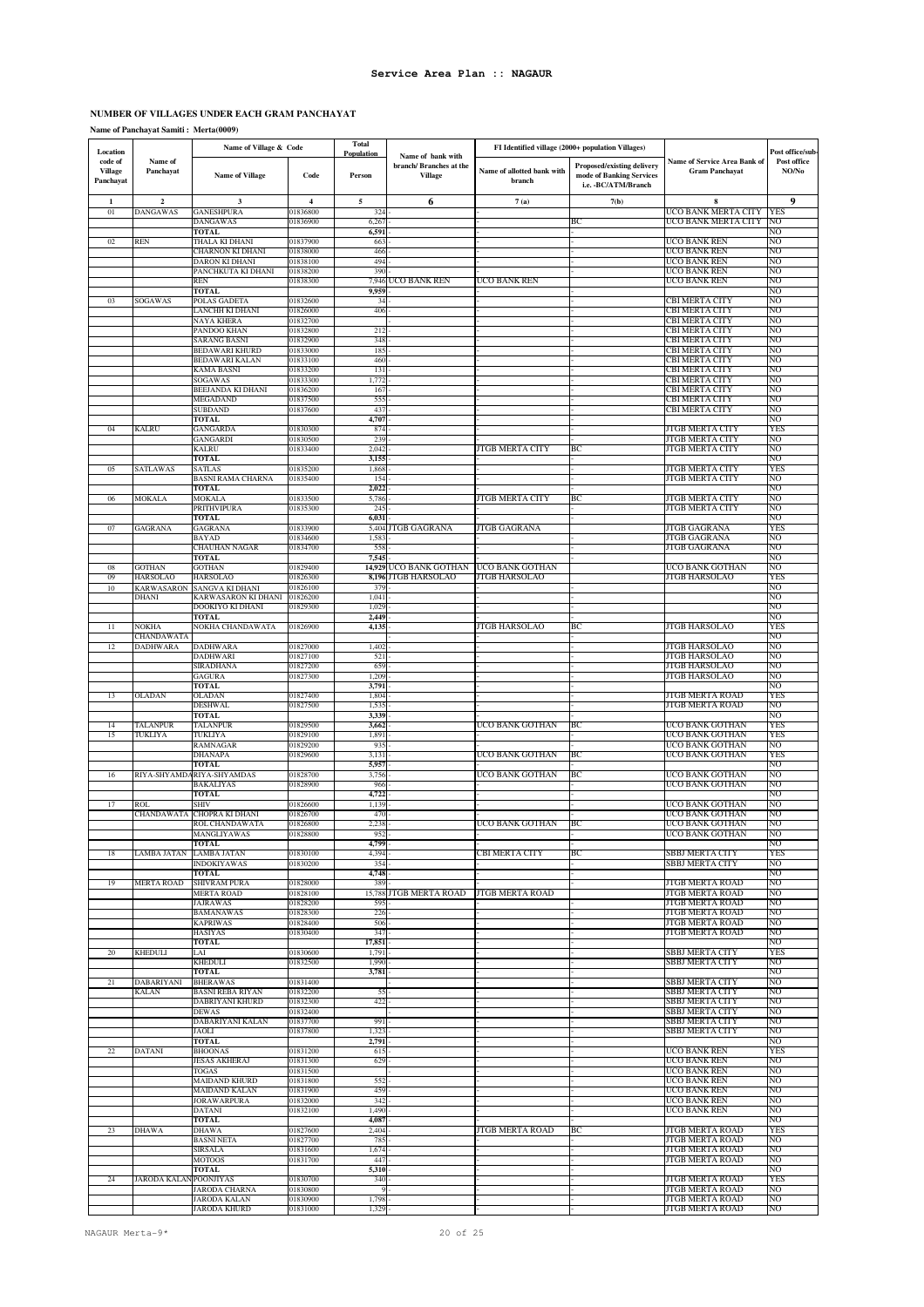### **NUMBER OF VILLAGES UNDER EACH GRAM PANCHAYAT**

### **Name of Panchayat Samiti : Merta(0009)**

| Location                               |                                      | Name of Village & Code                         |                      | <b>Total</b><br>Population |                                                               |                                      | FI Identified village (2000+ population Villages)                              |                                                       | Post office/sub-     |
|----------------------------------------|--------------------------------------|------------------------------------------------|----------------------|----------------------------|---------------------------------------------------------------|--------------------------------------|--------------------------------------------------------------------------------|-------------------------------------------------------|----------------------|
| code of<br><b>Village</b><br>Panchayat | Name of<br>Panchayat                 | <b>Name of Village</b>                         | Code                 | Person                     | Name of bank with<br>branch/Branches at the<br><b>Village</b> | Name of allotted bank with<br>branch | Proposed/existing delivery<br>mode of Banking Services<br>i.e. - BC/ATM/Branch | Name of Service Area Bank of<br><b>Gram Panchayat</b> | Post office<br>NO/No |
| $\mathbf{1}$                           | $\mathbf 2$                          | 3                                              | $\overline{4}$       | $\sqrt{5}$                 | 6                                                             | 7(a)                                 | 7(b)                                                                           | 8                                                     | 9                    |
| 01                                     | <b>DANGAWAS</b>                      | <b>GANESHPURA</b>                              | 01836800             | 324                        |                                                               |                                      |                                                                                | UCO BANK MERTA CITY                                   | YES                  |
|                                        |                                      | DANGAWAS<br><b>TOTAL</b>                       | 01836900             | 6,267<br>6,591             |                                                               |                                      | BС                                                                             | UCO BANK MERTA CITY                                   | NO<br>NO             |
| 02                                     | REN                                  | IHALA KI DHANI                                 | 01837900             | 663                        |                                                               |                                      |                                                                                | UCO BANK REN                                          | NO                   |
|                                        |                                      | CHARNON KI DHANI<br>DARON KI DHANI             | 01838000<br>01838100 | 466<br>494                 |                                                               |                                      |                                                                                | UCO BANK REN<br>UCO BANK REN                          | NΟ<br>NO             |
|                                        |                                      | PANCHKUTA KI DHANI                             | 01838200             | 390                        |                                                               |                                      |                                                                                | UCO BANK REN                                          | NO                   |
|                                        |                                      | <b>REN</b><br><b>TOTAL</b>                     | 01838300             | 9,959                      | 7,946 UCO BANK REN                                            | UCO BANK REN                         |                                                                                | UCO BANK REN                                          | NO<br>NO             |
| 03                                     | SOGAWAS                              | POLAS GADETA                                   | 01832600             | 34                         |                                                               |                                      |                                                                                | CBI MERTA CITY                                        | NO                   |
|                                        |                                      | ANCHH KI DHANI                                 | 01826000             | 406                        |                                                               |                                      |                                                                                | CBI MERTA CITY                                        | NO                   |
|                                        |                                      | NAYA KHERA<br>PANDOO KHAN                      | 01832700<br>01832800 | 212                        |                                                               |                                      |                                                                                | CBI MERTA CITY<br>CBI MERTA CITY                      | NO<br>NO             |
|                                        |                                      | SARANG BASNI                                   | 01832900             | 348                        |                                                               |                                      |                                                                                | CBI MERTA CITY                                        | NO                   |
|                                        |                                      | <b>BEDAWARI KHURD</b><br><b>BEDAWARI KALAN</b> | 01833000<br>01833100 | 185<br>460                 |                                                               |                                      |                                                                                | <b>CBI MERTA CITY</b><br><b>CBI MERTA CITY</b>        | NO<br>NO             |
|                                        |                                      | KAMA BASNI                                     | 01833200             | 131                        |                                                               |                                      |                                                                                | <b>CBI MERTA CITY</b>                                 | NO                   |
|                                        |                                      | SOGAWAS<br>BEEJANDA KI DHANI                   | 01833300<br>01836200 | 1,772<br>167               |                                                               |                                      |                                                                                | CBI MERTA CITY<br>CBI MERTA CITY                      | NO<br>NO             |
|                                        |                                      | MEGADAND                                       | 01837500             | 555                        |                                                               |                                      |                                                                                | CBI MERTA CITY                                        | NO                   |
|                                        |                                      | <b>SUBDAND</b><br><b>TOTAL</b>                 | 01837600             | 437<br>4,707               |                                                               |                                      |                                                                                | CBI MERTA CITY                                        | NO<br>NΟ             |
| 04                                     | KALRU                                | GANGARDA                                       | 01830300             | 874                        |                                                               |                                      |                                                                                | <b>JTGB MERTA CITY</b>                                | YES                  |
|                                        |                                      | GANGARDI                                       | 01830500             | 239                        |                                                               |                                      |                                                                                | <b>JTGB MERTA CITY</b>                                | NO                   |
|                                        |                                      | KALRU<br><b>TOTAL</b>                          | 01833400             | 2,042<br>3,155             |                                                               | JTGB MERTA CITY                      | BС                                                                             | JTGB MERTA CITY                                       | NO<br>NΟ             |
| 05                                     | SATLAWAS                             | SATLAS                                         | 01835200             | 1,868                      |                                                               |                                      |                                                                                | JTGB MERTA CITY                                       | YES                  |
|                                        |                                      | BASNI RAMA CHARNA<br><b>TOTAL</b>              | 01835400             | 154<br>2,022               |                                                               |                                      |                                                                                | JTGB MERTA CITY                                       | NO<br>NO             |
| 06                                     | MOKALA                               | MOKALA                                         | 01833500             | 5,786                      |                                                               | JTGB MERTA CITY                      | BС                                                                             | JTGB MERTA CITY                                       | NO                   |
|                                        |                                      | PRITHVIPURA                                    | 01835300             | 245                        |                                                               |                                      |                                                                                | JTGB MERTA CITY                                       | NO<br>NO             |
| 07                                     | GAGRANA                              | <b>TOTAL</b><br>GAGRANA                        | 01833900             | 6,031                      | 5,404 JTGB GAGRANA                                            | JTGB GAGRANA                         |                                                                                | JTGB GAGRANA                                          | YES                  |
|                                        |                                      | BAYAD                                          | 01834600             | 1,583                      |                                                               |                                      |                                                                                | JTGB GAGRANA                                          | NO                   |
|                                        |                                      | CHAUHAN NAGAR<br>TOTAL                         | 01834700             | 558<br>7,545               |                                                               |                                      |                                                                                | JTGB GAGRANA                                          | NO<br>NO             |
| 08                                     | <b>GOTHAN</b>                        | GOTHAN                                         | 01829400             |                            | 14,929 UCO BANK GOTHAN                                        | UCO BANK GOTHAN                      |                                                                                | UCO BANK GOTHAN                                       | NO                   |
| 09<br>10                               | <b>HARSOLAO</b><br><b>KARWASARON</b> | <b>HARSOLAO</b><br><b>SANGVA KI DHANI</b>      | 01826300<br>01826100 | 379                        | 8,196 JTGB HARSOLAO                                           | JTGB HARSOLAO                        |                                                                                | JTGB HARSOLAO                                         | YES<br>NO            |
|                                        | <b>DHANI</b>                         | KARWASARON KI DHANI                            | 01826200             | 1,041                      |                                                               |                                      |                                                                                |                                                       | NO                   |
|                                        |                                      | DOOKIYO KI DHANI<br><b>TOTAL</b>               | 01829300             | 1,029<br>2,449             |                                                               |                                      |                                                                                |                                                       | NO<br>NΟ             |
| 11                                     | NOKHA                                | NOKHA CHANDAWATA                               | 01826900             | 4,135                      |                                                               | JTGB HARSOLAO                        | ВC                                                                             | JTGB HARSOLAO                                         | YES                  |
|                                        | CHANDAWATA                           |                                                |                      |                            |                                                               |                                      |                                                                                |                                                       | NO                   |
| 12                                     | <b>DADHWARA</b>                      | <b>DADHWARA</b><br>DADHWARI                    | 01827000<br>01827100 | 1,402<br>521               |                                                               |                                      |                                                                                | <b>JTGB HARSOLAO</b><br>JTGB HARSOLAO                 | NO<br>NO             |
|                                        |                                      | <b>SIRADHANA</b>                               | 01827200             | 659                        |                                                               |                                      |                                                                                | JTGB HARSOLAO                                         | NO                   |
|                                        |                                      | <b>GAGURA</b><br><b>TOTAL</b>                  | 01827300             | 1,209<br>3,791             |                                                               |                                      |                                                                                | <b>JTGB HARSOLAO</b>                                  | NO<br>NO             |
| 13                                     | OLADAN                               | <b>OLADAN</b>                                  | 01827400             | 1,804                      |                                                               |                                      |                                                                                | JTGB MERTA ROAD                                       | YES                  |
|                                        |                                      | <b>DESHWAL</b><br>TOTAL                        | 01827500             | 1,535<br>3.339             |                                                               |                                      |                                                                                | <b>JTGB MERTA ROAD</b>                                | NΟ<br>NO             |
| 14                                     | TALANPUR                             | TALANPUR                                       | 01829500             | 3,662                      |                                                               | UCO BANK GOTHAN                      | ВC                                                                             | UCO BANK GOTHAN                                       | YES                  |
| 15                                     | TUKLIYA                              | TUKLIYA<br>RAMNAGAR                            | 01829100<br>01829200 | 1,891<br>935               |                                                               |                                      |                                                                                | UCO BANK GOTHAN<br>UCO BANK GOTHAN                    | YES<br>NO            |
|                                        |                                      | <b>DHANAPA</b>                                 | 01829600             | 3,131                      |                                                               | UCO BANK GOTHAN                      | BС                                                                             | UCO BANK GOTHAN                                       | YES                  |
|                                        |                                      | <b>TOTAL</b>                                   |                      | 5,957                      |                                                               |                                      | BС                                                                             |                                                       | NO<br>NO             |
| 16                                     | RIYA-SHYAMD.                         | <b>RIYA-SHYAMDAS</b><br>BAKALIYAS              | 01828700<br>01828900 | 3,756<br>966               |                                                               | UCO BANK GOTHAN                      |                                                                                | UCO BANK GOTHAN<br>UCO BANK GOTHAN                    | NO                   |
|                                        |                                      | TOTAL                                          |                      | 4,722                      |                                                               |                                      |                                                                                |                                                       | NO                   |
| 17                                     | ROL<br>CHANDAWATA                    | SHIV<br>CHOPRA KI DHANI                        | 01826600<br>01826700 | 1,139<br>470               |                                                               |                                      |                                                                                | UCO BANK GOTHAN<br>UCO BANK GOTHAN                    | NO<br>NO             |
|                                        |                                      | ROL CHANDAWATA                                 | 01826800             | 2,238                      |                                                               | UCO BANK GOTHAN                      | BС                                                                             | UCO BANK GOTHAN                                       | NO                   |
|                                        |                                      | MANGLIYAWAS<br><b>TOTAL</b>                    | 01828800             | 952<br>4,799               |                                                               |                                      |                                                                                | UCO BANK GOTHAN                                       | NO<br>NO             |
| 18                                     | LAMBA JATAN                          | <b>LAMBA JATAN</b>                             | 01830100             | 4,394                      |                                                               | CBI MERTA CITY                       | BC                                                                             | SBBJ MERTA CITY                                       | YES                  |
|                                        |                                      | <b>INDOKIYAWAS</b><br><b>TOTAL</b>             | 01830200             | 354<br>4,748               |                                                               |                                      |                                                                                | SBBJ MERTA CITY                                       | NO<br>NO             |
| 19                                     | <b>MERTA ROAD</b>                    | SHIVRAM PURA                                   | 01828000             | 389                        |                                                               |                                      |                                                                                | <b>JTGB MERTA ROAD</b>                                | NO                   |
|                                        |                                      | <b>MERTA ROAD</b><br><b>JAJRAWAS</b>           | 01828100<br>01828200 | 595                        | 15,788 JTGB MERTA ROAD                                        | JTGB MERTA ROAD                      |                                                                                | JTGB MERTA ROAD<br>JTGB MERTA ROAD                    | NO<br>NΟ             |
|                                        |                                      | <b>BAMANAWAS</b>                               | 01828300             | 226                        |                                                               |                                      |                                                                                | <b>JTGB MERTA ROAD</b>                                | NO                   |
|                                        |                                      | <b>KAPRIWAS</b><br><b>HASIYAS</b>              | 01828400<br>01830400 | 506<br>347                 |                                                               |                                      |                                                                                | JTGB MERTA ROAD<br><b>JTGB MERTA ROAD</b>             | NO<br>NO             |
|                                        |                                      | <b>TOTAL</b>                                   |                      | 17,851                     |                                                               |                                      |                                                                                |                                                       | NO                   |
| 20                                     | <b>KHEDULI</b>                       | LAI                                            | 01830600             | 1,791                      |                                                               |                                      |                                                                                | SBBJ MERTA CITY<br>SBBJ MERTA CITY                    | YES<br>NO            |
|                                        |                                      | KHEDULI<br><b>TOTAL</b>                        | 01832500             | 1,990<br>3,781             |                                                               |                                      |                                                                                |                                                       | NO                   |
| 21                                     | DABARIYANI                           | <b>BHERAWAS</b>                                | 01831400             |                            |                                                               |                                      |                                                                                | SBBJ MERTA CITY                                       | NO                   |
|                                        | KALAN                                | <b>BASNI REBA RIYAN</b><br>DABRIYANI KHURD     | 01832200<br>01832300 | 55<br>422                  |                                                               |                                      |                                                                                | SBBJ MERTA CITY<br>SBBJ MERTA CITY                    | NO<br>NO             |
|                                        |                                      | <b>DEWAS</b>                                   | 01832400             |                            |                                                               |                                      |                                                                                | SBBJ MERTA CITY                                       | NO                   |
|                                        |                                      | DABARIYANI KALAN<br>JAOLI                      | 01837700<br>01837800 | 991<br>1,323               |                                                               |                                      |                                                                                | SBBJ MERTA CITY<br><b>SBBJ MERTA CITY</b>             | NO<br>NO             |
|                                        |                                      | <b>TOTAL</b>                                   |                      | 2,791                      |                                                               |                                      |                                                                                |                                                       | NO                   |
| 22                                     | DATANI                               | <b>BHOONAS</b><br><b>JESAS AKHERAJ</b>         | 01831200<br>01831300 | 615<br>629                 |                                                               |                                      |                                                                                | UCO BANK REN<br>UCO BANK REN                          | YES<br>NO            |
|                                        |                                      | TOGAS                                          | 01831500             |                            |                                                               |                                      |                                                                                | UCO BANK REN                                          | NO                   |
|                                        |                                      | <b>MAIDAND KHURD</b>                           | 01831800             | 552<br>459                 |                                                               |                                      |                                                                                | UCO BANK REN                                          | NO<br>NO             |
|                                        |                                      | <b>MAIDAND KALAN</b><br>JORAWARPURA            | 01831900<br>01832000 | 342                        |                                                               |                                      |                                                                                | UCO BANK REN<br>UCO BANK REN                          | NO                   |
|                                        |                                      | DATANI                                         | 01832100             | 1,490                      |                                                               |                                      |                                                                                | UCO BANK REN                                          | NO                   |
| 23                                     | DHAWA                                | <b>TOTAL</b><br><b>DHAWA</b>                   | 01827600             | 4,087<br>2,404             |                                                               | JTGB MERTA ROAD                      | BС                                                                             | JTGB MERTA ROAD                                       | NO<br>YES            |
|                                        |                                      | <b>BASNI NETA</b>                              | 01827700             | 785                        |                                                               |                                      |                                                                                | JTGB MERTA ROAD                                       | NO                   |
|                                        |                                      | SIRSALA<br><b>MOTOOS</b>                       | 01831600<br>01831700 | 1,674<br>447               |                                                               |                                      |                                                                                | JTGB MERTA ROAD<br><b>JTGB MERTA ROAD</b>             | NO<br>NO             |
|                                        |                                      | <b>TOTAL</b>                                   |                      | 5,310                      |                                                               |                                      |                                                                                |                                                       | NO                   |
| 24                                     | <b>JARODA KALA</b>                   | POONJIYAS<br><b>JARODA CHARNA</b>              | 01830700<br>01830800 | 340<br>9                   |                                                               |                                      |                                                                                | <b>JTGB MERTA ROAD</b><br><b>JTGB MERTA ROAD</b>      | <b>YES</b><br>NO     |
|                                        |                                      | JARODA KALAN                                   | 01830900             | 1,798                      |                                                               |                                      |                                                                                | <b>JTGB MERTA ROAD</b>                                | NO                   |
|                                        |                                      | <b>JARODA KHURD</b>                            | 01831000             | 1,329                      |                                                               |                                      |                                                                                | JTGB MERTA ROAD                                       | NO                   |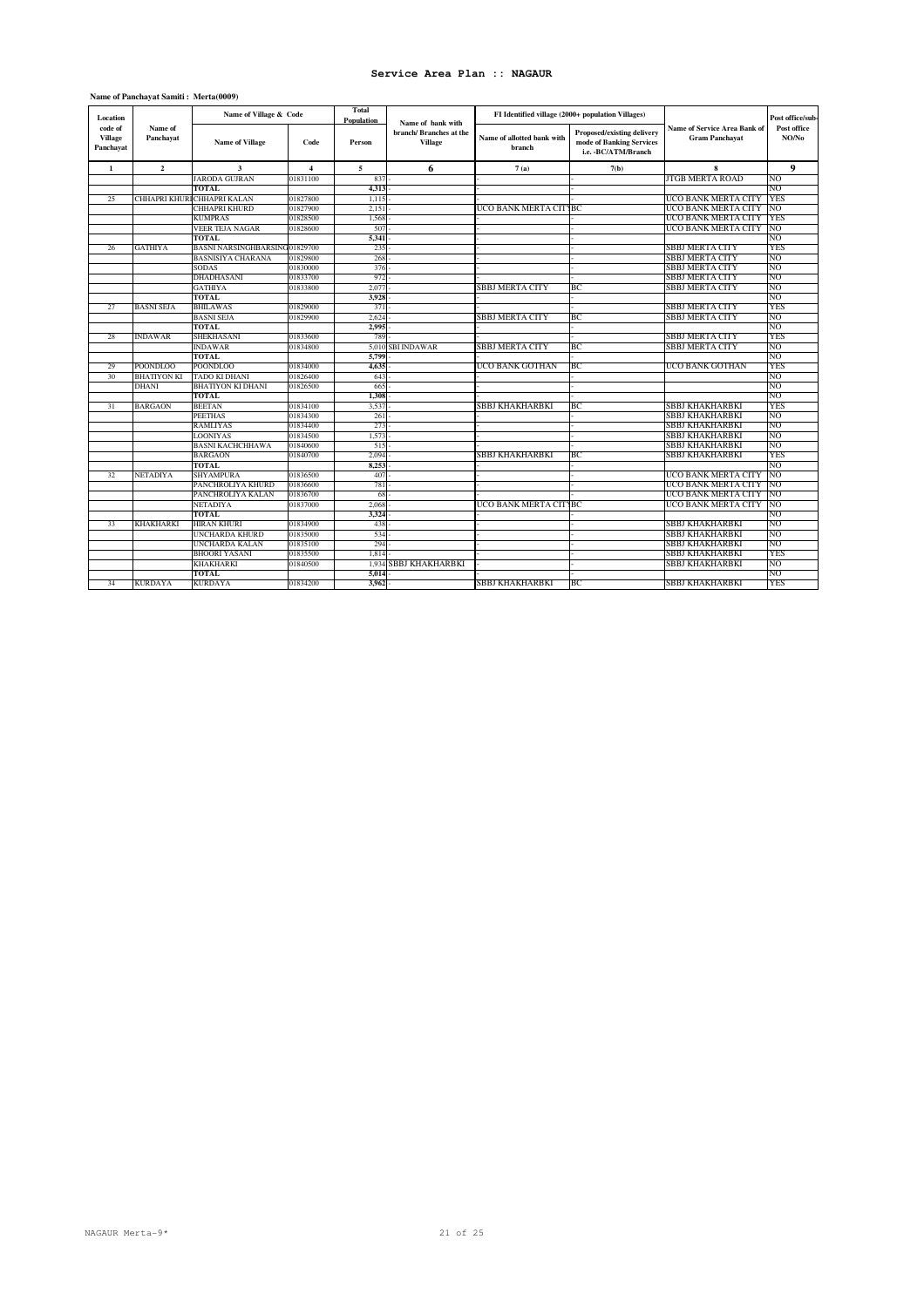### **Name of Panchayat Samiti : Merta(0009)**

| code of<br>Name of<br>Name of Service Area Bank of<br>Post office<br>Proposed/existing delivery<br>branch/ Branches at the<br>NO/No<br><b>Village</b><br>Panchayat<br>Name of allotted bank with<br><b>Gram Panchayat</b><br><b>Name of Village</b><br>mode of Banking Services<br>Code<br>Person<br>Village<br>branch<br>Panchayat<br>i.e. - BC/ATM/Branch<br>6<br>9<br>$\overline{\mathbf{c}}$<br>3<br>5<br>8<br>$\mathbf{1}$<br>7(a)<br>$\overline{\mathbf{4}}$<br>7(b)<br>JARODA GUJRAN<br>JTGB MERTA ROAD<br>01831100<br>NO<br>837<br><b>TOTAL</b><br>4,313<br>NO<br>01827800<br>UCO BANK MERTA CITY<br>25<br>CHHAPRI KHUR<br><b>CHHAPRI KALAN</b><br>1.115<br>YES<br>CHHAPRI KHURD<br>01827900<br>UCO BANK MERTA CITYBC<br>UCO BANK MERTA CITY<br>NO<br>2.151<br>KUMPRAS<br>01828500<br>1.568<br>UCO BANK MERTA CITY<br>YES<br>UCO BANK MERTA CITY<br>VEER TEJA NAGAR<br>01828600<br>507<br>NO<br>5,341<br>TOTAL.<br>NO<br><b>SBBJ MERTA CITY</b><br><b>YES</b><br><b>GATHIYA</b><br><b>BASNI NARSINGHBARSING</b><br>01829700<br>235<br>26<br>01829800<br>268<br>NO<br><b>BASNISIYA CHARANA</b><br><b>SBBJ MERTA CITY</b><br>NO<br>376<br><b>SBBJ MERTA CITY</b><br><b>SODAS</b><br>01830000<br><b>DHADHASANI</b><br>01833700<br>972<br><b>SBBJ MERTA CITY</b><br>NO<br>01833800<br>SBBJ MERTA CITY<br>BC<br><b>SBBJ MERTA CITY</b><br>NO<br><b>GATHIYA</b><br>2.077<br><b>TOTAL</b><br>3.928<br>NΟ<br><b>BASNI SEJA</b><br><b>SBBJ MERTA CITY</b><br><b>YES</b><br>27<br><b>BHILAWAS</b><br>01829000<br>371<br>SBBJ MERTA CITY<br>01829900<br>BC<br><b>SBBJ MERTA CITY</b><br><b>BASNI SEJA</b><br>2.624<br>NO.<br>NO<br><b>TOTAL</b><br>2,995<br><b>SBBJ MERTA CITY</b><br><b>INDAWAR</b><br><b>SHEKHASANI</b><br>01833600<br>789<br><b>YES</b><br>28<br>SBBJ MERTA CITY<br>BС<br>SBBJ MERTA CITY<br><b>INDAWAR</b><br>01834800<br>5,010<br>SBI INDAWAR<br>NO<br>NO<br><b>TOTAL</b><br>5.799<br>UCO BANK GOTHAN<br>UCO BANK GOTHAN<br>YES<br>29<br><b>POONDLOO</b><br>POONDLOO<br>01834000<br>4,635<br>BС<br>TADO KI DHANI<br>01826400<br>NO<br>30<br><b>BHATIYON KI</b><br>643<br>NO<br>DHANI<br>BHATIYON KI DHANI<br>01826500<br>665<br><b>TOTAL</b><br>1.308<br>NO<br>SBBJ KHAKHARBKI<br>SBBJ KHAKHARBKI<br>YES<br>31<br><b>BARGAON</b><br><b>BEETAN</b><br>01834100<br>3,537<br>BС<br>NO<br><b>PEETHAS</b><br>01834300<br>261<br>SBBJ KHAKHARBKI<br>NO<br>RAMLIYAS<br>01834400<br>273<br>SBBJ KHAKHARBKI<br>NO<br>LOONIYAS<br>01834500<br>1.573<br>SBBJ KHAKHARBKI<br>BASNI KACHCHHAWA<br>SBBJ KHAKHARBKI<br>NO<br>515<br>01840600<br>SBBI KHAKHARBKI<br>YES<br>01840700<br>2,094<br>BC.<br>SBBJ KHAKHARBKI<br><b>BARGAON</b><br><b>TOTAL</b><br>8,253<br>NO<br>UCO BANK MERTA CITY<br>NETADIYA<br>SHYAMPURA<br>01836500<br>407<br>NO<br>32<br>UCO BANK MERTA CITY<br>NO<br>PANCHROLIYA KHURD<br>01836600<br>781<br>UCO BANK MERTA CITY<br>PANCHROLIYA KALAN<br>NO<br>01836700<br>68<br>UCO BANK MERTA CITY<br>01837000<br>UCO BANK MERTA CITYBC<br>NO<br>NETADIYA<br>2.068<br><b>TOTAL</b><br>3,324<br>NO<br>SBBJ KHAKHARBKI<br><b>HIRAN KHURI</b><br>01834900<br>438<br>NO<br>33<br>KHAKHARKI<br>UNCHARDA KHURD<br>01835000<br>534<br><b>SBBJ KHAKHARBKI</b><br>NO<br>UNCHARDA KALAN<br>01835100<br>294<br><b>SBBJ KHAKHARBKI</b><br>NO<br><b>SBBJ KHAKHARBKI</b><br><b>YES</b><br><b>BHOORI YASANI</b><br>01835500<br>1.814<br>SBBJ KHAKHARBKI<br><b>SBBJ KHAKHARBKI</b><br>NO<br>KHAKHARKI<br>01840500<br>1.934<br>5,014<br>NO<br>TOTAL | Location |                | Name of Village & Code |          | <b>Total</b><br>Population | Name of bank with |                        | FI Identified village (2000+ population Villages) |                        | Post office/sub- |
|---------------------------------------------------------------------------------------------------------------------------------------------------------------------------------------------------------------------------------------------------------------------------------------------------------------------------------------------------------------------------------------------------------------------------------------------------------------------------------------------------------------------------------------------------------------------------------------------------------------------------------------------------------------------------------------------------------------------------------------------------------------------------------------------------------------------------------------------------------------------------------------------------------------------------------------------------------------------------------------------------------------------------------------------------------------------------------------------------------------------------------------------------------------------------------------------------------------------------------------------------------------------------------------------------------------------------------------------------------------------------------------------------------------------------------------------------------------------------------------------------------------------------------------------------------------------------------------------------------------------------------------------------------------------------------------------------------------------------------------------------------------------------------------------------------------------------------------------------------------------------------------------------------------------------------------------------------------------------------------------------------------------------------------------------------------------------------------------------------------------------------------------------------------------------------------------------------------------------------------------------------------------------------------------------------------------------------------------------------------------------------------------------------------------------------------------------------------------------------------------------------------------------------------------------------------------------------------------------------------------------------------------------------------------------------------------------------------------------------------------------------------------------------------------------------------------------------------------------------------------------------------------------------------------------------------------------------------------------------------------------------------------------------------------------------------------------------------------------------------------------------------------------------------------------------------------------------------------------------------------------------------------------------------------------------------------------------------------------------------------------------------------------------------------------------------------------------|----------|----------------|------------------------|----------|----------------------------|-------------------|------------------------|---------------------------------------------------|------------------------|------------------|
|                                                                                                                                                                                                                                                                                                                                                                                                                                                                                                                                                                                                                                                                                                                                                                                                                                                                                                                                                                                                                                                                                                                                                                                                                                                                                                                                                                                                                                                                                                                                                                                                                                                                                                                                                                                                                                                                                                                                                                                                                                                                                                                                                                                                                                                                                                                                                                                                                                                                                                                                                                                                                                                                                                                                                                                                                                                                                                                                                                                                                                                                                                                                                                                                                                                                                                                                                                                                                                                         |          |                |                        |          |                            |                   |                        |                                                   |                        |                  |
|                                                                                                                                                                                                                                                                                                                                                                                                                                                                                                                                                                                                                                                                                                                                                                                                                                                                                                                                                                                                                                                                                                                                                                                                                                                                                                                                                                                                                                                                                                                                                                                                                                                                                                                                                                                                                                                                                                                                                                                                                                                                                                                                                                                                                                                                                                                                                                                                                                                                                                                                                                                                                                                                                                                                                                                                                                                                                                                                                                                                                                                                                                                                                                                                                                                                                                                                                                                                                                                         |          |                |                        |          |                            |                   |                        |                                                   |                        |                  |
|                                                                                                                                                                                                                                                                                                                                                                                                                                                                                                                                                                                                                                                                                                                                                                                                                                                                                                                                                                                                                                                                                                                                                                                                                                                                                                                                                                                                                                                                                                                                                                                                                                                                                                                                                                                                                                                                                                                                                                                                                                                                                                                                                                                                                                                                                                                                                                                                                                                                                                                                                                                                                                                                                                                                                                                                                                                                                                                                                                                                                                                                                                                                                                                                                                                                                                                                                                                                                                                         |          |                |                        |          |                            |                   |                        |                                                   |                        |                  |
|                                                                                                                                                                                                                                                                                                                                                                                                                                                                                                                                                                                                                                                                                                                                                                                                                                                                                                                                                                                                                                                                                                                                                                                                                                                                                                                                                                                                                                                                                                                                                                                                                                                                                                                                                                                                                                                                                                                                                                                                                                                                                                                                                                                                                                                                                                                                                                                                                                                                                                                                                                                                                                                                                                                                                                                                                                                                                                                                                                                                                                                                                                                                                                                                                                                                                                                                                                                                                                                         |          |                |                        |          |                            |                   |                        |                                                   |                        |                  |
|                                                                                                                                                                                                                                                                                                                                                                                                                                                                                                                                                                                                                                                                                                                                                                                                                                                                                                                                                                                                                                                                                                                                                                                                                                                                                                                                                                                                                                                                                                                                                                                                                                                                                                                                                                                                                                                                                                                                                                                                                                                                                                                                                                                                                                                                                                                                                                                                                                                                                                                                                                                                                                                                                                                                                                                                                                                                                                                                                                                                                                                                                                                                                                                                                                                                                                                                                                                                                                                         |          |                |                        |          |                            |                   |                        |                                                   |                        |                  |
|                                                                                                                                                                                                                                                                                                                                                                                                                                                                                                                                                                                                                                                                                                                                                                                                                                                                                                                                                                                                                                                                                                                                                                                                                                                                                                                                                                                                                                                                                                                                                                                                                                                                                                                                                                                                                                                                                                                                                                                                                                                                                                                                                                                                                                                                                                                                                                                                                                                                                                                                                                                                                                                                                                                                                                                                                                                                                                                                                                                                                                                                                                                                                                                                                                                                                                                                                                                                                                                         |          |                |                        |          |                            |                   |                        |                                                   |                        |                  |
|                                                                                                                                                                                                                                                                                                                                                                                                                                                                                                                                                                                                                                                                                                                                                                                                                                                                                                                                                                                                                                                                                                                                                                                                                                                                                                                                                                                                                                                                                                                                                                                                                                                                                                                                                                                                                                                                                                                                                                                                                                                                                                                                                                                                                                                                                                                                                                                                                                                                                                                                                                                                                                                                                                                                                                                                                                                                                                                                                                                                                                                                                                                                                                                                                                                                                                                                                                                                                                                         |          |                |                        |          |                            |                   |                        |                                                   |                        |                  |
|                                                                                                                                                                                                                                                                                                                                                                                                                                                                                                                                                                                                                                                                                                                                                                                                                                                                                                                                                                                                                                                                                                                                                                                                                                                                                                                                                                                                                                                                                                                                                                                                                                                                                                                                                                                                                                                                                                                                                                                                                                                                                                                                                                                                                                                                                                                                                                                                                                                                                                                                                                                                                                                                                                                                                                                                                                                                                                                                                                                                                                                                                                                                                                                                                                                                                                                                                                                                                                                         |          |                |                        |          |                            |                   |                        |                                                   |                        |                  |
|                                                                                                                                                                                                                                                                                                                                                                                                                                                                                                                                                                                                                                                                                                                                                                                                                                                                                                                                                                                                                                                                                                                                                                                                                                                                                                                                                                                                                                                                                                                                                                                                                                                                                                                                                                                                                                                                                                                                                                                                                                                                                                                                                                                                                                                                                                                                                                                                                                                                                                                                                                                                                                                                                                                                                                                                                                                                                                                                                                                                                                                                                                                                                                                                                                                                                                                                                                                                                                                         |          |                |                        |          |                            |                   |                        |                                                   |                        |                  |
|                                                                                                                                                                                                                                                                                                                                                                                                                                                                                                                                                                                                                                                                                                                                                                                                                                                                                                                                                                                                                                                                                                                                                                                                                                                                                                                                                                                                                                                                                                                                                                                                                                                                                                                                                                                                                                                                                                                                                                                                                                                                                                                                                                                                                                                                                                                                                                                                                                                                                                                                                                                                                                                                                                                                                                                                                                                                                                                                                                                                                                                                                                                                                                                                                                                                                                                                                                                                                                                         |          |                |                        |          |                            |                   |                        |                                                   |                        |                  |
|                                                                                                                                                                                                                                                                                                                                                                                                                                                                                                                                                                                                                                                                                                                                                                                                                                                                                                                                                                                                                                                                                                                                                                                                                                                                                                                                                                                                                                                                                                                                                                                                                                                                                                                                                                                                                                                                                                                                                                                                                                                                                                                                                                                                                                                                                                                                                                                                                                                                                                                                                                                                                                                                                                                                                                                                                                                                                                                                                                                                                                                                                                                                                                                                                                                                                                                                                                                                                                                         |          |                |                        |          |                            |                   |                        |                                                   |                        |                  |
|                                                                                                                                                                                                                                                                                                                                                                                                                                                                                                                                                                                                                                                                                                                                                                                                                                                                                                                                                                                                                                                                                                                                                                                                                                                                                                                                                                                                                                                                                                                                                                                                                                                                                                                                                                                                                                                                                                                                                                                                                                                                                                                                                                                                                                                                                                                                                                                                                                                                                                                                                                                                                                                                                                                                                                                                                                                                                                                                                                                                                                                                                                                                                                                                                                                                                                                                                                                                                                                         |          |                |                        |          |                            |                   |                        |                                                   |                        |                  |
|                                                                                                                                                                                                                                                                                                                                                                                                                                                                                                                                                                                                                                                                                                                                                                                                                                                                                                                                                                                                                                                                                                                                                                                                                                                                                                                                                                                                                                                                                                                                                                                                                                                                                                                                                                                                                                                                                                                                                                                                                                                                                                                                                                                                                                                                                                                                                                                                                                                                                                                                                                                                                                                                                                                                                                                                                                                                                                                                                                                                                                                                                                                                                                                                                                                                                                                                                                                                                                                         |          |                |                        |          |                            |                   |                        |                                                   |                        |                  |
|                                                                                                                                                                                                                                                                                                                                                                                                                                                                                                                                                                                                                                                                                                                                                                                                                                                                                                                                                                                                                                                                                                                                                                                                                                                                                                                                                                                                                                                                                                                                                                                                                                                                                                                                                                                                                                                                                                                                                                                                                                                                                                                                                                                                                                                                                                                                                                                                                                                                                                                                                                                                                                                                                                                                                                                                                                                                                                                                                                                                                                                                                                                                                                                                                                                                                                                                                                                                                                                         |          |                |                        |          |                            |                   |                        |                                                   |                        |                  |
|                                                                                                                                                                                                                                                                                                                                                                                                                                                                                                                                                                                                                                                                                                                                                                                                                                                                                                                                                                                                                                                                                                                                                                                                                                                                                                                                                                                                                                                                                                                                                                                                                                                                                                                                                                                                                                                                                                                                                                                                                                                                                                                                                                                                                                                                                                                                                                                                                                                                                                                                                                                                                                                                                                                                                                                                                                                                                                                                                                                                                                                                                                                                                                                                                                                                                                                                                                                                                                                         |          |                |                        |          |                            |                   |                        |                                                   |                        |                  |
|                                                                                                                                                                                                                                                                                                                                                                                                                                                                                                                                                                                                                                                                                                                                                                                                                                                                                                                                                                                                                                                                                                                                                                                                                                                                                                                                                                                                                                                                                                                                                                                                                                                                                                                                                                                                                                                                                                                                                                                                                                                                                                                                                                                                                                                                                                                                                                                                                                                                                                                                                                                                                                                                                                                                                                                                                                                                                                                                                                                                                                                                                                                                                                                                                                                                                                                                                                                                                                                         |          |                |                        |          |                            |                   |                        |                                                   |                        |                  |
|                                                                                                                                                                                                                                                                                                                                                                                                                                                                                                                                                                                                                                                                                                                                                                                                                                                                                                                                                                                                                                                                                                                                                                                                                                                                                                                                                                                                                                                                                                                                                                                                                                                                                                                                                                                                                                                                                                                                                                                                                                                                                                                                                                                                                                                                                                                                                                                                                                                                                                                                                                                                                                                                                                                                                                                                                                                                                                                                                                                                                                                                                                                                                                                                                                                                                                                                                                                                                                                         |          |                |                        |          |                            |                   |                        |                                                   |                        |                  |
|                                                                                                                                                                                                                                                                                                                                                                                                                                                                                                                                                                                                                                                                                                                                                                                                                                                                                                                                                                                                                                                                                                                                                                                                                                                                                                                                                                                                                                                                                                                                                                                                                                                                                                                                                                                                                                                                                                                                                                                                                                                                                                                                                                                                                                                                                                                                                                                                                                                                                                                                                                                                                                                                                                                                                                                                                                                                                                                                                                                                                                                                                                                                                                                                                                                                                                                                                                                                                                                         |          |                |                        |          |                            |                   |                        |                                                   |                        |                  |
|                                                                                                                                                                                                                                                                                                                                                                                                                                                                                                                                                                                                                                                                                                                                                                                                                                                                                                                                                                                                                                                                                                                                                                                                                                                                                                                                                                                                                                                                                                                                                                                                                                                                                                                                                                                                                                                                                                                                                                                                                                                                                                                                                                                                                                                                                                                                                                                                                                                                                                                                                                                                                                                                                                                                                                                                                                                                                                                                                                                                                                                                                                                                                                                                                                                                                                                                                                                                                                                         |          |                |                        |          |                            |                   |                        |                                                   |                        |                  |
|                                                                                                                                                                                                                                                                                                                                                                                                                                                                                                                                                                                                                                                                                                                                                                                                                                                                                                                                                                                                                                                                                                                                                                                                                                                                                                                                                                                                                                                                                                                                                                                                                                                                                                                                                                                                                                                                                                                                                                                                                                                                                                                                                                                                                                                                                                                                                                                                                                                                                                                                                                                                                                                                                                                                                                                                                                                                                                                                                                                                                                                                                                                                                                                                                                                                                                                                                                                                                                                         |          |                |                        |          |                            |                   |                        |                                                   |                        |                  |
|                                                                                                                                                                                                                                                                                                                                                                                                                                                                                                                                                                                                                                                                                                                                                                                                                                                                                                                                                                                                                                                                                                                                                                                                                                                                                                                                                                                                                                                                                                                                                                                                                                                                                                                                                                                                                                                                                                                                                                                                                                                                                                                                                                                                                                                                                                                                                                                                                                                                                                                                                                                                                                                                                                                                                                                                                                                                                                                                                                                                                                                                                                                                                                                                                                                                                                                                                                                                                                                         |          |                |                        |          |                            |                   |                        |                                                   |                        |                  |
|                                                                                                                                                                                                                                                                                                                                                                                                                                                                                                                                                                                                                                                                                                                                                                                                                                                                                                                                                                                                                                                                                                                                                                                                                                                                                                                                                                                                                                                                                                                                                                                                                                                                                                                                                                                                                                                                                                                                                                                                                                                                                                                                                                                                                                                                                                                                                                                                                                                                                                                                                                                                                                                                                                                                                                                                                                                                                                                                                                                                                                                                                                                                                                                                                                                                                                                                                                                                                                                         |          |                |                        |          |                            |                   |                        |                                                   |                        |                  |
|                                                                                                                                                                                                                                                                                                                                                                                                                                                                                                                                                                                                                                                                                                                                                                                                                                                                                                                                                                                                                                                                                                                                                                                                                                                                                                                                                                                                                                                                                                                                                                                                                                                                                                                                                                                                                                                                                                                                                                                                                                                                                                                                                                                                                                                                                                                                                                                                                                                                                                                                                                                                                                                                                                                                                                                                                                                                                                                                                                                                                                                                                                                                                                                                                                                                                                                                                                                                                                                         |          |                |                        |          |                            |                   |                        |                                                   |                        |                  |
|                                                                                                                                                                                                                                                                                                                                                                                                                                                                                                                                                                                                                                                                                                                                                                                                                                                                                                                                                                                                                                                                                                                                                                                                                                                                                                                                                                                                                                                                                                                                                                                                                                                                                                                                                                                                                                                                                                                                                                                                                                                                                                                                                                                                                                                                                                                                                                                                                                                                                                                                                                                                                                                                                                                                                                                                                                                                                                                                                                                                                                                                                                                                                                                                                                                                                                                                                                                                                                                         |          |                |                        |          |                            |                   |                        |                                                   |                        |                  |
|                                                                                                                                                                                                                                                                                                                                                                                                                                                                                                                                                                                                                                                                                                                                                                                                                                                                                                                                                                                                                                                                                                                                                                                                                                                                                                                                                                                                                                                                                                                                                                                                                                                                                                                                                                                                                                                                                                                                                                                                                                                                                                                                                                                                                                                                                                                                                                                                                                                                                                                                                                                                                                                                                                                                                                                                                                                                                                                                                                                                                                                                                                                                                                                                                                                                                                                                                                                                                                                         |          |                |                        |          |                            |                   |                        |                                                   |                        |                  |
|                                                                                                                                                                                                                                                                                                                                                                                                                                                                                                                                                                                                                                                                                                                                                                                                                                                                                                                                                                                                                                                                                                                                                                                                                                                                                                                                                                                                                                                                                                                                                                                                                                                                                                                                                                                                                                                                                                                                                                                                                                                                                                                                                                                                                                                                                                                                                                                                                                                                                                                                                                                                                                                                                                                                                                                                                                                                                                                                                                                                                                                                                                                                                                                                                                                                                                                                                                                                                                                         |          |                |                        |          |                            |                   |                        |                                                   |                        |                  |
|                                                                                                                                                                                                                                                                                                                                                                                                                                                                                                                                                                                                                                                                                                                                                                                                                                                                                                                                                                                                                                                                                                                                                                                                                                                                                                                                                                                                                                                                                                                                                                                                                                                                                                                                                                                                                                                                                                                                                                                                                                                                                                                                                                                                                                                                                                                                                                                                                                                                                                                                                                                                                                                                                                                                                                                                                                                                                                                                                                                                                                                                                                                                                                                                                                                                                                                                                                                                                                                         |          |                |                        |          |                            |                   |                        |                                                   |                        |                  |
|                                                                                                                                                                                                                                                                                                                                                                                                                                                                                                                                                                                                                                                                                                                                                                                                                                                                                                                                                                                                                                                                                                                                                                                                                                                                                                                                                                                                                                                                                                                                                                                                                                                                                                                                                                                                                                                                                                                                                                                                                                                                                                                                                                                                                                                                                                                                                                                                                                                                                                                                                                                                                                                                                                                                                                                                                                                                                                                                                                                                                                                                                                                                                                                                                                                                                                                                                                                                                                                         |          |                |                        |          |                            |                   |                        |                                                   |                        |                  |
|                                                                                                                                                                                                                                                                                                                                                                                                                                                                                                                                                                                                                                                                                                                                                                                                                                                                                                                                                                                                                                                                                                                                                                                                                                                                                                                                                                                                                                                                                                                                                                                                                                                                                                                                                                                                                                                                                                                                                                                                                                                                                                                                                                                                                                                                                                                                                                                                                                                                                                                                                                                                                                                                                                                                                                                                                                                                                                                                                                                                                                                                                                                                                                                                                                                                                                                                                                                                                                                         |          |                |                        |          |                            |                   |                        |                                                   |                        |                  |
|                                                                                                                                                                                                                                                                                                                                                                                                                                                                                                                                                                                                                                                                                                                                                                                                                                                                                                                                                                                                                                                                                                                                                                                                                                                                                                                                                                                                                                                                                                                                                                                                                                                                                                                                                                                                                                                                                                                                                                                                                                                                                                                                                                                                                                                                                                                                                                                                                                                                                                                                                                                                                                                                                                                                                                                                                                                                                                                                                                                                                                                                                                                                                                                                                                                                                                                                                                                                                                                         |          |                |                        |          |                            |                   |                        |                                                   |                        |                  |
|                                                                                                                                                                                                                                                                                                                                                                                                                                                                                                                                                                                                                                                                                                                                                                                                                                                                                                                                                                                                                                                                                                                                                                                                                                                                                                                                                                                                                                                                                                                                                                                                                                                                                                                                                                                                                                                                                                                                                                                                                                                                                                                                                                                                                                                                                                                                                                                                                                                                                                                                                                                                                                                                                                                                                                                                                                                                                                                                                                                                                                                                                                                                                                                                                                                                                                                                                                                                                                                         |          |                |                        |          |                            |                   |                        |                                                   |                        |                  |
|                                                                                                                                                                                                                                                                                                                                                                                                                                                                                                                                                                                                                                                                                                                                                                                                                                                                                                                                                                                                                                                                                                                                                                                                                                                                                                                                                                                                                                                                                                                                                                                                                                                                                                                                                                                                                                                                                                                                                                                                                                                                                                                                                                                                                                                                                                                                                                                                                                                                                                                                                                                                                                                                                                                                                                                                                                                                                                                                                                                                                                                                                                                                                                                                                                                                                                                                                                                                                                                         |          |                |                        |          |                            |                   |                        |                                                   |                        |                  |
|                                                                                                                                                                                                                                                                                                                                                                                                                                                                                                                                                                                                                                                                                                                                                                                                                                                                                                                                                                                                                                                                                                                                                                                                                                                                                                                                                                                                                                                                                                                                                                                                                                                                                                                                                                                                                                                                                                                                                                                                                                                                                                                                                                                                                                                                                                                                                                                                                                                                                                                                                                                                                                                                                                                                                                                                                                                                                                                                                                                                                                                                                                                                                                                                                                                                                                                                                                                                                                                         |          |                |                        |          |                            |                   |                        |                                                   |                        |                  |
|                                                                                                                                                                                                                                                                                                                                                                                                                                                                                                                                                                                                                                                                                                                                                                                                                                                                                                                                                                                                                                                                                                                                                                                                                                                                                                                                                                                                                                                                                                                                                                                                                                                                                                                                                                                                                                                                                                                                                                                                                                                                                                                                                                                                                                                                                                                                                                                                                                                                                                                                                                                                                                                                                                                                                                                                                                                                                                                                                                                                                                                                                                                                                                                                                                                                                                                                                                                                                                                         |          |                |                        |          |                            |                   |                        |                                                   |                        |                  |
|                                                                                                                                                                                                                                                                                                                                                                                                                                                                                                                                                                                                                                                                                                                                                                                                                                                                                                                                                                                                                                                                                                                                                                                                                                                                                                                                                                                                                                                                                                                                                                                                                                                                                                                                                                                                                                                                                                                                                                                                                                                                                                                                                                                                                                                                                                                                                                                                                                                                                                                                                                                                                                                                                                                                                                                                                                                                                                                                                                                                                                                                                                                                                                                                                                                                                                                                                                                                                                                         |          |                |                        |          |                            |                   |                        |                                                   |                        |                  |
|                                                                                                                                                                                                                                                                                                                                                                                                                                                                                                                                                                                                                                                                                                                                                                                                                                                                                                                                                                                                                                                                                                                                                                                                                                                                                                                                                                                                                                                                                                                                                                                                                                                                                                                                                                                                                                                                                                                                                                                                                                                                                                                                                                                                                                                                                                                                                                                                                                                                                                                                                                                                                                                                                                                                                                                                                                                                                                                                                                                                                                                                                                                                                                                                                                                                                                                                                                                                                                                         |          |                |                        |          |                            |                   |                        |                                                   |                        |                  |
|                                                                                                                                                                                                                                                                                                                                                                                                                                                                                                                                                                                                                                                                                                                                                                                                                                                                                                                                                                                                                                                                                                                                                                                                                                                                                                                                                                                                                                                                                                                                                                                                                                                                                                                                                                                                                                                                                                                                                                                                                                                                                                                                                                                                                                                                                                                                                                                                                                                                                                                                                                                                                                                                                                                                                                                                                                                                                                                                                                                                                                                                                                                                                                                                                                                                                                                                                                                                                                                         |          |                |                        |          |                            |                   |                        |                                                   |                        |                  |
|                                                                                                                                                                                                                                                                                                                                                                                                                                                                                                                                                                                                                                                                                                                                                                                                                                                                                                                                                                                                                                                                                                                                                                                                                                                                                                                                                                                                                                                                                                                                                                                                                                                                                                                                                                                                                                                                                                                                                                                                                                                                                                                                                                                                                                                                                                                                                                                                                                                                                                                                                                                                                                                                                                                                                                                                                                                                                                                                                                                                                                                                                                                                                                                                                                                                                                                                                                                                                                                         |          |                |                        |          |                            |                   |                        |                                                   |                        |                  |
|                                                                                                                                                                                                                                                                                                                                                                                                                                                                                                                                                                                                                                                                                                                                                                                                                                                                                                                                                                                                                                                                                                                                                                                                                                                                                                                                                                                                                                                                                                                                                                                                                                                                                                                                                                                                                                                                                                                                                                                                                                                                                                                                                                                                                                                                                                                                                                                                                                                                                                                                                                                                                                                                                                                                                                                                                                                                                                                                                                                                                                                                                                                                                                                                                                                                                                                                                                                                                                                         |          |                |                        |          |                            |                   |                        |                                                   |                        |                  |
|                                                                                                                                                                                                                                                                                                                                                                                                                                                                                                                                                                                                                                                                                                                                                                                                                                                                                                                                                                                                                                                                                                                                                                                                                                                                                                                                                                                                                                                                                                                                                                                                                                                                                                                                                                                                                                                                                                                                                                                                                                                                                                                                                                                                                                                                                                                                                                                                                                                                                                                                                                                                                                                                                                                                                                                                                                                                                                                                                                                                                                                                                                                                                                                                                                                                                                                                                                                                                                                         |          |                |                        |          |                            |                   |                        |                                                   |                        |                  |
|                                                                                                                                                                                                                                                                                                                                                                                                                                                                                                                                                                                                                                                                                                                                                                                                                                                                                                                                                                                                                                                                                                                                                                                                                                                                                                                                                                                                                                                                                                                                                                                                                                                                                                                                                                                                                                                                                                                                                                                                                                                                                                                                                                                                                                                                                                                                                                                                                                                                                                                                                                                                                                                                                                                                                                                                                                                                                                                                                                                                                                                                                                                                                                                                                                                                                                                                                                                                                                                         |          |                |                        |          |                            |                   |                        |                                                   |                        |                  |
|                                                                                                                                                                                                                                                                                                                                                                                                                                                                                                                                                                                                                                                                                                                                                                                                                                                                                                                                                                                                                                                                                                                                                                                                                                                                                                                                                                                                                                                                                                                                                                                                                                                                                                                                                                                                                                                                                                                                                                                                                                                                                                                                                                                                                                                                                                                                                                                                                                                                                                                                                                                                                                                                                                                                                                                                                                                                                                                                                                                                                                                                                                                                                                                                                                                                                                                                                                                                                                                         |          |                |                        |          |                            |                   |                        |                                                   |                        |                  |
|                                                                                                                                                                                                                                                                                                                                                                                                                                                                                                                                                                                                                                                                                                                                                                                                                                                                                                                                                                                                                                                                                                                                                                                                                                                                                                                                                                                                                                                                                                                                                                                                                                                                                                                                                                                                                                                                                                                                                                                                                                                                                                                                                                                                                                                                                                                                                                                                                                                                                                                                                                                                                                                                                                                                                                                                                                                                                                                                                                                                                                                                                                                                                                                                                                                                                                                                                                                                                                                         | 34       | <b>KURDAYA</b> | <b>KURDAYA</b>         | 01834200 | 3.962                      |                   | <b>SBBJ KHAKHARBKI</b> | BC                                                | <b>SBBJ KHAKHARBKI</b> | <b>YES</b>       |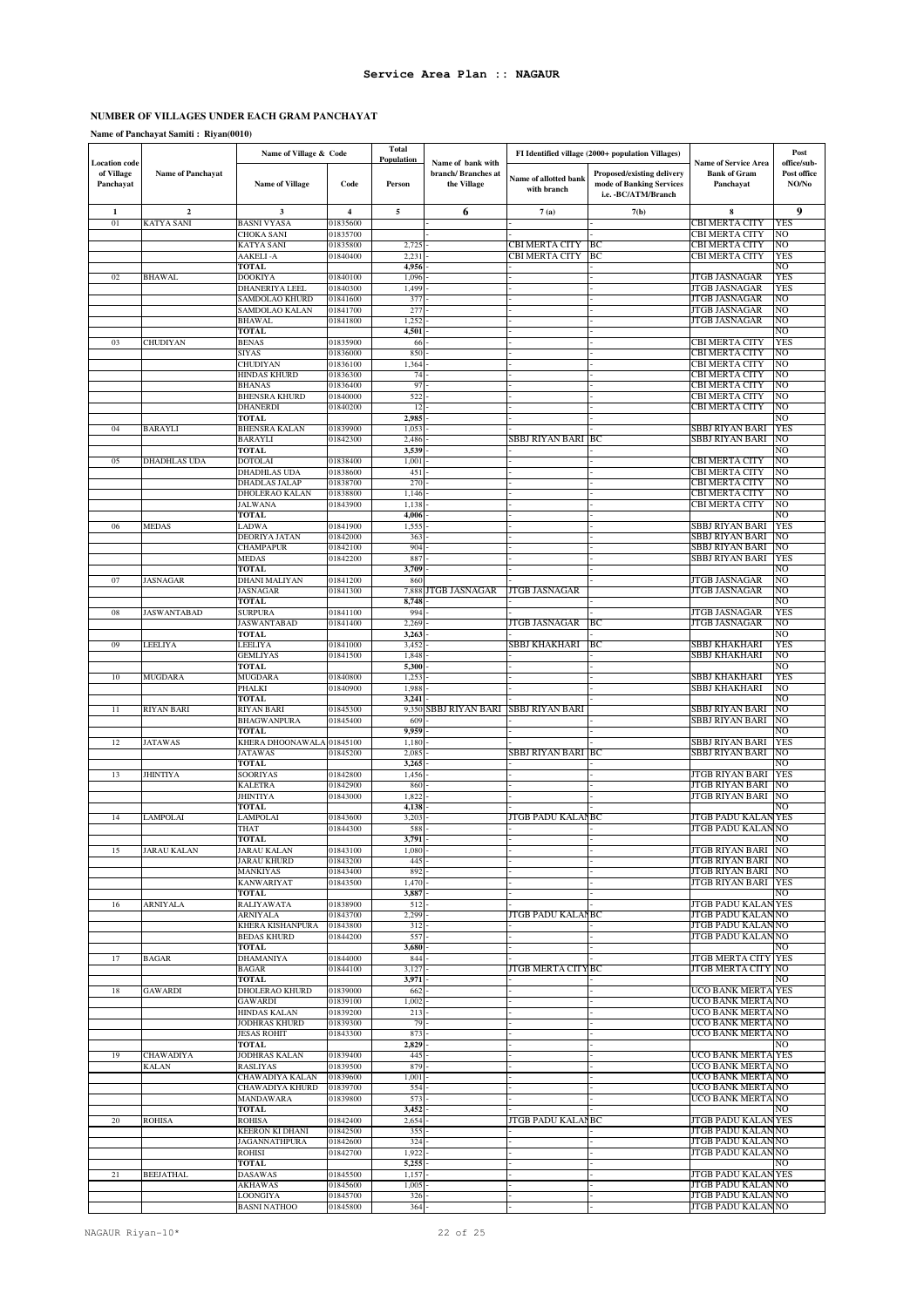# **NUMBER OF VILLAGES UNDER EACH GRAM PANCHAYAT**

**Name of Panchayat Samiti : Riyan(0010)**

|                                                 |                          | Name of Village & Code                      |                         | <b>Total</b><br>Population |                                                         |                                      | FI Identified village (2000+ population Villages)                                     |                                                                 | Post                                |
|-------------------------------------------------|--------------------------|---------------------------------------------|-------------------------|----------------------------|---------------------------------------------------------|--------------------------------------|---------------------------------------------------------------------------------------|-----------------------------------------------------------------|-------------------------------------|
| <b>Location code</b><br>of Village<br>Panchayat | <b>Name of Panchayat</b> | <b>Name of Village</b>                      | Code                    | Person                     | Name of bank with<br>branch/ Branches at<br>the Village | Name of allotted bank<br>with branch | <b>Proposed/existing delivery</b><br>mode of Banking Services<br>i.e. - BC/ATM/Branch | <b>Name of Service Area</b><br><b>Bank of Gram</b><br>Panchayat | office/sub-<br>Post office<br>NO/No |
| 1                                               | $\overline{2}$           | 3                                           | $\overline{\mathbf{4}}$ | 5                          | 6                                                       | 7(a)                                 | 7(b)                                                                                  | 8                                                               | 9                                   |
| 01                                              | <b>KATYA SANI</b>        | <b>BASNI VYASA</b>                          | 01835600                |                            |                                                         |                                      |                                                                                       | CBI MERTA CITY                                                  | <b>YES</b>                          |
|                                                 |                          | <b>CHOKA SANI</b><br>KATYA SANI             | 01835700<br>01835800    | 2,725                      |                                                         | CBI MERTA CITY                       | ВC                                                                                    | <b>CBI MERTA CITY</b><br>CBI MERTA CITY                         | NO<br>NO                            |
|                                                 |                          | AAKELI-A                                    | 01840400                | 2,231                      |                                                         | CBI MERTA CITY                       | BC                                                                                    | <b>CBI MERTA CITY</b>                                           | <b>YES</b>                          |
|                                                 |                          | <b>TOTAL</b>                                |                         | 4,956                      |                                                         |                                      |                                                                                       |                                                                 | NO                                  |
| 02                                              | <b>BHAWAL</b>            | <b>DOOKIYA</b>                              | 01840100                | 1,096                      |                                                         |                                      |                                                                                       | <b>JTGB JASNAGAR</b>                                            | YES                                 |
|                                                 |                          | <b>DHANERIYA LEEL</b>                       | 01840300                | 1,499                      |                                                         |                                      |                                                                                       | JTGB JASNAGAR                                                   | YES                                 |
|                                                 |                          | SAMDOLAO KHURD                              | 01841600                | 377<br>277                 |                                                         |                                      |                                                                                       | JTGB JASNAGAR<br><b>JTGB JASNAGAR</b>                           | NO<br>NO                            |
|                                                 |                          | SAMDOLAO KALAN<br>BHAWAL                    | 01841700<br>01841800    | 1,252                      |                                                         |                                      |                                                                                       | JTGB JASNAGAR                                                   | NO                                  |
|                                                 |                          | <b>TOTAL</b>                                |                         | 4,501                      |                                                         |                                      |                                                                                       |                                                                 | NO                                  |
| 03                                              | <b>CHUDIYAN</b>          | <b>BENAS</b>                                | 01835900                | 66                         |                                                         |                                      |                                                                                       | <b>CBI MERTA CITY</b>                                           | YES                                 |
|                                                 |                          | <b>SIYAS</b>                                | 01836000                | 850                        |                                                         |                                      |                                                                                       | <b>CBI MERTA CITY</b>                                           | NO                                  |
|                                                 |                          | <b>CHUDIYAN</b>                             | 01836100                | 1,364                      |                                                         |                                      |                                                                                       | <b>CBI MERTA CITY</b>                                           | NO                                  |
|                                                 |                          | <b>HINDAS KHURD</b><br><b>BHANAS</b>        | 01836300<br>01836400    | 74<br>97                   |                                                         |                                      |                                                                                       | <b>CBI MERTA CITY</b><br><b>CBI MERTA CITY</b>                  | NO<br>NO                            |
|                                                 |                          | <b>BHENSRA KHURD</b>                        | 01840000                | 522                        |                                                         |                                      |                                                                                       | CBI MERTA CITY                                                  | NO                                  |
|                                                 |                          | <b>DHANERDI</b>                             | 01840200                | 12                         |                                                         |                                      |                                                                                       | <b>CBI MERTA CITY</b>                                           | NO                                  |
|                                                 |                          | <b>TOTAL</b>                                |                         | 2,985                      |                                                         |                                      |                                                                                       |                                                                 | NO                                  |
| 04                                              | <b>BARAYLI</b>           | <b>BHENSRA KALAN</b>                        | 01839900                | 1,053                      |                                                         |                                      |                                                                                       | SBBJ RIYAN BARI                                                 | YES                                 |
|                                                 |                          | <b>BARAYLI</b><br>TOTAL                     | 01842300                | 2,486<br>3,539             |                                                         | SBBJ RIYAN BARI  BC                  |                                                                                       | SBBJ RIYAN BARI                                                 | NO<br>NO                            |
| 05                                              | <b>DHADHLAS UDA</b>      | <b>DOTOLAI</b>                              | 01838400                | 1,001                      |                                                         |                                      |                                                                                       | <b>CBI MERTA CITY</b>                                           | NO                                  |
|                                                 |                          | <b>DHADHLAS UDA</b>                         | 01838600                | 451                        |                                                         |                                      |                                                                                       | CBI MERTA CITY                                                  | NO                                  |
|                                                 |                          | DHADLAS JALAP                               | 01838700                | 270                        |                                                         |                                      |                                                                                       | <b>CBI MERTA CITY</b>                                           | NO                                  |
|                                                 |                          | DHOLERAO KALAN<br><b>JALWANA</b>            | 01838800<br>01843900    | 1,146<br>1,138             |                                                         |                                      |                                                                                       | CBI MERTA CITY<br><b>CBI MERTA CITY</b>                         | NO<br>NO                            |
|                                                 |                          | <b>TOTAL</b>                                |                         | 4,006                      |                                                         |                                      |                                                                                       |                                                                 | NO                                  |
| 06                                              | <b>MEDAS</b>             | LADWA                                       | 01841900                | 1,555                      |                                                         |                                      |                                                                                       | SBBJ RIYAN BARI                                                 | <b>YES</b>                          |
|                                                 |                          | DEORIYA JATAN                               | 01842000                | 363                        |                                                         |                                      |                                                                                       | SBBJ RIYAN BARI                                                 | NO                                  |
|                                                 |                          | <b>CHAMPAPUR</b>                            | 01842100                | 904                        |                                                         |                                      |                                                                                       | SBBJ RIYAN BARI                                                 | NO                                  |
|                                                 |                          | <b>MEDAS</b><br><b>TOTAL</b>                | 01842200                | 887                        |                                                         |                                      |                                                                                       | SBBJ RIYAN BARI                                                 | <b>YES</b>                          |
| 07                                              | <b>JASNAGAR</b>          | DHANI MALIYAN                               | 01841200                | 3,709<br>860               |                                                         |                                      |                                                                                       | JTGB JASNAGAR                                                   | NO<br>NO                            |
|                                                 |                          | JASNAGAR                                    | 01841300                | 7,888                      | JTGB JASNAGAR                                           | JTGB JASNAGAR                        |                                                                                       | JTGB JASNAGAR                                                   | NO                                  |
|                                                 |                          | <b>TOTAL</b>                                |                         | 8,748                      |                                                         |                                      |                                                                                       |                                                                 | NO                                  |
| 08                                              | <b>JASWANTABAD</b>       | <b>SURPURA</b>                              | 01841100                | 994                        |                                                         |                                      |                                                                                       | JTGB JASNAGAR                                                   | <b>YES</b>                          |
|                                                 |                          | JASWANTABAD                                 | 01841400                | 2,269                      |                                                         | JTGB JASNAGAR                        | ВC                                                                                    | JTGB JASNAGAR                                                   | NO<br>NO                            |
| 09                                              | LEELIYA                  | <b>TOTAL</b><br>LEELIYA                     | 01841000                | 3,263<br>3,452             |                                                         | SBBJ KHAKHARI                        | ВC                                                                                    | SBBJ KHAKHARI                                                   | YES                                 |
|                                                 |                          | <b>GEMLIYAS</b>                             | 01841500                | 1,848                      |                                                         |                                      |                                                                                       | SBBJ KHAKHARI                                                   | NO                                  |
|                                                 |                          | <b>TOTAL</b>                                |                         | 5,300                      |                                                         |                                      |                                                                                       |                                                                 | NO                                  |
| 10                                              | <b>MUGDARA</b>           | <b>MUGDARA</b>                              | 01840800                | 1,253                      |                                                         |                                      |                                                                                       | SBBJ KHAKHARI                                                   | YES                                 |
|                                                 |                          | PHALKI                                      | 01840900                | 1,988                      |                                                         |                                      |                                                                                       | SBBJ KHAKHARI                                                   | NO                                  |
| 11                                              | <b>RIYAN BARI</b>        | <b>TOTAL</b><br><b>RIYAN BARI</b>           | 01845300                | 3,241<br>9,350             | SBBJ RIYAN BARI                                         | <b>SBBJ RIYAN BARI</b>               |                                                                                       | SBBJ RIYAN BARI                                                 | NO<br>NO                            |
|                                                 |                          | <b>BHAGWANPURA</b>                          | 01845400                | 609                        |                                                         |                                      |                                                                                       | SBBJ RIYAN BARI                                                 | NO                                  |
|                                                 |                          | TOTAL                                       |                         | 9,959                      |                                                         |                                      |                                                                                       |                                                                 | NO                                  |
| 12                                              | <b>JATAWAS</b>           | KHERA DHOONAWALA 01845100                   |                         | 1,180                      |                                                         |                                      |                                                                                       | SBBJ RIYAN BARI                                                 | YES                                 |
|                                                 |                          | <b>JATAWAS</b><br><b>TOTAL</b>              | 01845200                | 2,085                      |                                                         | SBBJ RIYAN BARI BC                   |                                                                                       | SBBJ RIYAN BARI                                                 | NO<br>NO                            |
| 13                                              | <b>JHINTIYA</b>          | SOORIYAS                                    | 01842800                | 3,265<br>1,456             |                                                         |                                      |                                                                                       | JTGB RIYAN BARI                                                 | YES                                 |
|                                                 |                          | <b>KALETRA</b>                              | 01842900                | 860                        |                                                         |                                      |                                                                                       | JTGB RIYAN BARI                                                 | NO                                  |
|                                                 |                          | <b>JHINTIYA</b>                             | 01843000                | 1,822                      |                                                         |                                      |                                                                                       | JTGB RIYAN BARI                                                 | NO                                  |
|                                                 |                          | TOTAL                                       |                         | 4,138                      |                                                         |                                      |                                                                                       |                                                                 | NO                                  |
| 14                                              | LAMPOLAI                 | LAMPOLAI<br>THAT                            | 01843600<br>01844300    | 3,203<br>588               |                                                         | JTGB PADU KALANBC                    |                                                                                       | JTGB PADU KALAN<br>JTGB PADU KALAN                              | <b>YES</b><br>NO                    |
|                                                 |                          | <b>TOTAL</b>                                |                         | 3,791                      |                                                         |                                      |                                                                                       |                                                                 | NО                                  |
| 15                                              | <b>JARAU KALAN</b>       | JARAU KALAN                                 | 01843100                | 1,080                      |                                                         |                                      |                                                                                       | JTGB RIYAN BARI                                                 | NO                                  |
|                                                 |                          | <b>JARAU KHURD</b>                          | 01843200                | 445                        |                                                         |                                      |                                                                                       | JTGB RIYAN BARI                                                 | NO                                  |
|                                                 |                          | MANKIYAS                                    | 01843400                | 892                        |                                                         |                                      |                                                                                       | JTGB RIYAN BARI<br>JTGB RIYAN BARI                              | NO                                  |
|                                                 |                          | <b>KANWARIYAT</b><br>TOTAL                  | 01843500                | 1,470<br>3,887             |                                                         |                                      |                                                                                       |                                                                 | <b>YES</b><br>NO                    |
| 16                                              | <b>ARNIYALA</b>          | RALIYAWATA                                  | 01838900                | 512                        |                                                         |                                      |                                                                                       | <b>JTGB PADU KALAN YES</b>                                      |                                     |
|                                                 |                          | ARNIYALA                                    | 01843700                | 2,299                      |                                                         | JTGB PADU KALANBC                    |                                                                                       | <b>JTGB PADU KALAN</b>                                          | NO                                  |
|                                                 |                          | KHERA KISHANPURA                            | 01843800                | 312                        |                                                         |                                      |                                                                                       | <b>JTGB PADU KALAN</b>                                          | NO                                  |
|                                                 |                          | <b>BEDAS KHURD</b><br>TOTAL                 | 01844200                | 557<br>3,680               |                                                         |                                      |                                                                                       | JTGB PADU KALAN                                                 | NO<br>NO                            |
| 17                                              | <b>BAGAR</b>             | DHAMANIYA                                   | 01844000                | 844                        |                                                         |                                      |                                                                                       | <b>JTGB MERTA CITY YES</b>                                      |                                     |
|                                                 |                          | <b>BAGAR</b>                                | 01844100                | 3,127                      |                                                         | JTGB MERTA CITYBC                    |                                                                                       | JTGB MERTA CITY                                                 | NO                                  |
|                                                 |                          | <b>TOTAL</b>                                |                         | 3,971                      |                                                         |                                      |                                                                                       |                                                                 | NO                                  |
| 18                                              | <b>GAWARDI</b>           | DHOLERAO KHURD                              | 01839000                | 662                        |                                                         |                                      |                                                                                       | <b>UCO BANK MERTA YES</b>                                       |                                     |
|                                                 |                          | <b>GAWARDI</b>                              | 01839100                | 1,002                      |                                                         |                                      |                                                                                       | UCO BANK MERTA                                                  | NO.                                 |
|                                                 |                          | <b>HINDAS KALAN</b><br><b>JODHRAS KHURD</b> | 01839200<br>01839300    | 213<br>79                  |                                                         |                                      |                                                                                       | UCO BANK MERTA NO<br>UCO BANK MERTA NO                          |                                     |
|                                                 |                          | <b>JESAS ROHIT</b>                          | 01843300                | 873                        |                                                         |                                      |                                                                                       | UCO BANK MERTA NO                                               |                                     |
|                                                 |                          | TOTAL                                       |                         | 2,829                      |                                                         |                                      |                                                                                       |                                                                 | NO                                  |
| 19                                              | <b>CHAWADIYA</b>         | JODHRAS KALAN                               | 01839400                | 445                        |                                                         |                                      |                                                                                       | <b>UCO BANK MERTA YES</b>                                       |                                     |
|                                                 | <b>KALAN</b>             | <b>RASLIYAS</b>                             | 01839500                | 879                        |                                                         |                                      |                                                                                       | UCO BANK MERTA<br><b>UCO BANK MERTA</b>                         | NO                                  |
|                                                 |                          | CHAWADIYA KALAN<br>CHAWADIYA KHURD          | 01839600<br>01839700    | 1,001<br>554               |                                                         |                                      |                                                                                       | UCO BANK MERTAINO                                               | NO                                  |
|                                                 |                          | <b>MANDAWARA</b>                            | 01839800                | 573                        |                                                         |                                      |                                                                                       | UCO BANK MERTA NO                                               |                                     |
|                                                 |                          | TOTAL                                       |                         | 3,452                      |                                                         |                                      |                                                                                       |                                                                 | NO                                  |
| 20                                              | <b>ROHISA</b>            | <b>ROHISA</b>                               | 01842400                | 2,654                      |                                                         | JTGB PADU KALANBC                    |                                                                                       | <b>JTGB PADU KALAN YES</b>                                      |                                     |
|                                                 |                          | <b>KEERON KI DHANI</b>                      | 01842500                | 355                        |                                                         |                                      |                                                                                       | <b>JTGB PADU KALAN</b>                                          | NO                                  |
|                                                 |                          | <b>JAGANNATHPURA</b><br>ROHISI              | 01842600<br>01842700    | 324<br>1,922               |                                                         |                                      |                                                                                       | JTGB PADU KALAN<br>JTGB PADU KALAN NO                           | NO                                  |
|                                                 |                          | <b>TOTAL</b>                                |                         | 5,255                      |                                                         |                                      |                                                                                       |                                                                 | NO                                  |
| 21                                              | <b>BEEJATHAL</b>         | <b>DASAWAS</b>                              | 01845500                | 1,157                      |                                                         |                                      |                                                                                       | <b>JTGB PADU KALAN YES</b>                                      |                                     |
|                                                 |                          | <b>AKHAWAS</b>                              | 01845600                | 1,005                      |                                                         |                                      |                                                                                       | JTGB PADU KALAN NO                                              |                                     |
|                                                 |                          | LOONGIYA                                    | 01845700                | 326                        |                                                         |                                      |                                                                                       | JTGB PADU KALANNO                                               |                                     |
|                                                 |                          | <b>BASNI NATHOO</b>                         | 01845800                | 364                        |                                                         |                                      |                                                                                       | JTGB PADU KALAN NO                                              |                                     |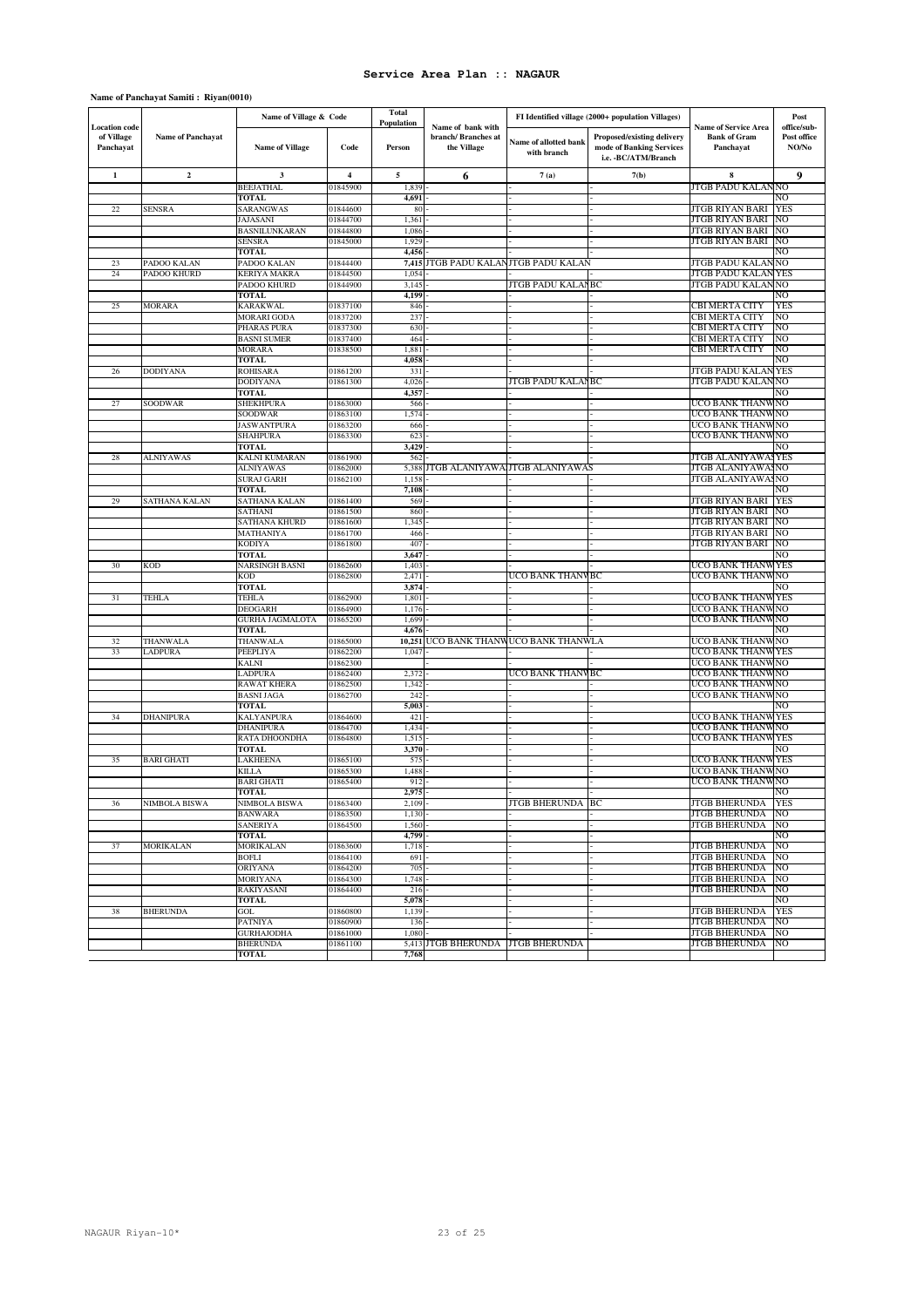# **Name of Panchayat Samiti : Riyan(0010)**

|                                                 | Name of Village & Code   |                                 | Total                   |                             |                                                        |                                                   |                                                                                | Post                                         |                      |
|-------------------------------------------------|--------------------------|---------------------------------|-------------------------|-----------------------------|--------------------------------------------------------|---------------------------------------------------|--------------------------------------------------------------------------------|----------------------------------------------|----------------------|
| <b>Location</b> code<br>of Village<br>Panchayat | <b>Name of Panchayat</b> |                                 |                         | <b>Population</b><br>Person | Name of bank with<br>branch/Branches at<br>the Village | FI Identified village (2000+ population Villages) |                                                                                | <b>Name of Service Area</b>                  | office/sub-          |
|                                                 |                          | <b>Name of Village</b>          | Code                    |                             |                                                        | Name of allotted bank<br>with branch              | Proposed/existing delivery<br>mode of Banking Services<br>i.e. - BC/ATM/Branch | <b>Bank of Gram</b><br>Panchayat             | Post office<br>NO/No |
| 1                                               | $\overline{2}$           | $\mathbf{3}$                    | $\overline{\mathbf{4}}$ | 5                           | 6                                                      | 7(a)                                              | 7(b)                                                                           | 8                                            | 9                    |
|                                                 |                          | <b>BEEJATHAL</b>                | 01845900                | 1,839                       |                                                        |                                                   |                                                                                | JTGB PADU KALAN NO                           |                      |
|                                                 |                          | <b>TOTAL</b>                    |                         | 4,691                       |                                                        |                                                   |                                                                                |                                              | NO                   |
| 22                                              | <b>SENSRA</b>            | SARANGWAS                       | 01844600                | 80                          |                                                        |                                                   |                                                                                | JTGB RIYAN BARI                              | <b>YES</b>           |
|                                                 |                          | JAJASANI                        | 01844700                | 1,361                       |                                                        |                                                   |                                                                                | JTGB RIYAN BARI                              | NO.                  |
|                                                 |                          | BASNILUNKARAN                   | 01844800                | 1,086                       |                                                        |                                                   |                                                                                | JTGB RIYAN BARI                              | NO                   |
|                                                 |                          | <b>SENSRA</b>                   | 01845000                | 1,929                       |                                                        |                                                   |                                                                                | JTGB RIYAN BARI                              | NO                   |
|                                                 |                          | <b>TOTAL</b>                    |                         | 4,456                       |                                                        |                                                   |                                                                                |                                              | NO                   |
| 23                                              | PADOO KALAN              | PADOO KALAN                     | 01844400                | 7,415                       | JTGB PADU KALANJTGB PADU KALAN                         |                                                   |                                                                                | JTGB PADU KALAN                              | NO                   |
| 24                                              | PADOO KHURD              | <b>KERIYA MAKRA</b>             | 01844500                | 1,054                       |                                                        |                                                   |                                                                                | JTGB PADU KALAN                              | YES                  |
|                                                 |                          | PADOO KHURD                     | 01844900                | 3,145                       |                                                        | JTGB PADU KALANBC                                 |                                                                                | JTGB PADU KALAN                              | NO                   |
| 25                                              | <b>MORARA</b>            | <b>TOTAL</b><br><b>KARAKWAL</b> | 01837100                | 4,199<br>846                |                                                        |                                                   |                                                                                | CBI MERTA CITY                               | NO<br>YES            |
|                                                 |                          | <b>MORARI GODA</b>              | 01837200                | 237                         |                                                        |                                                   |                                                                                | CBI MERTA CITY                               | NO                   |
|                                                 |                          | PHARAS PURA                     | 01837300                | 630                         |                                                        |                                                   |                                                                                | CBI MERTA CITY                               | NO                   |
|                                                 |                          | <b>BASNI SUMER</b>              | 01837400                | 464                         |                                                        |                                                   |                                                                                | CBI MERTA CITY                               | NO                   |
|                                                 |                          | <b>MORARA</b>                   | 01838500                | 1,881                       |                                                        |                                                   |                                                                                | CBI MERTA CITY                               | NO                   |
|                                                 |                          | <b>TOTAL</b>                    |                         | 4,058                       |                                                        |                                                   |                                                                                |                                              | NO                   |
| 26                                              | <b>DODIYANA</b>          | <b>ROHISARA</b>                 | 01861200                | 331                         |                                                        |                                                   |                                                                                | JTGB PADU KALAN                              | <b>YES</b>           |
|                                                 |                          | <b>DODIYANA</b>                 | 01861300                | 4,026                       |                                                        | JTGB PADU KALANBC                                 |                                                                                | JTGB PADU KALAN                              | NO                   |
|                                                 |                          | TOTAL                           |                         | 4,357                       |                                                        |                                                   |                                                                                |                                              | NO                   |
| 27                                              | <b>SOODWAR</b>           | <b>SHEKHPURA</b>                | 01863000                | 566                         |                                                        |                                                   |                                                                                | UCO BANK THANW                               | NO                   |
|                                                 |                          | SOODWAR                         | 01863100                | 1,574                       |                                                        |                                                   |                                                                                | UCO BANK THANW                               | 'NO                  |
|                                                 |                          | JASWANTPURA                     | 01863200                | 666                         |                                                        |                                                   |                                                                                | UCO BANK THANW                               | NO                   |
|                                                 |                          | <b>SHAHPURA</b>                 | 01863300                | 623                         |                                                        |                                                   |                                                                                | UCO BANK THANW                               | NO                   |
|                                                 |                          | <b>TOTAL</b>                    |                         | 3,429                       |                                                        |                                                   |                                                                                |                                              | NO                   |
| 28                                              | <b>ALNIYAWAS</b>         | KALNI KUMARAN                   | 01861900                | 562                         |                                                        |                                                   |                                                                                | JTGB ALANIYAWA                               | YES                  |
|                                                 |                          | <b>ALNIYAWAS</b>                | 01862000                | 5,388                       |                                                        | JTGB ALANIYAWA JTGB ALANIYAWAS                    |                                                                                | JTGB ALANIYAWA                               | NO                   |
|                                                 |                          | <b>SURAJ GARH</b>               | 01862100                | 1,158                       |                                                        |                                                   |                                                                                | JTGB ALANIYAWASNO                            |                      |
|                                                 |                          | <b>TOTAL</b>                    |                         | 7,108                       |                                                        |                                                   |                                                                                |                                              | NO                   |
| 29                                              | SATHANA KALAN            | SATHANA KALAN                   | 01861400                | 569                         |                                                        |                                                   |                                                                                | JTGB RIYAN BARI                              | YES                  |
|                                                 |                          | SATHANI                         | 01861500                | 860                         |                                                        |                                                   |                                                                                | JTGB RIYAN BARI<br>JTGB RIYAN BARI           | NO                   |
|                                                 |                          | SATHANA KHURD                   | 01861600                | 1,345                       |                                                        |                                                   |                                                                                |                                              | NO                   |
|                                                 |                          | MATHANIYA<br><b>KODIYA</b>      | 01861700<br>01861800    | 466<br>407                  |                                                        |                                                   |                                                                                | JTGB RIYAN BARI<br>JTGB RIYAN BARI           | NO<br>NO             |
|                                                 |                          | <b>TOTAL</b>                    |                         | 3,647                       |                                                        |                                                   |                                                                                |                                              | NO                   |
| 30                                              | <b>KOD</b>               | <b>NARSINGH BASNI</b>           | 01862600                | 1,403                       |                                                        |                                                   |                                                                                | UCO BANK THANW                               | <b>YES</b>           |
|                                                 |                          | KOD                             | 01862800                | 2,471                       |                                                        | UCO BANK THANVBC                                  |                                                                                | UCO BANK THANW                               | NO                   |
|                                                 |                          | <b>TOTAL</b>                    |                         | 3,874                       |                                                        |                                                   |                                                                                |                                              | NO                   |
| 31                                              | TEHLA                    | TEHLA                           | 01862900                | 1,801                       |                                                        |                                                   |                                                                                | UCO BANK THANW                               | YES                  |
|                                                 |                          | <b>DEOGARH</b>                  | 01864900                | 1,176                       |                                                        |                                                   |                                                                                | UCO BANK THANW                               | NO                   |
|                                                 |                          | <b>GURHA JAGMALOTA</b>          | 01865200                | 1,699                       |                                                        |                                                   |                                                                                | UCO BANK THANW                               | NO                   |
|                                                 |                          | TOTAL                           |                         | 4,676                       |                                                        |                                                   |                                                                                |                                              | NO                   |
| 32                                              | THANWALA                 | THANWALA                        | 01865000                | 10.251                      |                                                        | UCO BANK THANWUCO BANK THANWLA                    |                                                                                | UCO BANK THANW                               | NO                   |
| 33                                              | <b>LADPURA</b>           | PEEPLIYA                        | 01862200                | 1,047                       |                                                        |                                                   |                                                                                | UCO BANK THANV                               | YES                  |
|                                                 |                          | <b>KALNI</b>                    | 01862300                |                             |                                                        |                                                   |                                                                                | UCO BANK THANW                               | NO                   |
|                                                 |                          | <b>LADPURA</b>                  | 01862400                | 2,372                       |                                                        | UCO BANK THANVBC                                  |                                                                                | UCO BANK THANW                               | N <sub>O</sub>       |
|                                                 |                          | RAWAT KHERA                     | 01862500                | 1,342                       |                                                        |                                                   |                                                                                | UCO BANK THANW                               | NO                   |
|                                                 |                          | <b>BASNI JAGA</b>               | 01862700                | 242                         |                                                        |                                                   |                                                                                | UCO BANK THANW                               | NO                   |
|                                                 |                          | <b>TOTAL</b>                    |                         | 5,003                       |                                                        |                                                   |                                                                                |                                              | NO                   |
| 34                                              | DHANIPURA                | KALYANPURA<br><b>DHANIPURA</b>  | 01864600<br>01864700    | 421                         |                                                        |                                                   |                                                                                | UCO BANK THANW<br>UCO BANK THANW             | <b>YES</b><br>NO     |
|                                                 |                          | RATA DHOONDHA                   | 01864800                | 1,434<br>1,515              |                                                        |                                                   |                                                                                | UCO BANK THANW                               | <b>YES</b>           |
|                                                 |                          | <b>TOTAL</b>                    |                         | 3,370                       |                                                        |                                                   |                                                                                |                                              | NO                   |
| 35                                              | <b>BARI GHATI</b>        | LAKHEENA                        | 01865100                | 575                         |                                                        |                                                   |                                                                                | UCO BANK THANW                               | <b>YES</b>           |
|                                                 |                          | <b>KILLA</b>                    | 01865300                | 1,488                       |                                                        |                                                   |                                                                                | UCO BANK THANW                               | NO                   |
|                                                 |                          | <b>BARI GHATI</b>               | 01865400                | 912                         |                                                        |                                                   |                                                                                | UCO BANK THANW                               | NO                   |
|                                                 |                          | <b>TOTAL</b>                    |                         | 2,975                       |                                                        |                                                   |                                                                                |                                              | NO                   |
| 36                                              | NIMBOLA BISWA            | NIMBOLA BISWA                   | 01863400                | 2,109                       |                                                        | <b>JTGB BHERUNDA  BC</b>                          |                                                                                | <b>JTGB BHERUNDA</b> YES                     |                      |
|                                                 |                          | <b>BANWARA</b>                  | 01863500                | 1,130                       |                                                        |                                                   |                                                                                | <b>JTGB BHERUNDA</b>                         | NO                   |
|                                                 |                          | <b>SANERIYA</b>                 | 01864500                | 1,560                       |                                                        |                                                   |                                                                                | <b>JTGB BHERUNDA</b>                         | NO                   |
|                                                 |                          | <b>TOTAL</b>                    |                         | 4,799                       |                                                        |                                                   |                                                                                |                                              | NO                   |
| 37                                              | <b>MORIKALAN</b>         | <b>MORIKALAN</b>                | 01863600                | 1,718                       |                                                        |                                                   |                                                                                | <b>JTGB BHERUNDA</b>                         | NO                   |
|                                                 |                          | <b>BOFLI</b>                    | 01864100                | 691                         |                                                        |                                                   |                                                                                | <b>JTGB BHERUNDA</b>                         | NO                   |
|                                                 |                          | <b>ORIYANA</b>                  | 01864200                | 705                         |                                                        |                                                   |                                                                                | <b>JTGB BHERUNDA</b>                         | NO                   |
|                                                 |                          | <b>MORIYANA</b>                 | 01864300                | 1,748                       |                                                        |                                                   |                                                                                | <b>JTGB BHERUNDA</b>                         | NO                   |
|                                                 |                          | RAKIYASANI                      | 01864400                | 216                         |                                                        |                                                   |                                                                                | <b>JTGB BHERUNDA</b>                         | NO                   |
|                                                 |                          | <b>TOTAL</b>                    |                         | 5,078                       |                                                        |                                                   |                                                                                |                                              | NO                   |
| 38                                              | <b>BHERUNDA</b>          | GOL                             | 01860800                | 1,139                       |                                                        |                                                   |                                                                                | <b>JTGB BHERUNDA</b>                         | <b>YES</b>           |
|                                                 |                          | PATNIYA<br><b>GURHAJODHA</b>    | 01860900                | 136                         |                                                        |                                                   |                                                                                | <b>JTGB BHERUNDA</b><br><b>JTGB BHERUNDA</b> | NO                   |
|                                                 |                          | <b>BHERUNDA</b>                 | 01861000<br>01861100    | 1,080                       | 5,413 JTGB BHERUNDA                                    | <b>JTGB BHERUNDA</b>                              |                                                                                | <b>JTGB BHERUNDA</b>                         | NO<br>NO             |
|                                                 |                          | <b>TOTAL</b>                    |                         | 7,768                       |                                                        |                                                   |                                                                                |                                              |                      |
|                                                 |                          |                                 |                         |                             |                                                        |                                                   |                                                                                |                                              |                      |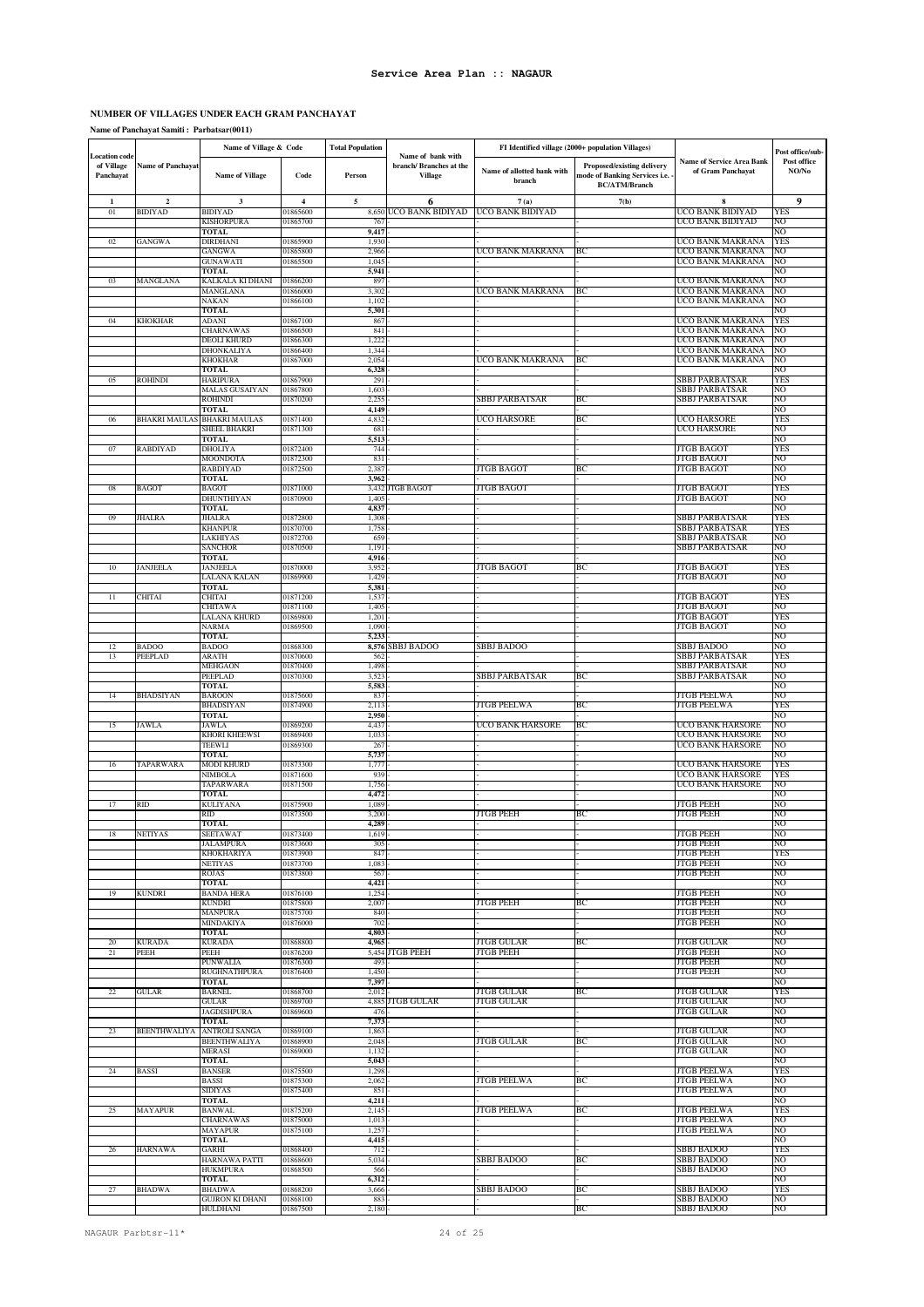### **NUMBER OF VILLAGES UNDER EACH GRAM PANCHAYAT**

### **Name of Panchayat Samiti : Parbatsar(0011)**

|                                                 |                          | Name of Village & Code               |                         | <b>Total Population</b> |                                                                | FI Identified village (2000+ population Villages) |                                                                                     |                                                       | Post office/sub-     |
|-------------------------------------------------|--------------------------|--------------------------------------|-------------------------|-------------------------|----------------------------------------------------------------|---------------------------------------------------|-------------------------------------------------------------------------------------|-------------------------------------------------------|----------------------|
| <b>Location</b> code<br>of Village<br>Panchayat | <b>Name of Panchayat</b> | Name of Village                      | Code                    | Person                  | Name of bank with<br>branch/ Branches at the<br><b>Village</b> | Name of allotted bank with<br>branch              | Proposed/existing delivery<br>mode of Banking Services i.e.<br><b>BC/ATM/Branch</b> | <b>Name of Service Area Bank</b><br>of Gram Panchayat | Post office<br>NO/No |
| $\mathbf{1}$                                    | $\mathbf{2}$             | 3                                    | $\overline{\mathbf{4}}$ | $\mathbf s$             | 6                                                              | 7(a)                                              | 7(b)                                                                                | 8                                                     | 9                    |
| 01                                              | <b>BIDIYAD</b>           | BIDIYAD<br>KISHORPURA                | 01865600<br>01865700    | 8,650<br>76             | UCO BANK BIDIYAD                                               | UCO BANK BIDIYAD                                  |                                                                                     | UCO BANK BIDIYAD<br>UCO BANK BIDIYAD                  | YES<br>NO            |
|                                                 |                          | <b>TOTAL</b>                         |                         | 9,417                   |                                                                |                                                   |                                                                                     |                                                       | NO                   |
| 02                                              | GANGWA                   | DIRDHANI<br>GANGWA                   | 01865900                | 1,930                   |                                                                |                                                   |                                                                                     | UCO BANK MAKRANA<br>UCO BANK MAKRANA                  | YES                  |
|                                                 |                          | GUNAWATI                             | 01865800<br>01865500    | 2,966<br>1,045          |                                                                | UCO BANK MAKRANA                                  | BС                                                                                  | UCO BANK MAKRANA                                      | NO<br>NO             |
|                                                 |                          | TOTAL                                |                         | 5,941                   |                                                                |                                                   |                                                                                     |                                                       | NO                   |
| 03                                              | MANGLANA                 | KALKALA KI DHANI<br>MANGLANA         | 01866200<br>01866000    | 89<br>3,302             |                                                                | UCO BANK MAKRANA                                  | BC                                                                                  | UCO BANK MAKRANA<br>UCO BANK MAKRANA                  | NO<br>NO             |
|                                                 |                          | NAKAN                                | 01866100                | 1,102                   |                                                                |                                                   |                                                                                     | UCO BANK MAKRANA                                      | NO                   |
|                                                 |                          | TOTAL                                |                         | 5,301                   |                                                                |                                                   |                                                                                     |                                                       | NО                   |
| 04                                              | KHOKHAR                  | ADANI<br>CHARNAWAS                   | 01867100<br>01866500    | 867<br>841              |                                                                |                                                   |                                                                                     | UCO BANK MAKRANA<br>UCO BANK MAKRANA                  | YES<br>NO            |
|                                                 |                          | DEOLI KHURD                          | 01866300                | 1,222                   |                                                                |                                                   |                                                                                     | UCO BANK MAKRANA                                      | NO                   |
|                                                 |                          | DHONKALIYA                           | 01866400<br>01867000    | 1,344<br>2,054          |                                                                |                                                   | BC                                                                                  | UCO BANK MAKRANA<br>UCO BANK MAKRANA                  | NO<br>NO             |
|                                                 |                          | KHOKHAR<br><b>TOTAL</b>              |                         | 6,328                   |                                                                | UCO BANK MAKRANA                                  |                                                                                     |                                                       | NO                   |
| 05                                              | ROHINDI                  | HARIPURA                             | 01867900                | 29                      |                                                                |                                                   |                                                                                     | SBBJ PARBATSAR                                        | YES                  |
|                                                 |                          | MALAS GUSAIYAN<br>ROHINDI            | 01867800<br>01870200    | 1,603<br>2,25           |                                                                | SBBJ PARBATSAR                                    | ВC                                                                                  | SBBJ PARBATSAR<br>SBBJ PARBATSAR                      | NO<br>NO             |
|                                                 |                          | TOTAL                                |                         | 4,149                   |                                                                |                                                   |                                                                                     |                                                       | NO                   |
| 06                                              | BHAKRI MAULAS            | <b>BHAKRI MAULAS</b>                 | 01871400                | 4,832                   |                                                                | UCO HARSORE                                       | ВC                                                                                  | UCO HARSORE                                           | YES                  |
|                                                 |                          | SHEEL BHAKRI<br><b>TOTAL</b>         | 01871300                | 681<br>5,513            |                                                                |                                                   |                                                                                     | UCO HARSORE                                           | NO<br>NO             |
| 07                                              | RABDIYAD                 | DHOLIYA                              | 01872400                | 744                     |                                                                |                                                   |                                                                                     | <b>JTGB BAGOT</b>                                     | YES                  |
|                                                 |                          | MOONDOTA<br>RABDIYAD                 | 01872300<br>01872500    | 831<br>2,38             |                                                                | JTGB BAGOT                                        | ВC                                                                                  | <b>JTGB BAGOT</b><br>JTGB BAGOT                       | NO<br>NO             |
|                                                 |                          | <b>TOTAL</b>                         |                         | 3,962                   |                                                                |                                                   |                                                                                     |                                                       | NO                   |
| 08                                              | BAGOT                    | BAGOT                                | 01871000                | 3,432                   | <b>JTGB BAGOT</b>                                              | JTGB BAGOT                                        |                                                                                     | JTGB BAGOT                                            | YES                  |
|                                                 |                          | DHUNTHIYAN<br><b>TOTAL</b>           | 01870900                | 1,40<br>4,837           |                                                                |                                                   |                                                                                     | JTGB BAGOT                                            | NO<br>NO             |
| 09                                              | JHALRA                   | JHALRA                               | 01872800                | 1,308                   |                                                                |                                                   |                                                                                     | <b>SBBJ PARBATSAR</b>                                 | YES                  |
|                                                 |                          | KHANPUR                              | 01870700                | 1,758<br>659            |                                                                |                                                   |                                                                                     | SBBJ PARBATSAR<br>SBBJ PARBATSAR                      | YES<br>NO            |
|                                                 |                          | LAKHIYAS<br>SANCHOR                  | 01872700<br>01870500    | 1,19                    |                                                                |                                                   |                                                                                     | SBBJ PARBATSAR                                        | NO                   |
|                                                 |                          | TOTAL                                |                         | 4,916                   |                                                                |                                                   |                                                                                     |                                                       | NO                   |
| 10                                              | <b>JANJEELA</b>          | <b>JANJEELA</b><br>LALANA KALAN      | 01870000<br>01869900    | 3,95<br>1,429           |                                                                | <b>JTGB BAGOT</b>                                 | BC                                                                                  | JTGB BAGOT<br><b>JTGB BAGOT</b>                       | YES<br>NO            |
|                                                 |                          | TOTAL                                |                         | 5,381                   |                                                                |                                                   |                                                                                     |                                                       | NO                   |
| 11                                              | CHITAI                   | CHITAI                               | 01871200                | 1,53                    |                                                                |                                                   |                                                                                     | <b>JTGB BAGOT</b>                                     | YES                  |
|                                                 |                          | CHITAWA<br>LALANA KHURD              | 01871100<br>01869800    | 1,40<br>1,201           |                                                                |                                                   |                                                                                     | <b>JTGB BAGOT</b><br><b>JTGB BAGOT</b>                | NO<br><b>YES</b>     |
|                                                 |                          | NARMA                                | 01869500                | 1,090                   |                                                                |                                                   |                                                                                     | <b>JTGB BAGOT</b>                                     | NO                   |
| 12                                              | <b>BADOO</b>             | TOTAL<br><b>BADOO</b>                | 01868300                | 5,233<br>8,576          | SBBJ BADOO                                                     | <b>SBBJ BADOO</b>                                 |                                                                                     | <b>SBBJ BADOO</b>                                     | NO<br>NO             |
| 13                                              | PEEPLAD                  | ARATH                                | 01870600                | 562                     |                                                                |                                                   |                                                                                     | SBBJ PARBATSAR                                        | YES                  |
|                                                 |                          | MEHGAON                              | 01870400                | 1,498                   |                                                                |                                                   |                                                                                     | SBBJ PARBATSAR                                        | NO                   |
|                                                 |                          | PEEPLAD<br><b>TOTAL</b>              | 01870300                | 3,523<br>5,583          |                                                                | SBBJ PARBATSAR                                    | BС                                                                                  | SBBJ PARBATSAR                                        | NO<br>NO             |
| 14                                              | <b>BHADSIYAN</b>         | BAROON                               | 01875600                | 83                      |                                                                |                                                   |                                                                                     | JTGB PEELWA                                           | NO                   |
|                                                 |                          | BHADSIYAN                            | 01874900                | 2,113<br>2,950          |                                                                | JTGB PEELWA                                       | ВC                                                                                  | JTGB PEELWA                                           | YES<br>NO            |
| 15                                              | JAWLA                    | TOTAL<br>JAWLA                       | 01869200                | 4,437                   |                                                                | UCO BANK HARSORE                                  | ВC                                                                                  | UCO BANK HARSORE                                      | NO                   |
|                                                 |                          | KHORI KHEEWSI                        | 01869400                | 1,03                    |                                                                |                                                   |                                                                                     | UCO BANK HARSORE                                      | NO                   |
|                                                 |                          | TEEWLI<br><b>TOTAL</b>               | 01869300                | 267<br>5,73             |                                                                |                                                   |                                                                                     | UCO BANK HARSORE                                      | NO<br>NO             |
| 16                                              | TAPARWARA                | MODI KHURD                           | 01873300                | 1,77                    |                                                                |                                                   |                                                                                     | <b>UCO BANK HARSORE</b>                               | YES                  |
|                                                 |                          | NIMBOLA                              | 01871600                | 939                     |                                                                |                                                   |                                                                                     | UCO BANK HARSORE                                      | YES                  |
|                                                 |                          | TAPARWARA<br><b>TOTAL</b>            | 01871500                | 1,756<br>4,472          |                                                                |                                                   |                                                                                     | UCO BANK HARSORE                                      | NO<br>NO             |
| 17                                              | RID                      | KULIYANA                             | 01875900                | 1,089                   |                                                                |                                                   |                                                                                     | <b>JTGB PEEH</b>                                      | NO                   |
|                                                 |                          | RID<br>TOTAL                         | 01873500                | 3,200<br>4,289          |                                                                | JTGB PEEH                                         | BС                                                                                  | JTGB PEEH                                             | NO<br>NO             |
| 18                                              | <b>NETIYAS</b>           | SEETAWAT                             | 01873400                | 1,619                   |                                                                |                                                   |                                                                                     | <b>JTGB PEEH</b>                                      | NO                   |
|                                                 |                          | JALAMPURA                            | 01873600                | 305                     |                                                                |                                                   |                                                                                     | <b>JTGB PEEH</b>                                      | NO                   |
|                                                 |                          | KHOKHARIYA<br><b>NETIYAS</b>         | 01873900<br>01873700    | 847<br>1,083            |                                                                |                                                   |                                                                                     | <b>JTGB PEEH</b><br><b>JTGB PEEH</b>                  | <b>YES</b><br>NO     |
|                                                 |                          | ROJAS                                | 01873800                | 56                      |                                                                |                                                   |                                                                                     | <b>JTGB PEEH</b>                                      | NO                   |
|                                                 |                          | TOTAL<br><b>BANDA HERA</b>           | 01876100                | 4,421<br>1,254          |                                                                |                                                   |                                                                                     | <b>JTGB PEEH</b>                                      | NO<br>NO             |
| 19                                              | KUNDRI                   | <b>KUNDRI</b>                        | 01875800                | 2,007                   |                                                                | <b>JTGB PEEH</b>                                  | BC                                                                                  | <b>JTGB PEEH</b>                                      | NO                   |
|                                                 |                          | MANPURA                              | 01875700                | 840                     |                                                                |                                                   |                                                                                     | <b>JTGB PEEH</b>                                      | NO                   |
|                                                 |                          | MINDAKIYA<br><b>TOTAL</b>            | 01876000                | 702<br>4,803            |                                                                |                                                   |                                                                                     | <b>JTGB PEEH</b>                                      | NO<br>NO             |
| 20                                              | <b>KURADA</b>            | KURADA                               | 01868800                | 4,96:                   |                                                                | JTGB GULAR                                        | BС                                                                                  | JTGB GULAR                                            | NO                   |
| $^{21}$                                         | PEEH                     | PEEH                                 | 01876200                | 5,454<br>493            | JTGB PEEH                                                      | JTGB PEEH                                         |                                                                                     | <b>JTGB PEEH</b>                                      | NO<br>NO             |
|                                                 |                          | PUNWALIA<br>RUGHNATHPURA             | 01876300<br>01876400    | 1,450                   |                                                                |                                                   |                                                                                     | <b>JTGB PEEH</b><br><b>JTGB PEEH</b>                  | NO                   |
|                                                 |                          | TOTAL                                |                         | 7,397                   |                                                                |                                                   |                                                                                     |                                                       | NO                   |
| 22                                              | GULAR                    | BARNEL<br>GULAR                      | 01868700<br>01869700    | 2,012<br>4,885          | ITGB GULAR                                                     | JTGB GULAR<br>JTGB GULAR                          | BС                                                                                  | <b>JTGB GULAR</b><br><b>JTGB GULAR</b>                | YES<br>NO            |
|                                                 |                          | JAGDISHPURA                          | 01869600                | 476                     |                                                                |                                                   |                                                                                     | <b>JTGB GULAR</b>                                     | NO                   |
|                                                 |                          | TOTAL                                |                         | 7,373                   |                                                                |                                                   |                                                                                     |                                                       | NO                   |
| 23                                              | BEENTHWALIYA             | ANTROLI SANGA<br><b>BEENTHWALIYA</b> | 01869100<br>01868900    | 1,863<br>2,048          |                                                                | JTGB GULAR                                        | ВC                                                                                  | JTGB GULAR<br>JTGB GULAR                              | NO<br>NO             |
|                                                 |                          | MERASI                               | 01869000                | 1,132                   |                                                                |                                                   |                                                                                     | JTGB GULAR                                            | NO                   |
| 24                                              | BASSI                    | TOTAL<br>BANSER                      | 01875500                | 5,043<br>1,298          |                                                                |                                                   |                                                                                     | <b>JTGB PEELWA</b>                                    | NO<br>YES            |
|                                                 |                          | BASSI                                | 01875300                | 2,062                   |                                                                | JTGB PEELWA                                       | BС                                                                                  | <b>JTGB PEELWA</b>                                    | NO                   |
|                                                 |                          | <b>SIDIYAS</b>                       | 01875400                | 851                     |                                                                |                                                   |                                                                                     | <b>JTGB PEELWA</b>                                    | NO                   |
| 25                                              | MAYAPUR                  | TOTAL<br>BANWAL                      | 01875200                | 4,211<br>2,145          |                                                                | JTGB PEELWA                                       | ВC                                                                                  | <b>JTGB PEELWA</b>                                    | NO<br>YES            |
|                                                 |                          | <b>CHARNAWAS</b>                     | 01875000                | 1,01                    |                                                                |                                                   |                                                                                     | <b>JTGB PEELWA</b>                                    | NO                   |
|                                                 |                          | MAYAPUR                              | 01875100                | 1,257                   |                                                                |                                                   |                                                                                     | JTGB PEELWA                                           | NO                   |
| 26                                              | <b>HARNAWA</b>           | <b>TOTAL</b><br>GARHI                | 01868400                | 4,415<br>712            |                                                                |                                                   |                                                                                     | <b>SBBJ BADOO</b>                                     | NO<br><b>YES</b>     |
|                                                 |                          | HARNAWA PATTI                        | 01868600                | 5,034                   |                                                                | <b>SBBJ BADOO</b>                                 | BС                                                                                  | SBBJ BADOO                                            | NO                   |
|                                                 |                          | <b>HUKMPURA</b><br><b>TOTAL</b>      | 01868500                | 566                     |                                                                |                                                   |                                                                                     | SBBJ BADOO                                            | NO<br>NO             |
| 27                                              | <b>BHADWA</b>            | <b>BHADWA</b>                        | 01868200                | 6,312<br>3,666          |                                                                | <b>SBBJ BADOO</b>                                 | BC                                                                                  | SBBJ BADOO                                            | <b>YES</b>           |
|                                                 |                          | <b>GUJRON KI DHANI</b>               | 01868100                | 883                     |                                                                |                                                   |                                                                                     | SBBJ BADOO                                            | NO                   |
|                                                 |                          | HULDHANI                             | 01867500                | 2,180                   |                                                                |                                                   | ВC                                                                                  | SBBJ BADOO                                            | NO                   |